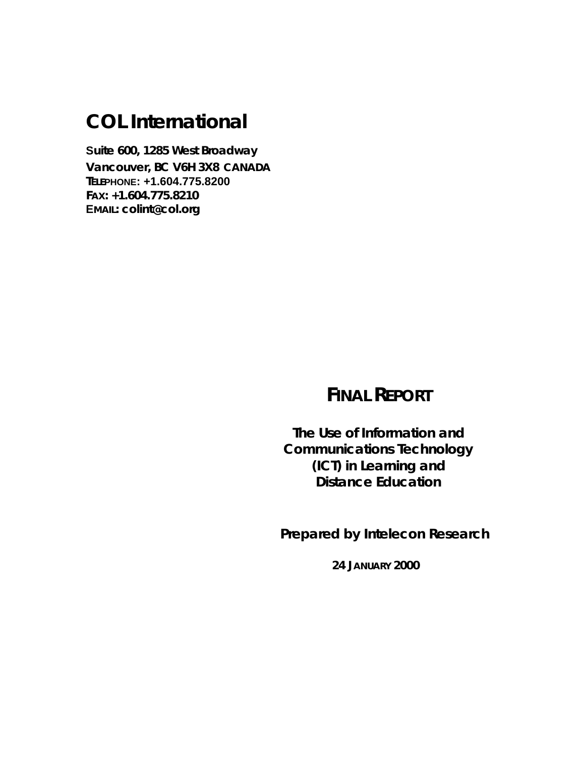# **[COL International](http://www.col.org/colint)**

**Suite 600, 1285 West Broadway Vancouver, BC V6H 3X8 CANADA TELEPHONE: +1.604.775.8200 FAX: +1.604.775.8210 EMAIL[: colint@col.org](mailto:colint@col.org)**

# **FINAL REPORT**

**The Use of Information and Communications Technology (ICT) in Learning and Distance Education**

 **Prepared by Intelecon Research**

**24 JANUARY 2000**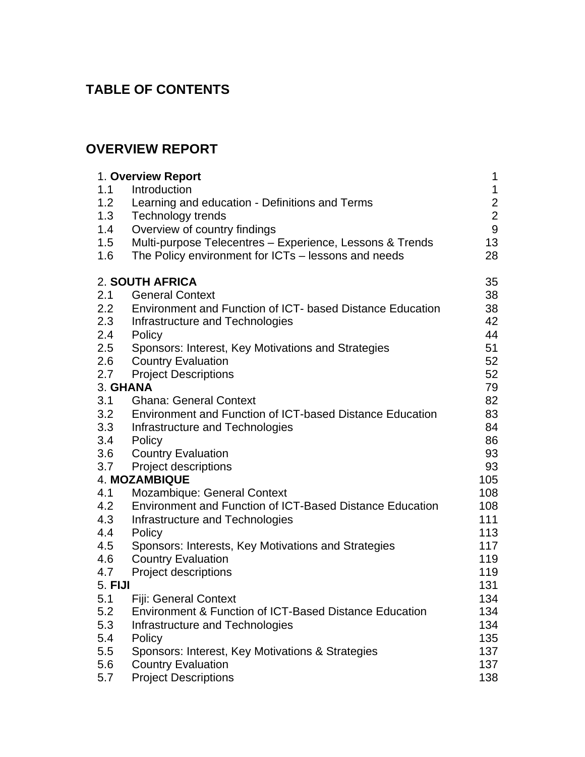# **TABLE OF CONTENTS**

# **OVERVIEW REPORT**

|         | 1. Overview Report                                                | 1                |
|---------|-------------------------------------------------------------------|------------------|
| 1.1     | Introduction                                                      | $\mathbf 1$      |
| 1.2     | Learning and education - Definitions and Terms                    | $\overline{c}$   |
| 1.3     | <b>Technology trends</b>                                          | $\mathbf{2}$     |
| 1.4     | Overview of country findings                                      | $\boldsymbol{9}$ |
| 1.5     | Multi-purpose Telecentres - Experience, Lessons & Trends          | 13               |
| 1.6     | The Policy environment for ICTs - lessons and needs               | 28               |
|         | 2. SOUTH AFRICA                                                   | 35               |
| 2.1     | <b>General Context</b>                                            | 38               |
| 2.2     | Environment and Function of ICT- based Distance Education         | 38               |
| 2.3     | Infrastructure and Technologies                                   | 42               |
| 2.4     | Policy                                                            | 44               |
| 2.5     | Sponsors: Interest, Key Motivations and Strategies                | 51               |
| 2.6     | <b>Country Evaluation</b>                                         | 52               |
| 2.7     | <b>Project Descriptions</b>                                       | 52               |
|         | 3. GHANA                                                          | 79               |
| 3.1     | <b>Ghana: General Context</b>                                     | 82               |
| 3.2     | <b>Environment and Function of ICT-based Distance Education</b>   | 83               |
| 3.3     | Infrastructure and Technologies                                   | 84               |
| 3.4     | Policy                                                            | 86               |
| 3.6     | <b>Country Evaluation</b>                                         | 93               |
| 3.7     | Project descriptions                                              | 93               |
|         | <b>4. MOZAMBIQUE</b>                                              | 105              |
| 4.1     | <b>Mozambique: General Context</b>                                | 108              |
| 4.2     | <b>Environment and Function of ICT-Based Distance Education</b>   | 108              |
| 4.3     | Infrastructure and Technologies                                   | 111              |
| 4.4     | Policy                                                            | 113              |
| 4.5     | Sponsors: Interests, Key Motivations and Strategies               | 117              |
| 4.6     | <b>Country Evaluation</b>                                         | 119              |
| 4.7     | <b>Project descriptions</b>                                       | 119              |
| 5. FIJI |                                                                   | 131              |
| 5.1     | <b>Fiji: General Context</b>                                      | 134              |
| 5.2     | <b>Environment &amp; Function of ICT-Based Distance Education</b> | 134              |
| 5.3     | Infrastructure and Technologies                                   | 134              |
| 5.4     | Policy                                                            | 135              |
| 5.5     | Sponsors: Interest, Key Motivations & Strategies                  | 137              |
| 5.6     | <b>Country Evaluation</b>                                         | 137              |
| 5.7     | <b>Project Descriptions</b>                                       | 138              |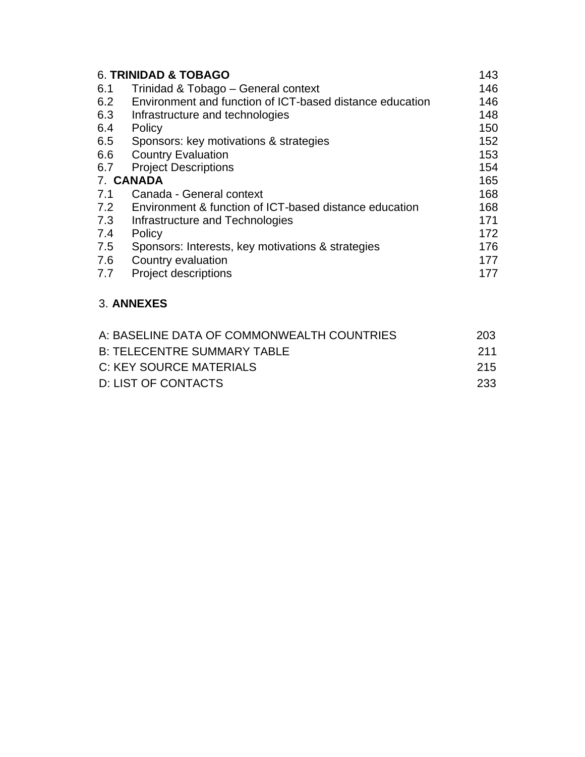| 6. TRINIDAD & TOBAGO |                                                          |     |
|----------------------|----------------------------------------------------------|-----|
| 6.1                  | Trinidad & Tobago - General context                      | 146 |
| 6.2                  | Environment and function of ICT-based distance education | 146 |
| 6.3                  | Infrastructure and technologies                          | 148 |
| 6.4                  | Policy                                                   | 150 |
| 6.5                  | Sponsors: key motivations & strategies                   | 152 |
| 6.6                  | <b>Country Evaluation</b>                                | 153 |
| 6.7                  | <b>Project Descriptions</b>                              | 154 |
| 7. CANADA            |                                                          | 165 |
| 7.1                  | Canada - General context                                 | 168 |
| 7.2                  | Environment & function of ICT-based distance education   | 168 |
| 7.3                  | Infrastructure and Technologies                          | 171 |
| 7.4                  | Policy                                                   | 172 |
| 7.5                  | Sponsors: Interests, key motivations & strategies        | 176 |
| 7.6                  | Country evaluation                                       | 177 |
| 7.7                  | <b>Project descriptions</b>                              | 177 |

### 3. **[ANNEXES](#page-206-0)**

| A: BASELINE DATA OF COMMONWEALTH COUNTRIES | 203   |
|--------------------------------------------|-------|
| <b>B: TELECENTRE SUMMARY TABLE</b>         | 211   |
| C: KEY SOURCE MATERIALS                    | -215. |
| D: LIST OF CONTACTS                        | 233   |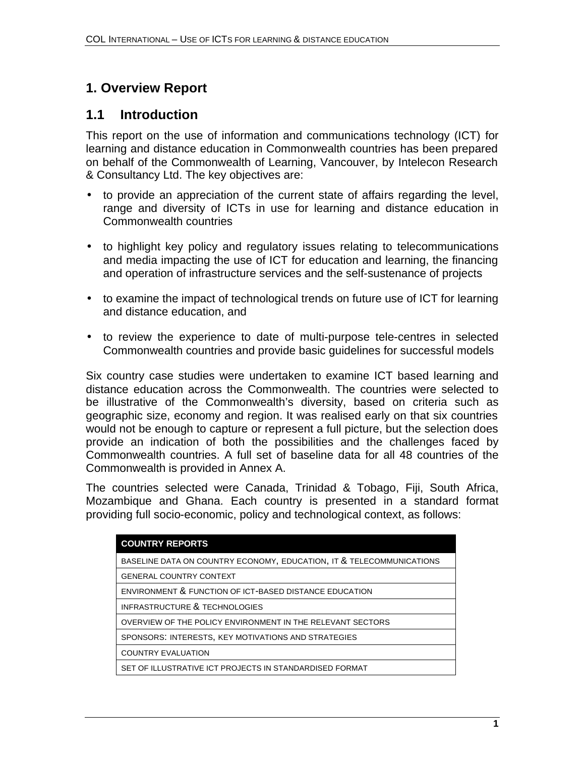# <span id="page-4-0"></span>**1. Overview Report**

# **1.1 Introduction**

This report on the use of information and communications technology (ICT) for learning and distance education in Commonwealth countries has been prepared on behalf of the Commonwealth of Learning, Vancouver, by Intelecon Research & Consultancy Ltd. The key objectives are:

- to provide an appreciation of the current state of affairs regarding the level, range and diversity of ICTs in use for learning and distance education in Commonwealth countries
- to highlight key policy and regulatory issues relating to telecommunications and media impacting the use of ICT for education and learning, the financing and operation of infrastructure services and the self-sustenance of projects
- to examine the impact of technological trends on future use of ICT for learning and distance education, and
- to review the experience to date of multi-purpose tele-centres in selected Commonwealth countries and provide basic guidelines for successful models

Six country case studies were undertaken to examine ICT based learning and distance education across the Commonwealth. The countries were selected to be illustrative of the Commonwealth's diversity, based on criteria such as geographic size, economy and region. It was realised early on that six countries would not be enough to capture or represent a full picture, but the selection does provide an indication of both the possibilities and the challenges faced by Commonwealth countries. A full set of baseline data for all 48 countries of the Commonwealth is provided in Annex A.

The countries selected were Canada, Trinidad & Tobago, Fiji, South Africa, Mozambique and Ghana. Each country is presented in a standard format providing full socio-economic, policy and technological context, as follows:

| <b>COUNTRY REPORTS</b>                                               |
|----------------------------------------------------------------------|
| BASELINE DATA ON COUNTRY ECONOMY, EDUCATION, IT & TELECOMMUNICATIONS |
| <b>GENERAL COUNTRY CONTEXT</b>                                       |
| ENVIRONMENT & FUNCTION OF ICT-BASED DISTANCE EDUCATION               |
| <b>INFRASTRUCTURE &amp; TECHNOLOGIES</b>                             |
| OVERVIEW OF THE POLICY ENVIRONMENT IN THE RELEVANT SECTORS           |
| SPONSORS: INTERESTS, KEY MOTIVATIONS AND STRATEGIES                  |
| <b>COUNTRY EVALUATION</b>                                            |
| SET OF ILLUSTRATIVE ICT PROJECTS IN STANDARDISED FORMAT              |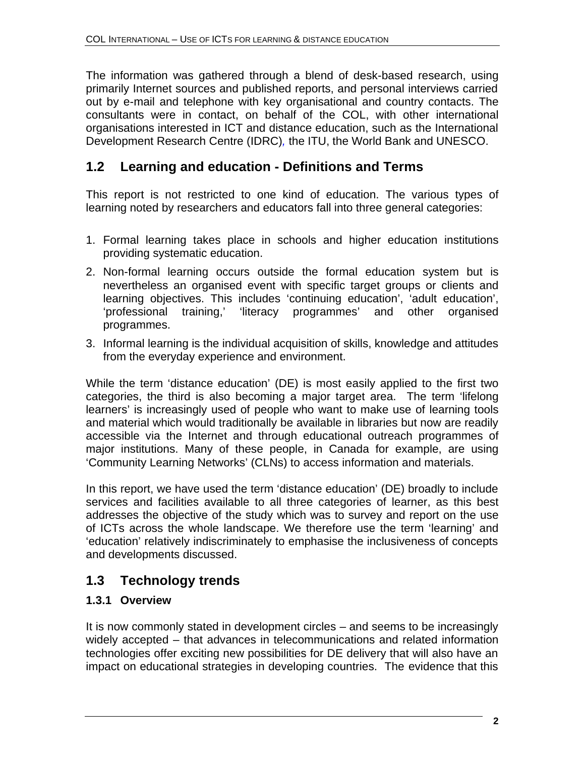The information was gathered through a blend of desk-based research, using primarily Internet sources and published reports, and personal interviews carried out by e-mail and telephone with key organisational and country contacts. The consultants were in contact, on behalf of the COL, with other international organisations interested in ICT and distance education, such as the International Development Research Centre (IDRC)*,* the ITU, the World Bank and UNESCO.

# **1.2 Learning and education - Definitions and Terms**

This report is not restricted to one kind of education. The various types of learning noted by researchers and educators fall into three general categories:

- 1. Formal learning takes place in schools and higher education institutions providing systematic education.
- 2. Non-formal learning occurs outside the formal education system but is nevertheless an organised event with specific target groups or clients and learning objectives. This includes 'continuing education', 'adult education', 'professional training,' 'literacy programmes' and other organised programmes.
- 3. Informal learning is the individual acquisition of skills, knowledge and attitudes from the everyday experience and environment.

While the term 'distance education' (DE) is most easily applied to the first two categories, the third is also becoming a major target area. The term 'lifelong learners' is increasingly used of people who want to make use of learning tools and material which would traditionally be available in libraries but now are readily accessible via the Internet and through educational outreach programmes of major institutions. Many of these people, in Canada for example, are using 'Community Learning Networks' (CLNs) to access information and materials.

In this report, we have used the term 'distance education' (DE) broadly to include services and facilities available to all three categories of learner, as this best addresses the objective of the study which was to survey and report on the use of ICTs across the whole landscape. We therefore use the term 'learning' and 'education' relatively indiscriminately to emphasise the inclusiveness of concepts and developments discussed.

# **1.3 Technology trends**

### **1.3.1 Overview**

It is now commonly stated in development circles – and seems to be increasingly widely accepted – that advances in telecommunications and related information technologies offer exciting new possibilities for DE delivery that will also have an impact on educational strategies in developing countries. The evidence that this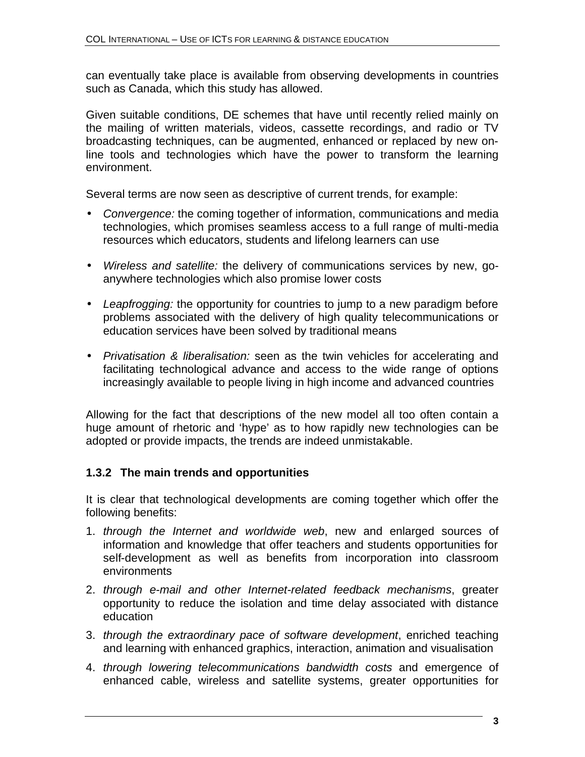can eventually take place is available from observing developments in countries such as Canada, which this study has allowed.

Given suitable conditions, DE schemes that have until recently relied mainly on the mailing of written materials, videos, cassette recordings, and radio or TV broadcasting techniques, can be augmented, enhanced or replaced by new online tools and technologies which have the power to transform the learning environment.

Several terms are now seen as descriptive of current trends, for example:

- *Convergence:* the coming together of information, communications and media technologies, which promises seamless access to a full range of multi-media resources which educators, students and lifelong learners can use
- *Wireless and satellite:* the delivery of communications services by new, goanywhere technologies which also promise lower costs
- *Leapfrogging:* the opportunity for countries to jump to a new paradigm before problems associated with the delivery of high quality telecommunications or education services have been solved by traditional means
- *Privatisation & liberalisation:* seen as the twin vehicles for accelerating and facilitating technological advance and access to the wide range of options increasingly available to people living in high income and advanced countries

Allowing for the fact that descriptions of the new model all too often contain a huge amount of rhetoric and 'hype' as to how rapidly new technologies can be adopted or provide impacts, the trends are indeed unmistakable.

#### **1.3.2 The main trends and opportunities**

It is clear that technological developments are coming together which offer the following benefits:

- 1. *through the Internet and worldwide web*, new and enlarged sources of information and knowledge that offer teachers and students opportunities for self-development as well as benefits from incorporation into classroom environments
- 2. *through e-mail and other Internet-related feedback mechanisms*, greater opportunity to reduce the isolation and time delay associated with distance education
- 3. *through the extraordinary pace of software development*, enriched teaching and learning with enhanced graphics, interaction, animation and visualisation
- 4. *through lowering telecommunications bandwidth costs* and emergence of enhanced cable, wireless and satellite systems, greater opportunities for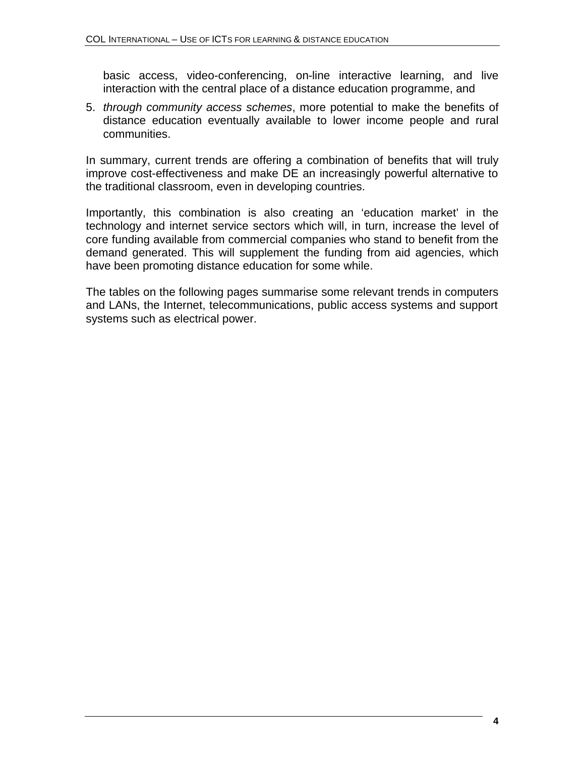basic access, video-conferencing, on-line interactive learning, and live interaction with the central place of a distance education programme, and

5. *through community access schemes*, more potential to make the benefits of distance education eventually available to lower income people and rural communities.

In summary, current trends are offering a combination of benefits that will truly improve cost-effectiveness and make DE an increasingly powerful alternative to the traditional classroom, even in developing countries.

Importantly, this combination is also creating an 'education market' in the technology and internet service sectors which will, in turn, increase the level of core funding available from commercial companies who stand to benefit from the demand generated. This will supplement the funding from aid agencies, which have been promoting distance education for some while.

The tables on the following pages summarise some relevant trends in computers and LANs, the Internet, telecommunications, public access systems and support systems such as electrical power.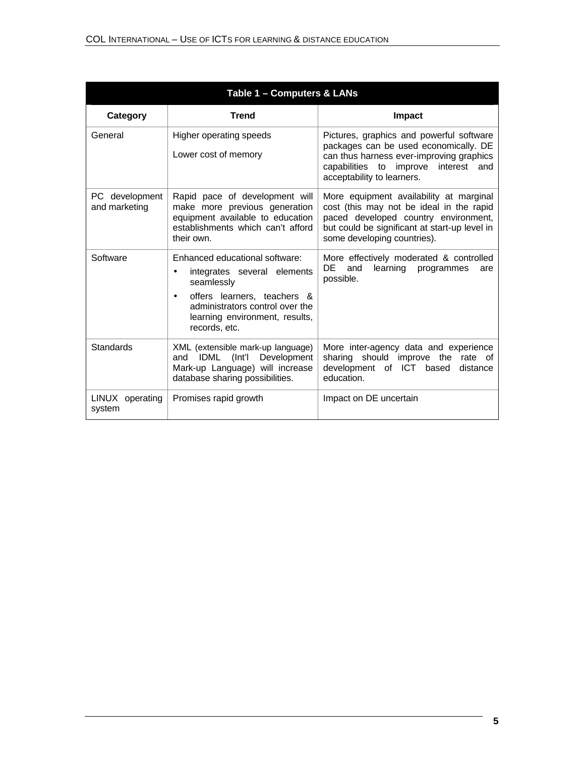| Table 1 - Computers & LANs      |                                                                                                                                                                                                                    |                                                                                                                                                                                                             |  |
|---------------------------------|--------------------------------------------------------------------------------------------------------------------------------------------------------------------------------------------------------------------|-------------------------------------------------------------------------------------------------------------------------------------------------------------------------------------------------------------|--|
| Category                        | <b>Trend</b>                                                                                                                                                                                                       | Impact                                                                                                                                                                                                      |  |
| General                         | Higher operating speeds<br>Lower cost of memory                                                                                                                                                                    | Pictures, graphics and powerful software<br>packages can be used economically. DE<br>can thus harness ever-improving graphics<br>capabilities to improve interest and<br>acceptability to learners.         |  |
| PC development<br>and marketing | Rapid pace of development will<br>make more previous generation<br>equipment available to education<br>establishments which can't afford<br>their own.                                                             | More equipment availability at marginal<br>cost (this may not be ideal in the rapid<br>paced developed country environment,<br>but could be significant at start-up level in<br>some developing countries). |  |
| Software                        | Enhanced educational software:<br>integrates several elements<br>٠<br>seamlessly<br>offers learners, teachers &<br>$\bullet$<br>administrators control over the<br>learning environment, results,<br>records, etc. | More effectively moderated & controlled<br>DE -<br>learning<br>and<br>programmes<br>are<br>possible.                                                                                                        |  |
| Standards                       | XML (extensible mark-up language)<br>IDML (Int'l Development<br>and<br>Mark-up Language) will increase<br>database sharing possibilities.                                                                          | More inter-agency data and experience<br>sharing should improve the rate of<br>development of ICT<br>based<br>distance<br>education.                                                                        |  |
| LINUX operating<br>system       | Promises rapid growth                                                                                                                                                                                              | Impact on DE uncertain                                                                                                                                                                                      |  |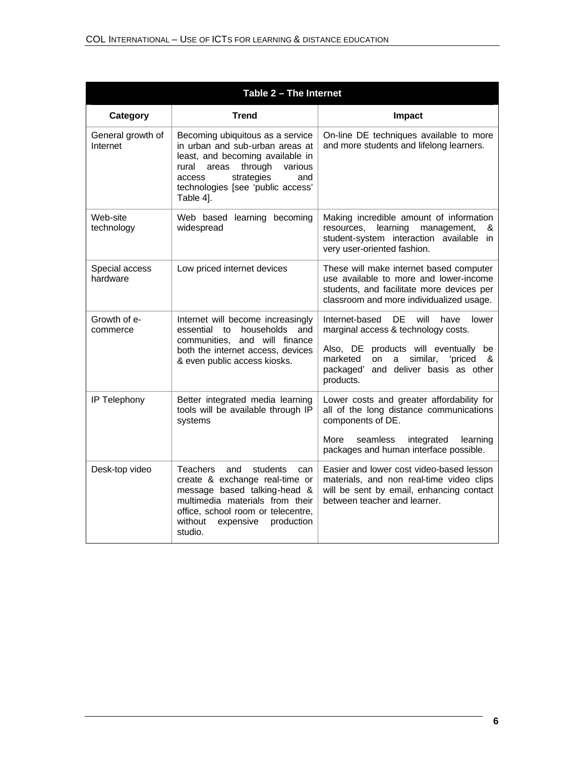| Table 2 - The Internet        |                                                                                                                                                                                                                                       |                                                                                                                                                                                                                                                      |  |
|-------------------------------|---------------------------------------------------------------------------------------------------------------------------------------------------------------------------------------------------------------------------------------|------------------------------------------------------------------------------------------------------------------------------------------------------------------------------------------------------------------------------------------------------|--|
| Category                      | <b>Trend</b>                                                                                                                                                                                                                          | <b>Impact</b>                                                                                                                                                                                                                                        |  |
| General growth of<br>Internet | Becoming ubiquitous as a service<br>in urban and sub-urban areas at<br>least, and becoming available in<br>through<br>rural<br>areas<br>various<br>strategies<br>access<br>and<br>technologies [see 'public access'<br>Table 4].      | On-line DE techniques available to more<br>and more students and lifelong learners.                                                                                                                                                                  |  |
| Web-site<br>technology        | Web based learning becoming<br>widespread                                                                                                                                                                                             | Making incredible amount of information<br>learning<br>management,<br>resources,<br>&<br>student-system interaction available in<br>very user-oriented fashion.                                                                                      |  |
| Special access<br>hardware    | Low priced internet devices                                                                                                                                                                                                           | These will make internet based computer<br>use available to more and lower-income<br>students, and facilitate more devices per<br>classroom and more individualized usage.                                                                           |  |
| Growth of e-<br>commerce      | Internet will become increasingly<br>households<br>essential<br>to<br>and<br>communities, and will finance<br>both the internet access, devices<br>& even public access kiosks.                                                       | <b>DE</b><br>Internet-based<br>will<br>have<br>lower<br>marginal access & technology costs.<br>products will eventually<br>Also, DE<br>be<br>similar,<br>'priced<br>marketed<br>on<br>a<br>&<br>and deliver basis as other<br>packaged'<br>products. |  |
| IP Telephony                  | Better integrated media learning<br>tools will be available through IP<br>systems                                                                                                                                                     | Lower costs and greater affordability for<br>all of the long distance communications<br>components of DE.<br>More<br>seamless<br>integrated<br>learning<br>packages and human interface possible.                                                    |  |
| Desk-top video                | <b>Teachers</b><br>and<br>students<br>can<br>create & exchange real-time or<br>message based talking-head &<br>multimedia materials from their<br>office, school room or telecentre,<br>without<br>expensive<br>production<br>studio. | Easier and lower cost video-based lesson<br>materials, and non real-time video clips<br>will be sent by email, enhancing contact<br>between teacher and learner.                                                                                     |  |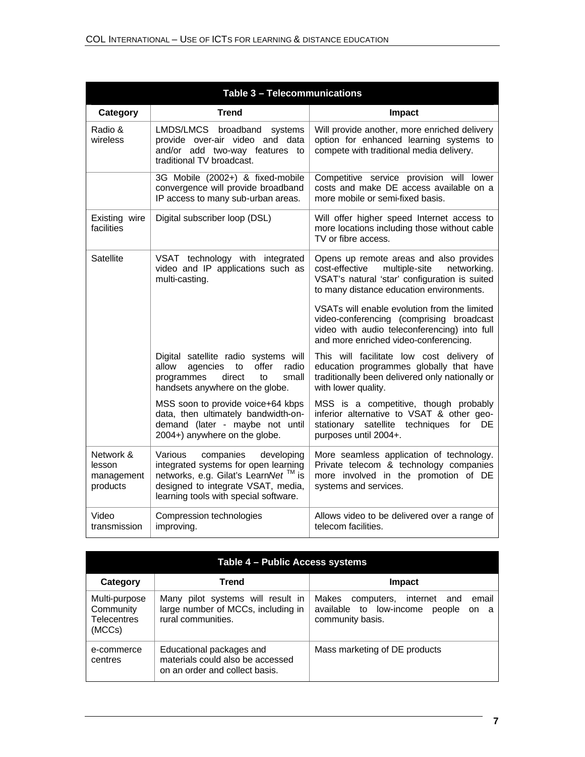| Table 3 - Telecommunications                  |                                                                                                                                                                                                              |                                                                                                                                                                                        |
|-----------------------------------------------|--------------------------------------------------------------------------------------------------------------------------------------------------------------------------------------------------------------|----------------------------------------------------------------------------------------------------------------------------------------------------------------------------------------|
| Category                                      | <b>Trend</b>                                                                                                                                                                                                 | <b>Impact</b>                                                                                                                                                                          |
| Radio &<br>wireless                           | LMDS/LMCS broadband systems<br>provide over-air video and data<br>and/or add two-way features to<br>traditional TV broadcast.                                                                                | Will provide another, more enriched delivery<br>option for enhanced learning systems to<br>compete with traditional media delivery.                                                    |
|                                               | 3G Mobile (2002+) & fixed-mobile<br>convergence will provide broadband<br>IP access to many sub-urban areas.                                                                                                 | Competitive service provision will lower<br>costs and make DE access available on a<br>more mobile or semi-fixed basis.                                                                |
| Existing wire<br>facilities                   | Digital subscriber loop (DSL)                                                                                                                                                                                | Will offer higher speed Internet access to<br>more locations including those without cable<br>TV or fibre access.                                                                      |
| <b>Satellite</b>                              | VSAT technology with integrated<br>video and IP applications such as<br>multi-casting.                                                                                                                       | Opens up remote areas and also provides<br>cost-effective<br>multiple-site<br>networking.<br>VSAT's natural 'star' configuration is suited<br>to many distance education environments. |
|                                               |                                                                                                                                                                                                              | VSATs will enable evolution from the limited<br>video-conferencing (comprising broadcast<br>video with audio teleconferencing) into full<br>and more enriched video-conferencing.      |
|                                               | Digital satellite radio systems will<br>allow<br>agencies<br>offer<br>radio<br>to<br>direct<br>programmes<br>to<br>small<br>handsets anywhere on the globe.                                                  | This will facilitate low cost delivery of<br>education programmes globally that have<br>traditionally been delivered only nationally or<br>with lower quality.                         |
|                                               | MSS soon to provide voice+64 kbps<br>data, then ultimately bandwidth-on-<br>demand (later - maybe not until<br>2004+) anywhere on the globe.                                                                 | MSS is a competitive, though probably<br>inferior alternative to VSAT & other geo-<br>stationary satellite techniques<br>for DE<br>purposes until 2004+.                               |
| Network &<br>lesson<br>management<br>products | companies<br>Various<br>developing<br>integrated systems for open learning<br>networks, e.g. Gilat's LearnNet <sup>™</sup> is<br>designed to integrate VSAT, media,<br>learning tools with special software. | More seamless application of technology.<br>Private telecom & technology companies<br>more involved in the promotion of DE<br>systems and services.                                    |
| Video<br>transmission                         | Compression technologies<br>improving.                                                                                                                                                                       | Allows video to be delivered over a range of<br>telecom facilities.                                                                                                                    |

| Table 4 - Public Access systems                            |                                                                                                |                                                                                                            |
|------------------------------------------------------------|------------------------------------------------------------------------------------------------|------------------------------------------------------------------------------------------------------------|
| Category                                                   | <b>Trend</b>                                                                                   | Impact                                                                                                     |
| Multi-purpose<br>Community<br><b>Telecentres</b><br>(MCCs) | Many pilot systems will result in<br>large number of MCCs, including in<br>rural communities.  | Makes<br>email<br>computers, internet and<br>available to low-income<br>people<br>on a<br>community basis. |
| e-commerce<br>centres                                      | Educational packages and<br>materials could also be accessed<br>on an order and collect basis. | Mass marketing of DE products                                                                              |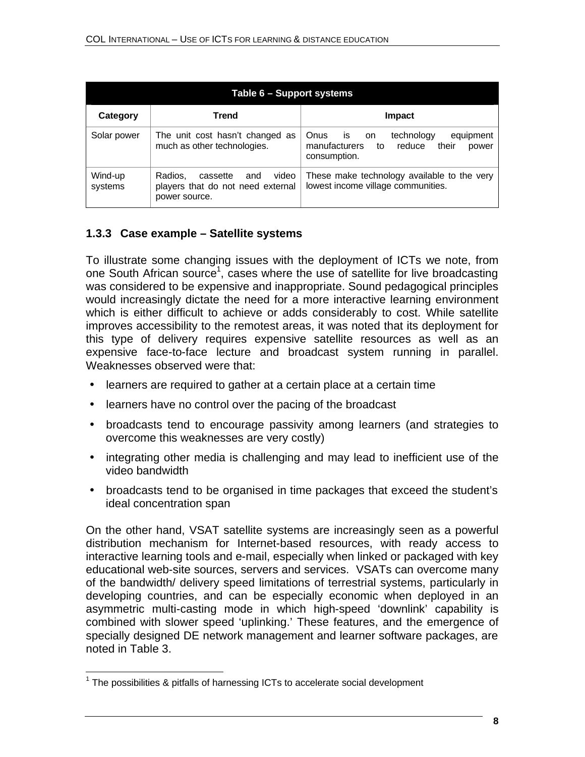| <b>Table 6 - Support systems</b> |                                                                                           |                                                                                                                 |
|----------------------------------|-------------------------------------------------------------------------------------------|-----------------------------------------------------------------------------------------------------------------|
| Category                         | Trend                                                                                     | <b>Impact</b>                                                                                                   |
| Solar power                      | The unit cost hasn't changed as<br>much as other technologies.                            | technology<br>Onus<br>equipment<br>is.<br>on<br>their<br>manufacturers<br>reduce<br>to<br>power<br>consumption. |
| Wind-up<br>systems               | Radios.<br>video<br>cassette<br>and<br>players that do not need external<br>power source. | These make technology available to the very<br>lowest income village communities.                               |

#### **1.3.3 Case example – Satellite systems**

To illustrate some changing issues with the deployment of ICTs we note, from one South African source<sup>1</sup>, cases where the use of satellite for live broadcasting was considered to be expensive and inappropriate. Sound pedagogical principles would increasingly dictate the need for a more interactive learning environment which is either difficult to achieve or adds considerably to cost. While satellite improves accessibility to the remotest areas, it was noted that its deployment for this type of delivery requires expensive satellite resources as well as an expensive face-to-face lecture and broadcast system running in parallel. Weaknesses observed were that:

- learners are required to gather at a certain place at a certain time
- learners have no control over the pacing of the broadcast
- broadcasts tend to encourage passivity among learners (and strategies to overcome this weaknesses are very costly)
- integrating other media is challenging and may lead to inefficient use of the video bandwidth
- broadcasts tend to be organised in time packages that exceed the student's ideal concentration span

On the other hand, VSAT satellite systems are increasingly seen as a powerful distribution mechanism for Internet-based resources, with ready access to interactive learning tools and e-mail, especially when linked or packaged with key educational web-site sources, servers and services. VSATs can overcome many of the bandwidth/ delivery speed limitations of terrestrial systems, particularly in developing countries, and can be especially economic when deployed in an asymmetric multi-casting mode in which high-speed 'downlink' capability is combined with slower speed 'uplinking.' These features, and the emergence of specially designed DE network management and learner software packages, are noted in Table 3.

 $\overline{\phantom{a}}$ 

 $1$  The possibilities & pitfalls of harnessing ICTs to accelerate social development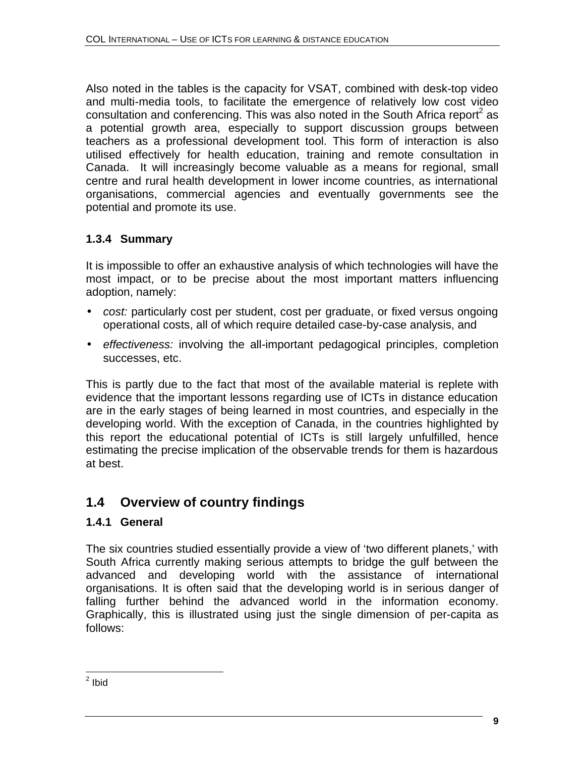Also noted in the tables is the capacity for VSAT, combined with desk-top video and multi-media tools, to facilitate the emergence of relatively low cost video consultation and conferencing. This was also noted in the South Africa report<sup>2</sup> as a potential growth area, especially to support discussion groups between teachers as a professional development tool. This form of interaction is also utilised effectively for health education, training and remote consultation in Canada. It will increasingly become valuable as a means for regional, small centre and rural health development in lower income countries, as international organisations, commercial agencies and eventually governments see the potential and promote its use.

## **1.3.4 Summary**

It is impossible to offer an exhaustive analysis of which technologies will have the most impact, or to be precise about the most important matters influencing adoption, namely:

- *cost:* particularly cost per student, cost per graduate, or fixed versus ongoing operational costs, all of which require detailed case-by-case analysis, and
- *effectiveness:* involving the all-important pedagogical principles, completion successes, etc.

This is partly due to the fact that most of the available material is replete with evidence that the important lessons regarding use of ICTs in distance education are in the early stages of being learned in most countries, and especially in the developing world. With the exception of Canada, in the countries highlighted by this report the educational potential of ICTs is still largely unfulfilled, hence estimating the precise implication of the observable trends for them is hazardous at best.

# **1.4 Overview of country findings**

### **1.4.1 General**

The six countries studied essentially provide a view of 'two different planets,' with South Africa currently making serious attempts to bridge the gulf between the advanced and developing world with the assistance of international organisations. It is often said that the developing world is in serious danger of falling further behind the advanced world in the information economy. Graphically, this is illustrated using just the single dimension of per-capita as follows:

<sup>&</sup>lt;u>2</u><br>2 Ibid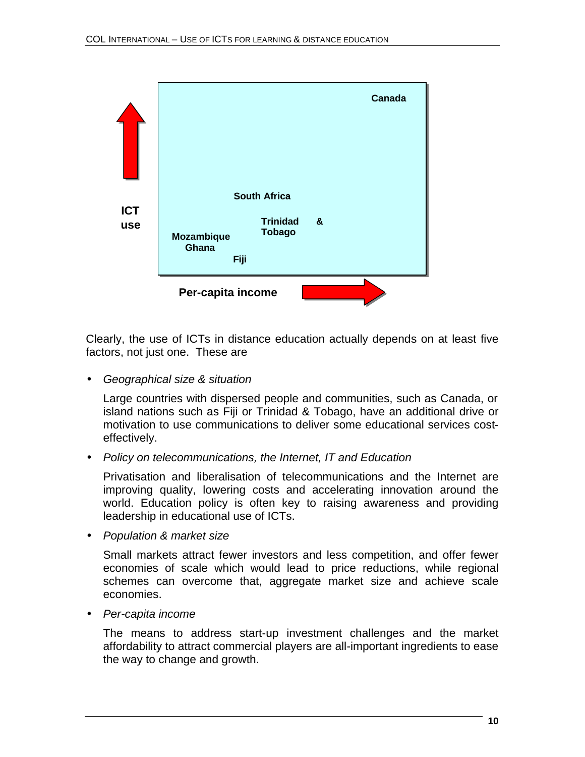

Clearly, the use of ICTs in distance education actually depends on at least five factors, not just one. These are

• *Geographical size & situation*

Large countries with dispersed people and communities, such as Canada, or island nations such as Fiji or Trinidad & Tobago, have an additional drive or motivation to use communications to deliver some educational services costeffectively.

• *Policy on telecommunications, the Internet, IT and Education*

Privatisation and liberalisation of telecommunications and the Internet are improving quality, lowering costs and accelerating innovation around the world. Education policy is often key to raising awareness and providing leadership in educational use of ICTs.

• *Population & market size*

Small markets attract fewer investors and less competition, and offer fewer economies of scale which would lead to price reductions, while regional schemes can overcome that, aggregate market size and achieve scale economies.

• *Per-capita income*

The means to address start-up investment challenges and the market affordability to attract commercial players are all-important ingredients to ease the way to change and growth.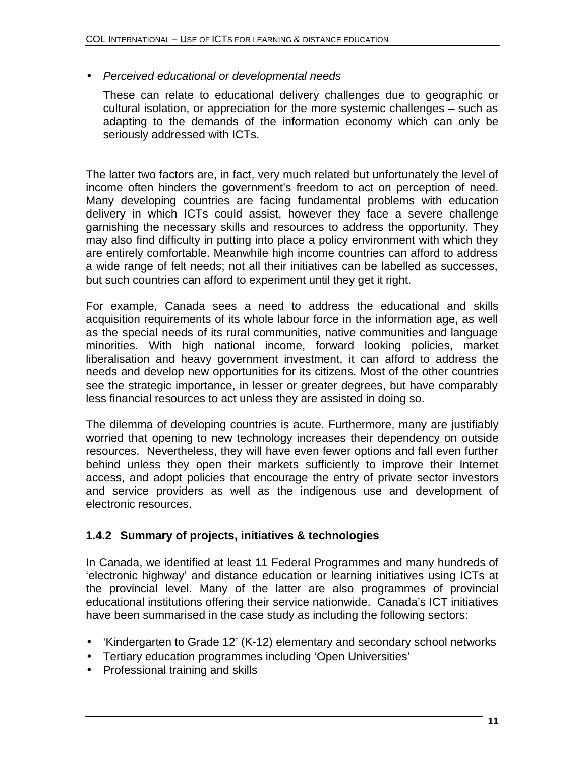#### • *Perceived educational or developmental needs*

These can relate to educational delivery challenges due to geographic or cultural isolation, or appreciation for the more systemic challenges – such as adapting to the demands of the information economy which can only be seriously addressed with ICTs.

The latter two factors are, in fact, very much related but unfortunately the level of income often hinders the government's freedom to act on perception of need. Many developing countries are facing fundamental problems with education delivery in which ICTs could assist, however they face a severe challenge garnishing the necessary skills and resources to address the opportunity. They may also find difficulty in putting into place a policy environment with which they are entirely comfortable. Meanwhile high income countries can afford to address a wide range of felt needs; not all their initiatives can be labelled as successes, but such countries can afford to experiment until they get it right.

For example, Canada sees a need to address the educational and skills acquisition requirements of its whole labour force in the information age, as well as the special needs of its rural communities, native communities and language minorities. With high national income, forward looking policies, market liberalisation and heavy government investment, it can afford to address the needs and develop new opportunities for its citizens. Most of the other countries see the strategic importance, in lesser or greater degrees, but have comparably less financial resources to act unless they are assisted in doing so.

The dilemma of developing countries is acute. Furthermore, many are justifiably worried that opening to new technology increases their dependency on outside resources. Nevertheless, they will have even fewer options and fall even further behind unless they open their markets sufficiently to improve their Internet access, and adopt policies that encourage the entry of private sector investors and service providers as well as the indigenous use and development of electronic resources.

#### **1.4.2 Summary of projects, initiatives & technologies**

In Canada, we identified at least 11 Federal Programmes and many hundreds of 'electronic highway' and distance education or learning initiatives using ICTs at the provincial level. Many of the latter are also programmes of provincial educational institutions offering their service nationwide. Canada's ICT initiatives have been summarised in the case study as including the following sectors:

- 'Kindergarten to Grade 12' (K-12) elementary and secondary school networks
- Tertiary education programmes including 'Open Universities'
- Professional training and skills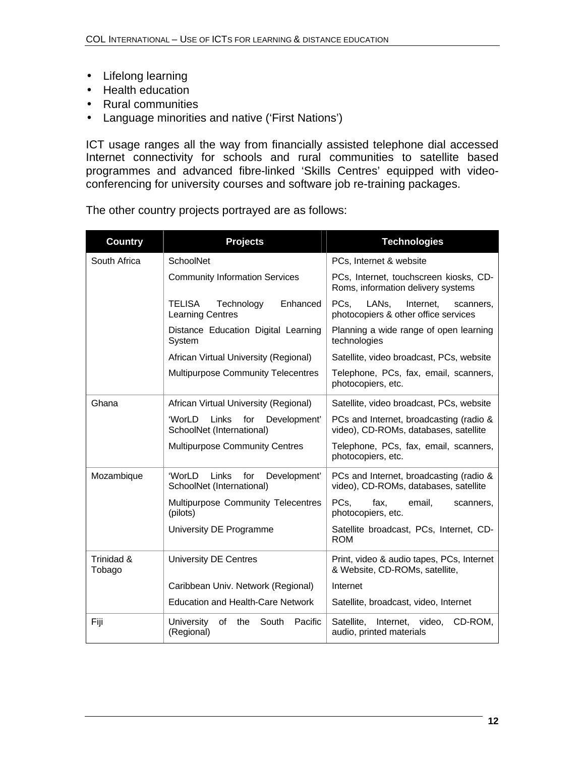- Lifelong learning
- Health education
- Rural communities
- Language minorities and native ('First Nations')

ICT usage ranges all the way from financially assisted telephone dial accessed Internet connectivity for schools and rural communities to satellite based programmes and advanced fibre-linked 'Skills Centres' equipped with videoconferencing for university courses and software job re-training packages.

The other country projects portrayed are as follows:

| <b>Country</b>       | <b>Projects</b>                                                     | <b>Technologies</b>                                                                          |
|----------------------|---------------------------------------------------------------------|----------------------------------------------------------------------------------------------|
| South Africa         | SchoolNet                                                           | PCs, Internet & website                                                                      |
|                      | <b>Community Information Services</b>                               | PCs, Internet, touchscreen kiosks, CD-<br>Roms, information delivery systems                 |
|                      | <b>TELISA</b><br>Enhanced<br>Technology<br><b>Learning Centres</b>  | PCs.<br>LAN <sub>s</sub> .<br>Internet,<br>scanners,<br>photocopiers & other office services |
|                      | Distance Education Digital Learning<br>System                       | Planning a wide range of open learning<br>technologies                                       |
|                      | African Virtual University (Regional)                               | Satellite, video broadcast, PCs, website                                                     |
|                      | <b>Multipurpose Community Telecentres</b>                           | Telephone, PCs, fax, email, scanners,<br>photocopiers, etc.                                  |
| Ghana                | African Virtual University (Regional)                               | Satellite, video broadcast, PCs, website                                                     |
|                      | 'WorLD<br>Links<br>for<br>Development'<br>SchoolNet (International) | PCs and Internet, broadcasting (radio &<br>video), CD-ROMs, databases, satellite             |
|                      | <b>Multipurpose Community Centres</b>                               | Telephone, PCs, fax, email, scanners,<br>photocopiers, etc.                                  |
| Mozambique           | 'WorLD<br>Links<br>for<br>Development'<br>SchoolNet (International) | PCs and Internet, broadcasting (radio &<br>video), CD-ROMs, databases, satellite             |
|                      | Multipurpose Community Telecentres<br>(pilots)                      | PCs,<br>fax,<br>email,<br>scanners,<br>photocopiers, etc.                                    |
|                      | University DE Programme                                             | Satellite broadcast, PCs, Internet, CD-<br><b>ROM</b>                                        |
| Trinidad &<br>Tobago | <b>University DE Centres</b>                                        | Print, video & audio tapes, PCs, Internet<br>& Website, CD-ROMs, satellite,                  |
|                      | Caribbean Univ. Network (Regional)                                  | Internet                                                                                     |
|                      | <b>Education and Health-Care Network</b>                            | Satellite, broadcast, video, Internet                                                        |
| Fiji                 | <b>University</b><br>of<br>the<br>South<br>Pacific<br>(Regional)    | CD-ROM,<br>Satellite,<br>Internet,<br>video,<br>audio, printed materials                     |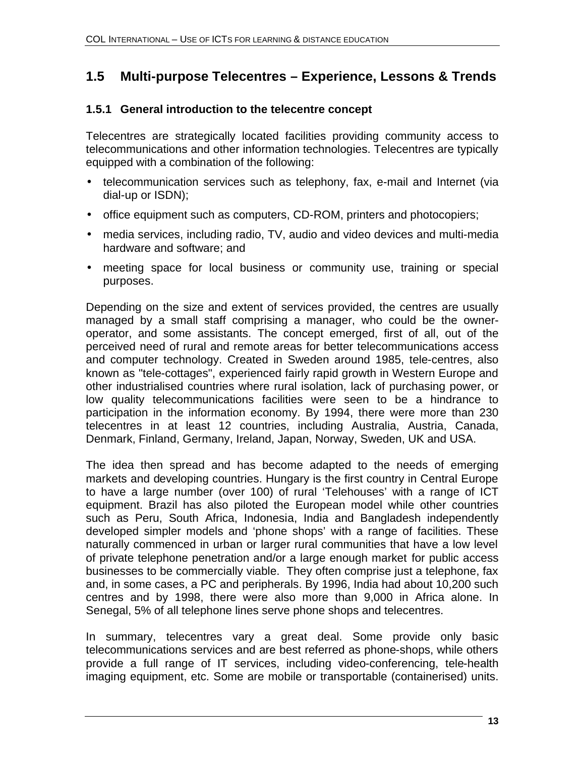# **1.5 Multi-purpose Telecentres – Experience, Lessons & Trends**

#### **1.5.1 General introduction to the telecentre concept**

Telecentres are strategically located facilities providing community access to telecommunications and other information technologies. Telecentres are typically equipped with a combination of the following:

- telecommunication services such as telephony, fax, e-mail and Internet (via dial-up or ISDN);
- office equipment such as computers, CD-ROM, printers and photocopiers;
- media services, including radio, TV, audio and video devices and multi-media hardware and software; and
- meeting space for local business or community use, training or special purposes.

Depending on the size and extent of services provided, the centres are usually managed by a small staff comprising a manager, who could be the owneroperator, and some assistants. The concept emerged, first of all, out of the perceived need of rural and remote areas for better telecommunications access and computer technology. Created in Sweden around 1985, tele-centres, also known as "tele-cottages", experienced fairly rapid growth in Western Europe and other industrialised countries where rural isolation, lack of purchasing power, or low quality telecommunications facilities were seen to be a hindrance to participation in the information economy. By 1994, there were more than 230 telecentres in at least 12 countries, including Australia, Austria, Canada, Denmark, Finland, Germany, Ireland, Japan, Norway, Sweden, UK and USA.

The idea then spread and has become adapted to the needs of emerging markets and developing countries. Hungary is the first country in Central Europe to have a large number (over 100) of rural 'Telehouses' with a range of ICT equipment. Brazil has also piloted the European model while other countries such as Peru, South Africa, Indonesia, India and Bangladesh independently developed simpler models and 'phone shops' with a range of facilities. These naturally commenced in urban or larger rural communities that have a low level of private telephone penetration and/or a large enough market for public access businesses to be commercially viable. They often comprise just a telephone, fax and, in some cases, a PC and peripherals. By 1996, India had about 10,200 such centres and by 1998, there were also more than 9,000 in Africa alone. In Senegal, 5% of all telephone lines serve phone shops and telecentres.

In summary, telecentres vary a great deal. Some provide only basic telecommunications services and are best referred as phone-shops, while others provide a full range of IT services, including video-conferencing, tele-health imaging equipment, etc. Some are mobile or transportable (containerised) units.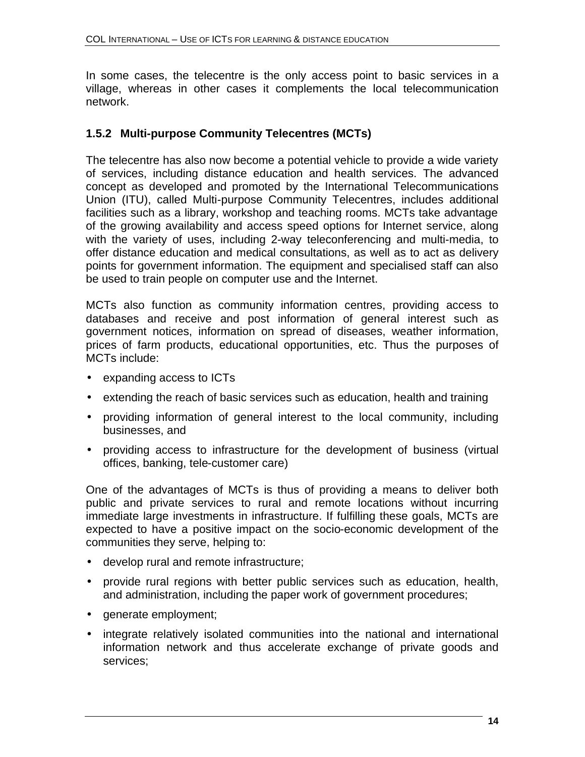In some cases, the telecentre is the only access point to basic services in a village, whereas in other cases it complements the local telecommunication network.

#### **1.5.2 Multi-purpose Community Telecentres (MCTs)**

The telecentre has also now become a potential vehicle to provide a wide variety of services, including distance education and health services. The advanced concept as developed and promoted by the International Telecommunications Union (ITU), called Multi-purpose Community Telecentres, includes additional facilities such as a library, workshop and teaching rooms. MCTs take advantage of the growing availability and access speed options for Internet service, along with the variety of uses, including 2-way teleconferencing and multi-media, to offer distance education and medical consultations, as well as to act as delivery points for government information. The equipment and specialised staff can also be used to train people on computer use and the Internet.

MCTs also function as community information centres, providing access to databases and receive and post information of general interest such as government notices, information on spread of diseases, weather information, prices of farm products, educational opportunities, etc. Thus the purposes of MCTs include:

- expanding access to ICTs
- extending the reach of basic services such as education, health and training
- providing information of general interest to the local community, including businesses, and
- providing access to infrastructure for the development of business (virtual offices, banking, tele-customer care)

One of the advantages of MCTs is thus of providing a means to deliver both public and private services to rural and remote locations without incurring immediate large investments in infrastructure. If fulfilling these goals, MCTs are expected to have a positive impact on the socio-economic development of the communities they serve, helping to:

- develop rural and remote infrastructure;
- provide rural regions with better public services such as education, health, and administration, including the paper work of government procedures;
- generate employment;
- integrate relatively isolated communities into the national and international information network and thus accelerate exchange of private goods and services;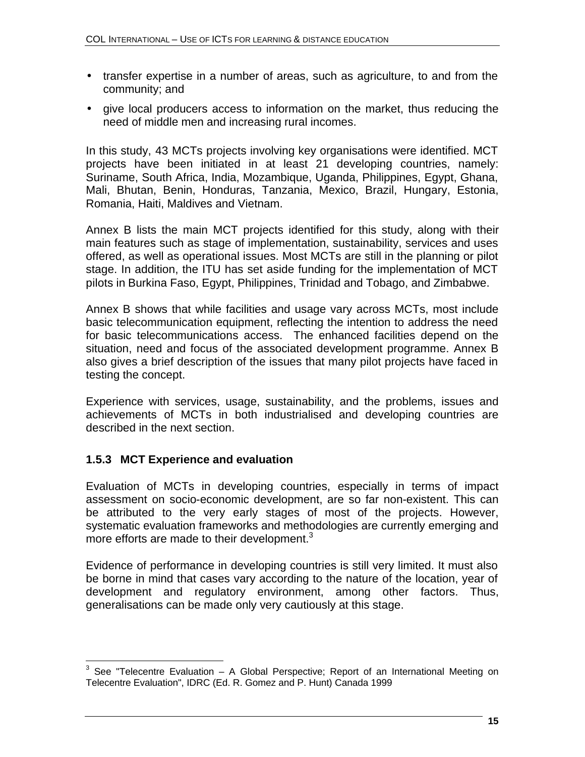- transfer expertise in a number of areas, such as agriculture, to and from the community; and
- give local producers access to information on the market, thus reducing the need of middle men and increasing rural incomes.

In this study, 43 MCTs projects involving key organisations were identified. MCT projects have been initiated in at least 21 developing countries, namely: Suriname, South Africa, India, Mozambique, Uganda, Philippines, Egypt, Ghana, Mali, Bhutan, Benin, Honduras, Tanzania, Mexico, Brazil, Hungary, Estonia, Romania, Haiti, Maldives and Vietnam.

Annex B lists the main MCT projects identified for this study, along with their main features such as stage of implementation, sustainability, services and uses offered, as well as operational issues. Most MCTs are still in the planning or pilot stage. In addition, the ITU has set aside funding for the implementation of MCT pilots in Burkina Faso, Egypt, Philippines, Trinidad and Tobago, and Zimbabwe.

Annex B shows that while facilities and usage vary across MCTs, most include basic telecommunication equipment, reflecting the intention to address the need for basic telecommunications access. The enhanced facilities depend on the situation, need and focus of the associated development programme. Annex B also gives a brief description of the issues that many pilot projects have faced in testing the concept.

Experience with services, usage, sustainability, and the problems, issues and achievements of MCTs in both industrialised and developing countries are described in the next section.

#### **1.5.3 MCT Experience and evaluation**

Evaluation of MCTs in developing countries, especially in terms of impact assessment on socio-economic development, are so far non-existent. This can be attributed to the very early stages of most of the projects. However, systematic evaluation frameworks and methodologies are currently emerging and more efforts are made to their development. $3$ 

Evidence of performance in developing countries is still very limited. It must also be borne in mind that cases vary according to the nature of the location, year of development and regulatory environment, among other factors. Thus, generalisations can be made only very cautiously at this stage.

 3 See "Telecentre Evaluation – A Global Perspective; Report of an International Meeting on Telecentre Evaluation", IDRC (Ed. R. Gomez and P. Hunt) Canada 1999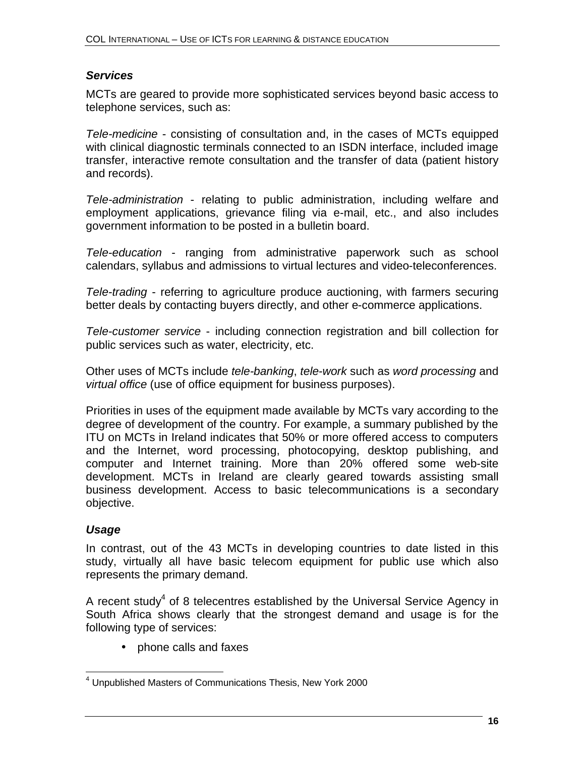#### *Services*

MCTs are geared to provide more sophisticated services beyond basic access to telephone services, such as:

*Tele-medicine* - consisting of consultation and, in the cases of MCTs equipped with clinical diagnostic terminals connected to an ISDN interface, included image transfer, interactive remote consultation and the transfer of data (patient history and records).

*Tele-administration* - relating to public administration, including welfare and employment applications, grievance filing via e-mail, etc., and also includes government information to be posted in a bulletin board.

*Tele-education* - ranging from administrative paperwork such as school calendars, syllabus and admissions to virtual lectures and video-teleconferences.

*Tele-trading* - referring to agriculture produce auctioning, with farmers securing better deals by contacting buyers directly, and other e-commerce applications.

*Tele-customer service* - including connection registration and bill collection for public services such as water, electricity, etc.

Other uses of MCTs include *tele-banking*, *tele-work* such as *word processing* and *virtual office* (use of office equipment for business purposes).

Priorities in uses of the equipment made available by MCTs vary according to the degree of development of the country. For example, a summary published by the ITU on MCTs in Ireland indicates that 50% or more offered access to computers and the Internet, word processing, photocopying, desktop publishing, and computer and Internet training. More than 20% offered some web-site development. MCTs in Ireland are clearly geared towards assisting small business development. Access to basic telecommunications is a secondary objective.

#### *Usage*

In contrast, out of the 43 MCTs in developing countries to date listed in this study, virtually all have basic telecom equipment for public use which also represents the primary demand.

A recent study<sup>4</sup> of 8 telecentres established by the Universal Service Agency in South Africa shows clearly that the strongest demand and usage is for the following type of services:

• phone calls and faxes

 4 Unpublished Masters of Communications Thesis, New York 2000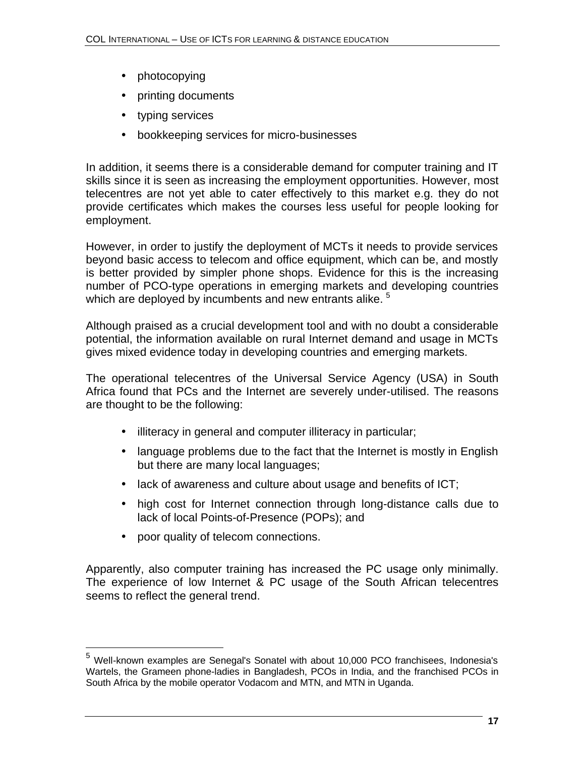- photocopying
- printing documents
- typing services
- bookkeeping services for micro-businesses

In addition, it seems there is a considerable demand for computer training and IT skills since it is seen as increasing the employment opportunities. However, most telecentres are not yet able to cater effectively to this market e.g. they do not provide certificates which makes the courses less useful for people looking for employment.

However, in order to justify the deployment of MCTs it needs to provide services beyond basic access to telecom and office equipment, which can be, and mostly is better provided by simpler phone shops. Evidence for this is the increasing number of PCO-type operations in emerging markets and developing countries which are deployed by incumbents and new entrants alike.  $5$ 

Although praised as a crucial development tool and with no doubt a considerable potential, the information available on rural Internet demand and usage in MCTs gives mixed evidence today in developing countries and emerging markets.

The operational telecentres of the Universal Service Agency (USA) in South Africa found that PCs and the Internet are severely under-utilised. The reasons are thought to be the following:

- illiteracy in general and computer illiteracy in particular;
- language problems due to the fact that the Internet is mostly in English but there are many local languages;
- lack of awareness and culture about usage and benefits of ICT;
- high cost for Internet connection through long-distance calls due to lack of local Points-of-Presence (POPs); and
- poor quality of telecom connections.

1

Apparently, also computer training has increased the PC usage only minimally. The experience of low Internet & PC usage of the South African telecentres seems to reflect the general trend.

<sup>&</sup>lt;sup>5</sup> Well-known examples are Senegal's Sonatel with about 10,000 PCO franchisees, Indonesia's Wartels, the Grameen phone-ladies in Bangladesh, PCOs in India, and the franchised PCOs in South Africa by the mobile operator Vodacom and MTN, and MTN in Uganda.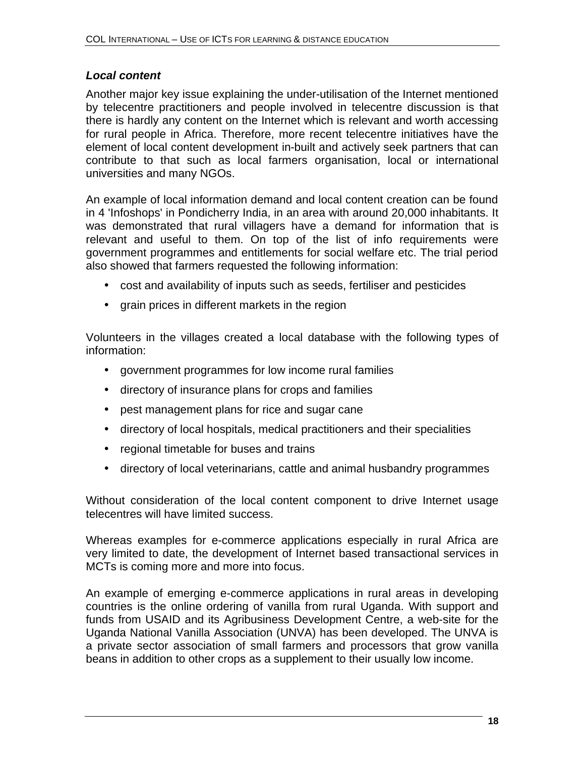#### *Local content*

Another major key issue explaining the under-utilisation of the Internet mentioned by telecentre practitioners and people involved in telecentre discussion is that there is hardly any content on the Internet which is relevant and worth accessing for rural people in Africa. Therefore, more recent telecentre initiatives have the element of local content development in-built and actively seek partners that can contribute to that such as local farmers organisation, local or international universities and many NGOs.

An example of local information demand and local content creation can be found in 4 'Infoshops' in Pondicherry India, in an area with around 20,000 inhabitants. It was demonstrated that rural villagers have a demand for information that is relevant and useful to them. On top of the list of info requirements were government programmes and entitlements for social welfare etc. The trial period also showed that farmers requested the following information:

- cost and availability of inputs such as seeds, fertiliser and pesticides
- grain prices in different markets in the region

Volunteers in the villages created a local database with the following types of information:

- government programmes for low income rural families
- directory of insurance plans for crops and families
- pest management plans for rice and sugar cane
- directory of local hospitals, medical practitioners and their specialities
- regional timetable for buses and trains
- directory of local veterinarians, cattle and animal husbandry programmes

Without consideration of the local content component to drive Internet usage telecentres will have limited success.

Whereas examples for e-commerce applications especially in rural Africa are very limited to date, the development of Internet based transactional services in MCTs is coming more and more into focus.

An example of emerging e-commerce applications in rural areas in developing countries is the online ordering of vanilla from rural Uganda. With support and funds from USAID and its Agribusiness Development Centre, a web-site for the Uganda National Vanilla Association (UNVA) has been developed. The UNVA is a private sector association of small farmers and processors that grow vanilla beans in addition to other crops as a supplement to their usually low income.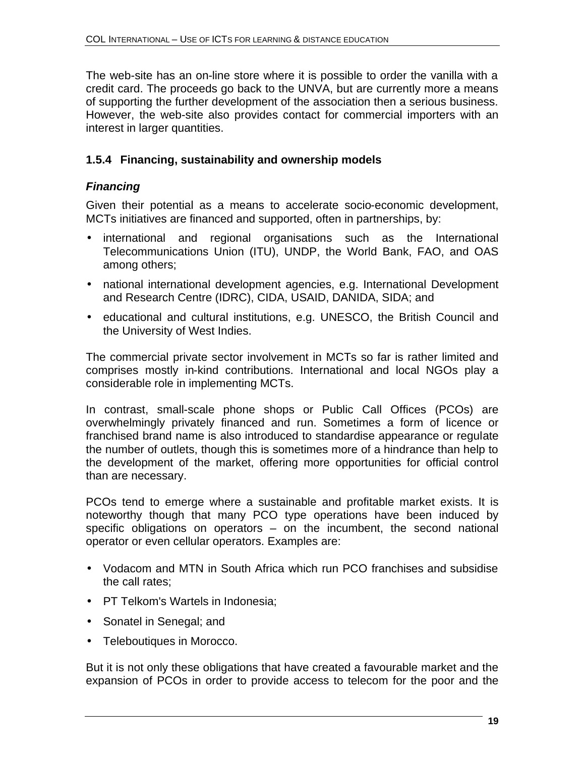The web-site has an on-line store where it is possible to order the vanilla with a credit card. The proceeds go back to the UNVA, but are currently more a means of supporting the further development of the association then a serious business. However, the web-site also provides contact for commercial importers with an interest in larger quantities.

#### **1.5.4 Financing, sustainability and ownership models**

#### *Financing*

Given their potential as a means to accelerate socio-economic development, MCTs initiatives are financed and supported, often in partnerships, by:

- international and regional organisations such as the International Telecommunications Union (ITU), UNDP, the World Bank, FAO, and OAS among others;
- national international development agencies, e.g. International Development and Research Centre (IDRC), CIDA, USAID, DANIDA, SIDA; and
- educational and cultural institutions, e.g. UNESCO, the British Council and the University of West Indies.

The commercial private sector involvement in MCTs so far is rather limited and comprises mostly in-kind contributions. International and local NGOs play a considerable role in implementing MCTs.

In contrast, small-scale phone shops or Public Call Offices (PCOs) are overwhelmingly privately financed and run. Sometimes a form of licence or franchised brand name is also introduced to standardise appearance or regulate the number of outlets, though this is sometimes more of a hindrance than help to the development of the market, offering more opportunities for official control than are necessary.

PCOs tend to emerge where a sustainable and profitable market exists. It is noteworthy though that many PCO type operations have been induced by specific obligations on operators – on the incumbent, the second national operator or even cellular operators. Examples are:

- Vodacom and MTN in South Africa which run PCO franchises and subsidise the call rates;
- PT Telkom's Wartels in Indonesia;
- Sonatel in Senegal; and
- Teleboutiques in Morocco.

But it is not only these obligations that have created a favourable market and the expansion of PCOs in order to provide access to telecom for the poor and the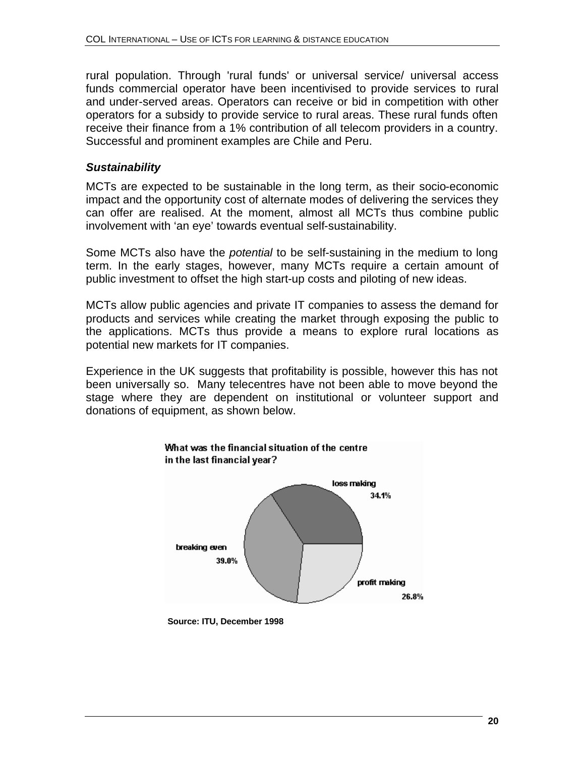rural population. Through 'rural funds' or universal service/ universal access funds commercial operator have been incentivised to provide services to rural and under-served areas. Operators can receive or bid in competition with other operators for a subsidy to provide service to rural areas. These rural funds often receive their finance from a 1% contribution of all telecom providers in a country. Successful and prominent examples are Chile and Peru.

#### *Sustainability*

MCTs are expected to be sustainable in the long term, as their socio-economic impact and the opportunity cost of alternate modes of delivering the services they can offer are realised. At the moment, almost all MCTs thus combine public involvement with 'an eye' towards eventual self-sustainability.

Some MCTs also have the *potential* to be self-sustaining in the medium to long term. In the early stages, however, many MCTs require a certain amount of public investment to offset the high start-up costs and piloting of new ideas.

MCTs allow public agencies and private IT companies to assess the demand for products and services while creating the market through exposing the public to the applications. MCTs thus provide a means to explore rural locations as potential new markets for IT companies.

Experience in the UK suggests that profitability is possible, however this has not been universally so. Many telecentres have not been able to move beyond the stage where they are dependent on institutional or volunteer support and donations of equipment, as shown below.



**Source: ITU, December 1998**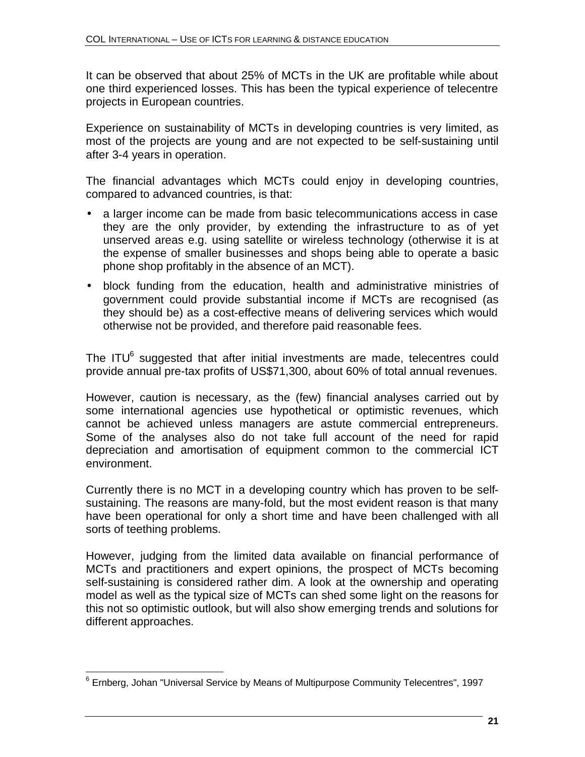It can be observed that about 25% of MCTs in the UK are profitable while about one third experienced losses. This has been the typical experience of telecentre projects in European countries.

Experience on sustainability of MCTs in developing countries is very limited, as most of the projects are young and are not expected to be self-sustaining until after 3-4 years in operation.

The financial advantages which MCTs could enjoy in developing countries, compared to advanced countries, is that:

- a larger income can be made from basic telecommunications access in case they are the only provider, by extending the infrastructure to as of yet unserved areas e.g. using satellite or wireless technology (otherwise it is at the expense of smaller businesses and shops being able to operate a basic phone shop profitably in the absence of an MCT).
- block funding from the education, health and administrative ministries of government could provide substantial income if MCTs are recognised (as they should be) as a cost-effective means of delivering services which would otherwise not be provided, and therefore paid reasonable fees.

The ITU $<sup>6</sup>$  suggested that after initial investments are made, telecentres could</sup> provide annual pre-tax profits of US\$71,300, about 60% of total annual revenues.

However, caution is necessary, as the (few) financial analyses carried out by some international agencies use hypothetical or optimistic revenues, which cannot be achieved unless managers are astute commercial entrepreneurs. Some of the analyses also do not take full account of the need for rapid depreciation and amortisation of equipment common to the commercial ICT environment.

Currently there is no MCT in a developing country which has proven to be selfsustaining. The reasons are many-fold, but the most evident reason is that many have been operational for only a short time and have been challenged with all sorts of teething problems.

However, judging from the limited data available on financial performance of MCTs and practitioners and expert opinions, the prospect of MCTs becoming self-sustaining is considered rather dim. A look at the ownership and operating model as well as the typical size of MCTs can shed some light on the reasons for this not so optimistic outlook, but will also show emerging trends and solutions for different approaches.

 $\overline{\phantom{a}}$ <sup>6</sup> Ernberg, Johan "Universal Service by Means of Multipurpose Community Telecentres", 1997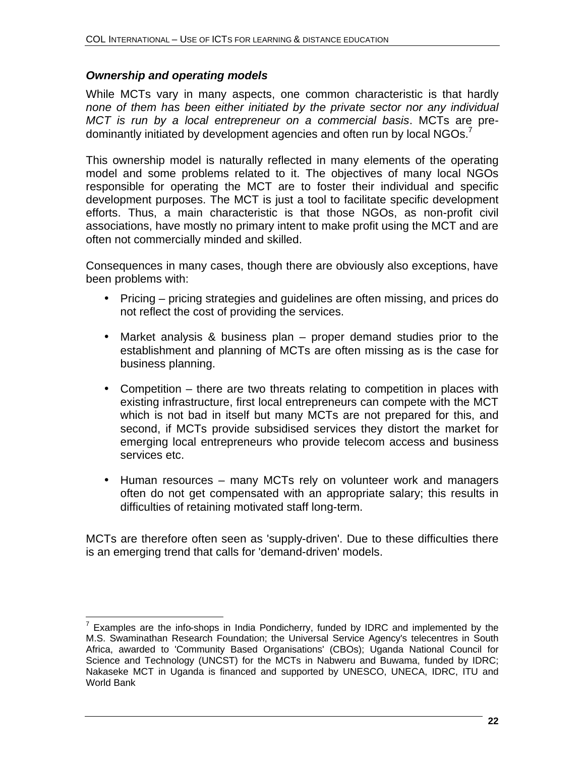#### *Ownership and operating models*

1

While MCTs vary in many aspects, one common characteristic is that hardly *none of them has been either initiated by the private sector nor any individual MCT is run by a local entrepreneur on a commercial basis*. MCTs are predominantly initiated by development agencies and often run by local  $NGOs.<sup>7</sup>$ 

This ownership model is naturally reflected in many elements of the operating model and some problems related to it. The objectives of many local NGOs responsible for operating the MCT are to foster their individual and specific development purposes. The MCT is just a tool to facilitate specific development efforts. Thus, a main characteristic is that those NGOs, as non-profit civil associations, have mostly no primary intent to make profit using the MCT and are often not commercially minded and skilled.

Consequences in many cases, though there are obviously also exceptions, have been problems with:

- Pricing pricing strategies and guidelines are often missing, and prices do not reflect the cost of providing the services.
- Market analysis & business plan proper demand studies prior to the establishment and planning of MCTs are often missing as is the case for business planning.
- Competition there are two threats relating to competition in places with existing infrastructure, first local entrepreneurs can compete with the MCT which is not bad in itself but many MCTs are not prepared for this, and second, if MCTs provide subsidised services they distort the market for emerging local entrepreneurs who provide telecom access and business services etc.
- Human resources many MCTs rely on volunteer work and managers often do not get compensated with an appropriate salary; this results in difficulties of retaining motivated staff long-term.

MCTs are therefore often seen as 'supply-driven'. Due to these difficulties there is an emerging trend that calls for 'demand-driven' models.

 $7$  Examples are the info-shops in India Pondicherry, funded by IDRC and implemented by the M.S. Swaminathan Research Foundation; the Universal Service Agency's telecentres in South Africa, awarded to 'Community Based Organisations' (CBOs); Uganda National Council for Science and Technology (UNCST) for the MCTs in Nabweru and Buwama, funded by IDRC; Nakaseke MCT in Uganda is financed and supported by UNESCO, UNECA, IDRC, ITU and World Bank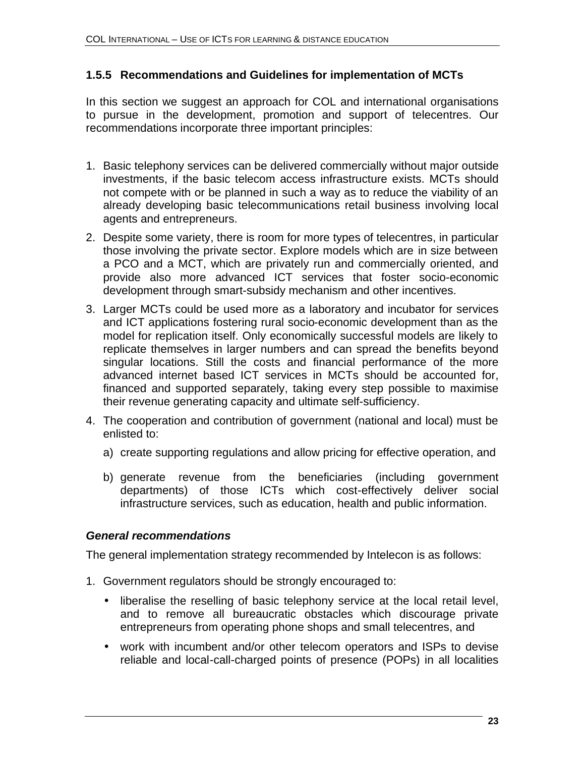#### **1.5.5 Recommendations and Guidelines for implementation of MCTs**

In this section we suggest an approach for COL and international organisations to pursue in the development, promotion and support of telecentres. Our recommendations incorporate three important principles:

- 1. Basic telephony services can be delivered commercially without major outside investments, if the basic telecom access infrastructure exists. MCTs should not compete with or be planned in such a way as to reduce the viability of an already developing basic telecommunications retail business involving local agents and entrepreneurs.
- 2. Despite some variety, there is room for more types of telecentres, in particular those involving the private sector. Explore models which are in size between a PCO and a MCT, which are privately run and commercially oriented, and provide also more advanced ICT services that foster socio-economic development through smart-subsidy mechanism and other incentives.
- 3. Larger MCTs could be used more as a laboratory and incubator for services and ICT applications fostering rural socio-economic development than as the model for replication itself. Only economically successful models are likely to replicate themselves in larger numbers and can spread the benefits beyond singular locations. Still the costs and financial performance of the more advanced internet based ICT services in MCTs should be accounted for, financed and supported separately, taking every step possible to maximise their revenue generating capacity and ultimate self-sufficiency.
- 4. The cooperation and contribution of government (national and local) must be enlisted to:
	- a) create supporting regulations and allow pricing for effective operation, and
	- b) generate revenue from the beneficiaries (including government departments) of those ICTs which cost-effectively deliver social infrastructure services, such as education, health and public information.

#### *General recommendations*

The general implementation strategy recommended by Intelecon is as follows:

- 1. Government regulators should be strongly encouraged to:
	- liberalise the reselling of basic telephony service at the local retail level, and to remove all bureaucratic obstacles which discourage private entrepreneurs from operating phone shops and small telecentres, and
	- work with incumbent and/or other telecom operators and ISPs to devise reliable and local-call-charged points of presence (POPs) in all localities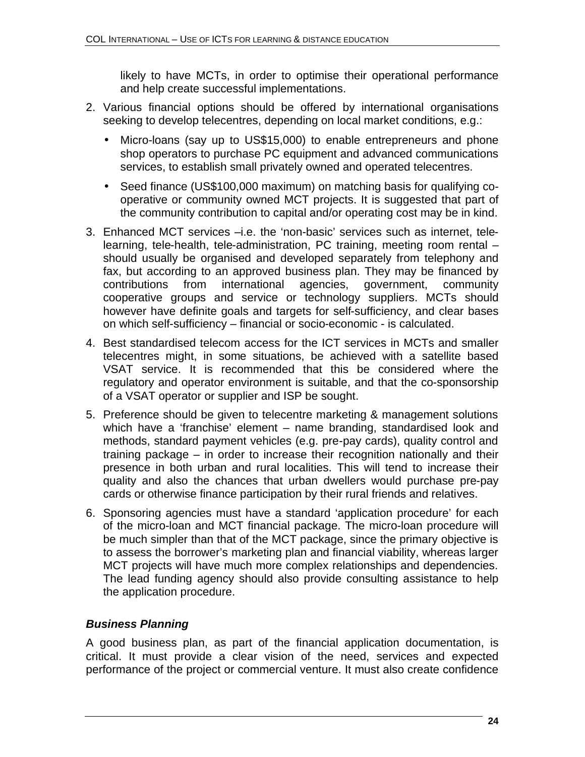likely to have MCTs, in order to optimise their operational performance and help create successful implementations.

- 2. Various financial options should be offered by international organisations seeking to develop telecentres, depending on local market conditions, e.g.:
	- Micro-loans (say up to US\$15,000) to enable entrepreneurs and phone shop operators to purchase PC equipment and advanced communications services, to establish small privately owned and operated telecentres.
	- Seed finance (US\$100,000 maximum) on matching basis for qualifying cooperative or community owned MCT projects. It is suggested that part of the community contribution to capital and/or operating cost may be in kind.
- 3. Enhanced MCT services –i.e. the 'non-basic' services such as internet, telelearning, tele-health, tele-administration, PC training, meeting room rental – should usually be organised and developed separately from telephony and fax, but according to an approved business plan. They may be financed by contributions from international agencies, government, community cooperative groups and service or technology suppliers. MCTs should however have definite goals and targets for self-sufficiency, and clear bases on which self-sufficiency – financial or socio-economic - is calculated.
- 4. Best standardised telecom access for the ICT services in MCTs and smaller telecentres might, in some situations, be achieved with a satellite based VSAT service. It is recommended that this be considered where the regulatory and operator environment is suitable, and that the co-sponsorship of a VSAT operator or supplier and ISP be sought.
- 5. Preference should be given to telecentre marketing & management solutions which have a 'franchise' element – name branding, standardised look and methods, standard payment vehicles (e.g. pre-pay cards), quality control and training package – in order to increase their recognition nationally and their presence in both urban and rural localities. This will tend to increase their quality and also the chances that urban dwellers would purchase pre-pay cards or otherwise finance participation by their rural friends and relatives.
- 6. Sponsoring agencies must have a standard 'application procedure' for each of the micro-loan and MCT financial package. The micro-loan procedure will be much simpler than that of the MCT package, since the primary objective is to assess the borrower's marketing plan and financial viability, whereas larger MCT projects will have much more complex relationships and dependencies. The lead funding agency should also provide consulting assistance to help the application procedure.

### *Business Planning*

A good business plan, as part of the financial application documentation, is critical. It must provide a clear vision of the need, services and expected performance of the project or commercial venture. It must also create confidence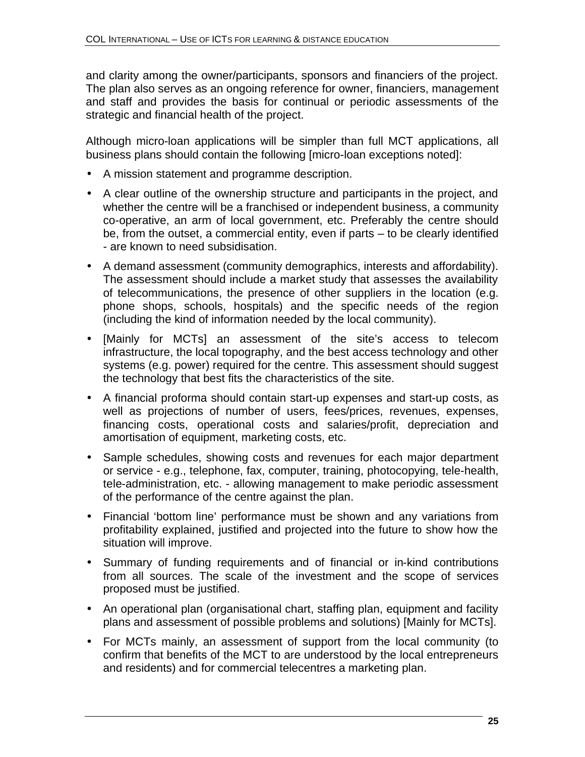and clarity among the owner/participants, sponsors and financiers of the project. The plan also serves as an ongoing reference for owner, financiers, management and staff and provides the basis for continual or periodic assessments of the strategic and financial health of the project.

Although micro-loan applications will be simpler than full MCT applications, all business plans should contain the following [micro-loan exceptions noted]:

- A mission statement and programme description.
- A clear outline of the ownership structure and participants in the project, and whether the centre will be a franchised or independent business, a community co-operative, an arm of local government, etc. Preferably the centre should be, from the outset, a commercial entity, even if parts – to be clearly identified - are known to need subsidisation.
- A demand assessment (community demographics, interests and affordability). The assessment should include a market study that assesses the availability of telecommunications, the presence of other suppliers in the location (e.g. phone shops, schools, hospitals) and the specific needs of the region (including the kind of information needed by the local community).
- [Mainly for MCTs] an assessment of the site's access to telecom infrastructure, the local topography, and the best access technology and other systems (e.g. power) required for the centre. This assessment should suggest the technology that best fits the characteristics of the site.
- A financial proforma should contain start-up expenses and start-up costs, as well as projections of number of users, fees/prices, revenues, expenses, financing costs, operational costs and salaries/profit, depreciation and amortisation of equipment, marketing costs, etc.
- Sample schedules, showing costs and revenues for each major department or service - e.g., telephone, fax, computer, training, photocopying, tele-health, tele-administration, etc. - allowing management to make periodic assessment of the performance of the centre against the plan.
- Financial 'bottom line' performance must be shown and any variations from profitability explained, justified and projected into the future to show how the situation will improve.
- Summary of funding requirements and of financial or in-kind contributions from all sources. The scale of the investment and the scope of services proposed must be justified.
- An operational plan (organisational chart, staffing plan, equipment and facility plans and assessment of possible problems and solutions) [Mainly for MCTs].
- For MCTs mainly, an assessment of support from the local community (to confirm that benefits of the MCT to are understood by the local entrepreneurs and residents) and for commercial telecentres a marketing plan.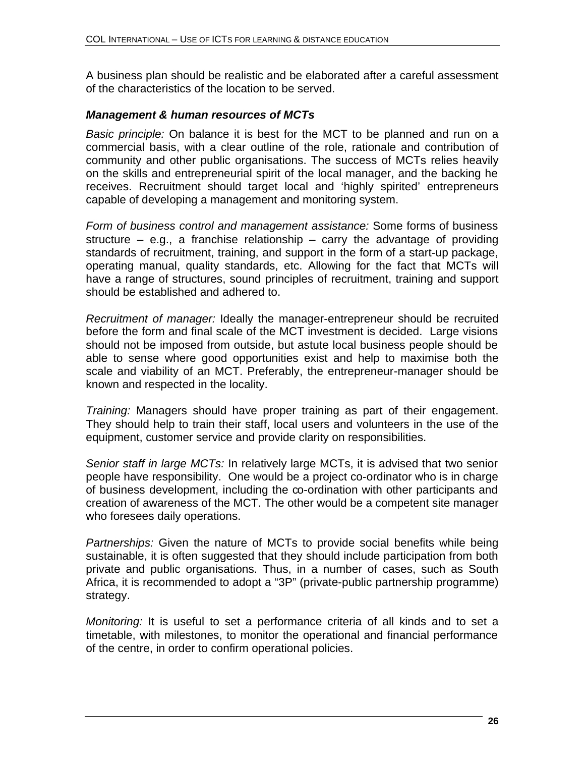A business plan should be realistic and be elaborated after a careful assessment of the characteristics of the location to be served.

#### *Management & human resources of MCTs*

*Basic principle:* On balance it is best for the MCT to be planned and run on a commercial basis, with a clear outline of the role, rationale and contribution of community and other public organisations. The success of MCTs relies heavily on the skills and entrepreneurial spirit of the local manager, and the backing he receives. Recruitment should target local and 'highly spirited' entrepreneurs capable of developing a management and monitoring system.

*Form of business control and management assistance:* Some forms of business structure – e.g., a franchise relationship – carry the advantage of providing standards of recruitment, training, and support in the form of a start-up package, operating manual, quality standards, etc. Allowing for the fact that MCTs will have a range of structures, sound principles of recruitment, training and support should be established and adhered to.

*Recruitment of manager:* Ideally the manager-entrepreneur should be recruited before the form and final scale of the MCT investment is decided. Large visions should not be imposed from outside, but astute local business people should be able to sense where good opportunities exist and help to maximise both the scale and viability of an MCT. Preferably, the entrepreneur-manager should be known and respected in the locality.

*Training:* Managers should have proper training as part of their engagement. They should help to train their staff, local users and volunteers in the use of the equipment, customer service and provide clarity on responsibilities.

*Senior staff in large MCTs:* In relatively large MCTs, it is advised that two senior people have responsibility. One would be a project co-ordinator who is in charge of business development, including the co-ordination with other participants and creation of awareness of the MCT. The other would be a competent site manager who foresees daily operations.

*Partnerships:* Given the nature of MCTs to provide social benefits while being sustainable, it is often suggested that they should include participation from both private and public organisations. Thus, in a number of cases, such as South Africa, it is recommended to adopt a "3P" (private-public partnership programme) strategy.

*Monitoring:* It is useful to set a performance criteria of all kinds and to set a timetable, with milestones, to monitor the operational and financial performance of the centre, in order to confirm operational policies.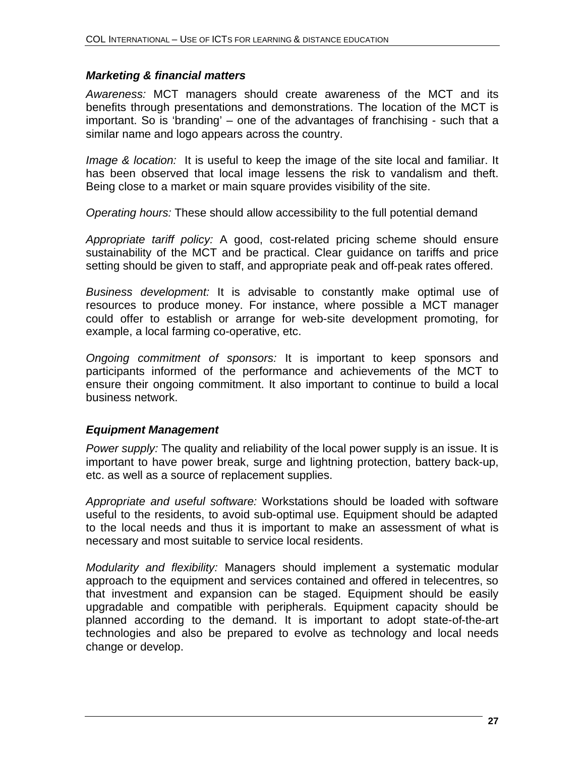#### *Marketing & financial matters*

*Awareness:* MCT managers should create awareness of the MCT and its benefits through presentations and demonstrations. The location of the MCT is important. So is 'branding' – one of the advantages of franchising - such that a similar name and logo appears across the country.

*Image & location:* It is useful to keep the image of the site local and familiar. It has been observed that local image lessens the risk to vandalism and theft. Being close to a market or main square provides visibility of the site.

*Operating hours:* These should allow accessibility to the full potential demand

*Appropriate tariff policy:* A good, cost-related pricing scheme should ensure sustainability of the MCT and be practical. Clear guidance on tariffs and price setting should be given to staff, and appropriate peak and off-peak rates offered.

*Business development:* It is advisable to constantly make optimal use of resources to produce money. For instance, where possible a MCT manager could offer to establish or arrange for web-site development promoting, for example, a local farming co-operative, etc.

*Ongoing commitment of sponsors:* It is important to keep sponsors and participants informed of the performance and achievements of the MCT to ensure their ongoing commitment. It also important to continue to build a local business network.

#### *Equipment Management*

*Power supply:* The quality and reliability of the local power supply is an issue. It is important to have power break, surge and lightning protection, battery back-up, etc. as well as a source of replacement supplies.

*Appropriate and useful software:* Workstations should be loaded with software useful to the residents, to avoid sub-optimal use. Equipment should be adapted to the local needs and thus it is important to make an assessment of what is necessary and most suitable to service local residents.

*Modularity and flexibility:* Managers should implement a systematic modular approach to the equipment and services contained and offered in telecentres, so that investment and expansion can be staged. Equipment should be easily upgradable and compatible with peripherals. Equipment capacity should be planned according to the demand. It is important to adopt state-of-the-art technologies and also be prepared to evolve as technology and local needs change or develop.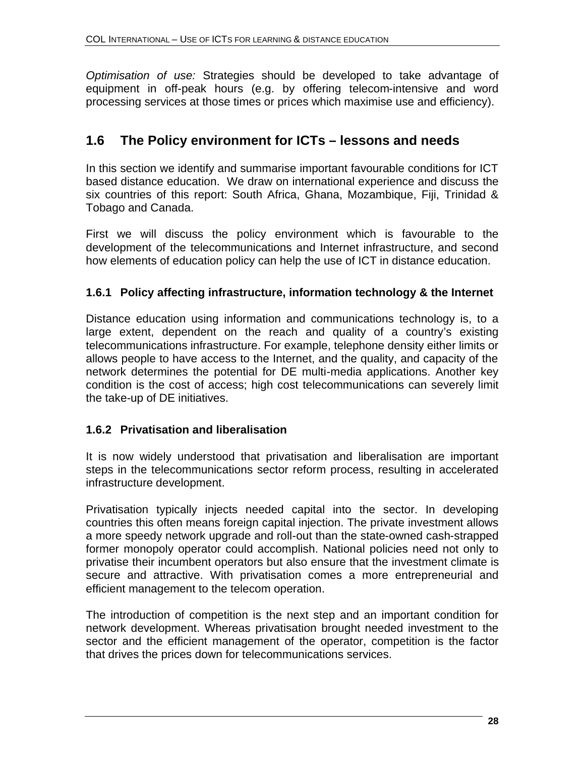*Optimisation of use:* Strategies should be developed to take advantage of equipment in off-peak hours (e.g. by offering telecom-intensive and word processing services at those times or prices which maximise use and efficiency).

# **1.6 The Policy environment for ICTs – lessons and needs**

In this section we identify and summarise important favourable conditions for ICT based distance education. We draw on international experience and discuss the six countries of this report: South Africa, Ghana, Mozambique, Fiji, Trinidad & Tobago and Canada.

First we will discuss the policy environment which is favourable to the development of the telecommunications and Internet infrastructure, and second how elements of education policy can help the use of ICT in distance education.

#### **1.6.1 Policy affecting infrastructure, information technology & the Internet**

Distance education using information and communications technology is, to a large extent, dependent on the reach and quality of a country's existing telecommunications infrastructure. For example, telephone density either limits or allows people to have access to the Internet, and the quality, and capacity of the network determines the potential for DE multi-media applications. Another key condition is the cost of access; high cost telecommunications can severely limit the take-up of DE initiatives.

#### **1.6.2 Privatisation and liberalisation**

It is now widely understood that privatisation and liberalisation are important steps in the telecommunications sector reform process, resulting in accelerated infrastructure development.

Privatisation typically injects needed capital into the sector. In developing countries this often means foreign capital injection. The private investment allows a more speedy network upgrade and roll-out than the state-owned cash-strapped former monopoly operator could accomplish. National policies need not only to privatise their incumbent operators but also ensure that the investment climate is secure and attractive. With privatisation comes a more entrepreneurial and efficient management to the telecom operation.

The introduction of competition is the next step and an important condition for network development. Whereas privatisation brought needed investment to the sector and the efficient management of the operator, competition is the factor that drives the prices down for telecommunications services.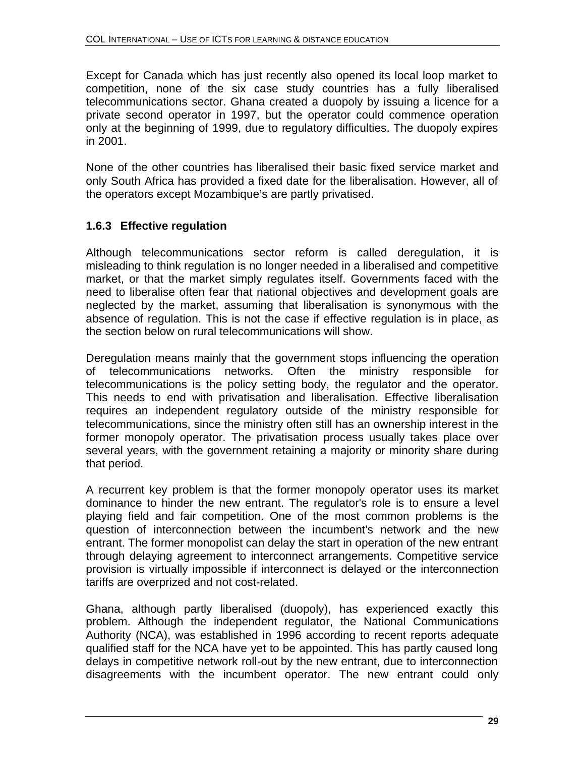Except for Canada which has just recently also opened its local loop market to competition, none of the six case study countries has a fully liberalised telecommunications sector. Ghana created a duopoly by issuing a licence for a private second operator in 1997, but the operator could commence operation only at the beginning of 1999, due to regulatory difficulties. The duopoly expires in 2001.

None of the other countries has liberalised their basic fixed service market and only South Africa has provided a fixed date for the liberalisation. However, all of the operators except Mozambique's are partly privatised.

### **1.6.3 Effective regulation**

Although telecommunications sector reform is called deregulation, it is misleading to think regulation is no longer needed in a liberalised and competitive market, or that the market simply regulates itself. Governments faced with the need to liberalise often fear that national objectives and development goals are neglected by the market, assuming that liberalisation is synonymous with the absence of regulation. This is not the case if effective regulation is in place, as the section below on rural telecommunications will show.

Deregulation means mainly that the government stops influencing the operation of telecommunications networks. Often the ministry responsible for telecommunications is the policy setting body, the regulator and the operator. This needs to end with privatisation and liberalisation. Effective liberalisation requires an independent regulatory outside of the ministry responsible for telecommunications, since the ministry often still has an ownership interest in the former monopoly operator. The privatisation process usually takes place over several years, with the government retaining a majority or minority share during that period.

A recurrent key problem is that the former monopoly operator uses its market dominance to hinder the new entrant. The regulator's role is to ensure a level playing field and fair competition. One of the most common problems is the question of interconnection between the incumbent's network and the new entrant. The former monopolist can delay the start in operation of the new entrant through delaying agreement to interconnect arrangements. Competitive service provision is virtually impossible if interconnect is delayed or the interconnection tariffs are overprized and not cost-related.

Ghana, although partly liberalised (duopoly), has experienced exactly this problem. Although the independent regulator, the National Communications Authority (NCA), was established in 1996 according to recent reports adequate qualified staff for the NCA have yet to be appointed. This has partly caused long delays in competitive network roll-out by the new entrant, due to interconnection disagreements with the incumbent operator. The new entrant could only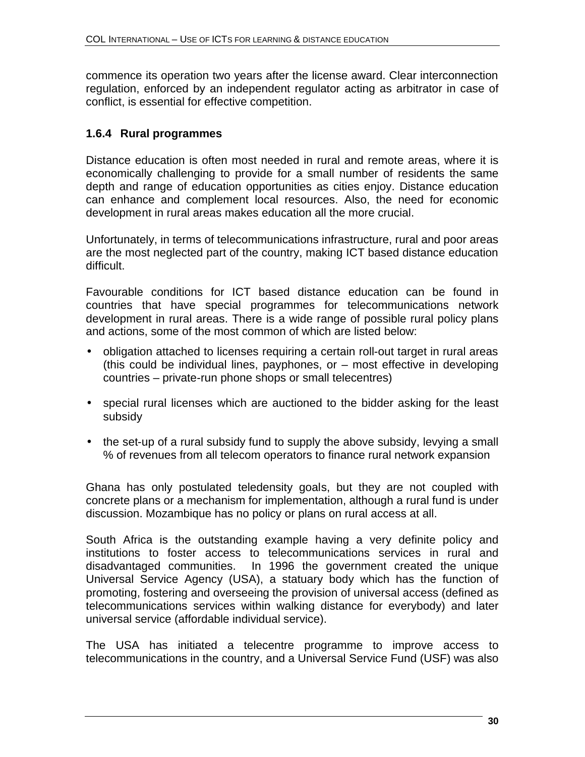commence its operation two years after the license award. Clear interconnection regulation, enforced by an independent regulator acting as arbitrator in case of conflict, is essential for effective competition.

#### **1.6.4 Rural programmes**

Distance education is often most needed in rural and remote areas, where it is economically challenging to provide for a small number of residents the same depth and range of education opportunities as cities enjoy. Distance education can enhance and complement local resources. Also, the need for economic development in rural areas makes education all the more crucial.

Unfortunately, in terms of telecommunications infrastructure, rural and poor areas are the most neglected part of the country, making ICT based distance education difficult.

Favourable conditions for ICT based distance education can be found in countries that have special programmes for telecommunications network development in rural areas. There is a wide range of possible rural policy plans and actions, some of the most common of which are listed below:

- obligation attached to licenses requiring a certain roll-out target in rural areas (this could be individual lines, payphones, or – most effective in developing countries – private-run phone shops or small telecentres)
- special rural licenses which are auctioned to the bidder asking for the least subsidy
- the set-up of a rural subsidy fund to supply the above subsidy, levying a small % of revenues from all telecom operators to finance rural network expansion

Ghana has only postulated teledensity goals, but they are not coupled with concrete plans or a mechanism for implementation, although a rural fund is under discussion. Mozambique has no policy or plans on rural access at all.

South Africa is the outstanding example having a very definite policy and institutions to foster access to telecommunications services in rural and disadvantaged communities. In 1996 the government created the unique Universal Service Agency (USA), a statuary body which has the function of promoting, fostering and overseeing the provision of universal access (defined as telecommunications services within walking distance for everybody) and later universal service (affordable individual service).

The USA has initiated a telecentre programme to improve access to telecommunications in the country, and a Universal Service Fund (USF) was also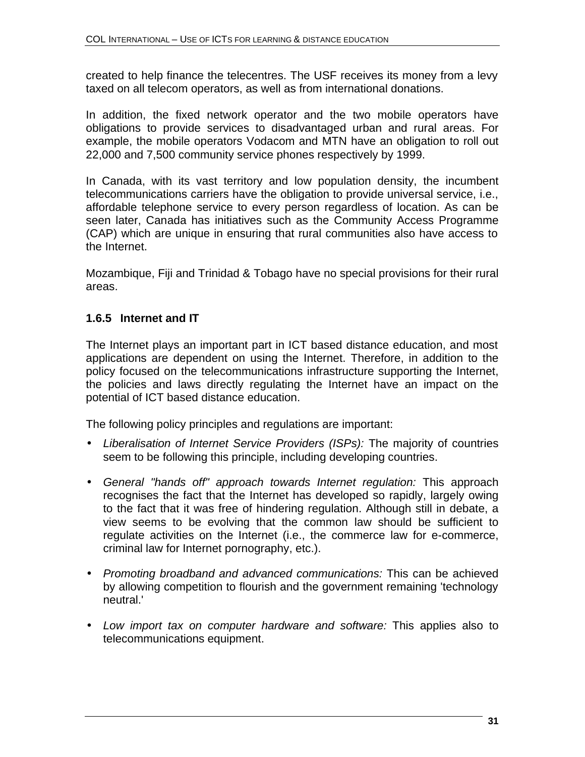created to help finance the telecentres. The USF receives its money from a levy taxed on all telecom operators, as well as from international donations.

In addition, the fixed network operator and the two mobile operators have obligations to provide services to disadvantaged urban and rural areas. For example, the mobile operators Vodacom and MTN have an obligation to roll out 22,000 and 7,500 community service phones respectively by 1999.

In Canada, with its vast territory and low population density, the incumbent telecommunications carriers have the obligation to provide universal service, i.e., affordable telephone service to every person regardless of location. As can be seen later, Canada has initiatives such as the Community Access Programme (CAP) which are unique in ensuring that rural communities also have access to the Internet.

Mozambique, Fiji and Trinidad & Tobago have no special provisions for their rural areas.

#### **1.6.5 Internet and IT**

The Internet plays an important part in ICT based distance education, and most applications are dependent on using the Internet. Therefore, in addition to the policy focused on the telecommunications infrastructure supporting the Internet, the policies and laws directly regulating the Internet have an impact on the potential of ICT based distance education.

The following policy principles and regulations are important:

- *Liberalisation of Internet Service Providers (ISPs):* The majority of countries seem to be following this principle, including developing countries.
- *General "hands off" approach towards Internet regulation:* This approach recognises the fact that the Internet has developed so rapidly, largely owing to the fact that it was free of hindering regulation. Although still in debate, a view seems to be evolving that the common law should be sufficient to regulate activities on the Internet (i.e., the commerce law for e-commerce, criminal law for Internet pornography, etc.).
- *Promoting broadband and advanced communications:* This can be achieved by allowing competition to flourish and the government remaining 'technology neutral.'
- *Low import tax on computer hardware and software:* This applies also to telecommunications equipment.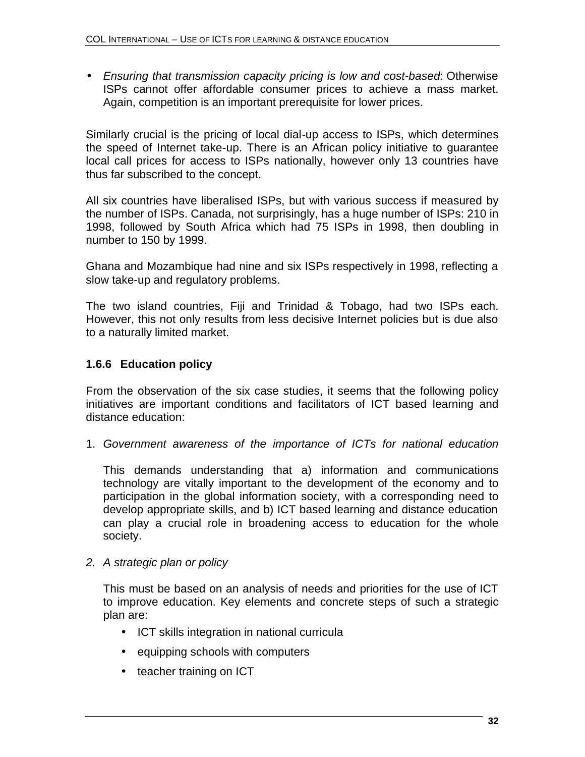• *Ensuring that transmission capacity pricing is low and cost-based*: Otherwise ISPs cannot offer affordable consumer prices to achieve a mass market. Again, competition is an important prerequisite for lower prices.

Similarly crucial is the pricing of local dial-up access to ISPs, which determines the speed of Internet take-up. There is an African policy initiative to guarantee local call prices for access to ISPs nationally, however only 13 countries have thus far subscribed to the concept.

All six countries have liberalised ISPs, but with various success if measured by the number of ISPs. Canada, not surprisingly, has a huge number of ISPs: 210 in 1998, followed by South Africa which had 75 ISPs in 1998, then doubling in number to 150 by 1999.

Ghana and Mozambique had nine and six ISPs respectively in 1998, reflecting a slow take-up and regulatory problems.

The two island countries, Fiji and Trinidad & Tobago, had two ISPs each. However, this not only results from less decisive Internet policies but is due also to a naturally limited market.

#### **1.6.6 Education policy**

From the observation of the six case studies, it seems that the following policy initiatives are important conditions and facilitators of ICT based learning and distance education:

1. *Government awareness of the importance of ICTs for national education*

This demands understanding that a) information and communications technology are vitally important to the development of the economy and to participation in the global information society, with a corresponding need to develop appropriate skills, and b) ICT based learning and distance education can play a crucial role in broadening access to education for the whole society.

#### *2. A strategic plan or policy*

This must be based on an analysis of needs and priorities for the use of ICT to improve education. Key elements and concrete steps of such a strategic plan are:

- ICT skills integration in national curricula
- equipping schools with computers
- teacher training on ICT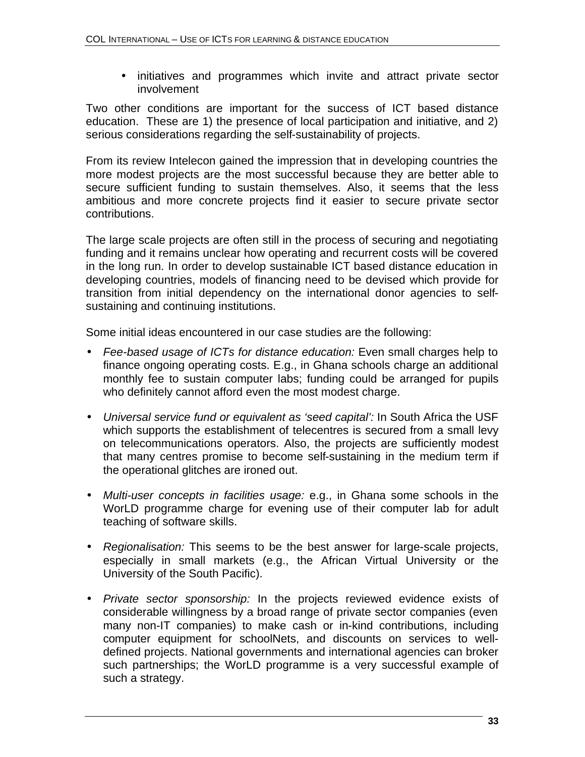• initiatives and programmes which invite and attract private sector involvement

Two other conditions are important for the success of ICT based distance education. These are 1) the presence of local participation and initiative, and 2) serious considerations regarding the self-sustainability of projects.

From its review Intelecon gained the impression that in developing countries the more modest projects are the most successful because they are better able to secure sufficient funding to sustain themselves. Also, it seems that the less ambitious and more concrete projects find it easier to secure private sector contributions.

The large scale projects are often still in the process of securing and negotiating funding and it remains unclear how operating and recurrent costs will be covered in the long run. In order to develop sustainable ICT based distance education in developing countries, models of financing need to be devised which provide for transition from initial dependency on the international donor agencies to selfsustaining and continuing institutions.

Some initial ideas encountered in our case studies are the following:

- *Fee-based usage of ICTs for distance education:* Even small charges help to finance ongoing operating costs. E.g., in Ghana schools charge an additional monthly fee to sustain computer labs; funding could be arranged for pupils who definitely cannot afford even the most modest charge.
- *Universal service fund or equivalent as 'seed capital':* In South Africa the USF which supports the establishment of telecentres is secured from a small levy on telecommunications operators. Also, the projects are sufficiently modest that many centres promise to become self-sustaining in the medium term if the operational glitches are ironed out.
- *Multi-user concepts in facilities usage:* e.g., in Ghana some schools in the WorLD programme charge for evening use of their computer lab for adult teaching of software skills.
- *Regionalisation:* This seems to be the best answer for large-scale projects, especially in small markets (e.g., the African Virtual University or the University of the South Pacific).
- *Private sector sponsorship:* In the projects reviewed evidence exists of considerable willingness by a broad range of private sector companies (even many non-IT companies) to make cash or in-kind contributions, including computer equipment for schoolNets, and discounts on services to welldefined projects. National governments and international agencies can broker such partnerships; the WorLD programme is a very successful example of such a strategy.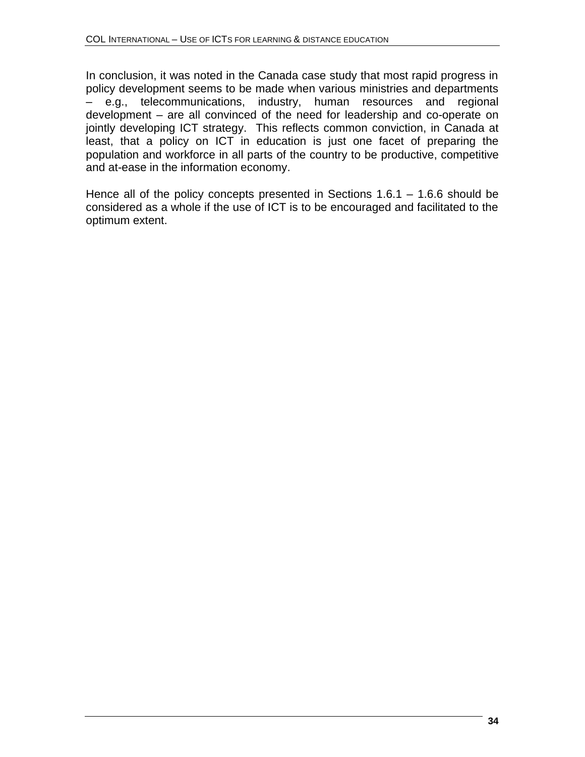In conclusion, it was noted in the Canada case study that most rapid progress in policy development seems to be made when various ministries and departments – e.g., telecommunications, industry, human resources and regional development – are all convinced of the need for leadership and co-operate on jointly developing ICT strategy. This reflects common conviction, in Canada at least, that a policy on ICT in education is just one facet of preparing the population and workforce in all parts of the country to be productive, competitive and at-ease in the information economy.

Hence all of the policy concepts presented in Sections 1.6.1 – 1.6.6 should be considered as a whole if the use of ICT is to be encouraged and facilitated to the optimum extent.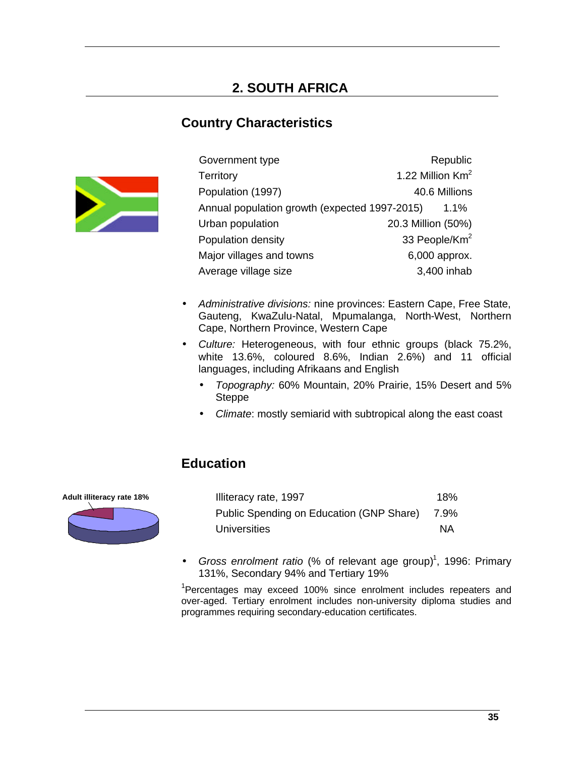# **Country Characteristics**



| Government type                               | Republic                     |
|-----------------------------------------------|------------------------------|
| <b>Territory</b>                              | 1.22 Million Km <sup>2</sup> |
| Population (1997)                             | 40.6 Millions                |
| Annual population growth (expected 1997-2015) | $1.1\%$                      |
| Urban population                              | 20.3 Million (50%)           |
| Population density                            | 33 People/Km <sup>2</sup>    |
| Major villages and towns                      | 6,000 approx.                |
| Average village size                          | 3,400 inhab                  |

- *Administrative divisions:* nine provinces: Eastern Cape, Free State, Gauteng, KwaZulu-Natal, Mpumalanga, North-West, Northern Cape, Northern Province, Western Cape
- *Culture:* Heterogeneous, with four ethnic groups (black 75.2%, white 13.6%, coloured 8.6%, Indian 2.6%) and 11 official languages, including Afrikaans and English
	- *Topography:* 60% Mountain, 20% Prairie, 15% Desert and 5% Steppe
	- *Climate*: mostly semiarid with subtropical along the east coast

# **Education**

**Adult illiteracy rate 18%**



| Illiteracy rate, 1997                    | 18%       |
|------------------------------------------|-----------|
| Public Spending on Education (GNP Share) | 7.9%      |
| Universities                             | <b>NA</b> |

• Gross enrolment ratio (% of relevant age group)<sup>1</sup>, 1996: Primary 131%, Secondary 94% and Tertiary 19%

 $1$ Percentages may exceed 100% since enrolment includes repeaters and over-aged. Tertiary enrolment includes non-university diploma studies and programmes requiring secondary-education certificates.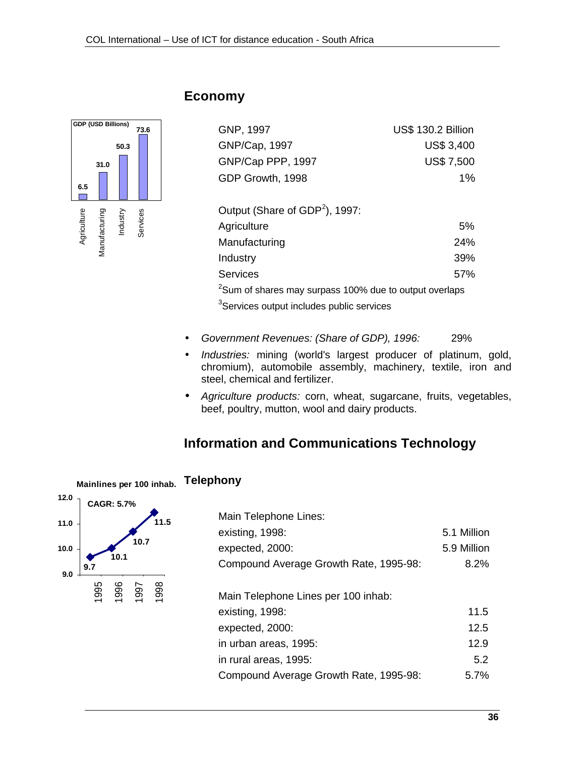

# **Economy**

| <b>US\$ 130.2 Billion</b> |
|---------------------------|
| <b>US\$ 3,400</b>         |
| <b>US\$7,500</b>          |
| $1\%$                     |
|                           |

| Output (Share of GDP <sup>2</sup> ), 1997:                         |     |
|--------------------------------------------------------------------|-----|
| Agriculture                                                        | 5%  |
| Manufacturing                                                      | 24% |
| Industry                                                           | 39% |
| Services                                                           | 57% |
| <sup>2</sup> Sum of shares may surpass 100% due to output overlaps |     |
| <sup>3</sup> Services output includes public services              |     |

- *Government Revenues: (Share of GDP), 1996:* 29%
- *Industries:* mining (world's largest producer of platinum, gold, chromium), automobile assembly, machinery, textile, iron and steel, chemical and fertilizer.
- *Agriculture products:* corn, wheat, sugarcane, fruits, vegetables, beef, poultry, mutton, wool and dairy products.

# **Information and Communications Technology**



| Main Telephone Lines:                  |             |
|----------------------------------------|-------------|
| existing, 1998:                        | 5.1 Million |
| expected, 2000:                        | 5.9 Million |
| Compound Average Growth Rate, 1995-98: | 8.2%        |
|                                        |             |
| Main Telephone Lines per 100 inhab:    |             |
| existing, 1998:                        | 11.5        |
| expected, 2000:                        | 12.5        |
| in urban areas, 1995:                  | 12.9        |
| in rural areas, 1995:                  | 5.2         |
| Compound Average Growth Rate, 1995-98: | 5.7%        |
|                                        |             |

#### **Telephony Mainlines per 100 inhab.**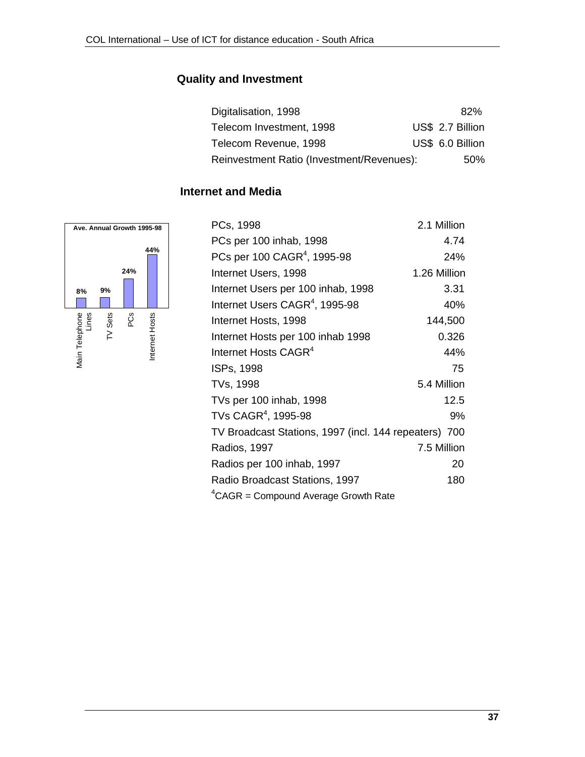# **Quality and Investment**

| Digitalisation, 1998                      |  | 82%              |
|-------------------------------------------|--|------------------|
| Telecom Investment, 1998                  |  | US\$ 2.7 Billion |
| Telecom Revenue, 1998                     |  | US\$ 6.0 Billion |
| Reinvestment Ratio (Investment/Revenues): |  | 50%              |

# **Internet and Media**



| PCs, 1998                                             | 2.1 Million  |
|-------------------------------------------------------|--------------|
| PCs per 100 inhab, 1998                               | 4.74         |
| PCs per 100 CAGR <sup>4</sup> , 1995-98               | 24%          |
| Internet Users, 1998                                  | 1.26 Million |
| Internet Users per 100 inhab, 1998                    | 3.31         |
| Internet Users CAGR <sup>4</sup> , 1995-98            | 40%          |
| Internet Hosts, 1998                                  | 144,500      |
| Internet Hosts per 100 inhab 1998                     | 0.326        |
| Internet Hosts CAGR <sup>4</sup>                      | 44%          |
| ISPs, 1998                                            | 75           |
| TVs, 1998                                             | 5.4 Million  |
| TVs per 100 inhab, 1998                               | 12.5         |
| TVs CAGR <sup>4</sup> , 1995-98                       | 9%           |
| TV Broadcast Stations, 1997 (incl. 144 repeaters) 700 |              |
| Radios, 1997                                          | 7.5 Million  |
| Radios per 100 inhab, 1997                            | 20           |
| Radio Broadcast Stations, 1997                        | 180          |
| ${}^{4}$ CAGR = Compound Average Growth Rate          |              |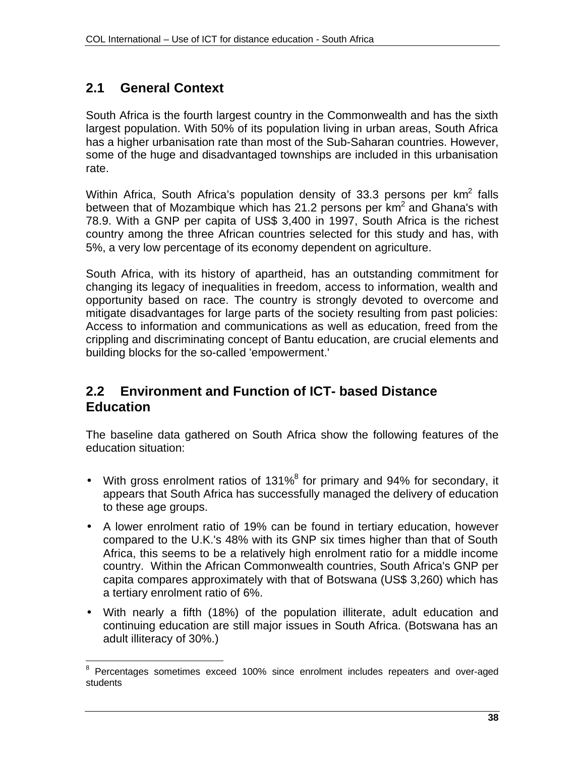# **2.1 General Context**

South Africa is the fourth largest country in the Commonwealth and has the sixth largest population. With 50% of its population living in urban areas, South Africa has a higher urbanisation rate than most of the Sub-Saharan countries. However, some of the huge and disadvantaged townships are included in this urbanisation rate.

Within Africa, South Africa's population density of 33.3 persons per  $km^2$  falls between that of Mozambique which has 21.2 persons per  $km<sup>2</sup>$  and Ghana's with 78.9. With a GNP per capita of US\$ 3,400 in 1997, South Africa is the richest country among the three African countries selected for this study and has, with 5%, a very low percentage of its economy dependent on agriculture.

South Africa, with its history of apartheid, has an outstanding commitment for changing its legacy of inequalities in freedom, access to information, wealth and opportunity based on race. The country is strongly devoted to overcome and mitigate disadvantages for large parts of the society resulting from past policies: Access to information and communications as well as education, freed from the crippling and discriminating concept of Bantu education, are crucial elements and building blocks for the so-called 'empowerment.'

# **2.2 Environment and Function of ICT- based Distance Education**

The baseline data gathered on South Africa show the following features of the education situation:

- With gross enrolment ratios of 131%<sup>8</sup> for primary and 94% for secondary, it appears that South Africa has successfully managed the delivery of education to these age groups.
- A lower enrolment ratio of 19% can be found in tertiary education, however compared to the U.K.'s 48% with its GNP six times higher than that of South Africa, this seems to be a relatively high enrolment ratio for a middle income country. Within the African Commonwealth countries, South Africa's GNP per capita compares approximately with that of Botswana (US\$ 3,260) which has a tertiary enrolment ratio of 6%.
- With nearly a fifth (18%) of the population illiterate, adult education and continuing education are still major issues in South Africa. (Botswana has an adult illiteracy of 30%.)

 $\overline{\phantom{a}}$  $8$  Percentages sometimes exceed 100% since enrolment includes repeaters and over-aged students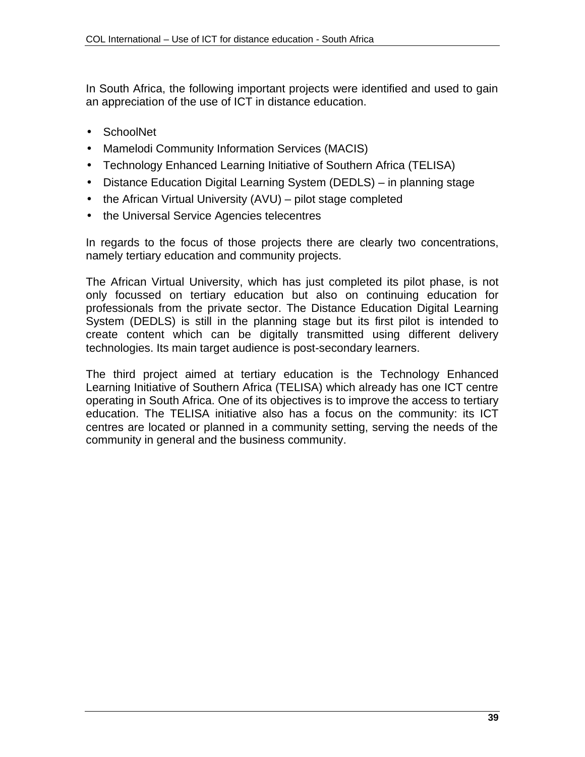In South Africa, the following important projects were identified and used to gain an appreciation of the use of ICT in distance education.

- SchoolNet
- Mamelodi Community Information Services (MACIS)
- Technology Enhanced Learning Initiative of Southern Africa (TELISA)
- Distance Education Digital Learning System (DEDLS) in planning stage
- the African Virtual University (AVU) pilot stage completed
- the Universal Service Agencies telecentres

In regards to the focus of those projects there are clearly two concentrations, namely tertiary education and community projects.

The African Virtual University, which has just completed its pilot phase, is not only focussed on tertiary education but also on continuing education for professionals from the private sector. The Distance Education Digital Learning System (DEDLS) is still in the planning stage but its first pilot is intended to create content which can be digitally transmitted using different delivery technologies. Its main target audience is post-secondary learners.

The third project aimed at tertiary education is the Technology Enhanced Learning Initiative of Southern Africa (TELISA) which already has one ICT centre operating in South Africa. One of its objectives is to improve the access to tertiary education. The TELISA initiative also has a focus on the community: its ICT centres are located or planned in a community setting, serving the needs of the community in general and the business community.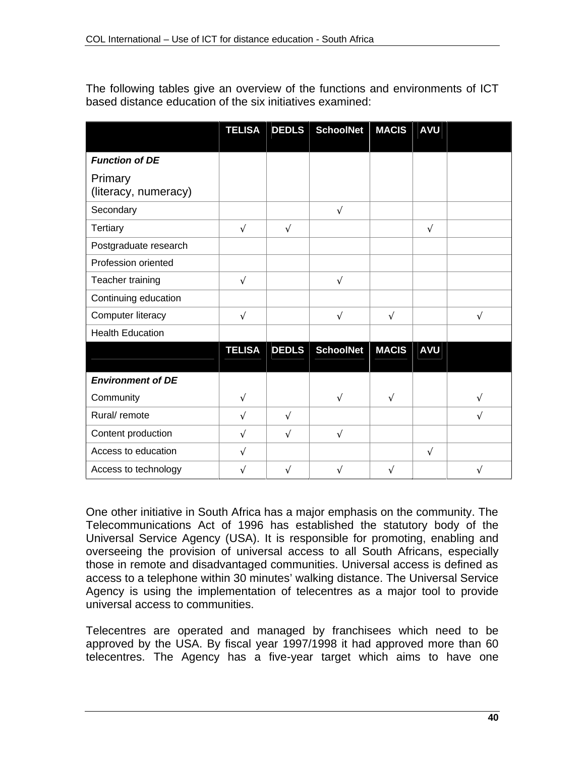The following tables give an overview of the functions and environments of ICT based distance education of the six initiatives examined:

|                                 | <b>TELISA</b> | <b>DEDLS</b> | <b>SchoolNet</b> | <b>MACIS</b> | <b>AVU</b> |   |
|---------------------------------|---------------|--------------|------------------|--------------|------------|---|
|                                 |               |              |                  |              |            |   |
| <b>Function of DE</b>           |               |              |                  |              |            |   |
| Primary<br>(literacy, numeracy) |               |              |                  |              |            |   |
| Secondary                       |               |              | $\sqrt{ }$       |              |            |   |
| <b>Tertiary</b>                 | $\sqrt{}$     | $\sqrt{ }$   |                  |              | $\sqrt{}$  |   |
| Postgraduate research           |               |              |                  |              |            |   |
| Profession oriented             |               |              |                  |              |            |   |
| Teacher training                | $\sqrt{}$     |              | $\sqrt{ }$       |              |            |   |
| Continuing education            |               |              |                  |              |            |   |
| Computer literacy               | $\sqrt{ }$    |              | $\sqrt{ }$       | V            |            | V |
| <b>Health Education</b>         |               |              |                  |              |            |   |
|                                 | <b>TELISA</b> | <b>DEDLS</b> | <b>SchoolNet</b> | <b>MACIS</b> | <b>AVU</b> |   |
| <b>Environment of DE</b>        |               |              |                  |              |            |   |
| Community                       | $\sqrt{}$     |              | $\sqrt{}$        | V            |            | V |
| Rural/ remote                   | $\sqrt{}$     | $\sqrt{ }$   |                  |              |            | V |
| Content production              | $\sqrt{}$     | $\sqrt{ }$   | $\sqrt{}$        |              |            |   |
| Access to education             | $\sqrt{}$     |              |                  |              | $\sqrt{}$  |   |
| Access to technology            | V             | V            | N                | V            |            |   |

One other initiative in South Africa has a major emphasis on the community. The Telecommunications Act of 1996 has established the statutory body of the Universal Service Agency (USA). It is responsible for promoting, enabling and overseeing the provision of universal access to all South Africans, especially those in remote and disadvantaged communities. Universal access is defined as access to a telephone within 30 minutes' walking distance. The Universal Service Agency is using the implementation of telecentres as a major tool to provide universal access to communities.

Telecentres are operated and managed by franchisees which need to be approved by the USA. By fiscal year 1997/1998 it had approved more than 60 telecentres. The Agency has a five-year target which aims to have one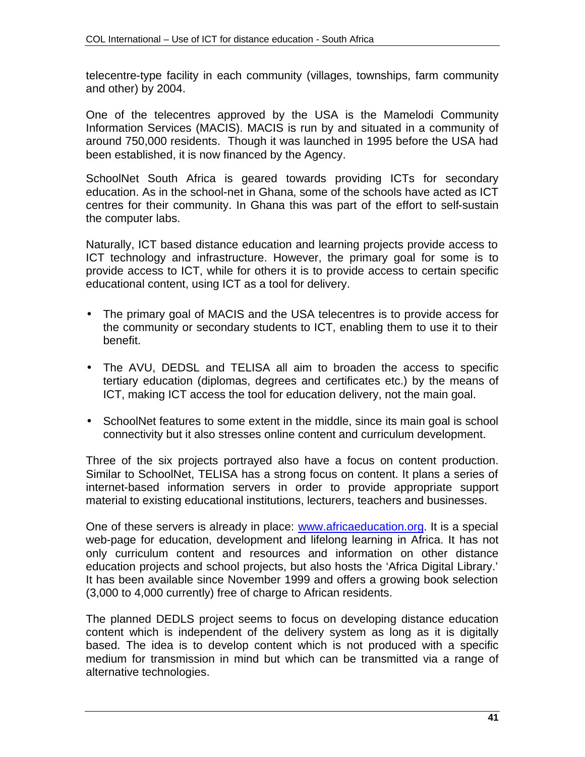telecentre-type facility in each community (villages, townships, farm community and other) by 2004.

One of the telecentres approved by the USA is the Mamelodi Community Information Services (MACIS). MACIS is run by and situated in a community of around 750,000 residents. Though it was launched in 1995 before the USA had been established, it is now financed by the Agency.

SchoolNet South Africa is geared towards providing ICTs for secondary education. As in the school-net in Ghana, some of the schools have acted as ICT centres for their community. In Ghana this was part of the effort to self-sustain the computer labs.

Naturally, ICT based distance education and learning projects provide access to ICT technology and infrastructure. However, the primary goal for some is to provide access to ICT, while for others it is to provide access to certain specific educational content, using ICT as a tool for delivery.

- The primary goal of MACIS and the USA telecentres is to provide access for the community or secondary students to ICT, enabling them to use it to their benefit.
- The AVU, DEDSL and TELISA all aim to broaden the access to specific tertiary education (diplomas, degrees and certificates etc.) by the means of ICT, making ICT access the tool for education delivery, not the main goal.
- SchoolNet features to some extent in the middle, since its main goal is school connectivity but it also stresses online content and curriculum development.

Three of the six projects portrayed also have a focus on content production. Similar to SchoolNet, TELISA has a strong focus on content. It plans a series of internet-based information servers in order to provide appropriate support material to existing educational institutions, lecturers, teachers and businesses.

One of these servers is already in place: www.africaeducation.org. It is a special web-page for education, development and lifelong learning in Africa. It has not only curriculum content and resources and information on other distance education projects and school projects, but also hosts the 'Africa Digital Library.' It has been available since November 1999 and offers a growing book selection (3,000 to 4,000 currently) free of charge to African residents.

The planned DEDLS project seems to focus on developing distance education content which is independent of the delivery system as long as it is digitally based. The idea is to develop content which is not produced with a specific medium for transmission in mind but which can be transmitted via a range of alternative technologies.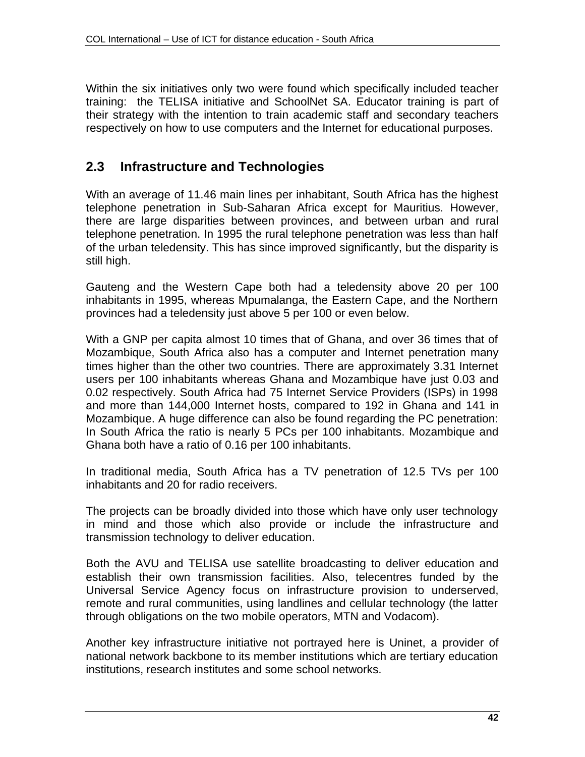Within the six initiatives only two were found which specifically included teacher training: the TELISA initiative and SchoolNet SA. Educator training is part of their strategy with the intention to train academic staff and secondary teachers respectively on how to use computers and the Internet for educational purposes.

# **2.3 Infrastructure and Technologies**

With an average of 11.46 main lines per inhabitant, South Africa has the highest telephone penetration in Sub-Saharan Africa except for Mauritius. However, there are large disparities between provinces, and between urban and rural telephone penetration. In 1995 the rural telephone penetration was less than half of the urban teledensity. This has since improved significantly, but the disparity is still high.

Gauteng and the Western Cape both had a teledensity above 20 per 100 inhabitants in 1995, whereas Mpumalanga, the Eastern Cape, and the Northern provinces had a teledensity just above 5 per 100 or even below.

With a GNP per capita almost 10 times that of Ghana, and over 36 times that of Mozambique, South Africa also has a computer and Internet penetration many times higher than the other two countries. There are approximately 3.31 Internet users per 100 inhabitants whereas Ghana and Mozambique have just 0.03 and 0.02 respectively. South Africa had 75 Internet Service Providers (ISPs) in 1998 and more than 144,000 Internet hosts, compared to 192 in Ghana and 141 in Mozambique. A huge difference can also be found regarding the PC penetration: In South Africa the ratio is nearly 5 PCs per 100 inhabitants. Mozambique and Ghana both have a ratio of 0.16 per 100 inhabitants.

In traditional media, South Africa has a TV penetration of 12.5 TVs per 100 inhabitants and 20 for radio receivers.

The projects can be broadly divided into those which have only user technology in mind and those which also provide or include the infrastructure and transmission technology to deliver education.

Both the AVU and TELISA use satellite broadcasting to deliver education and establish their own transmission facilities. Also, telecentres funded by the Universal Service Agency focus on infrastructure provision to underserved, remote and rural communities, using landlines and cellular technology (the latter through obligations on the two mobile operators, MTN and Vodacom).

Another key infrastructure initiative not portrayed here is Uninet, a provider of national network backbone to its member institutions which are tertiary education institutions, research institutes and some school networks.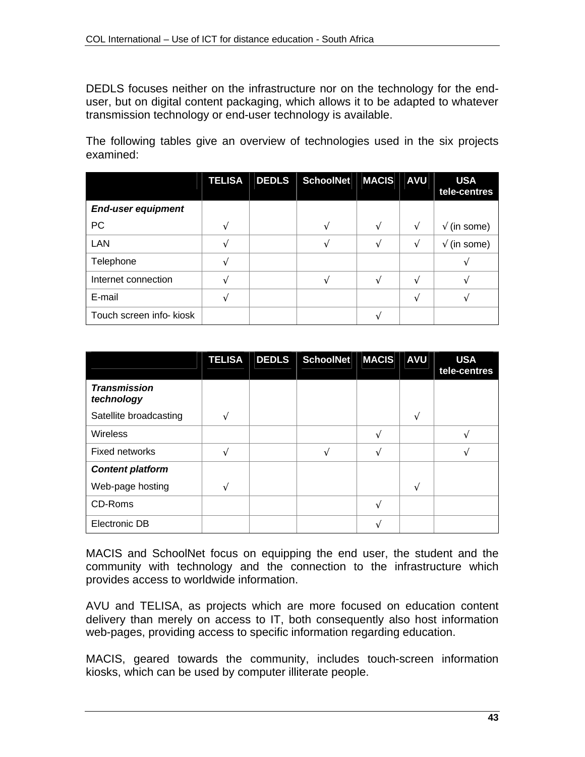DEDLS focuses neither on the infrastructure nor on the technology for the enduser, but on digital content packaging, which allows it to be adapted to whatever transmission technology or end-user technology is available.

The following tables give an overview of technologies used in the six projects examined:

|                           | <b>TELISA</b> | <b>DEDLS</b> | <b>SchoolNet</b> | <b>MACIS</b> | <b>AVU</b> | <b>USA</b><br>tele-centres |
|---------------------------|---------------|--------------|------------------|--------------|------------|----------------------------|
| <b>End-user equipment</b> |               |              |                  |              |            |                            |
| PC                        |               |              |                  |              | $\sqrt{}$  | $\sqrt{}$ (in some)        |
| <b>LAN</b>                |               |              |                  |              | N          | $\sqrt{}$ (in some)        |
| Telephone                 |               |              |                  |              |            |                            |
| Internet connection       |               |              |                  |              |            |                            |
| E-mail                    |               |              |                  |              |            |                            |
| Touch screen info- kiosk  |               |              |                  |              |            |                            |

|                                   | <b>TELISA</b> | <b>DEDLS</b> | <b>SchoolNet</b> | <b>MACIS</b> | <b>AVU</b> | <b>USA</b><br>tele-centres |
|-----------------------------------|---------------|--------------|------------------|--------------|------------|----------------------------|
| <b>Transmission</b><br>technology |               |              |                  |              |            |                            |
| Satellite broadcasting            | ٦             |              |                  |              |            |                            |
| <b>Wireless</b>                   |               |              |                  |              |            |                            |
| Fixed networks                    |               |              | ٦Ι               |              |            |                            |
| <b>Content platform</b>           |               |              |                  |              |            |                            |
| Web-page hosting                  | $\mathcal{L}$ |              |                  |              |            |                            |
| CD-Roms                           |               |              |                  |              |            |                            |
| Electronic DB                     |               |              |                  |              |            |                            |

MACIS and SchoolNet focus on equipping the end user, the student and the community with technology and the connection to the infrastructure which provides access to worldwide information.

AVU and TELISA, as projects which are more focused on education content delivery than merely on access to IT, both consequently also host information web-pages, providing access to specific information regarding education.

MACIS, geared towards the community, includes touch-screen information kiosks, which can be used by computer illiterate people.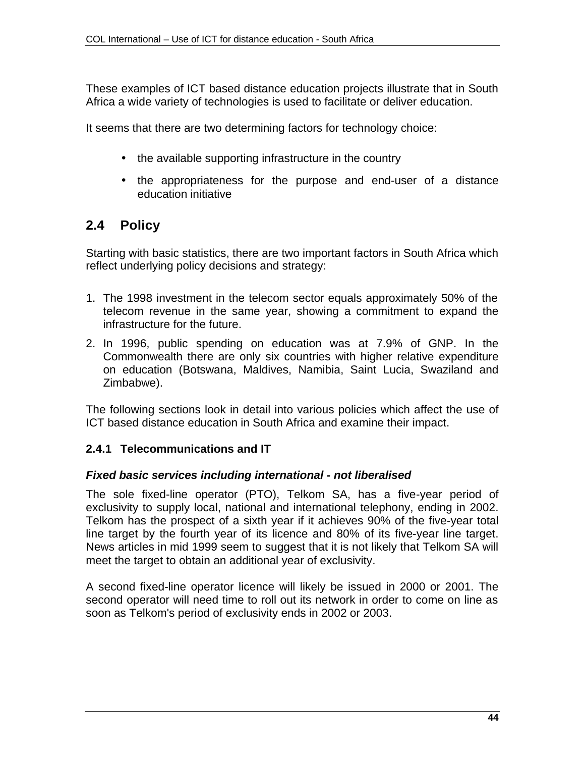These examples of ICT based distance education projects illustrate that in South Africa a wide variety of technologies is used to facilitate or deliver education.

It seems that there are two determining factors for technology choice:

- the available supporting infrastructure in the country
- the appropriateness for the purpose and end-user of a distance education initiative

# **2.4 Policy**

Starting with basic statistics, there are two important factors in South Africa which reflect underlying policy decisions and strategy:

- 1. The 1998 investment in the telecom sector equals approximately 50% of the telecom revenue in the same year, showing a commitment to expand the infrastructure for the future.
- 2. In 1996, public spending on education was at 7.9% of GNP. In the Commonwealth there are only six countries with higher relative expenditure on education (Botswana, Maldives, Namibia, Saint Lucia, Swaziland and Zimbabwe).

The following sections look in detail into various policies which affect the use of ICT based distance education in South Africa and examine their impact.

#### **2.4.1 Telecommunications and IT**

#### *Fixed basic services including international - not liberalised*

The sole fixed-line operator (PTO), Telkom SA, has a five-year period of exclusivity to supply local, national and international telephony, ending in 2002. Telkom has the prospect of a sixth year if it achieves 90% of the five-year total line target by the fourth year of its licence and 80% of its five-year line target. News articles in mid 1999 seem to suggest that it is not likely that Telkom SA will meet the target to obtain an additional year of exclusivity.

A second fixed-line operator licence will likely be issued in 2000 or 2001. The second operator will need time to roll out its network in order to come on line as soon as Telkom's period of exclusivity ends in 2002 or 2003.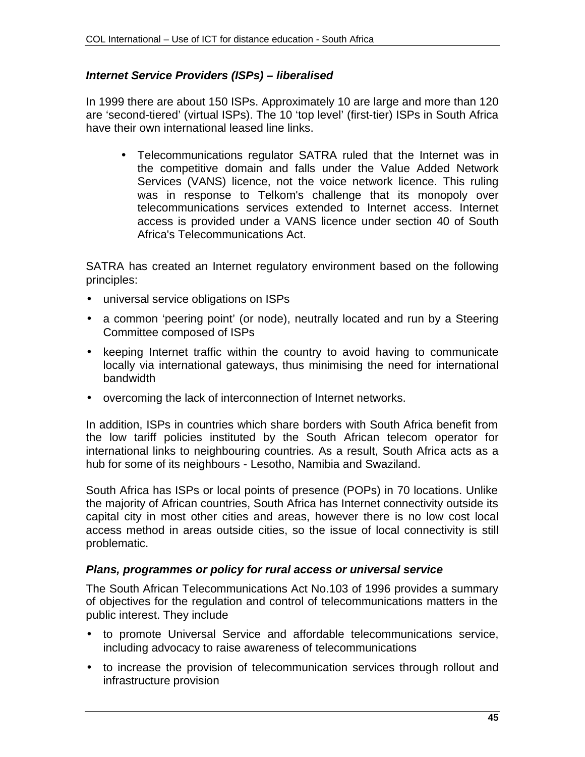#### *Internet Service Providers (ISPs) – liberalised*

In 1999 there are about 150 ISPs. Approximately 10 are large and more than 120 are 'second-tiered' (virtual ISPs). The 10 'top level' (first-tier) ISPs in South Africa have their own international leased line links.

• Telecommunications regulator SATRA ruled that the Internet was in the competitive domain and falls under the Value Added Network Services (VANS) licence, not the voice network licence. This ruling was in response to Telkom's challenge that its monopoly over telecommunications services extended to Internet access. Internet access is provided under a VANS licence under section 40 of South Africa's Telecommunications Act.

SATRA has created an Internet regulatory environment based on the following principles:

- universal service obligations on ISPs
- a common 'peering point' (or node), neutrally located and run by a Steering Committee composed of ISPs
- keeping Internet traffic within the country to avoid having to communicate locally via international gateways, thus minimising the need for international bandwidth
- overcoming the lack of interconnection of Internet networks.

In addition, ISPs in countries which share borders with South Africa benefit from the low tariff policies instituted by the South African telecom operator for international links to neighbouring countries. As a result, South Africa acts as a hub for some of its neighbours - Lesotho, Namibia and Swaziland.

South Africa has ISPs or local points of presence (POPs) in 70 locations. Unlike the majority of African countries, South Africa has Internet connectivity outside its capital city in most other cities and areas, however there is no low cost local access method in areas outside cities, so the issue of local connectivity is still problematic.

#### *Plans, programmes or policy for rural access or universal service*

The South African Telecommunications Act No.103 of 1996 provides a summary of objectives for the regulation and control of telecommunications matters in the public interest. They include

- to promote Universal Service and affordable telecommunications service, including advocacy to raise awareness of telecommunications
- to increase the provision of telecommunication services through rollout and infrastructure provision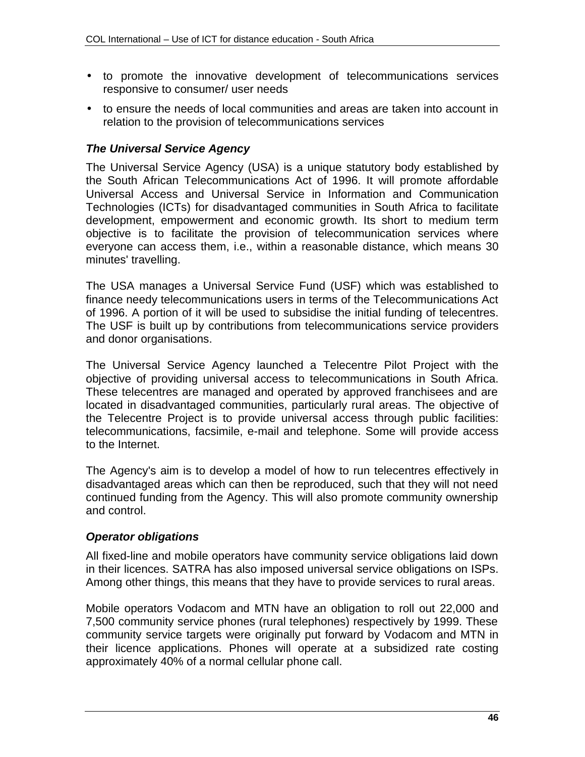- to promote the innovative development of telecommunications services responsive to consumer/ user needs
- to ensure the needs of local communities and areas are taken into account in relation to the provision of telecommunications services

#### *The Universal Service Agency*

The Universal Service Agency (USA) is a unique statutory body established by the South African Telecommunications Act of 1996. It will promote affordable Universal Access and Universal Service in Information and Communication Technologies (ICTs) for disadvantaged communities in South Africa to facilitate development, empowerment and economic growth. Its short to medium term objective is to facilitate the provision of telecommunication services where everyone can access them, i.e., within a reasonable distance, which means 30 minutes' travelling.

The USA manages a Universal Service Fund (USF) which was established to finance needy telecommunications users in terms of the Telecommunications Act of 1996. A portion of it will be used to subsidise the initial funding of telecentres. The USF is built up by contributions from telecommunications service providers and donor organisations.

The Universal Service Agency launched a Telecentre Pilot Project with the objective of providing universal access to telecommunications in South Africa. These telecentres are managed and operated by approved franchisees and are located in disadvantaged communities, particularly rural areas. The objective of the Telecentre Project is to provide universal access through public facilities: telecommunications, facsimile, e-mail and telephone. Some will provide access to the Internet.

The Agency's aim is to develop a model of how to run telecentres effectively in disadvantaged areas which can then be reproduced, such that they will not need continued funding from the Agency. This will also promote community ownership and control.

#### *Operator obligations*

All fixed-line and mobile operators have community service obligations laid down in their licences. SATRA has also imposed universal service obligations on ISPs. Among other things, this means that they have to provide services to rural areas.

Mobile operators Vodacom and MTN have an obligation to roll out 22,000 and 7,500 community service phones (rural telephones) respectively by 1999. These community service targets were originally put forward by Vodacom and MTN in their licence applications. Phones will operate at a subsidized rate costing approximately 40% of a normal cellular phone call.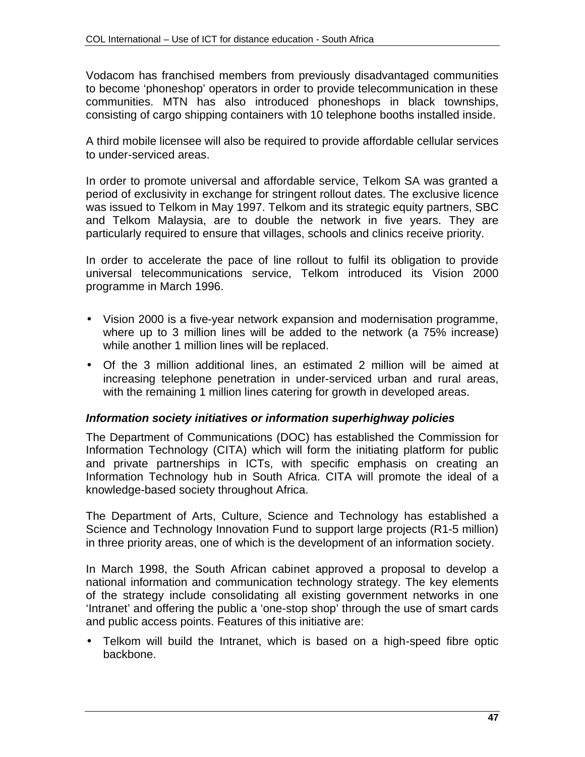Vodacom has franchised members from previously disadvantaged communities to become 'phoneshop' operators in order to provide telecommunication in these communities. MTN has also introduced phoneshops in black townships, consisting of cargo shipping containers with 10 telephone booths installed inside.

A third mobile licensee will also be required to provide affordable cellular services to under-serviced areas.

In order to promote universal and affordable service, Telkom SA was granted a period of exclusivity in exchange for stringent rollout dates. The exclusive licence was issued to Telkom in May 1997. Telkom and its strategic equity partners, SBC and Telkom Malaysia, are to double the network in five years. They are particularly required to ensure that villages, schools and clinics receive priority.

In order to accelerate the pace of line rollout to fulfil its obligation to provide universal telecommunications service, Telkom introduced its Vision 2000 programme in March 1996.

- Vision 2000 is a five-year network expansion and modernisation programme, where up to 3 million lines will be added to the network (a 75% increase) while another 1 million lines will be replaced.
- Of the 3 million additional lines, an estimated 2 million will be aimed at increasing telephone penetration in under-serviced urban and rural areas, with the remaining 1 million lines catering for growth in developed areas.

#### *Information society initiatives or information superhighway policies*

The Department of Communications (DOC) has established the Commission for Information Technology (CITA) which will form the initiating platform for public and private partnerships in ICTs, with specific emphasis on creating an Information Technology hub in South Africa. CITA will promote the ideal of a knowledge-based society throughout Africa.

The Department of Arts, Culture, Science and Technology has established a Science and Technology Innovation Fund to support large projects (R1-5 million) in three priority areas, one of which is the development of an information society.

In March 1998, the South African cabinet approved a proposal to develop a national information and communication technology strategy. The key elements of the strategy include consolidating all existing government networks in one 'Intranet' and offering the public a 'one-stop shop' through the use of smart cards and public access points. Features of this initiative are:

• Telkom will build the Intranet, which is based on a high-speed fibre optic backbone.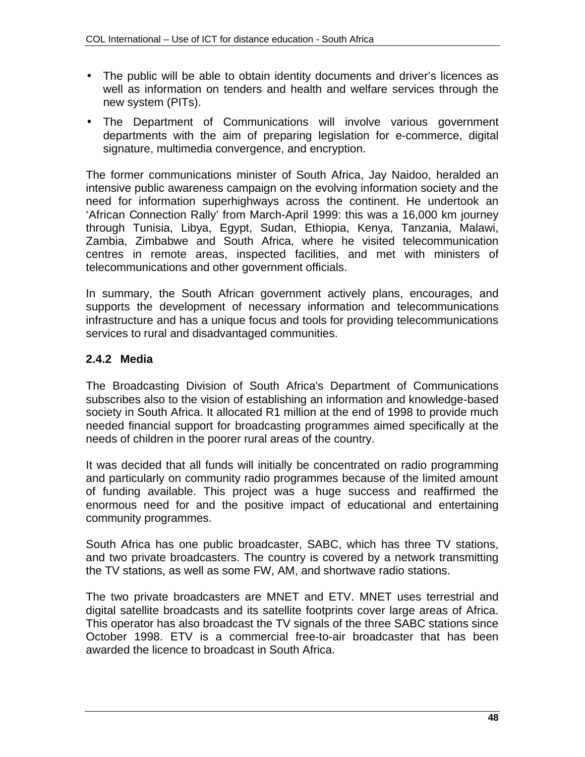- The public will be able to obtain identity documents and driver's licences as well as information on tenders and health and welfare services through the new system (PITs).
- The Department of Communications will involve various government departments with the aim of preparing legislation for e-commerce, digital signature, multimedia convergence, and encryption.

The former communications minister of South Africa, Jay Naidoo, heralded an intensive public awareness campaign on the evolving information society and the need for information superhighways across the continent. He undertook an 'African Connection Rally' from March-April 1999: this was a 16,000 km journey through Tunisia, Libya, Egypt, Sudan, Ethiopia, Kenya, Tanzania, Malawi, Zambia, Zimbabwe and South Africa, where he visited telecommunication centres in remote areas, inspected facilities, and met with ministers of telecommunications and other government officials.

In summary, the South African government actively plans, encourages, and supports the development of necessary information and telecommunications infrastructure and has a unique focus and tools for providing telecommunications services to rural and disadvantaged communities.

# **2.4.2 Media**

The Broadcasting Division of South Africa's Department of Communications subscribes also to the vision of establishing an information and knowledge-based society in South Africa. It allocated R1 million at the end of 1998 to provide much needed financial support for broadcasting programmes aimed specifically at the needs of children in the poorer rural areas of the country.

It was decided that all funds will initially be concentrated on radio programming and particularly on community radio programmes because of the limited amount of funding available. This project was a huge success and reaffirmed the enormous need for and the positive impact of educational and entertaining community programmes.

South Africa has one public broadcaster, SABC, which has three TV stations, and two private broadcasters. The country is covered by a network transmitting the TV stations, as well as some FW, AM, and shortwave radio stations.

The two private broadcasters are MNET and ETV. MNET uses terrestrial and digital satellite broadcasts and its satellite footprints cover large areas of Africa. This operator has also broadcast the TV signals of the three SABC stations since October 1998. ETV is a commercial free-to-air broadcaster that has been awarded the licence to broadcast in South Africa.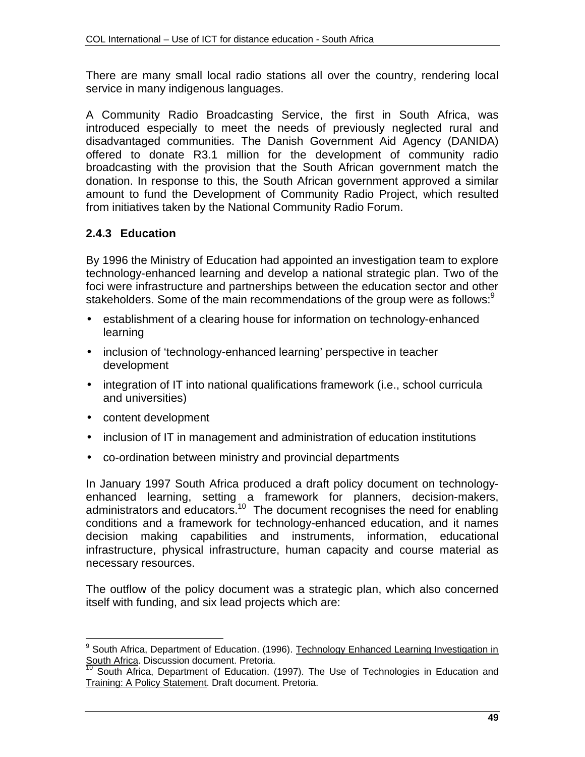There are many small local radio stations all over the country, rendering local service in many indigenous languages.

A Community Radio Broadcasting Service, the first in South Africa, was introduced especially to meet the needs of previously neglected rural and disadvantaged communities. The Danish Government Aid Agency (DANIDA) offered to donate R3.1 million for the development of community radio broadcasting with the provision that the South African government match the donation. In response to this, the South African government approved a similar amount to fund the Development of Community Radio Project, which resulted from initiatives taken by the National Community Radio Forum.

## **2.4.3 Education**

By 1996 the Ministry of Education had appointed an investigation team to explore technology-enhanced learning and develop a national strategic plan. Two of the foci were infrastructure and partnerships between the education sector and other stakeholders. Some of the main recommendations of the group were as follows:<sup>9</sup>

- establishment of a clearing house for information on technology-enhanced learning
- inclusion of 'technology-enhanced learning' perspective in teacher development
- integration of IT into national qualifications framework (i.e., school curricula and universities)
- content development
- inclusion of IT in management and administration of education institutions
- co-ordination between ministry and provincial departments

In January 1997 South Africa produced a draft policy document on technologyenhanced learning, setting a framework for planners, decision-makers, administrators and educators.<sup>10</sup> The document recognises the need for enabling conditions and a framework for technology-enhanced education, and it names decision making capabilities and instruments, information, educational infrastructure, physical infrastructure, human capacity and course material as necessary resources.

The outflow of the policy document was a strategic plan, which also concerned itself with funding, and six lead projects which are:

 9 South Africa, Department of Education. (1996). Technology Enhanced Learning Investigation in **South Africa.** Discussion document. Pretoria.<br> $\frac{10}{10}$  South Africa. Decord

South Africa, Department of Education. (1997). The Use of Technologies in Education and Training: A Policy Statement. Draft document. Pretoria.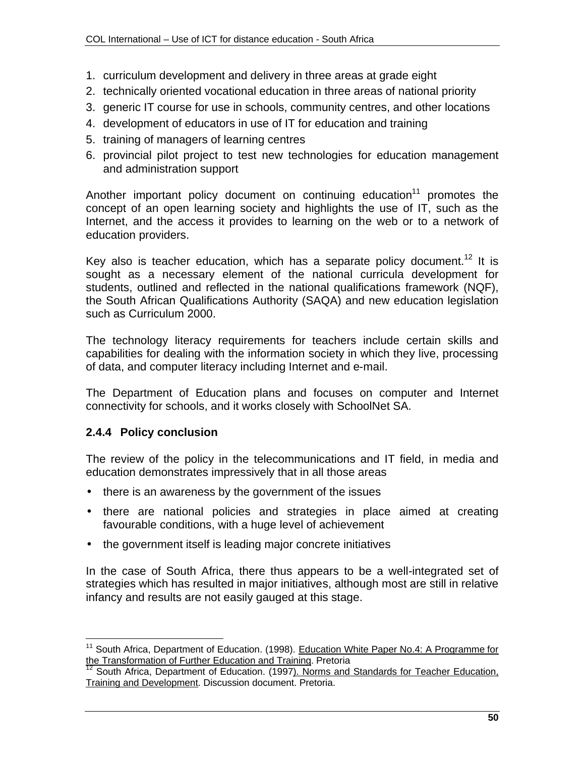- 1. curriculum development and delivery in three areas at grade eight
- 2. technically oriented vocational education in three areas of national priority
- 3. generic IT course for use in schools, community centres, and other locations
- 4. development of educators in use of IT for education and training
- 5. training of managers of learning centres
- 6. provincial pilot project to test new technologies for education management and administration support

Another important policy document on continuing education<sup>11</sup> promotes the concept of an open learning society and highlights the use of IT, such as the Internet, and the access it provides to learning on the web or to a network of education providers.

Key also is teacher education, which has a separate policy document.<sup>12</sup> It is sought as a necessary element of the national curricula development for students, outlined and reflected in the national qualifications framework (NQF), the South African Qualifications Authority (SAQA) and new education legislation such as Curriculum 2000.

The technology literacy requirements for teachers include certain skills and capabilities for dealing with the information society in which they live, processing of data, and computer literacy including Internet and e-mail.

The Department of Education plans and focuses on computer and Internet connectivity for schools, and it works closely with SchoolNet SA.

#### **2.4.4 Policy conclusion**

 $\overline{\phantom{a}}$ 

The review of the policy in the telecommunications and IT field, in media and education demonstrates impressively that in all those areas

- there is an awareness by the government of the issues
- there are national policies and strategies in place aimed at creating favourable conditions, with a huge level of achievement
- the government itself is leading major concrete initiatives

In the case of South Africa, there thus appears to be a well-integrated set of strategies which has resulted in major initiatives, although most are still in relative infancy and results are not easily gauged at this stage.

<sup>&</sup>lt;sup>11</sup> South Africa, Department of Education. (1998). Education White Paper No.4: A Programme for the Transformation of Further Education and Training. Pretoria

<sup>&</sup>lt;sup>12</sup> South Africa, Department of Education. (1997). Norms and Standards for Teacher Education, Training and Development. Discussion document. Pretoria.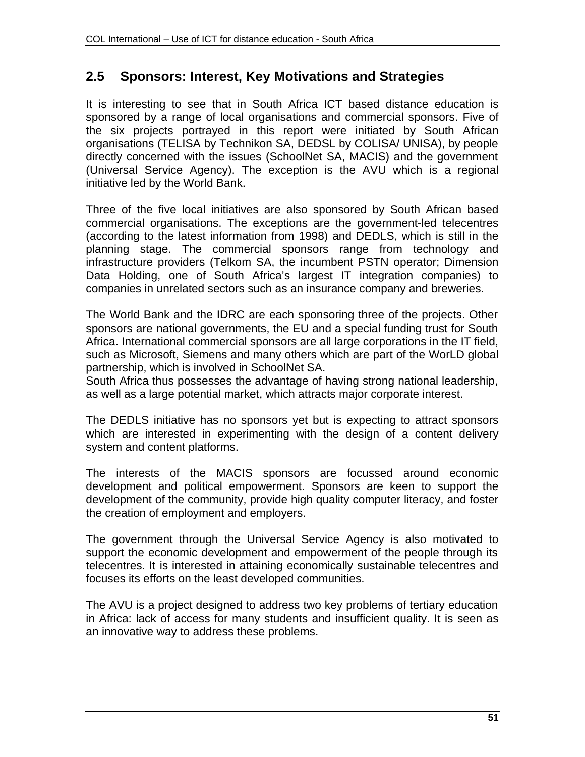# **2.5 Sponsors: Interest, Key Motivations and Strategies**

It is interesting to see that in South Africa ICT based distance education is sponsored by a range of local organisations and commercial sponsors. Five of the six projects portrayed in this report were initiated by South African organisations (TELISA by Technikon SA, DEDSL by COLISA/ UNISA), by people directly concerned with the issues (SchoolNet SA, MACIS) and the government (Universal Service Agency). The exception is the AVU which is a regional initiative led by the World Bank.

Three of the five local initiatives are also sponsored by South African based commercial organisations. The exceptions are the government-led telecentres (according to the latest information from 1998) and DEDLS, which is still in the planning stage. The commercial sponsors range from technology and infrastructure providers (Telkom SA, the incumbent PSTN operator; Dimension Data Holding, one of South Africa's largest IT integration companies) to companies in unrelated sectors such as an insurance company and breweries.

The World Bank and the IDRC are each sponsoring three of the projects. Other sponsors are national governments, the EU and a special funding trust for South Africa. International commercial sponsors are all large corporations in the IT field, such as Microsoft, Siemens and many others which are part of the WorLD global partnership, which is involved in SchoolNet SA.

South Africa thus possesses the advantage of having strong national leadership, as well as a large potential market, which attracts major corporate interest.

The DEDLS initiative has no sponsors yet but is expecting to attract sponsors which are interested in experimenting with the design of a content delivery system and content platforms.

The interests of the MACIS sponsors are focussed around economic development and political empowerment. Sponsors are keen to support the development of the community, provide high quality computer literacy, and foster the creation of employment and employers.

The government through the Universal Service Agency is also motivated to support the economic development and empowerment of the people through its telecentres. It is interested in attaining economically sustainable telecentres and focuses its efforts on the least developed communities.

The AVU is a project designed to address two key problems of tertiary education in Africa: lack of access for many students and insufficient quality. It is seen as an innovative way to address these problems.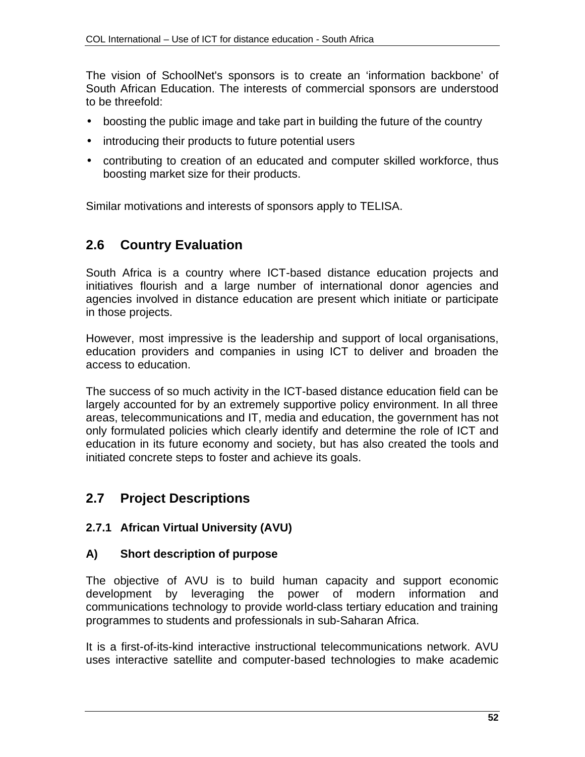The vision of SchoolNet's sponsors is to create an 'information backbone' of South African Education. The interests of commercial sponsors are understood to be threefold:

- boosting the public image and take part in building the future of the country
- introducing their products to future potential users
- contributing to creation of an educated and computer skilled workforce, thus boosting market size for their products.

Similar motivations and interests of sponsors apply to TELISA.

# **2.6 Country Evaluation**

South Africa is a country where ICT-based distance education projects and initiatives flourish and a large number of international donor agencies and agencies involved in distance education are present which initiate or participate in those projects.

However, most impressive is the leadership and support of local organisations, education providers and companies in using ICT to deliver and broaden the access to education.

The success of so much activity in the ICT-based distance education field can be largely accounted for by an extremely supportive policy environment. In all three areas, telecommunications and IT, media and education, the government has not only formulated policies which clearly identify and determine the role of ICT and education in its future economy and society, but has also created the tools and initiated concrete steps to foster and achieve its goals.

# **2.7 Project Descriptions**

#### **2.7.1 African Virtual University (AVU)**

#### **A) Short description of purpose**

The objective of AVU is to build human capacity and support economic development by leveraging the power of modern information and communications technology to provide world-class tertiary education and training programmes to students and professionals in sub-Saharan Africa.

It is a first-of-its-kind interactive instructional telecommunications network. AVU uses interactive satellite and computer-based technologies to make academic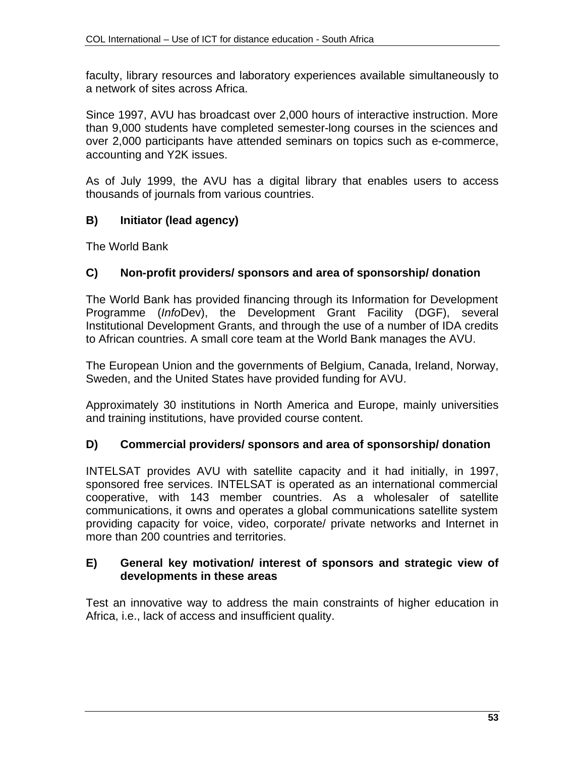faculty, library resources and laboratory experiences available simultaneously to a network of sites across Africa.

Since 1997, AVU has broadcast over 2,000 hours of interactive instruction. More than 9,000 students have completed semester-long courses in the sciences and over 2,000 participants have attended seminars on topics such as e-commerce, accounting and Y2K issues.

As of July 1999, the AVU has a digital library that enables users to access thousands of journals from various countries.

## **B) Initiator (lead agency)**

The World Bank

#### **C) Non-profit providers/ sponsors and area of sponsorship/ donation**

The World Bank has provided financing through its Information for Development Programme (*Info*Dev), the Development Grant Facility (DGF), several Institutional Development Grants, and through the use of a number of IDA credits to African countries. A small core team at the World Bank manages the AVU.

The European Union and the governments of Belgium, Canada, Ireland, Norway, Sweden, and the United States have provided funding for AVU.

Approximately 30 institutions in North America and Europe, mainly universities and training institutions, have provided course content.

#### **D) Commercial providers/ sponsors and area of sponsorship/ donation**

INTELSAT provides AVU with satellite capacity and it had initially, in 1997, sponsored free services. INTELSAT is operated as an international commercial cooperative, with 143 member countries. As a wholesaler of satellite communications, it owns and operates a global communications satellite system providing capacity for voice, video, corporate/ private networks and Internet in more than 200 countries and territories.

#### **E) General key motivation/ interest of sponsors and strategic view of developments in these areas**

Test an innovative way to address the main constraints of higher education in Africa, i.e., lack of access and insufficient quality.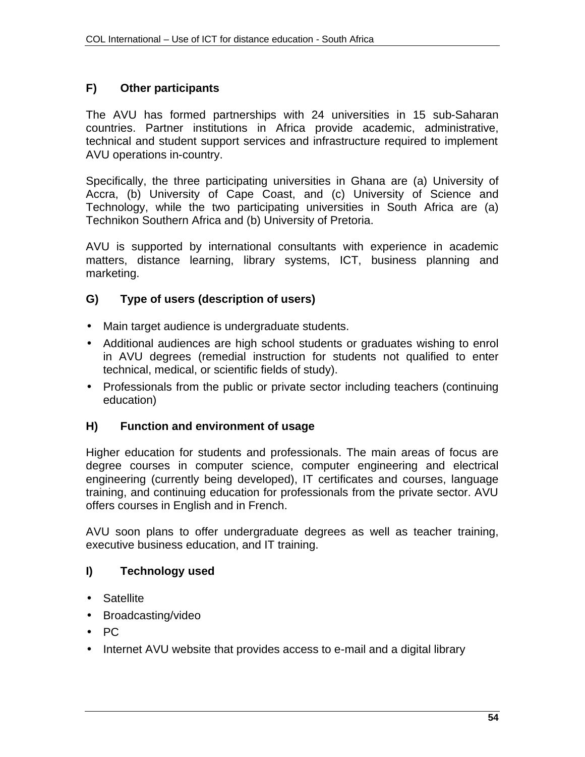## **F) Other participants**

The AVU has formed partnerships with 24 universities in 15 sub-Saharan countries. Partner institutions in Africa provide academic, administrative, technical and student support services and infrastructure required to implement AVU operations in-country.

Specifically, the three participating universities in Ghana are (a) University of Accra, (b) University of Cape Coast, and (c) University of Science and Technology, while the two participating universities in South Africa are (a) Technikon Southern Africa and (b) University of Pretoria.

AVU is supported by international consultants with experience in academic matters, distance learning, library systems, ICT, business planning and marketing.

#### **G) Type of users (description of users)**

- Main target audience is undergraduate students.
- Additional audiences are high school students or graduates wishing to enrol in AVU degrees (remedial instruction for students not qualified to enter technical, medical, or scientific fields of study).
- Professionals from the public or private sector including teachers (continuing education)

#### **H) Function and environment of usage**

Higher education for students and professionals. The main areas of focus are degree courses in computer science, computer engineering and electrical engineering (currently being developed), IT certificates and courses, language training, and continuing education for professionals from the private sector. AVU offers courses in English and in French.

AVU soon plans to offer undergraduate degrees as well as teacher training, executive business education, and IT training.

# **I) Technology used**

- Satellite
- Broadcasting/video
- PC
- Internet AVU website that provides access to e-mail and a digital library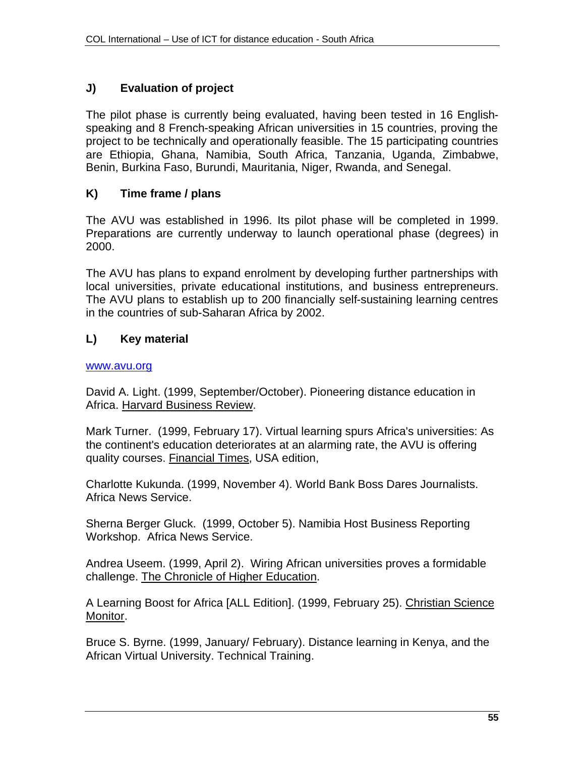# **J) Evaluation of project**

The pilot phase is currently being evaluated, having been tested in 16 Englishspeaking and 8 French-speaking African universities in 15 countries, proving the project to be technically and operationally feasible. The 15 participating countries are Ethiopia, Ghana, Namibia, South Africa, Tanzania, Uganda, Zimbabwe, Benin, Burkina Faso, Burundi, Mauritania, Niger, Rwanda, and Senegal.

#### **K) Time frame / plans**

The AVU was established in 1996. Its pilot phase will be completed in 1999. Preparations are currently underway to launch operational phase (degrees) in 2000.

The AVU has plans to expand enrolment by developing further partnerships with local universities, private educational institutions, and business entrepreneurs. The AVU plans to establish up to 200 financially self-sustaining learning centres in the countries of sub-Saharan Africa by 2002.

## **L) Key material**

#### www.avu.org

David A. Light. (1999, September/October). Pioneering distance education in Africa. Harvard Business Review.

Mark Turner. (1999, February 17). Virtual learning spurs Africa's universities: As the continent's education deteriorates at an alarming rate, the AVU is offering quality courses. Financial Times, USA edition,

Charlotte Kukunda. (1999, November 4). World Bank Boss Dares Journalists. Africa News Service.

Sherna Berger Gluck. (1999, October 5). Namibia Host Business Reporting Workshop. Africa News Service.

Andrea Useem. (1999, April 2). Wiring African universities proves a formidable challenge. The Chronicle of Higher Education.

A Learning Boost for Africa [ALL Edition]. (1999, February 25). Christian Science Monitor.

Bruce S. Byrne. (1999, January/ February). Distance learning in Kenya, and the African Virtual University. Technical Training.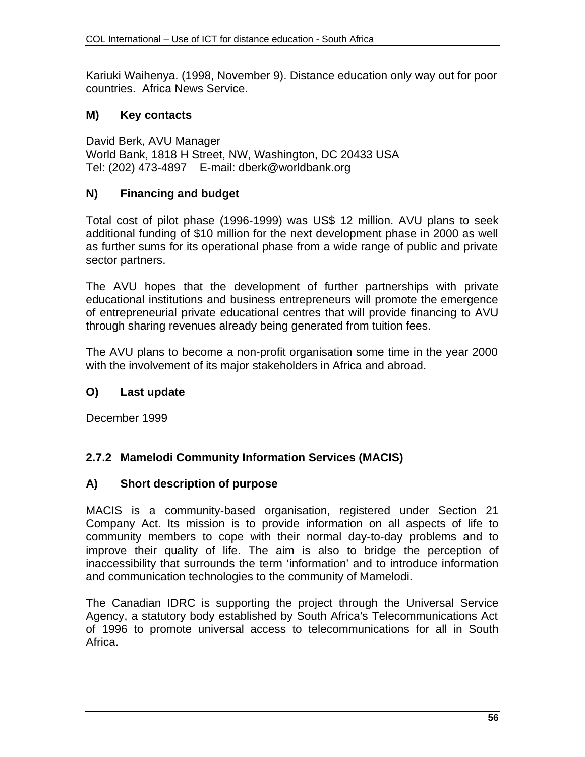Kariuki Waihenya. (1998, November 9). Distance education only way out for poor countries. Africa News Service.

# **M) Key contacts**

David Berk, AVU Manager World Bank, 1818 H Street, NW, Washington, DC 20433 USA Tel: (202) 473-4897 E-mail: dberk@worldbank.org

# **N) Financing and budget**

Total cost of pilot phase (1996-1999) was US\$ 12 million. AVU plans to seek additional funding of \$10 million for the next development phase in 2000 as well as further sums for its operational phase from a wide range of public and private sector partners.

The AVU hopes that the development of further partnerships with private educational institutions and business entrepreneurs will promote the emergence of entrepreneurial private educational centres that will provide financing to AVU through sharing revenues already being generated from tuition fees.

The AVU plans to become a non-profit organisation some time in the year 2000 with the involvement of its major stakeholders in Africa and abroad.

# **O) Last update**

December 1999

# **2.7.2 Mamelodi Community Information Services (MACIS)**

# **A) Short description of purpose**

MACIS is a community-based organisation, registered under Section 21 Company Act. Its mission is to provide information on all aspects of life to community members to cope with their normal day-to-day problems and to improve their quality of life. The aim is also to bridge the perception of inaccessibility that surrounds the term 'information' and to introduce information and communication technologies to the community of Mamelodi.

The Canadian IDRC is supporting the project through the Universal Service Agency, a statutory body established by South Africa's Telecommunications Act of 1996 to promote universal access to telecommunications for all in South Africa.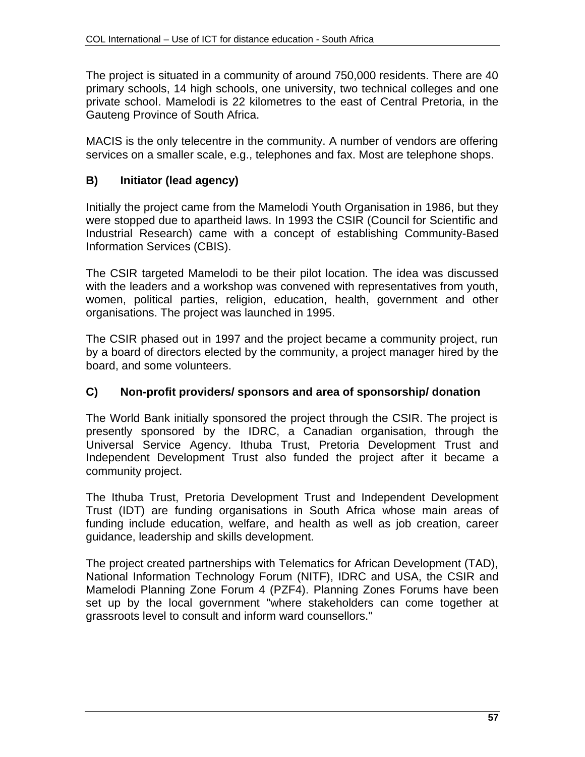The project is situated in a community of around 750,000 residents. There are 40 primary schools, 14 high schools, one university, two technical colleges and one private school. Mamelodi is 22 kilometres to the east of Central Pretoria, in the Gauteng Province of South Africa.

MACIS is the only telecentre in the community. A number of vendors are offering services on a smaller scale, e.g., telephones and fax. Most are telephone shops.

# **B) Initiator (lead agency)**

Initially the project came from the Mamelodi Youth Organisation in 1986, but they were stopped due to apartheid laws. In 1993 the CSIR (Council for Scientific and Industrial Research) came with a concept of establishing Community-Based Information Services (CBIS).

The CSIR targeted Mamelodi to be their pilot location. The idea was discussed with the leaders and a workshop was convened with representatives from youth, women, political parties, religion, education, health, government and other organisations. The project was launched in 1995.

The CSIR phased out in 1997 and the project became a community project, run by a board of directors elected by the community, a project manager hired by the board, and some volunteers.

# **C) Non-profit providers/ sponsors and area of sponsorship/ donation**

The World Bank initially sponsored the project through the CSIR. The project is presently sponsored by the IDRC, a Canadian organisation, through the Universal Service Agency. Ithuba Trust, Pretoria Development Trust and Independent Development Trust also funded the project after it became a community project.

The Ithuba Trust, Pretoria Development Trust and Independent Development Trust (IDT) are funding organisations in South Africa whose main areas of funding include education, welfare, and health as well as job creation, career guidance, leadership and skills development.

The project created partnerships with Telematics for African Development (TAD), National Information Technology Forum (NITF), IDRC and USA, the CSIR and Mamelodi Planning Zone Forum 4 (PZF4). Planning Zones Forums have been set up by the local government "where stakeholders can come together at grassroots level to consult and inform ward counsellors."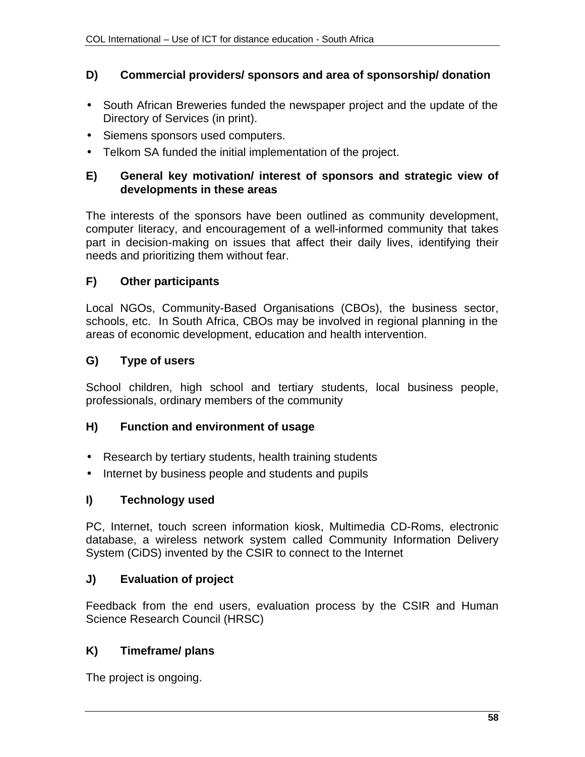#### **D) Commercial providers/ sponsors and area of sponsorship/ donation**

- South African Breweries funded the newspaper project and the update of the Directory of Services (in print).
- Siemens sponsors used computers.
- Telkom SA funded the initial implementation of the project.

#### **E) General key motivation/ interest of sponsors and strategic view of developments in these areas**

The interests of the sponsors have been outlined as community development, computer literacy, and encouragement of a well-informed community that takes part in decision-making on issues that affect their daily lives, identifying their needs and prioritizing them without fear.

## **F) Other participants**

Local NGOs, Community-Based Organisations (CBOs), the business sector, schools, etc. In South Africa, CBOs may be involved in regional planning in the areas of economic development, education and health intervention.

## **G) Type of users**

School children, high school and tertiary students, local business people, professionals, ordinary members of the community

#### **H) Function and environment of usage**

- Research by tertiary students, health training students
- Internet by business people and students and pupils

#### **I) Technology used**

PC, Internet, touch screen information kiosk, Multimedia CD-Roms, electronic database, a wireless network system called Community Information Delivery System (CiDS) invented by the CSIR to connect to the Internet

#### **J) Evaluation of project**

Feedback from the end users, evaluation process by the CSIR and Human Science Research Council (HRSC)

#### **K) Timeframe/ plans**

The project is ongoing.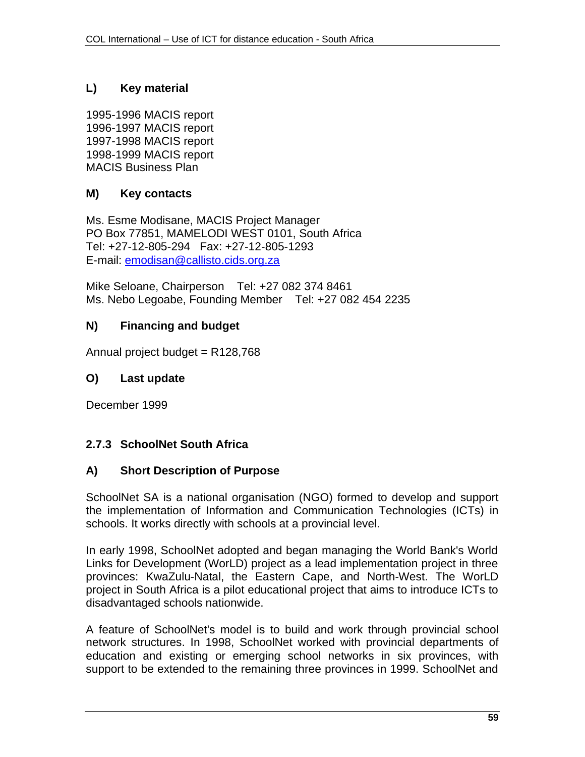## **L) Key material**

1995-1996 MACIS report 1996-1997 MACIS report 1997-1998 MACIS report 1998-1999 MACIS report MACIS Business Plan

#### **M) Key contacts**

Ms. Esme Modisane, MACIS Project Manager PO Box 77851, MAMELODI WEST 0101, South Africa Tel: +27-12-805-294 Fax: +27-12-805-1293 E-mail: emodisan@callisto.cids.org.za

Mike Seloane, Chairperson Tel: +27 082 374 8461 Ms. Nebo Legoabe, Founding Member Tel: +27 082 454 2235

#### **N) Financing and budget**

Annual project budget =  $R128,768$ 

#### **O) Last update**

December 1999

# **2.7.3 SchoolNet South Africa**

#### **A) Short Description of Purpose**

SchoolNet SA is a national organisation (NGO) formed to develop and support the implementation of Information and Communication Technologies (ICTs) in schools. It works directly with schools at a provincial level.

In early 1998, SchoolNet adopted and began managing the World Bank's World Links for Development (WorLD) project as a lead implementation project in three provinces: KwaZulu-Natal, the Eastern Cape, and North-West. The WorLD project in South Africa is a pilot educational project that aims to introduce ICTs to disadvantaged schools nationwide.

A feature of SchoolNet's model is to build and work through provincial school network structures. In 1998, SchoolNet worked with provincial departments of education and existing or emerging school networks in six provinces, with support to be extended to the remaining three provinces in 1999. SchoolNet and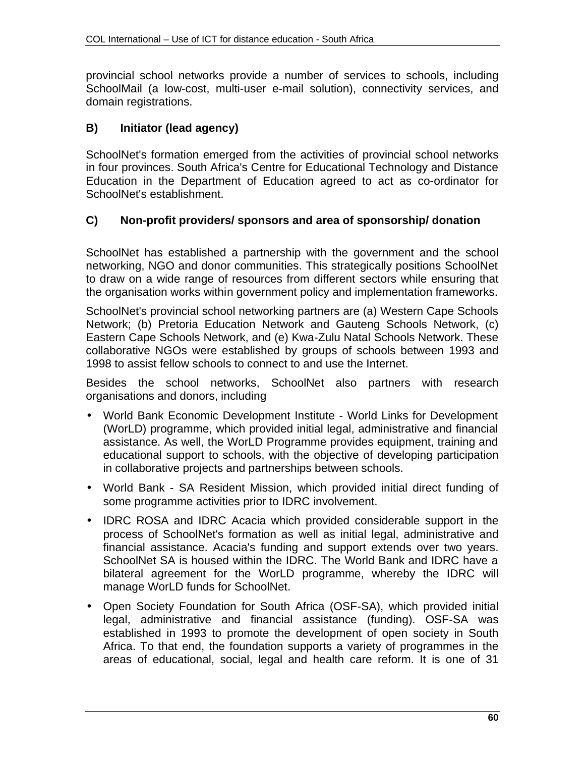provincial school networks provide a number of services to schools, including SchoolMail (a low-cost, multi-user e-mail solution), connectivity services, and domain registrations.

## **B) Initiator (lead agency)**

SchoolNet's formation emerged from the activities of provincial school networks in four provinces. South Africa's Centre for Educational Technology and Distance Education in the Department of Education agreed to act as co-ordinator for SchoolNet's establishment.

## **C) Non-profit providers/ sponsors and area of sponsorship/ donation**

SchoolNet has established a partnership with the government and the school networking, NGO and donor communities. This strategically positions SchoolNet to draw on a wide range of resources from different sectors while ensuring that the organisation works within government policy and implementation frameworks.

SchoolNet's provincial school networking partners are (a) Western Cape Schools Network; (b) Pretoria Education Network and Gauteng Schools Network, (c) Eastern Cape Schools Network, and (e) Kwa-Zulu Natal Schools Network. These collaborative NGOs were established by groups of schools between 1993 and 1998 to assist fellow schools to connect to and use the Internet.

Besides the school networks, SchoolNet also partners with research organisations and donors, including

- World Bank Economic Development Institute World Links for Development (WorLD) programme, which provided initial legal, administrative and financial assistance. As well, the WorLD Programme provides equipment, training and educational support to schools, with the objective of developing participation in collaborative projects and partnerships between schools.
- World Bank SA Resident Mission, which provided initial direct funding of some programme activities prior to IDRC involvement.
- IDRC ROSA and IDRC Acacia which provided considerable support in the process of SchoolNet's formation as well as initial legal, administrative and financial assistance. Acacia's funding and support extends over two years. SchoolNet SA is housed within the IDRC. The World Bank and IDRC have a bilateral agreement for the WorLD programme, whereby the IDRC will manage WorLD funds for SchoolNet.
- Open Society Foundation for South Africa (OSF-SA), which provided initial legal, administrative and financial assistance (funding). OSF-SA was established in 1993 to promote the development of open society in South Africa. To that end, the foundation supports a variety of programmes in the areas of educational, social, legal and health care reform. It is one of 31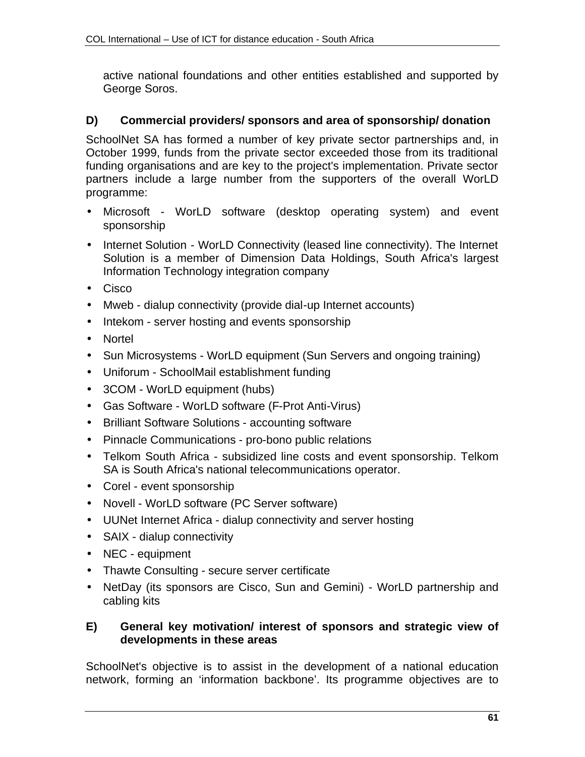active national foundations and other entities established and supported by George Soros.

## **D) Commercial providers/ sponsors and area of sponsorship/ donation**

SchoolNet SA has formed a number of key private sector partnerships and, in October 1999, funds from the private sector exceeded those from its traditional funding organisations and are key to the project's implementation. Private sector partners include a large number from the supporters of the overall WorLD programme:

- Microsoft WorLD software (desktop operating system) and event sponsorship
- Internet Solution WorLD Connectivity (leased line connectivity). The Internet Solution is a member of Dimension Data Holdings, South Africa's largest Information Technology integration company
- Cisco
- Mweb dialup connectivity (provide dial-up Internet accounts)
- Intekom server hosting and events sponsorship
- Nortel
- Sun Microsystems WorLD equipment (Sun Servers and ongoing training)
- Uniforum SchoolMail establishment funding
- 3COM WorLD equipment (hubs)
- Gas Software WorLD software (F-Prot Anti-Virus)
- Brilliant Software Solutions accounting software
- Pinnacle Communications pro-bono public relations
- Telkom South Africa subsidized line costs and event sponsorship. Telkom SA is South Africa's national telecommunications operator.
- Corel event sponsorship
- Novell WorLD software (PC Server software)
- UUNet Internet Africa dialup connectivity and server hosting
- SAIX dialup connectivity
- NEC equipment
- Thawte Consulting secure server certificate
- NetDay (its sponsors are Cisco, Sun and Gemini) WorLD partnership and cabling kits

#### **E) General key motivation/ interest of sponsors and strategic view of developments in these areas**

SchoolNet's objective is to assist in the development of a national education network, forming an 'information backbone'. Its programme objectives are to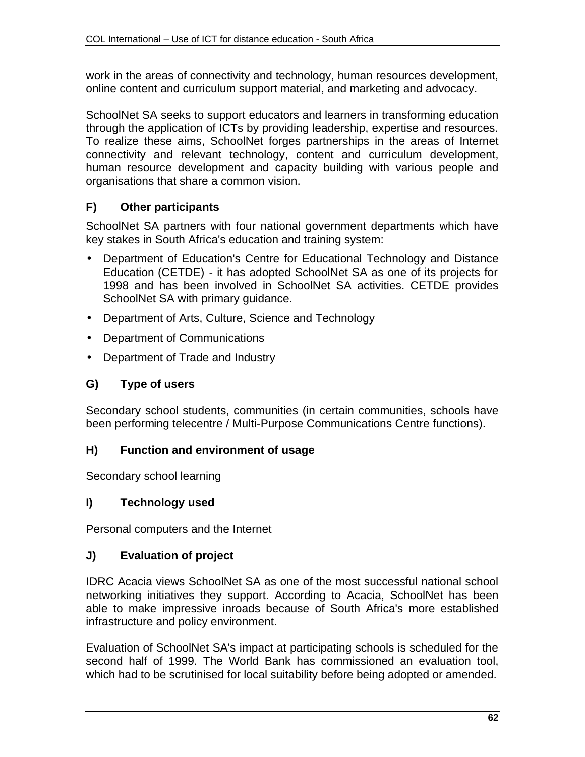work in the areas of connectivity and technology, human resources development, online content and curriculum support material, and marketing and advocacy.

SchoolNet SA seeks to support educators and learners in transforming education through the application of ICTs by providing leadership, expertise and resources. To realize these aims, SchoolNet forges partnerships in the areas of Internet connectivity and relevant technology, content and curriculum development, human resource development and capacity building with various people and organisations that share a common vision.

## **F) Other participants**

SchoolNet SA partners with four national government departments which have key stakes in South Africa's education and training system:

- Department of Education's Centre for Educational Technology and Distance Education (CETDE) - it has adopted SchoolNet SA as one of its projects for 1998 and has been involved in SchoolNet SA activities. CETDE provides SchoolNet SA with primary guidance.
- Department of Arts, Culture, Science and Technology
- Department of Communications
- Department of Trade and Industry

#### **G) Type of users**

Secondary school students, communities (in certain communities, schools have been performing telecentre / Multi-Purpose Communications Centre functions).

#### **H) Function and environment of usage**

Secondary school learning

#### **I) Technology used**

Personal computers and the Internet

#### **J) Evaluation of project**

IDRC Acacia views SchoolNet SA as one of the most successful national school networking initiatives they support. According to Acacia, SchoolNet has been able to make impressive inroads because of South Africa's more established infrastructure and policy environment.

Evaluation of SchoolNet SA's impact at participating schools is scheduled for the second half of 1999. The World Bank has commissioned an evaluation tool, which had to be scrutinised for local suitability before being adopted or amended.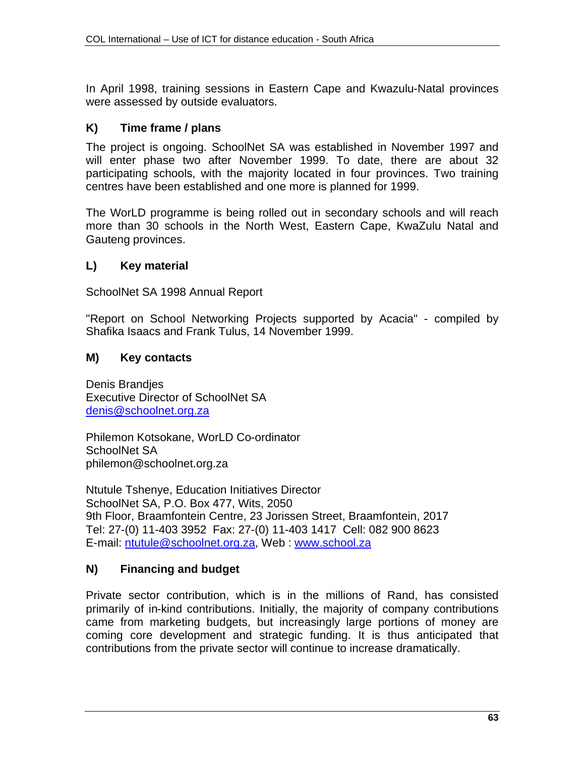In April 1998, training sessions in Eastern Cape and Kwazulu-Natal provinces were assessed by outside evaluators.

## **K) Time frame / plans**

The project is ongoing. SchoolNet SA was established in November 1997 and will enter phase two after November 1999. To date, there are about 32 participating schools, with the majority located in four provinces. Two training centres have been established and one more is planned for 1999.

The WorLD programme is being rolled out in secondary schools and will reach more than 30 schools in the North West, Eastern Cape, KwaZulu Natal and Gauteng provinces.

## **L) Key material**

SchoolNet SA 1998 Annual Report

"Report on School Networking Projects supported by Acacia" - compiled by Shafika Isaacs and Frank Tulus, 14 November 1999.

#### **M) Key contacts**

Denis Brandjes Executive Director of SchoolNet SA denis@schoolnet.org.za

Philemon Kotsokane, WorLD Co-ordinator SchoolNet SA philemon@schoolnet.org.za

Ntutule Tshenye, Education Initiatives Director SchoolNet SA, P.O. Box 477, Wits, 2050 9th Floor, Braamfontein Centre, 23 Jorissen Street, Braamfontein, 2017 Tel: 27-(0) 11-403 3952 Fax: 27-(0) 11-403 1417 Cell: 082 900 8623 E-mail: ntutule@schoolnet.org.za, Web : www.school.za

#### **N) Financing and budget**

Private sector contribution, which is in the millions of Rand, has consisted primarily of in-kind contributions. Initially, the majority of company contributions came from marketing budgets, but increasingly large portions of money are coming core development and strategic funding. It is thus anticipated that contributions from the private sector will continue to increase dramatically.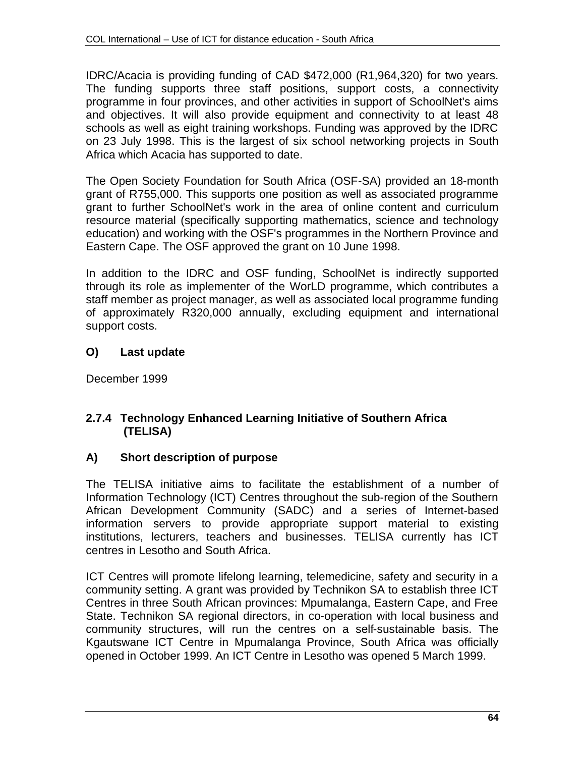IDRC/Acacia is providing funding of CAD \$472,000 (R1,964,320) for two years. The funding supports three staff positions, support costs, a connectivity programme in four provinces, and other activities in support of SchoolNet's aims and objectives. It will also provide equipment and connectivity to at least 48 schools as well as eight training workshops. Funding was approved by the IDRC on 23 July 1998. This is the largest of six school networking projects in South Africa which Acacia has supported to date.

The Open Society Foundation for South Africa (OSF-SA) provided an 18-month grant of R755,000. This supports one position as well as associated programme grant to further SchoolNet's work in the area of online content and curriculum resource material (specifically supporting mathematics, science and technology education) and working with the OSF's programmes in the Northern Province and Eastern Cape. The OSF approved the grant on 10 June 1998.

In addition to the IDRC and OSF funding, SchoolNet is indirectly supported through its role as implementer of the WorLD programme, which contributes a staff member as project manager, as well as associated local programme funding of approximately R320,000 annually, excluding equipment and international support costs.

# **O) Last update**

December 1999

## **2.7.4 Technology Enhanced Learning Initiative of Southern Africa (TELISA)**

#### **A) Short description of purpose**

The TELISA initiative aims to facilitate the establishment of a number of Information Technology (ICT) Centres throughout the sub-region of the Southern African Development Community (SADC) and a series of Internet-based information servers to provide appropriate support material to existing institutions, lecturers, teachers and businesses. TELISA currently has ICT centres in Lesotho and South Africa.

ICT Centres will promote lifelong learning, telemedicine, safety and security in a community setting. A grant was provided by Technikon SA to establish three ICT Centres in three South African provinces: Mpumalanga, Eastern Cape, and Free State. Technikon SA regional directors, in co-operation with local business and community structures, will run the centres on a self-sustainable basis. The Kgautswane ICT Centre in Mpumalanga Province, South Africa was officially opened in October 1999. An ICT Centre in Lesotho was opened 5 March 1999.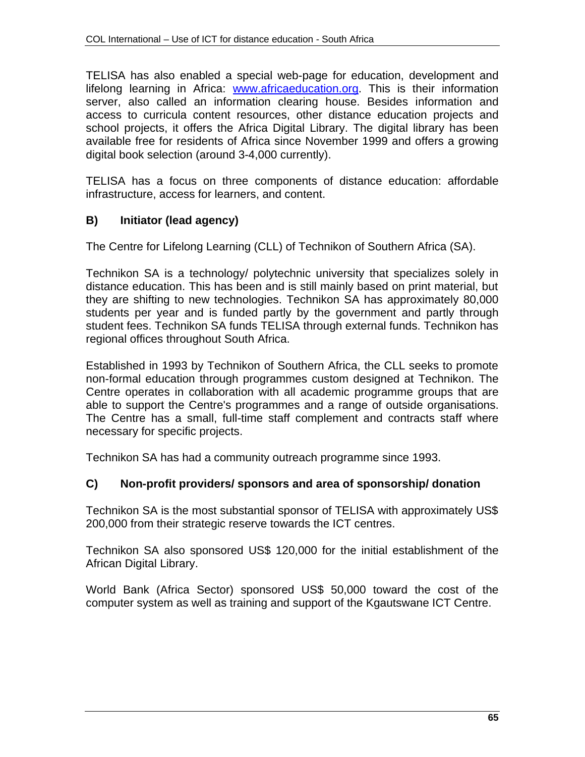TELISA has also enabled a special web-page for education, development and lifelong learning in Africa: www.africaeducation.org. This is their information server, also called an information clearing house. Besides information and access to curricula content resources, other distance education projects and school projects, it offers the Africa Digital Library. The digital library has been available free for residents of Africa since November 1999 and offers a growing digital book selection (around 3-4,000 currently).

TELISA has a focus on three components of distance education: affordable infrastructure, access for learners, and content.

# **B) Initiator (lead agency)**

The Centre for Lifelong Learning (CLL) of Technikon of Southern Africa (SA).

Technikon SA is a technology/ polytechnic university that specializes solely in distance education. This has been and is still mainly based on print material, but they are shifting to new technologies. Technikon SA has approximately 80,000 students per year and is funded partly by the government and partly through student fees. Technikon SA funds TELISA through external funds. Technikon has regional offices throughout South Africa.

Established in 1993 by Technikon of Southern Africa, the CLL seeks to promote non-formal education through programmes custom designed at Technikon. The Centre operates in collaboration with all academic programme groups that are able to support the Centre's programmes and a range of outside organisations. The Centre has a small, full-time staff complement and contracts staff where necessary for specific projects.

Technikon SA has had a community outreach programme since 1993.

# **C) Non-profit providers/ sponsors and area of sponsorship/ donation**

Technikon SA is the most substantial sponsor of TELISA with approximately US\$ 200,000 from their strategic reserve towards the ICT centres.

Technikon SA also sponsored US\$ 120,000 for the initial establishment of the African Digital Library.

World Bank (Africa Sector) sponsored US\$ 50,000 toward the cost of the computer system as well as training and support of the Kgautswane ICT Centre.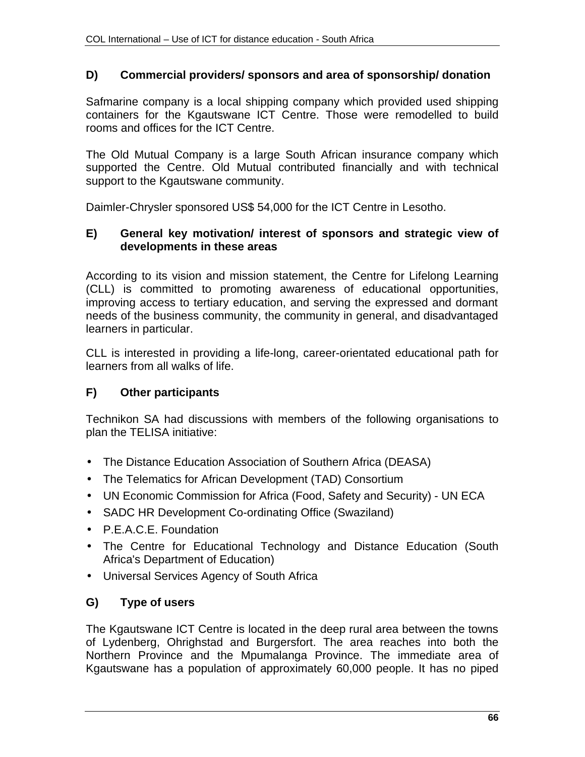#### **D) Commercial providers/ sponsors and area of sponsorship/ donation**

Safmarine company is a local shipping company which provided used shipping containers for the Kgautswane ICT Centre. Those were remodelled to build rooms and offices for the ICT Centre.

The Old Mutual Company is a large South African insurance company which supported the Centre. Old Mutual contributed financially and with technical support to the Kgautswane community.

Daimler-Chrysler sponsored US\$ 54,000 for the ICT Centre in Lesotho.

#### **E) General key motivation/ interest of sponsors and strategic view of developments in these areas**

According to its vision and mission statement, the Centre for Lifelong Learning (CLL) is committed to promoting awareness of educational opportunities, improving access to tertiary education, and serving the expressed and dormant needs of the business community, the community in general, and disadvantaged learners in particular.

CLL is interested in providing a life-long, career-orientated educational path for learners from all walks of life.

#### **F) Other participants**

Technikon SA had discussions with members of the following organisations to plan the TELISA initiative:

- The Distance Education Association of Southern Africa (DEASA)
- The Telematics for African Development (TAD) Consortium
- UN Economic Commission for Africa (Food, Safety and Security) UN ECA
- SADC HR Development Co-ordinating Office (Swaziland)
- P.E.A.C.E. Foundation
- The Centre for Educational Technology and Distance Education (South Africa's Department of Education)
- Universal Services Agency of South Africa

# **G) Type of users**

The Kgautswane ICT Centre is located in the deep rural area between the towns of Lydenberg, Ohrighstad and Burgersfort. The area reaches into both the Northern Province and the Mpumalanga Province. The immediate area of Kgautswane has a population of approximately 60,000 people. It has no piped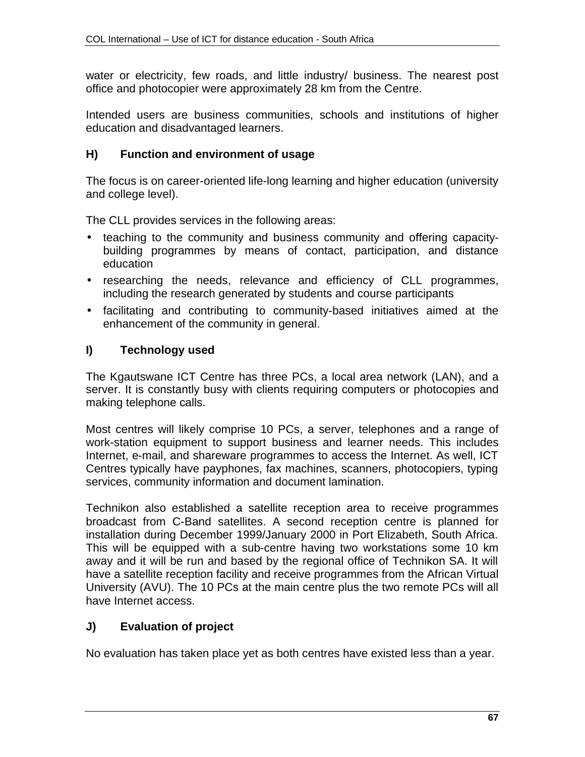water or electricity, few roads, and little industry/ business. The nearest post office and photocopier were approximately 28 km from the Centre.

Intended users are business communities, schools and institutions of higher education and disadvantaged learners.

# **H) Function and environment of usage**

The focus is on career-oriented life-long learning and higher education (university and college level).

The CLL provides services in the following areas:

- teaching to the community and business community and offering capacitybuilding programmes by means of contact, participation, and distance education
- researching the needs, relevance and efficiency of CLL programmes, including the research generated by students and course participants
- facilitating and contributing to community-based initiatives aimed at the enhancement of the community in general.

# **I) Technology used**

The Kgautswane ICT Centre has three PCs, a local area network (LAN), and a server. It is constantly busy with clients requiring computers or photocopies and making telephone calls.

Most centres will likely comprise 10 PCs, a server, telephones and a range of work-station equipment to support business and learner needs. This includes Internet, e-mail, and shareware programmes to access the Internet. As well, ICT Centres typically have payphones, fax machines, scanners, photocopiers, typing services, community information and document lamination.

Technikon also established a satellite reception area to receive programmes broadcast from C-Band satellites. A second reception centre is planned for installation during December 1999/January 2000 in Port Elizabeth, South Africa. This will be equipped with a sub-centre having two workstations some 10 km away and it will be run and based by the regional office of Technikon SA. It will have a satellite reception facility and receive programmes from the African Virtual University (AVU). The 10 PCs at the main centre plus the two remote PCs will all have Internet access.

# **J) Evaluation of project**

No evaluation has taken place yet as both centres have existed less than a year.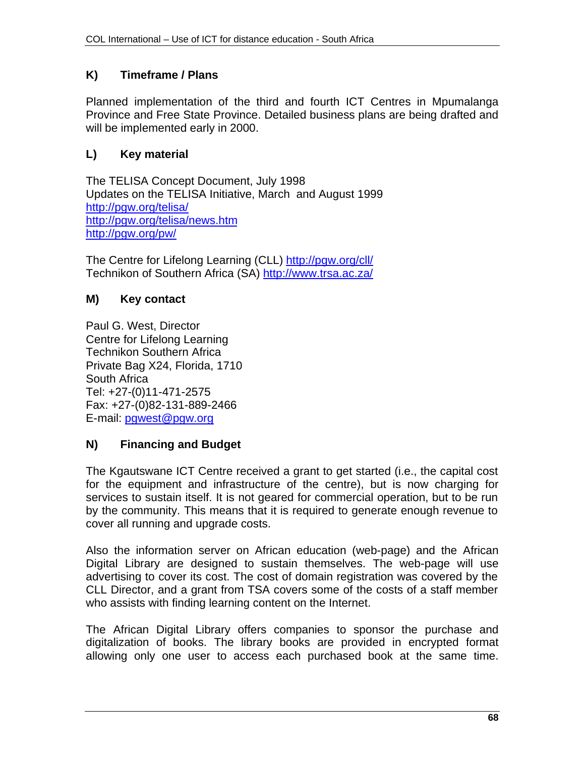# **K) Timeframe / Plans**

Planned implementation of the third and fourth ICT Centres in Mpumalanga Province and Free State Province. Detailed business plans are being drafted and will be implemented early in 2000.

## **L) Key material**

The TELISA Concept Document, July 1998 Updates on the TELISA Initiative, March and August 1999 http://pgw.org/telisa/ http://pgw.org/telisa/news.htm http://pgw.org/pw/

The Centre for Lifelong Learning (CLL) http://pgw.org/cll/ Technikon of Southern Africa (SA) http://www.trsa.ac.za/

## **M) Key contact**

Paul G. West, Director Centre for Lifelong Learning Technikon Southern Africa Private Bag X24, Florida, 1710 South Africa Tel: +27-(0)11-471-2575 Fax: +27-(0)82-131-889-2466 E-mail: pgwest@pgw.org

# **N) Financing and Budget**

The Kgautswane ICT Centre received a grant to get started (i.e., the capital cost for the equipment and infrastructure of the centre), but is now charging for services to sustain itself. It is not geared for commercial operation, but to be run by the community. This means that it is required to generate enough revenue to cover all running and upgrade costs.

Also the information server on African education (web-page) and the African Digital Library are designed to sustain themselves. The web-page will use advertising to cover its cost. The cost of domain registration was covered by the CLL Director, and a grant from TSA covers some of the costs of a staff member who assists with finding learning content on the Internet.

The African Digital Library offers companies to sponsor the purchase and digitalization of books. The library books are provided in encrypted format allowing only one user to access each purchased book at the same time.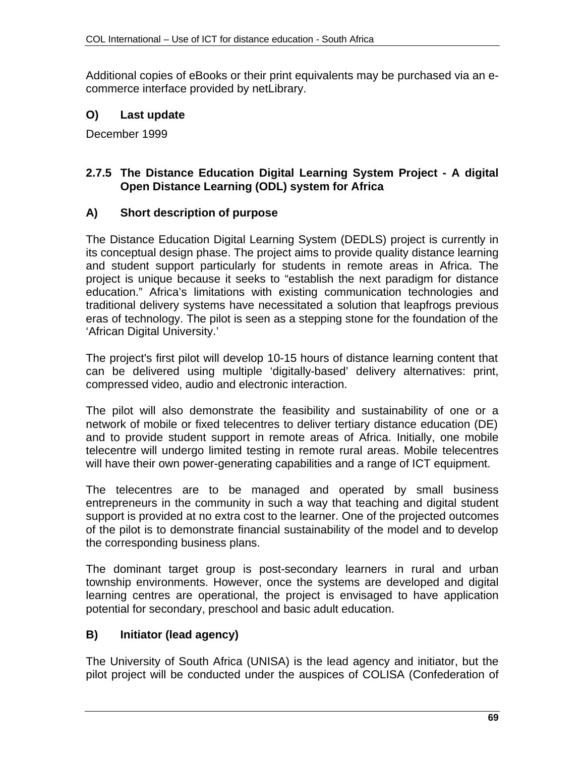Additional copies of eBooks or their print equivalents may be purchased via an ecommerce interface provided by netLibrary.

## **O) Last update**

December 1999

## **2.7.5 The Distance Education Digital Learning System Project - A digital Open Distance Learning (ODL) system for Africa**

#### **A) Short description of purpose**

The Distance Education Digital Learning System (DEDLS) project is currently in its conceptual design phase. The project aims to provide quality distance learning and student support particularly for students in remote areas in Africa. The project is unique because it seeks to "establish the next paradigm for distance education." Africa's limitations with existing communication technologies and traditional delivery systems have necessitated a solution that leapfrogs previous eras of technology. The pilot is seen as a stepping stone for the foundation of the 'African Digital University.'

The project's first pilot will develop 10-15 hours of distance learning content that can be delivered using multiple 'digitally-based' delivery alternatives: print, compressed video, audio and electronic interaction.

The pilot will also demonstrate the feasibility and sustainability of one or a network of mobile or fixed telecentres to deliver tertiary distance education (DE) and to provide student support in remote areas of Africa. Initially, one mobile telecentre will undergo limited testing in remote rural areas. Mobile telecentres will have their own power-generating capabilities and a range of ICT equipment.

The telecentres are to be managed and operated by small business entrepreneurs in the community in such a way that teaching and digital student support is provided at no extra cost to the learner. One of the projected outcomes of the pilot is to demonstrate financial sustainability of the model and to develop the corresponding business plans.

The dominant target group is post-secondary learners in rural and urban township environments. However, once the systems are developed and digital learning centres are operational, the project is envisaged to have application potential for secondary, preschool and basic adult education.

## **B) Initiator (lead agency)**

The University of South Africa (UNISA) is the lead agency and initiator, but the pilot project will be conducted under the auspices of COLISA (Confederation of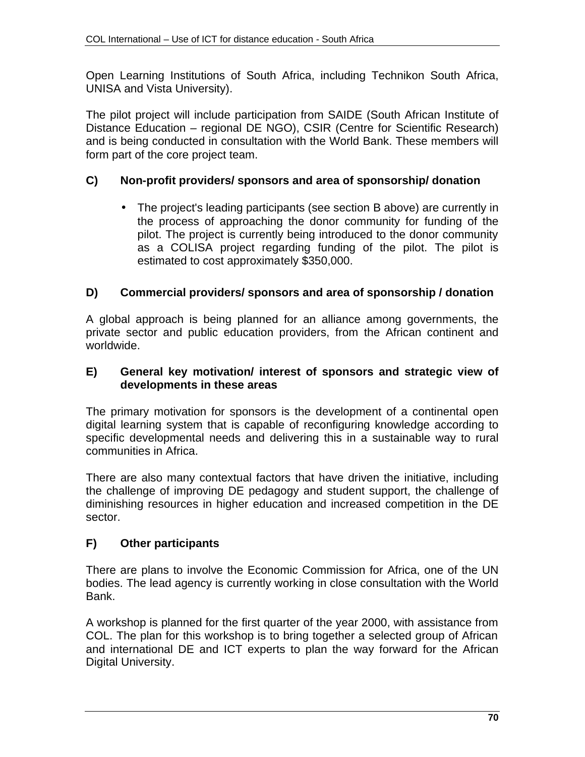Open Learning Institutions of South Africa, including Technikon South Africa, UNISA and Vista University).

The pilot project will include participation from SAIDE (South African Institute of Distance Education – regional DE NGO), CSIR (Centre for Scientific Research) and is being conducted in consultation with the World Bank. These members will form part of the core project team.

# **C) Non-profit providers/ sponsors and area of sponsorship/ donation**

• The project's leading participants (see section B above) are currently in the process of approaching the donor community for funding of the pilot. The project is currently being introduced to the donor community as a COLISA project regarding funding of the pilot. The pilot is estimated to cost approximately \$350,000.

# **D) Commercial providers/ sponsors and area of sponsorship / donation**

A global approach is being planned for an alliance among governments, the private sector and public education providers, from the African continent and worldwide.

## **E) General key motivation/ interest of sponsors and strategic view of developments in these areas**

The primary motivation for sponsors is the development of a continental open digital learning system that is capable of reconfiguring knowledge according to specific developmental needs and delivering this in a sustainable way to rural communities in Africa.

There are also many contextual factors that have driven the initiative, including the challenge of improving DE pedagogy and student support, the challenge of diminishing resources in higher education and increased competition in the DE sector.

# **F) Other participants**

There are plans to involve the Economic Commission for Africa, one of the UN bodies. The lead agency is currently working in close consultation with the World Bank.

A workshop is planned for the first quarter of the year 2000, with assistance from COL. The plan for this workshop is to bring together a selected group of African and international DE and ICT experts to plan the way forward for the African Digital University.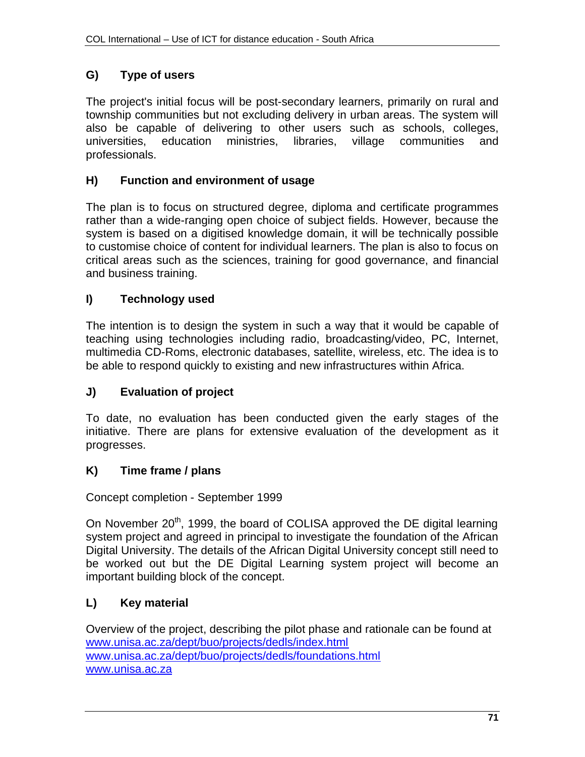# **G) Type of users**

The project's initial focus will be post-secondary learners, primarily on rural and township communities but not excluding delivery in urban areas. The system will also be capable of delivering to other users such as schools, colleges, universities, education ministries, libraries, village communities and professionals.

## **H) Function and environment of usage**

The plan is to focus on structured degree, diploma and certificate programmes rather than a wide-ranging open choice of subject fields. However, because the system is based on a digitised knowledge domain, it will be technically possible to customise choice of content for individual learners. The plan is also to focus on critical areas such as the sciences, training for good governance, and financial and business training.

## **I) Technology used**

The intention is to design the system in such a way that it would be capable of teaching using technologies including radio, broadcasting/video, PC, Internet, multimedia CD-Roms, electronic databases, satellite, wireless, etc. The idea is to be able to respond quickly to existing and new infrastructures within Africa.

# **J) Evaluation of project**

To date, no evaluation has been conducted given the early stages of the initiative. There are plans for extensive evaluation of the development as it progresses.

## **K) Time frame / plans**

Concept completion - September 1999

On November 20<sup>th</sup>, 1999, the board of COLISA approved the DE digital learning system project and agreed in principal to investigate the foundation of the African Digital University. The details of the African Digital University concept still need to be worked out but the DE Digital Learning system project will become an important building block of the concept.

## **L) Key material**

Overview of the project, describing the pilot phase and rationale can be found at www.unisa.ac.za/dept/buo/projects/dedls/index.html www.unisa.ac.za/dept/buo/projects/dedls/foundations.html www.unisa.ac.za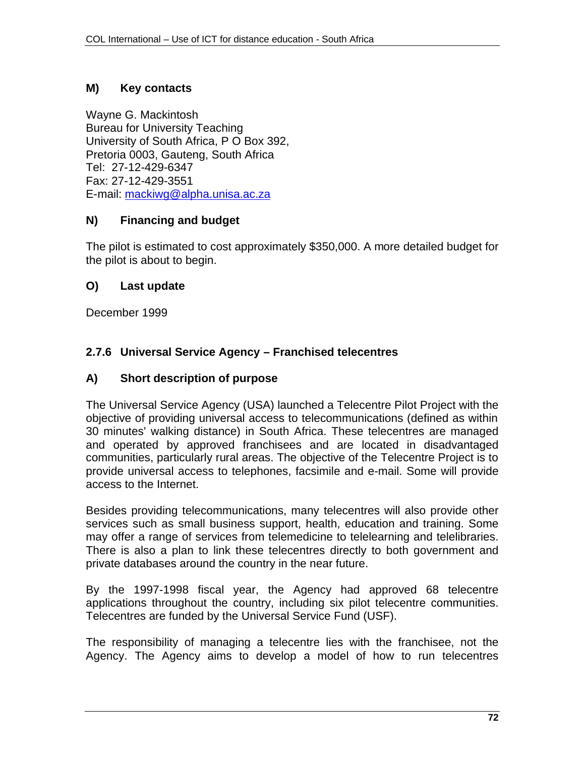## **M) Key contacts**

Wayne G. Mackintosh Bureau for University Teaching University of South Africa, P O Box 392, Pretoria 0003, Gauteng, South Africa Tel: 27-12-429-6347 Fax: 27-12-429-3551 E-mail: mackiwg@alpha.unisa.ac.za

#### **N) Financing and budget**

The pilot is estimated to cost approximately \$350,000. A more detailed budget for the pilot is about to begin.

#### **O) Last update**

December 1999

## **2.7.6 Universal Service Agency – Franchised telecentres**

#### **A) Short description of purpose**

The Universal Service Agency (USA) launched a Telecentre Pilot Project with the objective of providing universal access to telecommunications (defined as within 30 minutes' walking distance) in South Africa. These telecentres are managed and operated by approved franchisees and are located in disadvantaged communities, particularly rural areas. The objective of the Telecentre Project is to provide universal access to telephones, facsimile and e-mail. Some will provide access to the Internet.

Besides providing telecommunications, many telecentres will also provide other services such as small business support, health, education and training. Some may offer a range of services from telemedicine to telelearning and telelibraries. There is also a plan to link these telecentres directly to both government and private databases around the country in the near future.

By the 1997-1998 fiscal year, the Agency had approved 68 telecentre applications throughout the country, including six pilot telecentre communities. Telecentres are funded by the Universal Service Fund (USF).

The responsibility of managing a telecentre lies with the franchisee, not the Agency. The Agency aims to develop a model of how to run telecentres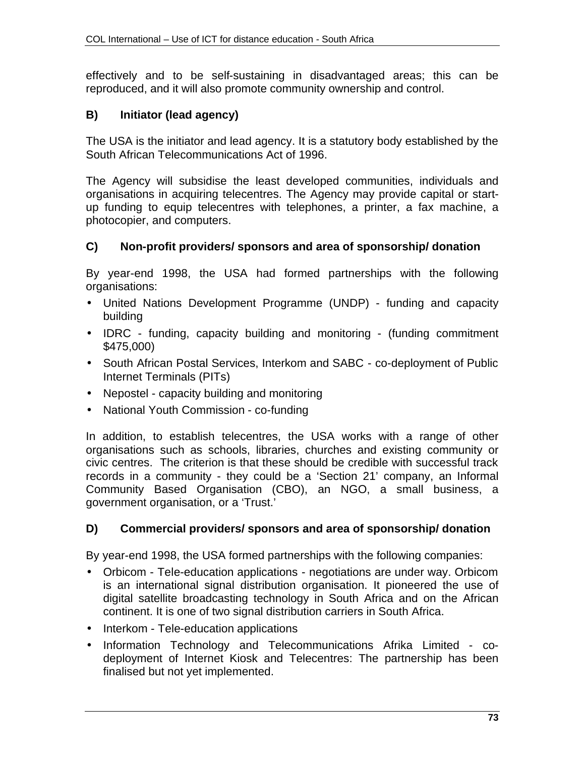effectively and to be self-sustaining in disadvantaged areas; this can be reproduced, and it will also promote community ownership and control.

## **B) Initiator (lead agency)**

The USA is the initiator and lead agency. It is a statutory body established by the South African Telecommunications Act of 1996.

The Agency will subsidise the least developed communities, individuals and organisations in acquiring telecentres. The Agency may provide capital or startup funding to equip telecentres with telephones, a printer, a fax machine, a photocopier, and computers.

## **C) Non-profit providers/ sponsors and area of sponsorship/ donation**

By year-end 1998, the USA had formed partnerships with the following organisations:

- United Nations Development Programme (UNDP) funding and capacity building
- IDRC funding, capacity building and monitoring (funding commitment \$475,000)
- South African Postal Services, Interkom and SABC co-deployment of Public Internet Terminals (PITs)
- Nepostel capacity building and monitoring
- National Youth Commission co-funding

In addition, to establish telecentres, the USA works with a range of other organisations such as schools, libraries, churches and existing community or civic centres. The criterion is that these should be credible with successful track records in a community - they could be a 'Section 21' company, an Informal Community Based Organisation (CBO), an NGO, a small business, a government organisation, or a 'Trust.'

## **D) Commercial providers/ sponsors and area of sponsorship/ donation**

By year-end 1998, the USA formed partnerships with the following companies:

- Orbicom Tele-education applications negotiations are under way. Orbicom is an international signal distribution organisation. It pioneered the use of digital satellite broadcasting technology in South Africa and on the African continent. It is one of two signal distribution carriers in South Africa.
- Interkom Tele-education applications
- Information Technology and Telecommunications Afrika Limited codeployment of Internet Kiosk and Telecentres: The partnership has been finalised but not yet implemented.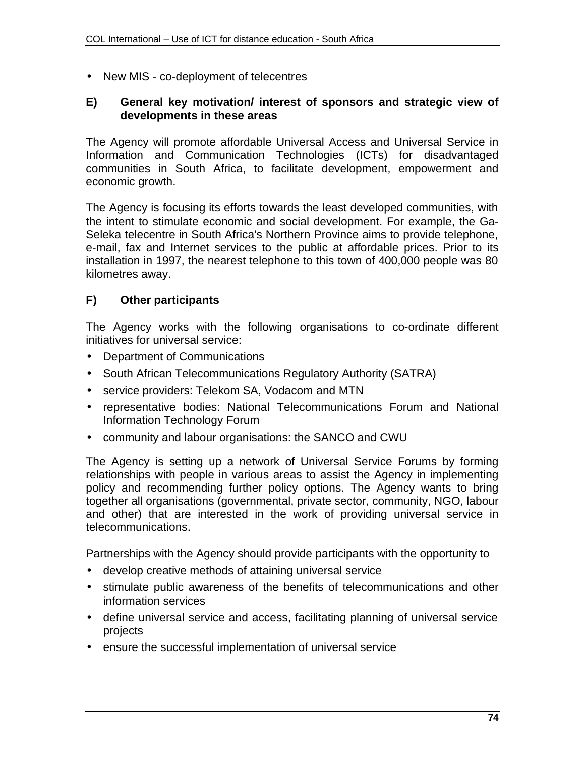• New MIS - co-deployment of telecentres

### **E) General key motivation/ interest of sponsors and strategic view of developments in these areas**

The Agency will promote affordable Universal Access and Universal Service in Information and Communication Technologies (ICTs) for disadvantaged communities in South Africa, to facilitate development, empowerment and economic growth.

The Agency is focusing its efforts towards the least developed communities, with the intent to stimulate economic and social development. For example, the Ga-Seleka telecentre in South Africa's Northern Province aims to provide telephone, e-mail, fax and Internet services to the public at affordable prices. Prior to its installation in 1997, the nearest telephone to this town of 400,000 people was 80 kilometres away.

## **F) Other participants**

The Agency works with the following organisations to co-ordinate different initiatives for universal service:

- Department of Communications
- South African Telecommunications Regulatory Authority (SATRA)
- service providers: Telekom SA, Vodacom and MTN
- representative bodies: National Telecommunications Forum and National Information Technology Forum
- community and labour organisations: the SANCO and CWU

The Agency is setting up a network of Universal Service Forums by forming relationships with people in various areas to assist the Agency in implementing policy and recommending further policy options. The Agency wants to bring together all organisations (governmental, private sector, community, NGO, labour and other) that are interested in the work of providing universal service in telecommunications.

Partnerships with the Agency should provide participants with the opportunity to

- develop creative methods of attaining universal service
- stimulate public awareness of the benefits of telecommunications and other information services
- define universal service and access, facilitating planning of universal service projects
- ensure the successful implementation of universal service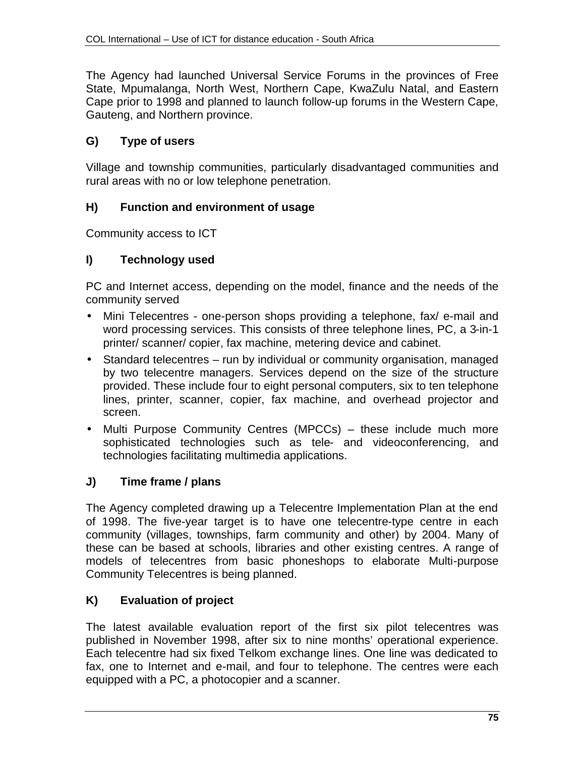The Agency had launched Universal Service Forums in the provinces of Free State, Mpumalanga, North West, Northern Cape, KwaZulu Natal, and Eastern Cape prior to 1998 and planned to launch follow-up forums in the Western Cape, Gauteng, and Northern province.

## **G) Type of users**

Village and township communities, particularly disadvantaged communities and rural areas with no or low telephone penetration.

## **H) Function and environment of usage**

Community access to ICT

## **I) Technology used**

PC and Internet access, depending on the model, finance and the needs of the community served

- Mini Telecentres one-person shops providing a telephone, fax/ e-mail and word processing services. This consists of three telephone lines, PC, a 3-in-1 printer/ scanner/ copier, fax machine, metering device and cabinet.
- Standard telecentres run by individual or community organisation, managed by two telecentre managers. Services depend on the size of the structure provided. These include four to eight personal computers, six to ten telephone lines, printer, scanner, copier, fax machine, and overhead projector and screen.
- Multi Purpose Community Centres (MPCCs) these include much more sophisticated technologies such as tele- and videoconferencing, and technologies facilitating multimedia applications.

# **J) Time frame / plans**

The Agency completed drawing up a Telecentre Implementation Plan at the end of 1998. The five-year target is to have one telecentre-type centre in each community (villages, townships, farm community and other) by 2004. Many of these can be based at schools, libraries and other existing centres. A range of models of telecentres from basic phoneshops to elaborate Multi-purpose Community Telecentres is being planned.

## **K) Evaluation of project**

The latest available evaluation report of the first six pilot telecentres was published in November 1998, after six to nine months' operational experience. Each telecentre had six fixed Telkom exchange lines. One line was dedicated to fax, one to Internet and e-mail, and four to telephone. The centres were each equipped with a PC, a photocopier and a scanner.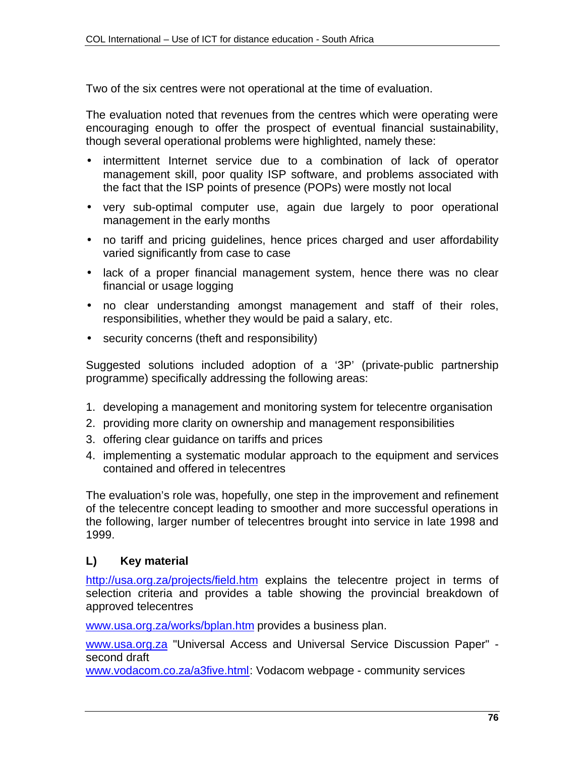Two of the six centres were not operational at the time of evaluation.

The evaluation noted that revenues from the centres which were operating were encouraging enough to offer the prospect of eventual financial sustainability, though several operational problems were highlighted, namely these:

- intermittent Internet service due to a combination of lack of operator management skill, poor quality ISP software, and problems associated with the fact that the ISP points of presence (POPs) were mostly not local
- very sub-optimal computer use, again due largely to poor operational management in the early months
- no tariff and pricing guidelines, hence prices charged and user affordability varied significantly from case to case
- lack of a proper financial management system, hence there was no clear financial or usage logging
- no clear understanding amongst management and staff of their roles, responsibilities, whether they would be paid a salary, etc.
- security concerns (theft and responsibility)

Suggested solutions included adoption of a '3P' (private-public partnership programme) specifically addressing the following areas:

- 1. developing a management and monitoring system for telecentre organisation
- 2. providing more clarity on ownership and management responsibilities
- 3. offering clear guidance on tariffs and prices
- 4. implementing a systematic modular approach to the equipment and services contained and offered in telecentres

The evaluation's role was, hopefully, one step in the improvement and refinement of the telecentre concept leading to smoother and more successful operations in the following, larger number of telecentres brought into service in late 1998 and 1999.

## **L) Key material**

http://usa.org.za/projects/field.htm explains the telecentre project in terms of selection criteria and provides a table showing the provincial breakdown of approved telecentres

www.usa.org.za/works/bplan.htm provides a business plan.

www.usa.org.za "Universal Access and Universal Service Discussion Paper" second draft

www.vodacom.co.za/a3five.html: Vodacom webpage - community services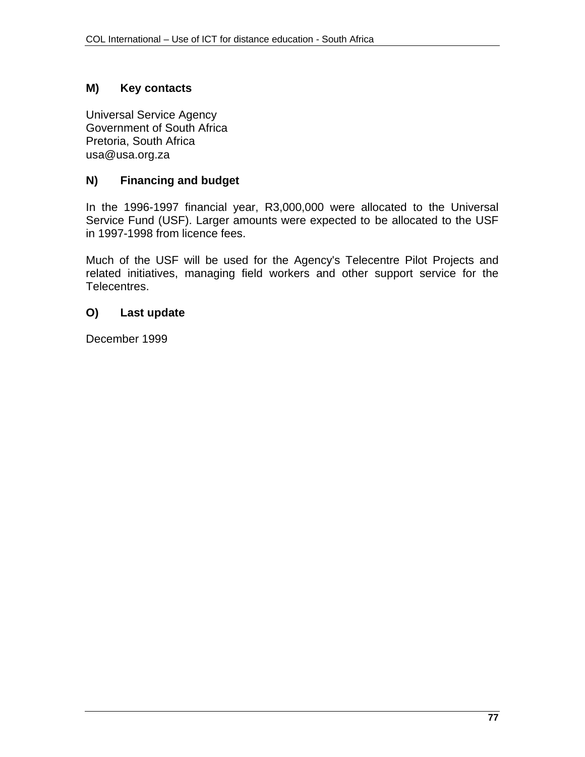## **M) Key contacts**

Universal Service Agency Government of South Africa Pretoria, South Africa usa@usa.org.za

## **N) Financing and budget**

In the 1996-1997 financial year, R3,000,000 were allocated to the Universal Service Fund (USF). Larger amounts were expected to be allocated to the USF in 1997-1998 from licence fees.

Much of the USF will be used for the Agency's Telecentre Pilot Projects and related initiatives, managing field workers and other support service for the Telecentres.

#### **O) Last update**

December 1999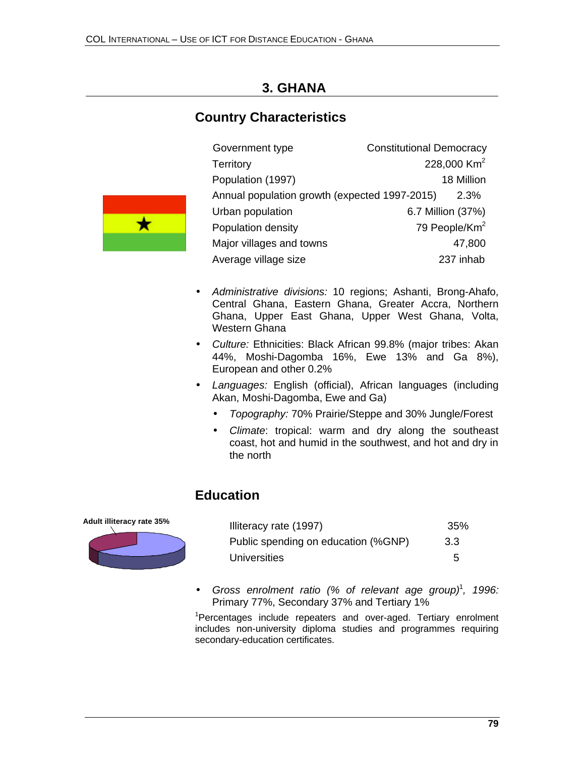# **3. GHANA**

# **Country Characteristics**

| Government type                               | <b>Constitutional Democracy</b> |                           |
|-----------------------------------------------|---------------------------------|---------------------------|
| <b>Territory</b>                              |                                 | 228,000 Km <sup>2</sup>   |
| Population (1997)                             |                                 | 18 Million                |
| Annual population growth (expected 1997-2015) |                                 | 2.3%                      |
| Urban population                              |                                 | 6.7 Million (37%)         |
| Population density                            |                                 | 79 People/Km <sup>2</sup> |
| Major villages and towns                      |                                 | 47,800                    |
| Average village size                          |                                 | 237 inhab                 |



- *Culture:* Ethnicities: Black African 99.8% (major tribes: Akan 44%, Moshi-Dagomba 16%, Ewe 13% and Ga 8%), European and other 0.2%
- *Languages:* English (official), African languages (including Akan, Moshi-Dagomba, Ewe and Ga)
	- *Topography:* 70% Prairie/Steppe and 30% Jungle/Forest
	- *Climate*: tropical: warm and dry along the southeast coast, hot and humid in the southwest, and hot and dry in the north

# **Education**



 $\star$ 

| Illiteracy rate (1997)              | 35% |
|-------------------------------------|-----|
| Public spending on education (%GNP) | 3.3 |
| Universities                        | 5   |

• *Gross enrolment ratio (% of relevant age group)*<sup>1</sup> *, 1996:* Primary 77%, Secondary 37% and Tertiary 1%

<sup>1</sup>Percentages include repeaters and over-aged. Tertiary enrolment includes non-university diploma studies and programmes requiring secondary-education certificates.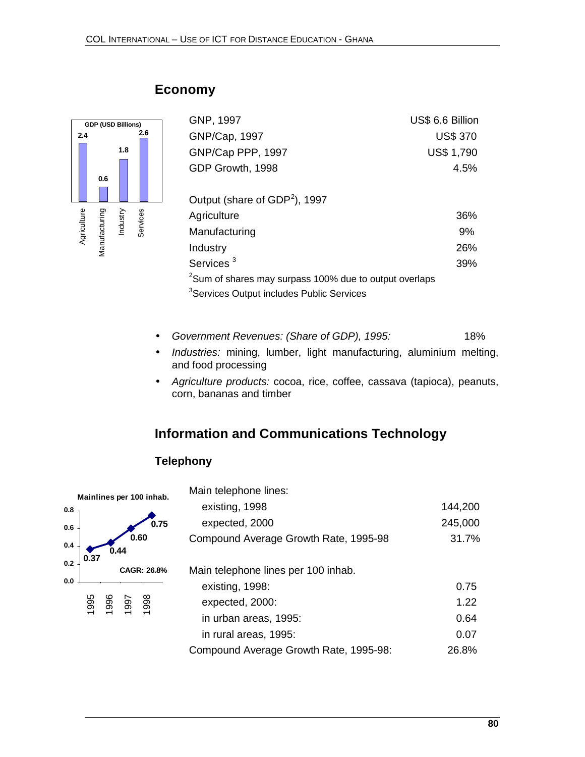

| <b>Economy</b> |  |
|----------------|--|
|----------------|--|

| GNP, 1997                                                          | US\$ 6.6 Billion  |
|--------------------------------------------------------------------|-------------------|
| GNP/Cap, 1997                                                      | <b>US\$ 370</b>   |
| GNP/Cap PPP, 1997                                                  | <b>US\$ 1,790</b> |
| GDP Growth, 1998                                                   | 4.5%              |
|                                                                    |                   |
| Output (share of GDP <sup>2</sup> ), 1997                          |                   |
| Agriculture                                                        | 36%               |
| Manufacturing                                                      | 9%                |
| Industry                                                           | 26%               |
| Services <sup>3</sup>                                              | 39%               |
| <sup>2</sup> Sum of shares may surpass 100% due to output overlaps |                   |
| <sup>3</sup> Services Output includes Public Services              |                   |

- *Government Revenues: (Share of GDP), 1995:* 18%
- *Industries:* mining, lumber, light manufacturing, aluminium melting, and food processing
- *Agriculture products:* cocoa, rice, coffee, cassava (tapioca), peanuts, corn, bananas and timber

# **Information and Communications Technology**

# **Telephony**



| Main telephone lines:                  |         |
|----------------------------------------|---------|
| existing, 1998                         | 144,200 |
| expected, 2000                         | 245,000 |
| Compound Average Growth Rate, 1995-98  | 31.7%   |
| Main telephone lines per 100 inhab.    |         |
| existing, 1998:                        | 0.75    |
| expected, 2000:                        | 1.22    |
| in urban areas, 1995:                  | 0.64    |
| in rural areas, 1995:                  | 0.07    |
| Compound Average Growth Rate, 1995-98: | 26.8%   |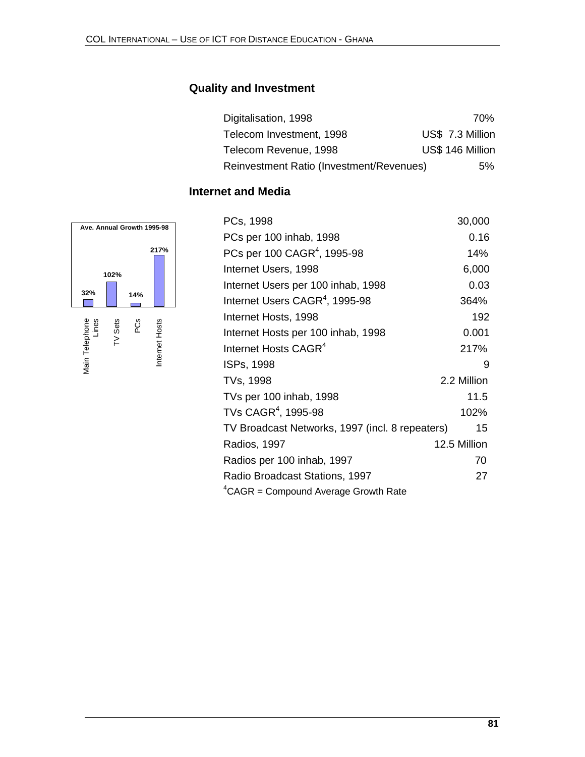# **Quality and Investment**

| Digitalisation, 1998                     |  | 70%              |
|------------------------------------------|--|------------------|
| Telecom Investment, 1998                 |  | US\$ 7.3 Million |
| Telecom Revenue, 1998                    |  | US\$ 146 Million |
| Reinvestment Ratio (Investment/Revenues) |  | 5%               |

# **Internet and Media**



| PCs, 1998                                       | 30,000       |
|-------------------------------------------------|--------------|
| PCs per 100 inhab, 1998                         | 0.16         |
| PCs per 100 CAGR <sup>4</sup> , 1995-98         | 14%          |
| Internet Users, 1998                            | 6,000        |
| Internet Users per 100 inhab, 1998              | 0.03         |
| Internet Users CAGR <sup>4</sup> , 1995-98      | 364%         |
| Internet Hosts, 1998                            | 192          |
| Internet Hosts per 100 inhab, 1998              | 0.001        |
| Internet Hosts CAGR <sup>4</sup>                | 217%         |
| ISPs, 1998                                      | 9            |
| TVs, 1998                                       | 2.2 Million  |
| TVs per 100 inhab, 1998                         | 11.5         |
| TVs CAGR <sup>4</sup> , 1995-98                 | 102%         |
| TV Broadcast Networks, 1997 (incl. 8 repeaters) | 15           |
| <b>Radios, 1997</b>                             | 12.5 Million |
| Radios per 100 inhab, 1997                      | 70           |
| Radio Broadcast Stations, 1997                  | 27           |
| ${}^4$ CAGR = Compound Average Growth Rate      |              |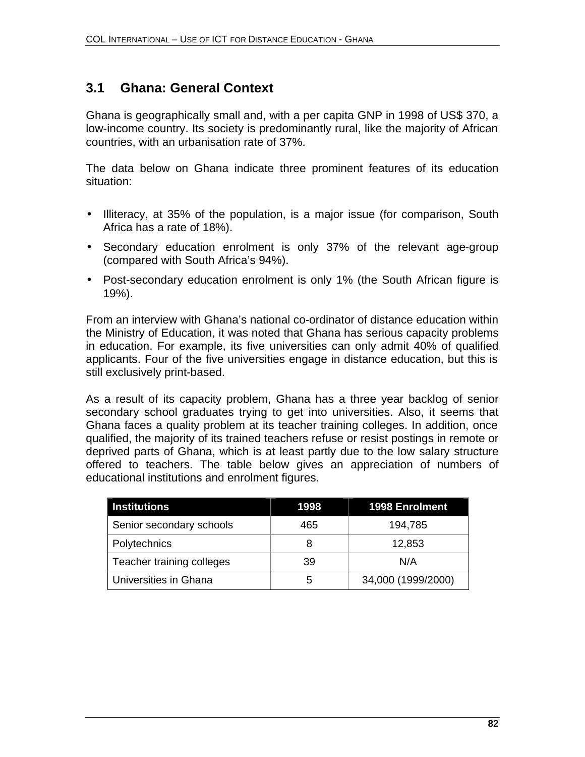# **3.1 Ghana: General Context**

Ghana is geographically small and, with a per capita GNP in 1998 of US\$ 370, a low-income country. Its society is predominantly rural, like the majority of African countries, with an urbanisation rate of 37%.

The data below on Ghana indicate three prominent features of its education situation:

- Illiteracy, at 35% of the population, is a major issue (for comparison, South Africa has a rate of 18%).
- Secondary education enrolment is only 37% of the relevant age-group (compared with South Africa's 94%).
- Post-secondary education enrolment is only 1% (the South African figure is 19%).

From an interview with Ghana's national co-ordinator of distance education within the Ministry of Education, it was noted that Ghana has serious capacity problems in education. For example, its five universities can only admit 40% of qualified applicants. Four of the five universities engage in distance education, but this is still exclusively print-based.

As a result of its capacity problem, Ghana has a three year backlog of senior secondary school graduates trying to get into universities. Also, it seems that Ghana faces a quality problem at its teacher training colleges. In addition, once qualified, the majority of its trained teachers refuse or resist postings in remote or deprived parts of Ghana, which is at least partly due to the low salary structure offered to teachers. The table below gives an appreciation of numbers of educational institutions and enrolment figures.

| <b>Institutions</b>       | 1998 | <b>1998 Enrolment</b> |
|---------------------------|------|-----------------------|
| Senior secondary schools  | 465  | 194,785               |
| Polytechnics              | 8    | 12,853                |
| Teacher training colleges | 39   | N/A                   |
| Universities in Ghana     | 5    | 34,000 (1999/2000)    |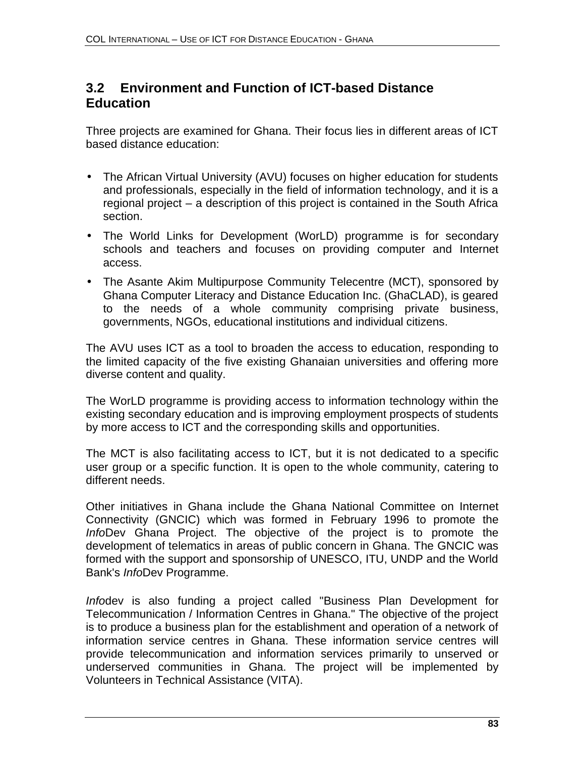# **3.2 Environment and Function of ICT-based Distance Education**

Three projects are examined for Ghana. Their focus lies in different areas of ICT based distance education:

- The African Virtual University (AVU) focuses on higher education for students and professionals, especially in the field of information technology, and it is a regional project – a description of this project is contained in the South Africa section.
- The World Links for Development (WorLD) programme is for secondary schools and teachers and focuses on providing computer and Internet access.
- The Asante Akim Multipurpose Community Telecentre (MCT), sponsored by Ghana Computer Literacy and Distance Education Inc. (GhaCLAD), is geared to the needs of a whole community comprising private business, governments, NGOs, educational institutions and individual citizens.

The AVU uses ICT as a tool to broaden the access to education, responding to the limited capacity of the five existing Ghanaian universities and offering more diverse content and quality.

The WorLD programme is providing access to information technology within the existing secondary education and is improving employment prospects of students by more access to ICT and the corresponding skills and opportunities.

The MCT is also facilitating access to ICT, but it is not dedicated to a specific user group or a specific function. It is open to the whole community, catering to different needs.

Other initiatives in Ghana include the Ghana National Committee on Internet Connectivity (GNCIC) which was formed in February 1996 to promote the *Info*Dev Ghana Project. The objective of the project is to promote the development of telematics in areas of public concern in Ghana. The GNCIC was formed with the support and sponsorship of UNESCO, ITU, UNDP and the World Bank's *Info*Dev Programme.

*Info*dev is also funding a project called "Business Plan Development for Telecommunication / Information Centres in Ghana." The objective of the project is to produce a business plan for the establishment and operation of a network of information service centres in Ghana. These information service centres will provide telecommunication and information services primarily to unserved or underserved communities in Ghana. The project will be implemented by Volunteers in Technical Assistance (VITA).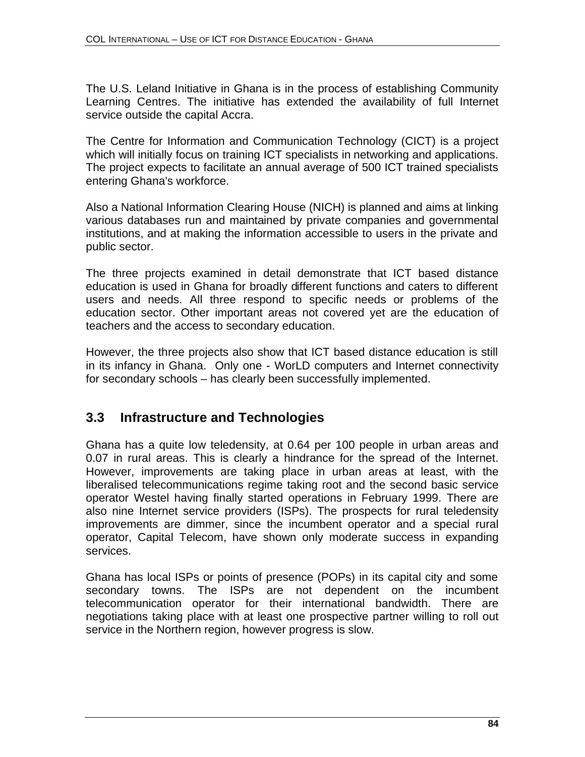The U.S. Leland Initiative in Ghana is in the process of establishing Community Learning Centres. The initiative has extended the availability of full Internet service outside the capital Accra.

The Centre for Information and Communication Technology (CICT) is a project which will initially focus on training ICT specialists in networking and applications. The project expects to facilitate an annual average of 500 ICT trained specialists entering Ghana's workforce.

Also a National Information Clearing House (NICH) is planned and aims at linking various databases run and maintained by private companies and governmental institutions, and at making the information accessible to users in the private and public sector.

The three projects examined in detail demonstrate that ICT based distance education is used in Ghana for broadly different functions and caters to different users and needs. All three respond to specific needs or problems of the education sector. Other important areas not covered yet are the education of teachers and the access to secondary education.

However, the three projects also show that ICT based distance education is still in its infancy in Ghana. Only one - WorLD computers and Internet connectivity for secondary schools – has clearly been successfully implemented.

# **3.3 Infrastructure and Technologies**

Ghana has a quite low teledensity, at 0.64 per 100 people in urban areas and 0.07 in rural areas. This is clearly a hindrance for the spread of the Internet. However, improvements are taking place in urban areas at least, with the liberalised telecommunications regime taking root and the second basic service operator Westel having finally started operations in February 1999. There are also nine Internet service providers (ISPs). The prospects for rural teledensity improvements are dimmer, since the incumbent operator and a special rural operator, Capital Telecom, have shown only moderate success in expanding services.

Ghana has local ISPs or points of presence (POPs) in its capital city and some secondary towns. The ISPs are not dependent on the incumbent telecommunication operator for their international bandwidth. There are negotiations taking place with at least one prospective partner willing to roll out service in the Northern region, however progress is slow.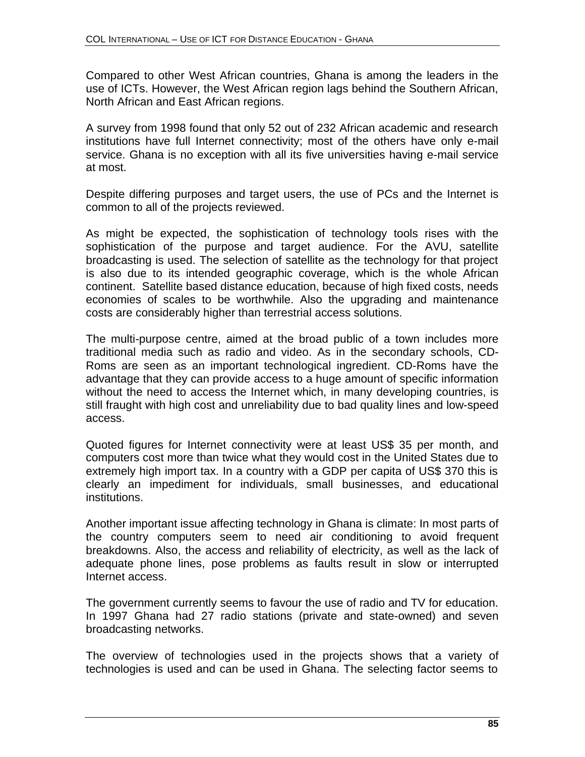Compared to other West African countries, Ghana is among the leaders in the use of ICTs. However, the West African region lags behind the Southern African, North African and East African regions.

A survey from 1998 found that only 52 out of 232 African academic and research institutions have full Internet connectivity; most of the others have only e-mail service. Ghana is no exception with all its five universities having e-mail service at most.

Despite differing purposes and target users, the use of PCs and the Internet is common to all of the projects reviewed.

As might be expected, the sophistication of technology tools rises with the sophistication of the purpose and target audience. For the AVU, satellite broadcasting is used. The selection of satellite as the technology for that project is also due to its intended geographic coverage, which is the whole African continent. Satellite based distance education, because of high fixed costs, needs economies of scales to be worthwhile. Also the upgrading and maintenance costs are considerably higher than terrestrial access solutions.

The multi-purpose centre, aimed at the broad public of a town includes more traditional media such as radio and video. As in the secondary schools, CD-Roms are seen as an important technological ingredient. CD-Roms have the advantage that they can provide access to a huge amount of specific information without the need to access the Internet which, in many developing countries, is still fraught with high cost and unreliability due to bad quality lines and low-speed access.

Quoted figures for Internet connectivity were at least US\$ 35 per month, and computers cost more than twice what they would cost in the United States due to extremely high import tax. In a country with a GDP per capita of US\$ 370 this is clearly an impediment for individuals, small businesses, and educational institutions.

Another important issue affecting technology in Ghana is climate: In most parts of the country computers seem to need air conditioning to avoid frequent breakdowns. Also, the access and reliability of electricity, as well as the lack of adequate phone lines, pose problems as faults result in slow or interrupted Internet access.

The government currently seems to favour the use of radio and TV for education. In 1997 Ghana had 27 radio stations (private and state-owned) and seven broadcasting networks.

The overview of technologies used in the projects shows that a variety of technologies is used and can be used in Ghana. The selecting factor seems to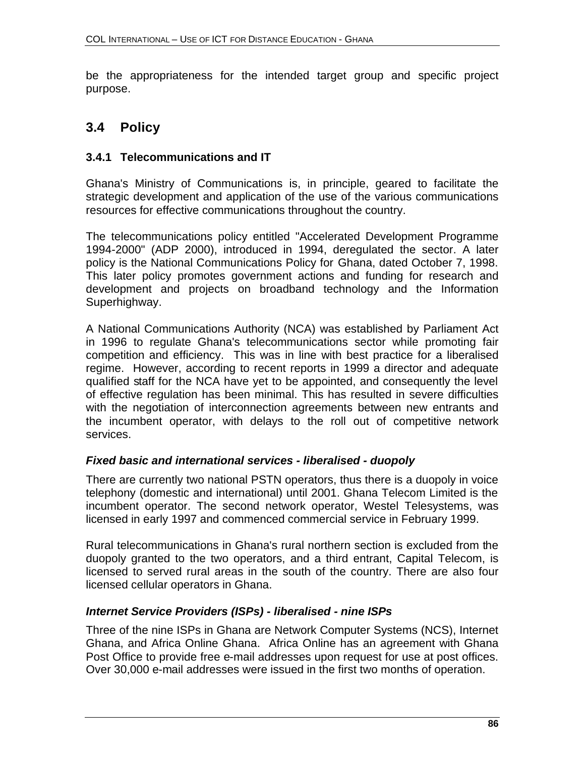be the appropriateness for the intended target group and specific project purpose.

# **3.4 Policy**

## **3.4.1 Telecommunications and IT**

Ghana's Ministry of Communications is, in principle, geared to facilitate the strategic development and application of the use of the various communications resources for effective communications throughout the country.

The telecommunications policy entitled "Accelerated Development Programme 1994-2000" (ADP 2000), introduced in 1994, deregulated the sector. A later policy is the National Communications Policy for Ghana, dated October 7, 1998. This later policy promotes government actions and funding for research and development and projects on broadband technology and the Information Superhighway.

A National Communications Authority (NCA) was established by Parliament Act in 1996 to regulate Ghana's telecommunications sector while promoting fair competition and efficiency. This was in line with best practice for a liberalised regime. However, according to recent reports in 1999 a director and adequate qualified staff for the NCA have yet to be appointed, and consequently the level of effective regulation has been minimal. This has resulted in severe difficulties with the negotiation of interconnection agreements between new entrants and the incumbent operator, with delays to the roll out of competitive network services.

## *Fixed basic and international services - liberalised - duopoly*

There are currently two national PSTN operators, thus there is a duopoly in voice telephony (domestic and international) until 2001. Ghana Telecom Limited is the incumbent operator. The second network operator, Westel Telesystems, was licensed in early 1997 and commenced commercial service in February 1999.

Rural telecommunications in Ghana's rural northern section is excluded from the duopoly granted to the two operators, and a third entrant, Capital Telecom, is licensed to served rural areas in the south of the country. There are also four licensed cellular operators in Ghana.

## *Internet Service Providers (ISPs) - liberalised - nine ISPs*

Three of the nine ISPs in Ghana are Network Computer Systems (NCS), Internet Ghana, and Africa Online Ghana. Africa Online has an agreement with Ghana Post Office to provide free e-mail addresses upon request for use at post offices. Over 30,000 e-mail addresses were issued in the first two months of operation.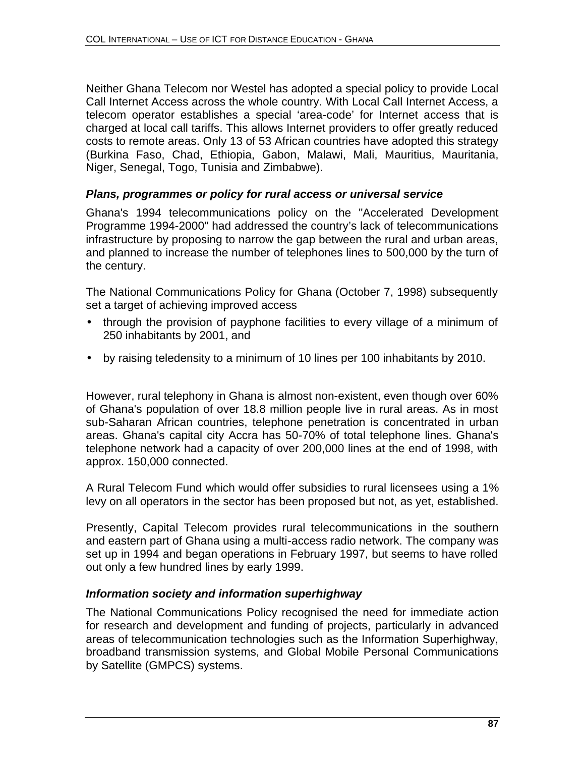Neither Ghana Telecom nor Westel has adopted a special policy to provide Local Call Internet Access across the whole country. With Local Call Internet Access, a telecom operator establishes a special 'area-code' for Internet access that is charged at local call tariffs. This allows Internet providers to offer greatly reduced costs to remote areas. Only 13 of 53 African countries have adopted this strategy (Burkina Faso, Chad, Ethiopia, Gabon, Malawi, Mali, Mauritius, Mauritania, Niger, Senegal, Togo, Tunisia and Zimbabwe).

#### *Plans, programmes or policy for rural access or universal service*

Ghana's 1994 telecommunications policy on the "Accelerated Development Programme 1994-2000" had addressed the country's lack of telecommunications infrastructure by proposing to narrow the gap between the rural and urban areas, and planned to increase the number of telephones lines to 500,000 by the turn of the century.

The National Communications Policy for Ghana (October 7, 1998) subsequently set a target of achieving improved access

- through the provision of payphone facilities to every village of a minimum of 250 inhabitants by 2001, and
- by raising teledensity to a minimum of 10 lines per 100 inhabitants by 2010.

However, rural telephony in Ghana is almost non-existent, even though over 60% of Ghana's population of over 18.8 million people live in rural areas. As in most sub-Saharan African countries, telephone penetration is concentrated in urban areas. Ghana's capital city Accra has 50-70% of total telephone lines. Ghana's telephone network had a capacity of over 200,000 lines at the end of 1998, with approx. 150,000 connected.

A Rural Telecom Fund which would offer subsidies to rural licensees using a 1% levy on all operators in the sector has been proposed but not, as yet, established.

Presently, Capital Telecom provides rural telecommunications in the southern and eastern part of Ghana using a multi-access radio network. The company was set up in 1994 and began operations in February 1997, but seems to have rolled out only a few hundred lines by early 1999.

#### *Information society and information superhighway*

The National Communications Policy recognised the need for immediate action for research and development and funding of projects, particularly in advanced areas of telecommunication technologies such as the Information Superhighway, broadband transmission systems, and Global Mobile Personal Communications by Satellite (GMPCS) systems.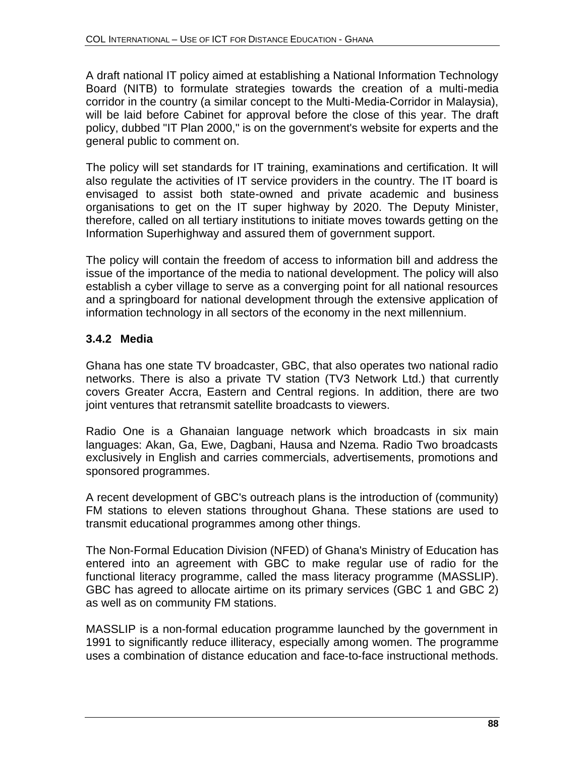A draft national IT policy aimed at establishing a National Information Technology Board (NITB) to formulate strategies towards the creation of a multi-media corridor in the country (a similar concept to the Multi-Media-Corridor in Malaysia), will be laid before Cabinet for approval before the close of this year. The draft policy, dubbed "IT Plan 2000," is on the government's website for experts and the general public to comment on.

The policy will set standards for IT training, examinations and certification. It will also regulate the activities of IT service providers in the country. The IT board is envisaged to assist both state-owned and private academic and business organisations to get on the IT super highway by 2020. The Deputy Minister, therefore, called on all tertiary institutions to initiate moves towards getting on the Information Superhighway and assured them of government support.

The policy will contain the freedom of access to information bill and address the issue of the importance of the media to national development. The policy will also establish a cyber village to serve as a converging point for all national resources and a springboard for national development through the extensive application of information technology in all sectors of the economy in the next millennium.

# **3.4.2 Media**

Ghana has one state TV broadcaster, GBC, that also operates two national radio networks. There is also a private TV station (TV3 Network Ltd.) that currently covers Greater Accra, Eastern and Central regions. In addition, there are two joint ventures that retransmit satellite broadcasts to viewers.

Radio One is a Ghanaian language network which broadcasts in six main languages: Akan, Ga, Ewe, Dagbani, Hausa and Nzema. Radio Two broadcasts exclusively in English and carries commercials, advertisements, promotions and sponsored programmes.

A recent development of GBC's outreach plans is the introduction of (community) FM stations to eleven stations throughout Ghana. These stations are used to transmit educational programmes among other things.

The Non-Formal Education Division (NFED) of Ghana's Ministry of Education has entered into an agreement with GBC to make regular use of radio for the functional literacy programme, called the mass literacy programme (MASSLIP). GBC has agreed to allocate airtime on its primary services (GBC 1 and GBC 2) as well as on community FM stations.

MASSLIP is a non-formal education programme launched by the government in 1991 to significantly reduce illiteracy, especially among women. The programme uses a combination of distance education and face-to-face instructional methods.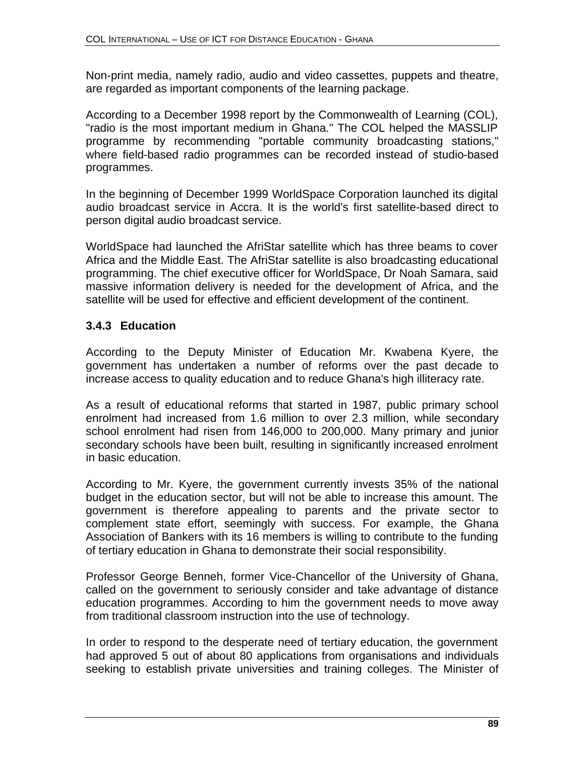Non-print media, namely radio, audio and video cassettes, puppets and theatre, are regarded as important components of the learning package.

According to a December 1998 report by the Commonwealth of Learning (COL), "radio is the most important medium in Ghana." The COL helped the MASSLIP programme by recommending "portable community broadcasting stations," where field-based radio programmes can be recorded instead of studio-based programmes.

In the beginning of December 1999 WorldSpace Corporation launched its digital audio broadcast service in Accra. It is the world's first satellite-based direct to person digital audio broadcast service.

WorldSpace had launched the AfriStar satellite which has three beams to cover Africa and the Middle East. The AfriStar satellite is also broadcasting educational programming. The chief executive officer for WorldSpace, Dr Noah Samara, said massive information delivery is needed for the development of Africa, and the satellite will be used for effective and efficient development of the continent.

## **3.4.3 Education**

According to the Deputy Minister of Education Mr. Kwabena Kyere, the government has undertaken a number of reforms over the past decade to increase access to quality education and to reduce Ghana's high illiteracy rate.

As a result of educational reforms that started in 1987, public primary school enrolment had increased from 1.6 million to over 2.3 million, while secondary school enrolment had risen from 146,000 to 200,000. Many primary and junior secondary schools have been built, resulting in significantly increased enrolment in basic education.

According to Mr. Kyere, the government currently invests 35% of the national budget in the education sector, but will not be able to increase this amount. The government is therefore appealing to parents and the private sector to complement state effort, seemingly with success. For example, the Ghana Association of Bankers with its 16 members is willing to contribute to the funding of tertiary education in Ghana to demonstrate their social responsibility.

Professor George Benneh, former Vice-Chancellor of the University of Ghana, called on the government to seriously consider and take advantage of distance education programmes. According to him the government needs to move away from traditional classroom instruction into the use of technology.

In order to respond to the desperate need of tertiary education, the government had approved 5 out of about 80 applications from organisations and individuals seeking to establish private universities and training colleges. The Minister of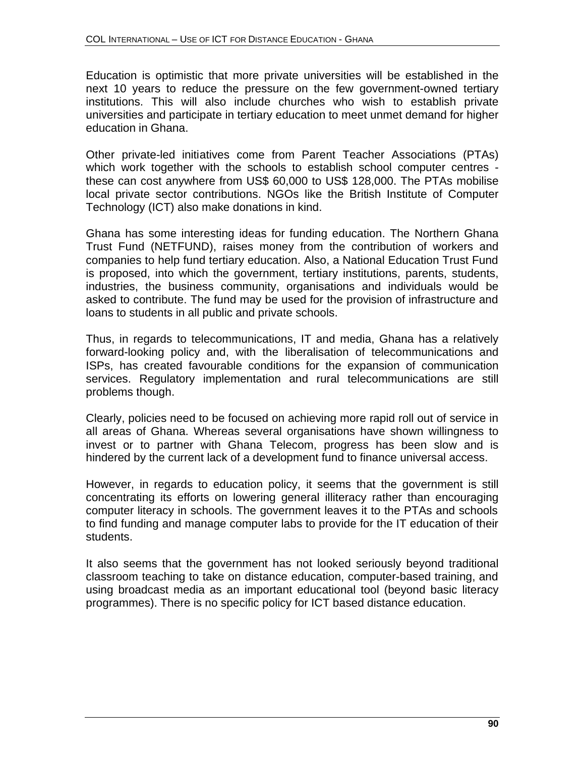Education is optimistic that more private universities will be established in the next 10 years to reduce the pressure on the few government-owned tertiary institutions. This will also include churches who wish to establish private universities and participate in tertiary education to meet unmet demand for higher education in Ghana.

Other private-led initiatives come from Parent Teacher Associations (PTAs) which work together with the schools to establish school computer centres these can cost anywhere from US\$ 60,000 to US\$ 128,000. The PTAs mobilise local private sector contributions. NGOs like the British Institute of Computer Technology (ICT) also make donations in kind.

Ghana has some interesting ideas for funding education. The Northern Ghana Trust Fund (NETFUND), raises money from the contribution of workers and companies to help fund tertiary education. Also, a National Education Trust Fund is proposed, into which the government, tertiary institutions, parents, students, industries, the business community, organisations and individuals would be asked to contribute. The fund may be used for the provision of infrastructure and loans to students in all public and private schools.

Thus, in regards to telecommunications, IT and media, Ghana has a relatively forward-looking policy and, with the liberalisation of telecommunications and ISPs, has created favourable conditions for the expansion of communication services. Regulatory implementation and rural telecommunications are still problems though.

Clearly, policies need to be focused on achieving more rapid roll out of service in all areas of Ghana. Whereas several organisations have shown willingness to invest or to partner with Ghana Telecom, progress has been slow and is hindered by the current lack of a development fund to finance universal access.

However, in regards to education policy, it seems that the government is still concentrating its efforts on lowering general illiteracy rather than encouraging computer literacy in schools. The government leaves it to the PTAs and schools to find funding and manage computer labs to provide for the IT education of their students.

It also seems that the government has not looked seriously beyond traditional classroom teaching to take on distance education, computer-based training, and using broadcast media as an important educational tool (beyond basic literacy programmes). There is no specific policy for ICT based distance education.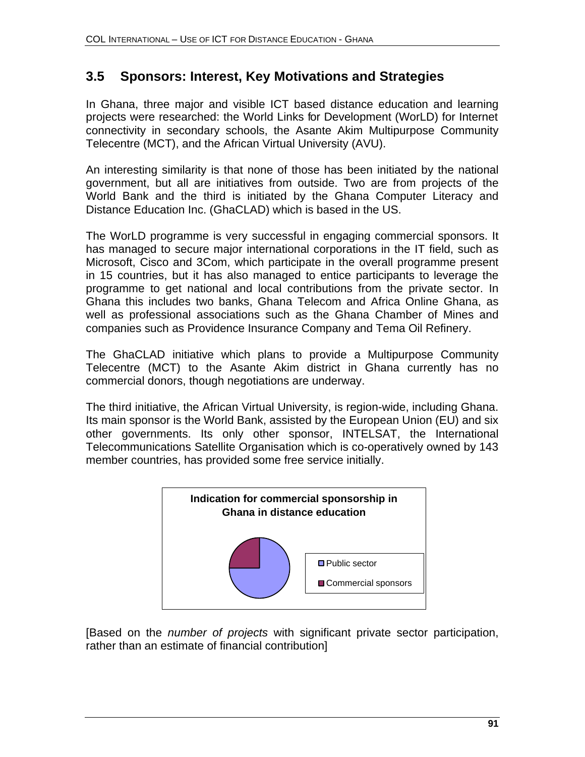# **3.5 Sponsors: Interest, Key Motivations and Strategies**

In Ghana, three major and visible ICT based distance education and learning projects were researched: the World Links for Development (WorLD) for Internet connectivity in secondary schools, the Asante Akim Multipurpose Community Telecentre (MCT), and the African Virtual University (AVU).

An interesting similarity is that none of those has been initiated by the national government, but all are initiatives from outside. Two are from projects of the World Bank and the third is initiated by the Ghana Computer Literacy and Distance Education Inc. (GhaCLAD) which is based in the US.

The WorLD programme is very successful in engaging commercial sponsors. It has managed to secure major international corporations in the IT field, such as Microsoft, Cisco and 3Com, which participate in the overall programme present in 15 countries, but it has also managed to entice participants to leverage the programme to get national and local contributions from the private sector. In Ghana this includes two banks, Ghana Telecom and Africa Online Ghana, as well as professional associations such as the Ghana Chamber of Mines and companies such as Providence Insurance Company and Tema Oil Refinery.

The GhaCLAD initiative which plans to provide a Multipurpose Community Telecentre (MCT) to the Asante Akim district in Ghana currently has no commercial donors, though negotiations are underway.

The third initiative, the African Virtual University, is region-wide, including Ghana. Its main sponsor is the World Bank, assisted by the European Union (EU) and six other governments. Its only other sponsor, INTELSAT, the International Telecommunications Satellite Organisation which is co-operatively owned by 143 member countries, has provided some free service initially.



[Based on the *number of projects* with significant private sector participation, rather than an estimate of financial contribution]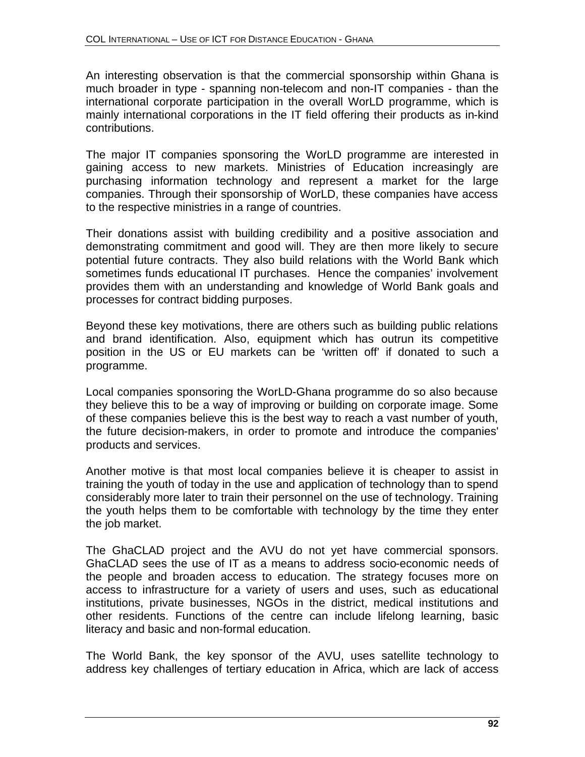An interesting observation is that the commercial sponsorship within Ghana is much broader in type - spanning non-telecom and non-IT companies - than the international corporate participation in the overall WorLD programme, which is mainly international corporations in the IT field offering their products as in-kind contributions.

The major IT companies sponsoring the WorLD programme are interested in gaining access to new markets. Ministries of Education increasingly are purchasing information technology and represent a market for the large companies. Through their sponsorship of WorLD, these companies have access to the respective ministries in a range of countries.

Their donations assist with building credibility and a positive association and demonstrating commitment and good will. They are then more likely to secure potential future contracts. They also build relations with the World Bank which sometimes funds educational IT purchases. Hence the companies' involvement provides them with an understanding and knowledge of World Bank goals and processes for contract bidding purposes.

Beyond these key motivations, there are others such as building public relations and brand identification. Also, equipment which has outrun its competitive position in the US or EU markets can be 'written off' if donated to such a programme.

Local companies sponsoring the WorLD-Ghana programme do so also because they believe this to be a way of improving or building on corporate image. Some of these companies believe this is the best way to reach a vast number of youth, the future decision-makers, in order to promote and introduce the companies' products and services.

Another motive is that most local companies believe it is cheaper to assist in training the youth of today in the use and application of technology than to spend considerably more later to train their personnel on the use of technology. Training the youth helps them to be comfortable with technology by the time they enter the job market.

The GhaCLAD project and the AVU do not yet have commercial sponsors. GhaCLAD sees the use of IT as a means to address socio-economic needs of the people and broaden access to education. The strategy focuses more on access to infrastructure for a variety of users and uses, such as educational institutions, private businesses, NGOs in the district, medical institutions and other residents. Functions of the centre can include lifelong learning, basic literacy and basic and non-formal education.

The World Bank, the key sponsor of the AVU, uses satellite technology to address key challenges of tertiary education in Africa, which are lack of access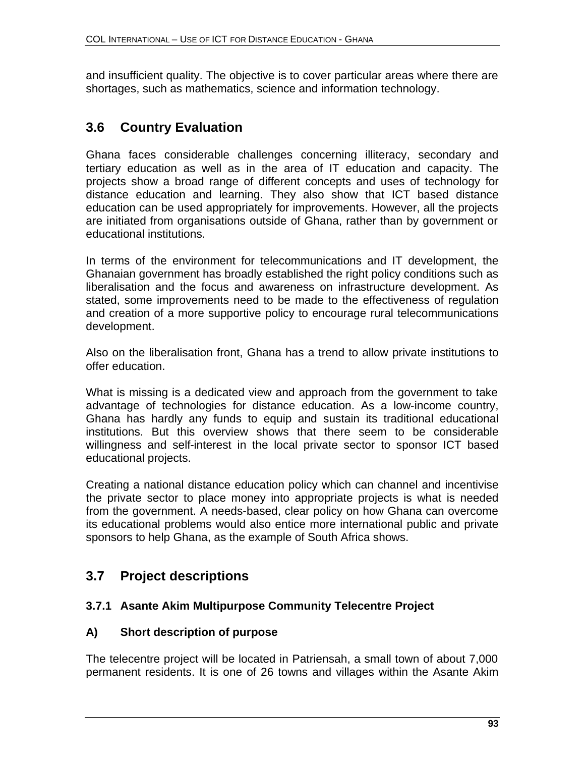and insufficient quality. The objective is to cover particular areas where there are shortages, such as mathematics, science and information technology.

# **3.6 Country Evaluation**

Ghana faces considerable challenges concerning illiteracy, secondary and tertiary education as well as in the area of IT education and capacity. The projects show a broad range of different concepts and uses of technology for distance education and learning. They also show that ICT based distance education can be used appropriately for improvements. However, all the projects are initiated from organisations outside of Ghana, rather than by government or educational institutions.

In terms of the environment for telecommunications and IT development, the Ghanaian government has broadly established the right policy conditions such as liberalisation and the focus and awareness on infrastructure development. As stated, some improvements need to be made to the effectiveness of regulation and creation of a more supportive policy to encourage rural telecommunications development.

Also on the liberalisation front, Ghana has a trend to allow private institutions to offer education.

What is missing is a dedicated view and approach from the government to take advantage of technologies for distance education. As a low-income country, Ghana has hardly any funds to equip and sustain its traditional educational institutions. But this overview shows that there seem to be considerable willingness and self-interest in the local private sector to sponsor ICT based educational projects.

Creating a national distance education policy which can channel and incentivise the private sector to place money into appropriate projects is what is needed from the government. A needs-based, clear policy on how Ghana can overcome its educational problems would also entice more international public and private sponsors to help Ghana, as the example of South Africa shows.

# **3.7 Project descriptions**

## **3.7.1 Asante Akim Multipurpose Community Telecentre Project**

## **A) Short description of purpose**

The telecentre project will be located in Patriensah, a small town of about 7,000 permanent residents. It is one of 26 towns and villages within the Asante Akim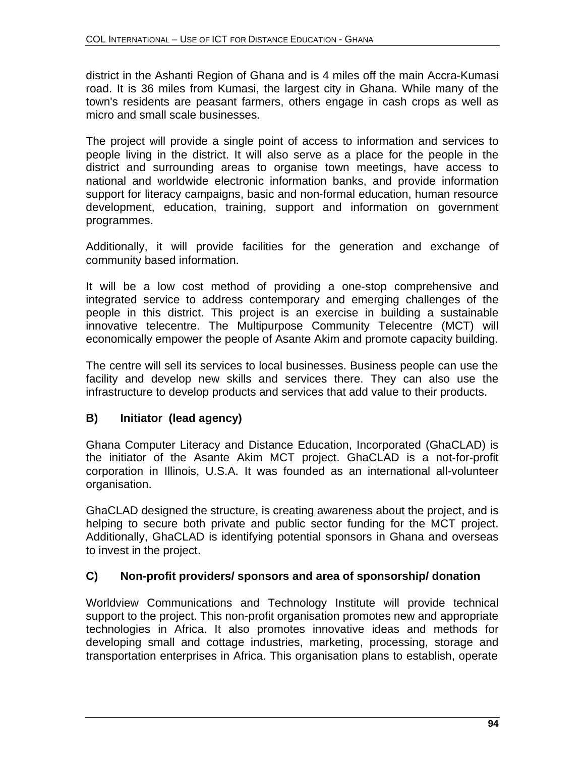district in the Ashanti Region of Ghana and is 4 miles off the main Accra-Kumasi road. It is 36 miles from Kumasi, the largest city in Ghana. While many of the town's residents are peasant farmers, others engage in cash crops as well as micro and small scale businesses.

The project will provide a single point of access to information and services to people living in the district. It will also serve as a place for the people in the district and surrounding areas to organise town meetings, have access to national and worldwide electronic information banks, and provide information support for literacy campaigns, basic and non-formal education, human resource development, education, training, support and information on government programmes.

Additionally, it will provide facilities for the generation and exchange of community based information.

It will be a low cost method of providing a one-stop comprehensive and integrated service to address contemporary and emerging challenges of the people in this district. This project is an exercise in building a sustainable innovative telecentre. The Multipurpose Community Telecentre (MCT) will economically empower the people of Asante Akim and promote capacity building.

The centre will sell its services to local businesses. Business people can use the facility and develop new skills and services there. They can also use the infrastructure to develop products and services that add value to their products.

## **B) Initiator (lead agency)**

Ghana Computer Literacy and Distance Education, Incorporated (GhaCLAD) is the initiator of the Asante Akim MCT project. GhaCLAD is a not-for-profit corporation in Illinois, U.S.A. It was founded as an international all-volunteer organisation.

GhaCLAD designed the structure, is creating awareness about the project, and is helping to secure both private and public sector funding for the MCT project. Additionally, GhaCLAD is identifying potential sponsors in Ghana and overseas to invest in the project.

## **C) Non-profit providers/ sponsors and area of sponsorship/ donation**

Worldview Communications and Technology Institute will provide technical support to the project. This non-profit organisation promotes new and appropriate technologies in Africa. It also promotes innovative ideas and methods for developing small and cottage industries, marketing, processing, storage and transportation enterprises in Africa. This organisation plans to establish, operate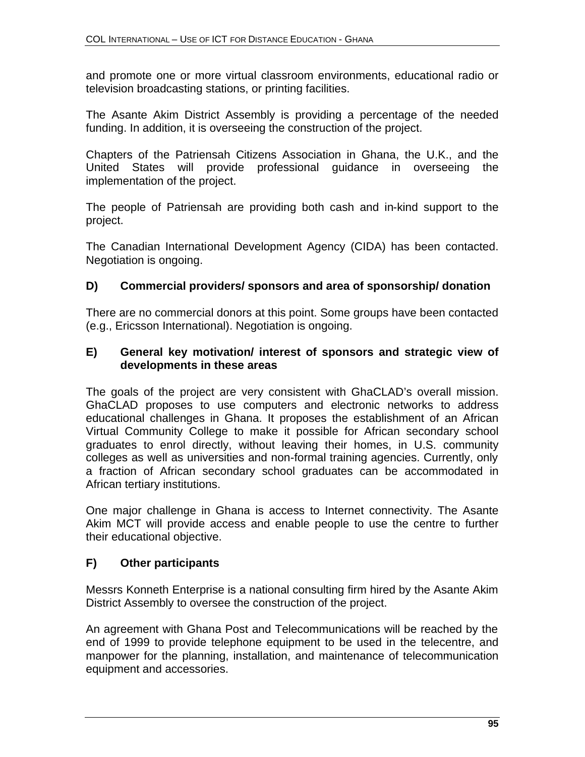and promote one or more virtual classroom environments, educational radio or television broadcasting stations, or printing facilities.

The Asante Akim District Assembly is providing a percentage of the needed funding. In addition, it is overseeing the construction of the project.

Chapters of the Patriensah Citizens Association in Ghana, the U.K., and the United States will provide professional guidance in overseeing the implementation of the project.

The people of Patriensah are providing both cash and in-kind support to the project.

The Canadian International Development Agency (CIDA) has been contacted. Negotiation is ongoing.

## **D) Commercial providers/ sponsors and area of sponsorship/ donation**

There are no commercial donors at this point. Some groups have been contacted (e.g., Ericsson International). Negotiation is ongoing.

#### **E) General key motivation/ interest of sponsors and strategic view of developments in these areas**

The goals of the project are very consistent with GhaCLAD's overall mission. GhaCLAD proposes to use computers and electronic networks to address educational challenges in Ghana. It proposes the establishment of an African Virtual Community College to make it possible for African secondary school graduates to enrol directly, without leaving their homes, in U.S. community colleges as well as universities and non-formal training agencies. Currently, only a fraction of African secondary school graduates can be accommodated in African tertiary institutions.

One major challenge in Ghana is access to Internet connectivity. The Asante Akim MCT will provide access and enable people to use the centre to further their educational objective.

## **F) Other participants**

Messrs Konneth Enterprise is a national consulting firm hired by the Asante Akim District Assembly to oversee the construction of the project.

An agreement with Ghana Post and Telecommunications will be reached by the end of 1999 to provide telephone equipment to be used in the telecentre, and manpower for the planning, installation, and maintenance of telecommunication equipment and accessories.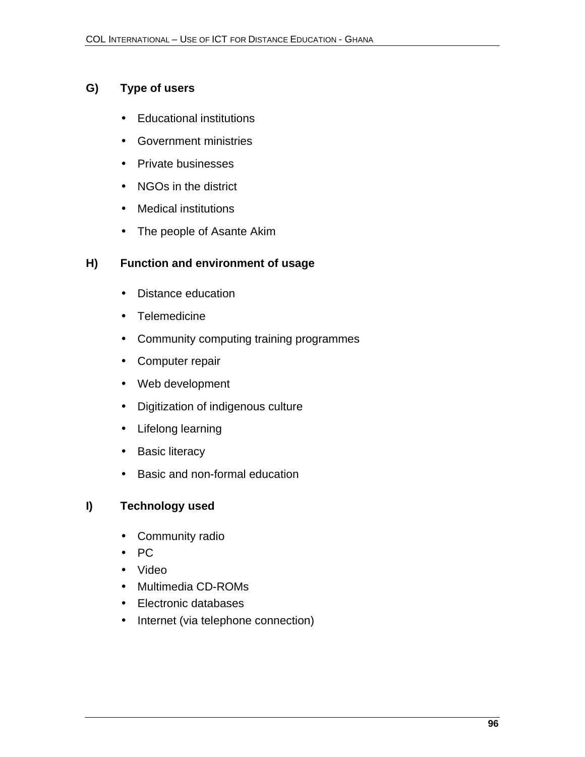## **G) Type of users**

- Educational institutions
- Government ministries
- Private businesses
- NGOs in the district
- Medical institutions
- The people of Asante Akim

## **H) Function and environment of usage**

- Distance education
- Telemedicine
- Community computing training programmes
- Computer repair
- Web development
- Digitization of indigenous culture
- Lifelong learning
- Basic literacy
- Basic and non-formal education

## **I) Technology used**

- Community radio
- PC
- Video
- Multimedia CD-ROMs
- Electronic databases
- Internet (via telephone connection)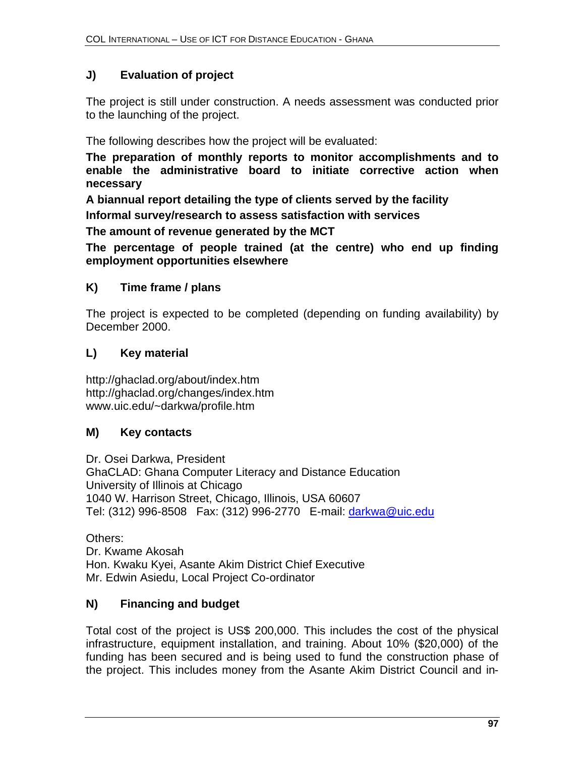# **J) Evaluation of project**

The project is still under construction. A needs assessment was conducted prior to the launching of the project.

The following describes how the project will be evaluated:

**The preparation of monthly reports to monitor accomplishments and to enable the administrative board to initiate corrective action when necessary**

**A biannual report detailing the type of clients served by the facility Informal survey/research to assess satisfaction with services**

**The amount of revenue generated by the MCT**

**The percentage of people trained (at the centre) who end up finding employment opportunities elsewhere**

# **K) Time frame / plans**

The project is expected to be completed (depending on funding availability) by December 2000.

# **L) Key material**

http://ghaclad.org/about/index.htm http://ghaclad.org/changes/index.htm www.uic.edu/~darkwa/profile.htm

# **M) Key contacts**

Dr. Osei Darkwa, President GhaCLAD: Ghana Computer Literacy and Distance Education University of Illinois at Chicago 1040 W. Harrison Street, Chicago, Illinois, USA 60607 Tel: (312) 996-8508 Fax: (312) 996-2770 E-mail: darkwa@uic.edu

Others: Dr. Kwame Akosah Hon. Kwaku Kyei, Asante Akim District Chief Executive Mr. Edwin Asiedu, Local Project Co-ordinator

# **N) Financing and budget**

Total cost of the project is US\$ 200,000. This includes the cost of the physical infrastructure, equipment installation, and training. About 10% (\$20,000) of the funding has been secured and is being used to fund the construction phase of the project. This includes money from the Asante Akim District Council and in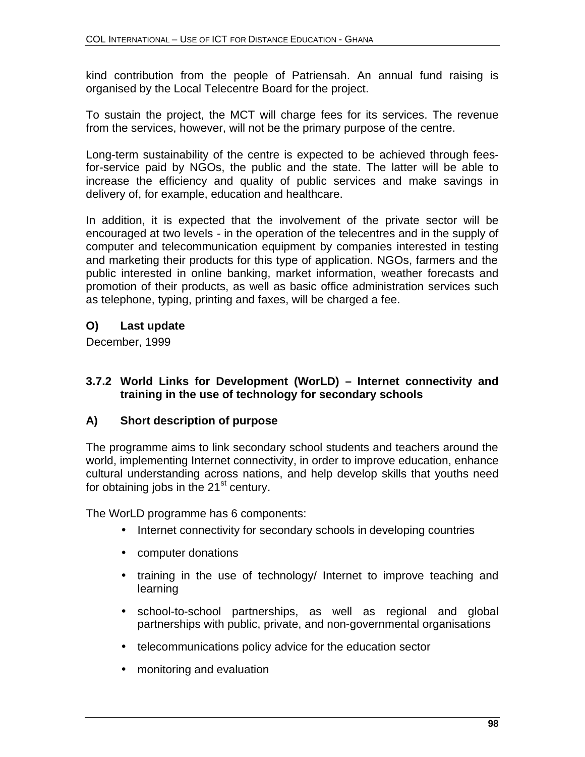kind contribution from the people of Patriensah. An annual fund raising is organised by the Local Telecentre Board for the project.

To sustain the project, the MCT will charge fees for its services. The revenue from the services, however, will not be the primary purpose of the centre.

Long-term sustainability of the centre is expected to be achieved through feesfor-service paid by NGOs, the public and the state. The latter will be able to increase the efficiency and quality of public services and make savings in delivery of, for example, education and healthcare.

In addition, it is expected that the involvement of the private sector will be encouraged at two levels - in the operation of the telecentres and in the supply of computer and telecommunication equipment by companies interested in testing and marketing their products for this type of application. NGOs, farmers and the public interested in online banking, market information, weather forecasts and promotion of their products, as well as basic office administration services such as telephone, typing, printing and faxes, will be charged a fee.

## **O) Last update**

December, 1999

### **3.7.2 World Links for Development (WorLD) – Internet connectivity and training in the use of technology for secondary schools**

## **A) Short description of purpose**

The programme aims to link secondary school students and teachers around the world, implementing Internet connectivity, in order to improve education, enhance cultural understanding across nations, and help develop skills that youths need for obtaining jobs in the  $21^{st}$  century.

The WorLD programme has 6 components:

- Internet connectivity for secondary schools in developing countries
- computer donations
- training in the use of technology/ Internet to improve teaching and learning
- school-to-school partnerships, as well as regional and global partnerships with public, private, and non-governmental organisations
- telecommunications policy advice for the education sector
- monitoring and evaluation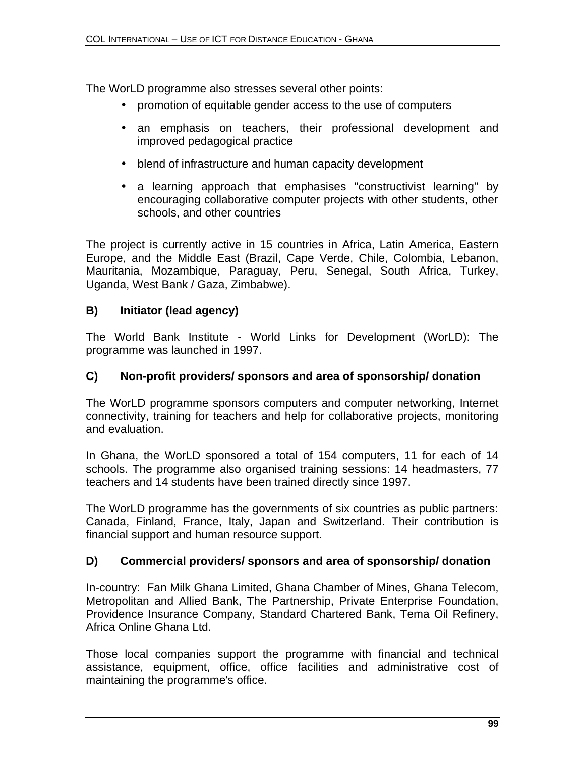The WorLD programme also stresses several other points:

- promotion of equitable gender access to the use of computers
- an emphasis on teachers, their professional development and improved pedagogical practice
- blend of infrastructure and human capacity development
- a learning approach that emphasises "constructivist learning" by encouraging collaborative computer projects with other students, other schools, and other countries

The project is currently active in 15 countries in Africa, Latin America, Eastern Europe, and the Middle East (Brazil, Cape Verde, Chile, Colombia, Lebanon, Mauritania, Mozambique, Paraguay, Peru, Senegal, South Africa, Turkey, Uganda, West Bank / Gaza, Zimbabwe).

## **B) Initiator (lead agency)**

The World Bank Institute - World Links for Development (WorLD): The programme was launched in 1997.

## **C) Non-profit providers/ sponsors and area of sponsorship/ donation**

The WorLD programme sponsors computers and computer networking, Internet connectivity, training for teachers and help for collaborative projects, monitoring and evaluation.

In Ghana, the WorLD sponsored a total of 154 computers, 11 for each of 14 schools. The programme also organised training sessions: 14 headmasters, 77 teachers and 14 students have been trained directly since 1997.

The WorLD programme has the governments of six countries as public partners: Canada, Finland, France, Italy, Japan and Switzerland. Their contribution is financial support and human resource support.

## **D) Commercial providers/ sponsors and area of sponsorship/ donation**

In-country: Fan Milk Ghana Limited, Ghana Chamber of Mines, Ghana Telecom, Metropolitan and Allied Bank, The Partnership, Private Enterprise Foundation, Providence Insurance Company, Standard Chartered Bank, Tema Oil Refinery, Africa Online Ghana Ltd.

Those local companies support the programme with financial and technical assistance, equipment, office, office facilities and administrative cost of maintaining the programme's office.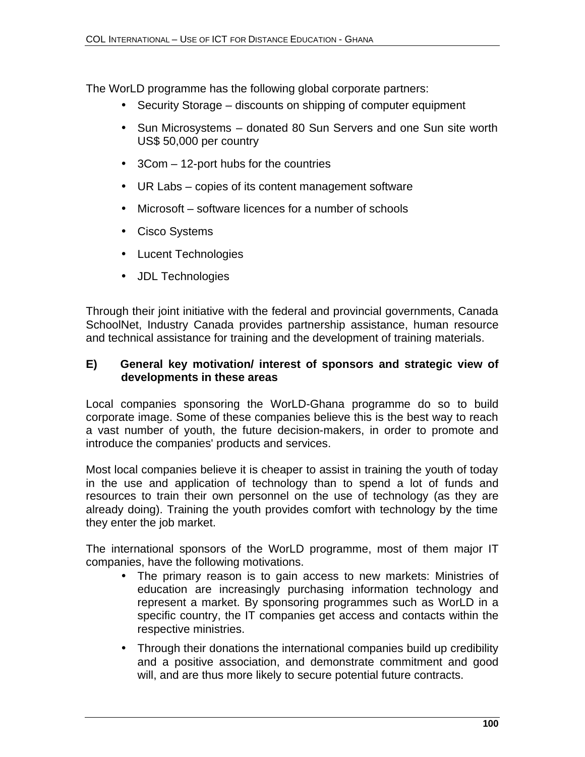The WorLD programme has the following global corporate partners:

- Security Storage discounts on shipping of computer equipment
- Sun Microsystems donated 80 Sun Servers and one Sun site worth US\$ 50,000 per country
- 3Com 12-port hubs for the countries
- UR Labs copies of its content management software
- Microsoft software licences for a number of schools
- Cisco Systems
- Lucent Technologies
- JDL Technologies

Through their joint initiative with the federal and provincial governments, Canada SchoolNet, Industry Canada provides partnership assistance, human resource and technical assistance for training and the development of training materials.

#### **E) General key motivation/ interest of sponsors and strategic view of developments in these areas**

Local companies sponsoring the WorLD-Ghana programme do so to build corporate image. Some of these companies believe this is the best way to reach a vast number of youth, the future decision-makers, in order to promote and introduce the companies' products and services.

Most local companies believe it is cheaper to assist in training the youth of today in the use and application of technology than to spend a lot of funds and resources to train their own personnel on the use of technology (as they are already doing). Training the youth provides comfort with technology by the time they enter the job market.

The international sponsors of the WorLD programme, most of them major IT companies, have the following motivations.

- The primary reason is to gain access to new markets: Ministries of education are increasingly purchasing information technology and represent a market. By sponsoring programmes such as WorLD in a specific country, the IT companies get access and contacts within the respective ministries.
- Through their donations the international companies build up credibility and a positive association, and demonstrate commitment and good will, and are thus more likely to secure potential future contracts.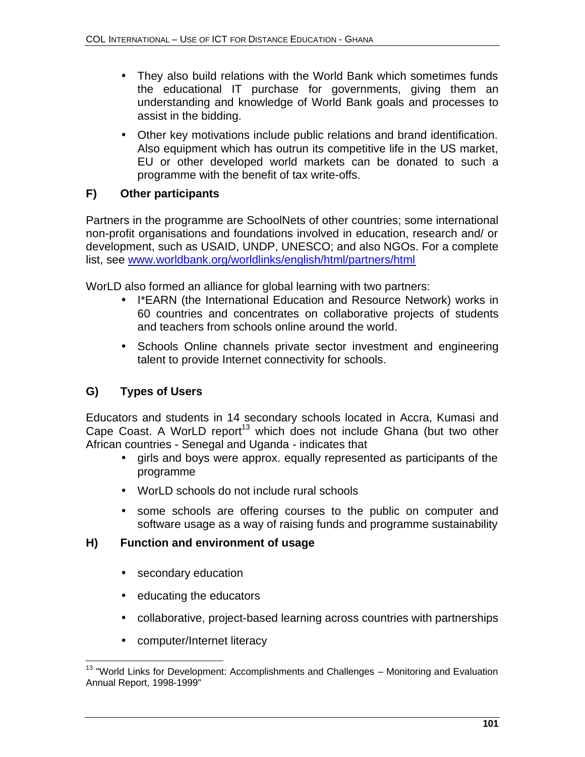- They also build relations with the World Bank which sometimes funds the educational IT purchase for governments, giving them an understanding and knowledge of World Bank goals and processes to assist in the bidding.
- Other key motivations include public relations and brand identification. Also equipment which has outrun its competitive life in the US market, EU or other developed world markets can be donated to such a programme with the benefit of tax write-offs.

## **F) Other participants**

Partners in the programme are SchoolNets of other countries; some international non-profit organisations and foundations involved in education, research and/ or development, such as USAID, UNDP, UNESCO; and also NGOs. For a complete list, see www.worldbank.org/worldlinks/english/html/partners/html

WorLD also formed an alliance for global learning with two partners:

- I\*EARN (the International Education and Resource Network) works in 60 countries and concentrates on collaborative projects of students and teachers from schools online around the world.
- Schools Online channels private sector investment and engineering talent to provide Internet connectivity for schools.

# **G) Types of Users**

Educators and students in 14 secondary schools located in Accra, Kumasi and Cape Coast. A WorLD report<sup>13</sup> which does not include Ghana (but two other African countries - Senegal and Uganda - indicates that

- girls and boys were approx. equally represented as participants of the programme
- WorLD schools do not include rural schools
- some schools are offering courses to the public on computer and software usage as a way of raising funds and programme sustainability

## **H) Function and environment of usage**

- secondary education
- educating the educators
- collaborative, project-based learning across countries with partnerships
- computer/Internet literacy

 $\overline{\phantom{a}}$  $13$  "World Links for Development: Accomplishments and Challenges – Monitoring and Evaluation Annual Report, 1998-1999"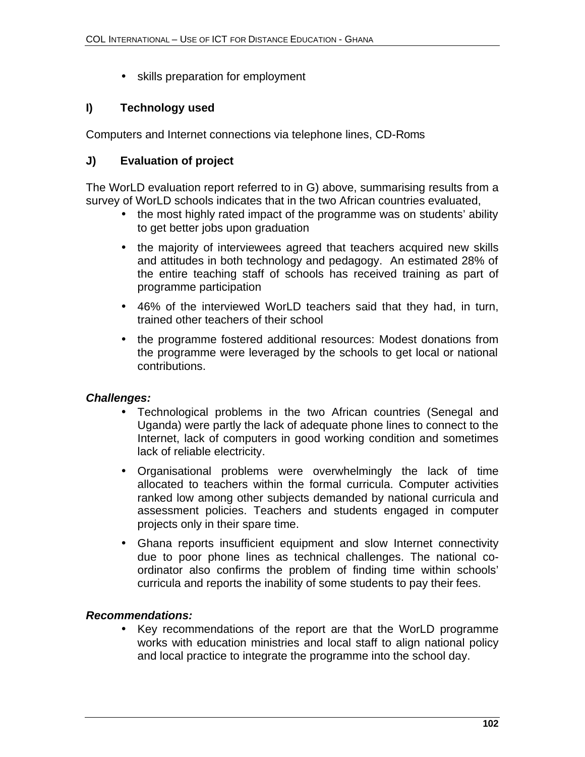• skills preparation for employment

## **I) Technology used**

Computers and Internet connections via telephone lines, CD-Roms

## **J) Evaluation of project**

The WorLD evaluation report referred to in G) above, summarising results from a survey of WorLD schools indicates that in the two African countries evaluated,

- the most highly rated impact of the programme was on students' ability to get better jobs upon graduation
- the majority of interviewees agreed that teachers acquired new skills and attitudes in both technology and pedagogy. An estimated 28% of the entire teaching staff of schools has received training as part of programme participation
- 46% of the interviewed WorLD teachers said that they had, in turn, trained other teachers of their school
- the programme fostered additional resources: Modest donations from the programme were leveraged by the schools to get local or national contributions.

## *Challenges:*

- Technological problems in the two African countries (Senegal and Uganda) were partly the lack of adequate phone lines to connect to the Internet, lack of computers in good working condition and sometimes lack of reliable electricity.
- Organisational problems were overwhelmingly the lack of time allocated to teachers within the formal curricula. Computer activities ranked low among other subjects demanded by national curricula and assessment policies. Teachers and students engaged in computer projects only in their spare time.
- Ghana reports insufficient equipment and slow Internet connectivity due to poor phone lines as technical challenges. The national coordinator also confirms the problem of finding time within schools' curricula and reports the inability of some students to pay their fees.

## *Recommendations:*

• Key recommendations of the report are that the WorLD programme works with education ministries and local staff to align national policy and local practice to integrate the programme into the school day.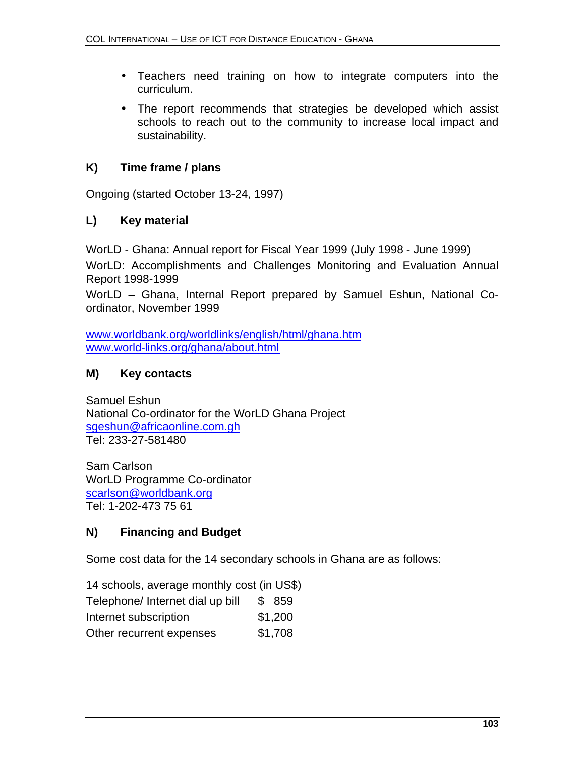- Teachers need training on how to integrate computers into the curriculum.
- The report recommends that strategies be developed which assist schools to reach out to the community to increase local impact and sustainability.

# **K) Time frame / plans**

Ongoing (started October 13-24, 1997)

# **L) Key material**

WorLD - Ghana: Annual report for Fiscal Year 1999 (July 1998 - June 1999)

WorLD: Accomplishments and Challenges Monitoring and Evaluation Annual Report 1998-1999

WorLD – Ghana, Internal Report prepared by Samuel Eshun, National Coordinator, November 1999

www.worldbank.org/worldlinks/english/html/ghana.htm www.world-links.org/ghana/about.html

# **M) Key contacts**

Samuel Eshun National Co-ordinator for the WorLD Ghana Project sgeshun@africaonline.com.gh Tel: 233-27-581480

Sam Carlson WorLD Programme Co-ordinator scarlson@worldbank.org Tel: 1-202-473 75 61

# **N) Financing and Budget**

Some cost data for the 14 secondary schools in Ghana are as follows:

- 14 schools, average monthly cost (in US\$) Telephone/ Internet dial up bill \$ 859
- Internet subscription  $$1,200$
- Other recurrent expenses \$1,708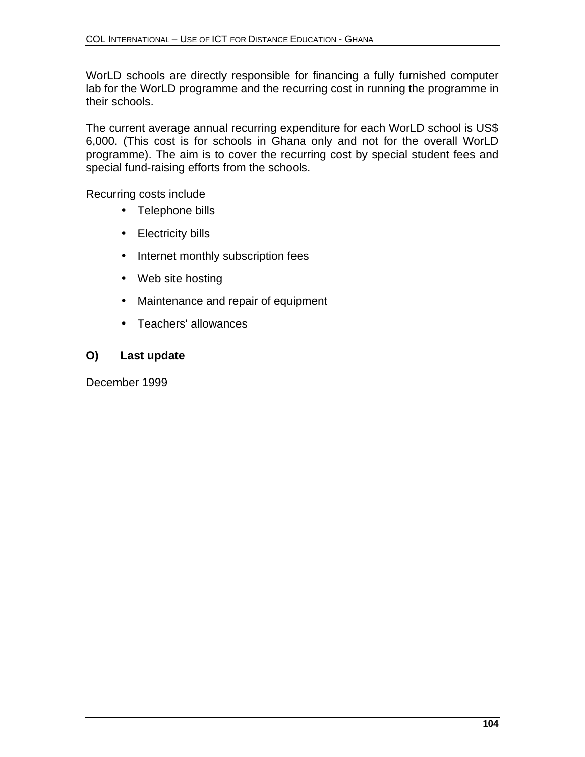WorLD schools are directly responsible for financing a fully furnished computer lab for the WorLD programme and the recurring cost in running the programme in their schools.

The current average annual recurring expenditure for each WorLD school is US\$ 6,000. (This cost is for schools in Ghana only and not for the overall WorLD programme). The aim is to cover the recurring cost by special student fees and special fund-raising efforts from the schools.

Recurring costs include

- Telephone bills
- Electricity bills
- Internet monthly subscription fees
- Web site hosting
- Maintenance and repair of equipment
- Teachers' allowances

## **O) Last update**

December 1999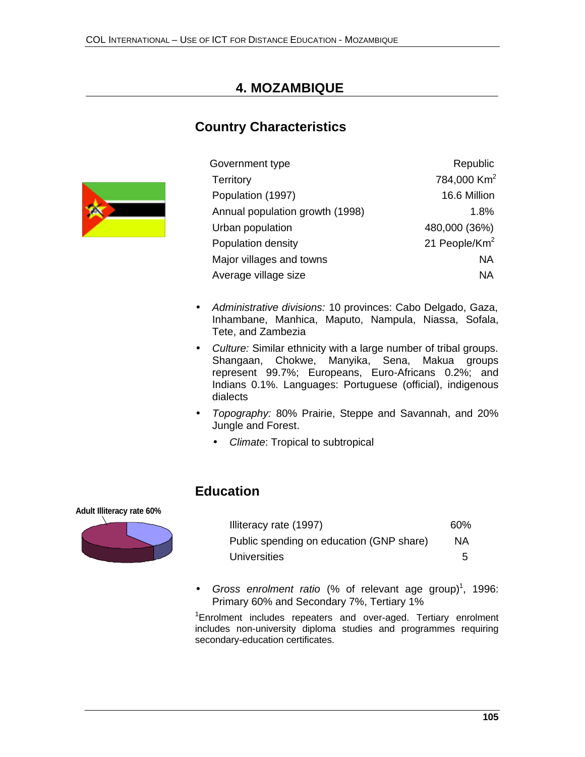# **4. MOZAMBIQUE**

# **Country Characteristics**



| Government type                 | Republic                  |
|---------------------------------|---------------------------|
| Territory                       | 784,000 Km <sup>2</sup>   |
| Population (1997)               | 16.6 Million              |
| Annual population growth (1998) | 1.8%                      |
| Urban population                | 480,000 (36%)             |
| Population density              | 21 People/Km <sup>2</sup> |
| Major villages and towns        | NA                        |
| Average village size            | NА                        |
|                                 |                           |

- *Administrative divisions:* 10 provinces: Cabo Delgado, Gaza, Inhambane, Manhica, Maputo, Nampula, Niassa, Sofala, Tete, and Zambezia
- *Culture:* Similar ethnicity with a large number of tribal groups. Shangaan, Chokwe, Manyika, Sena, Makua groups represent 99.7%; Europeans, Euro-Africans 0.2%; and Indians 0.1%. Languages: Portuguese (official), indigenous dialects
- *Topography:* 80% Prairie, Steppe and Savannah, and 20% Jungle and Forest.
	- *Climate*: Tropical to subtropical

## **Education**

**Adult Illiteracy rate 60%**



| Illiteracy rate (1997)                   | 60%       |
|------------------------------------------|-----------|
| Public spending on education (GNP share) | <b>NA</b> |
| Universities                             | 5         |

• Gross enrolment ratio (% of relevant age group)<sup>1</sup>, 1996: Primary 60% and Secondary 7%, Tertiary 1%

<sup>1</sup>Enrolment includes repeaters and over-aged. Tertiary enrolment includes non-university diploma studies and programmes requiring secondary-education certificates.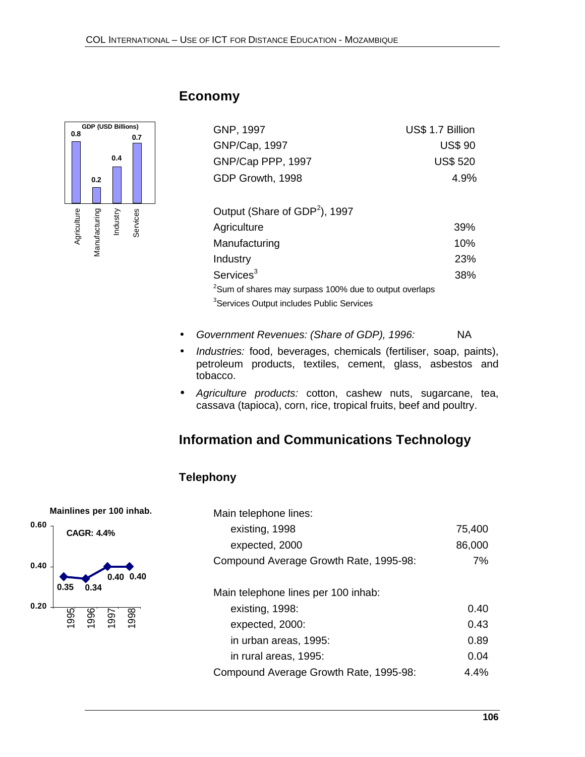

# **Economy**

| GNP, 1997                                 | US\$ 1.7 Billion |
|-------------------------------------------|------------------|
| GNP/Cap, 1997                             | <b>US\$ 90</b>   |
| GNP/Cap PPP, 1997                         | <b>US\$ 520</b>  |
| GDP Growth, 1998                          | 4.9%             |
| Output (Share of GDP <sup>2</sup> ), 1997 |                  |
| Agriculture                               | 39%              |
| Manufacturing                             | 10%              |

Industry 23%

Services<sup>3</sup>  $2$ Sum of shares may surpass 100% due to output overlaps <sup>3</sup>Services Output includes Public Services

- *Government Revenues: (Share of GDP), 1996:* NA
- *Industries:* food, beverages, chemicals (fertiliser, soap, paints), petroleum products, textiles, cement, glass, asbestos and tobacco.
- *Agriculture products:* cotton, cashew nuts, sugarcane, tea, cassava (tapioca), corn, rice, tropical fruits, beef and poultry.

# **Information and Communications Technology**

## **Telephony**



| Main telephone lines:                  |        |
|----------------------------------------|--------|
| existing, 1998                         | 75,400 |
| expected, 2000                         | 86,000 |
| Compound Average Growth Rate, 1995-98: | 7%     |
| Main telephone lines per 100 inhab:    |        |
| existing, 1998:                        | 0.40   |
| expected, 2000:                        | 0.43   |
| in urban areas, 1995:                  | 0.89   |
| in rural areas, 1995:                  | 0.04   |
| Compound Average Growth Rate, 1995-98: | 4.4%   |

38%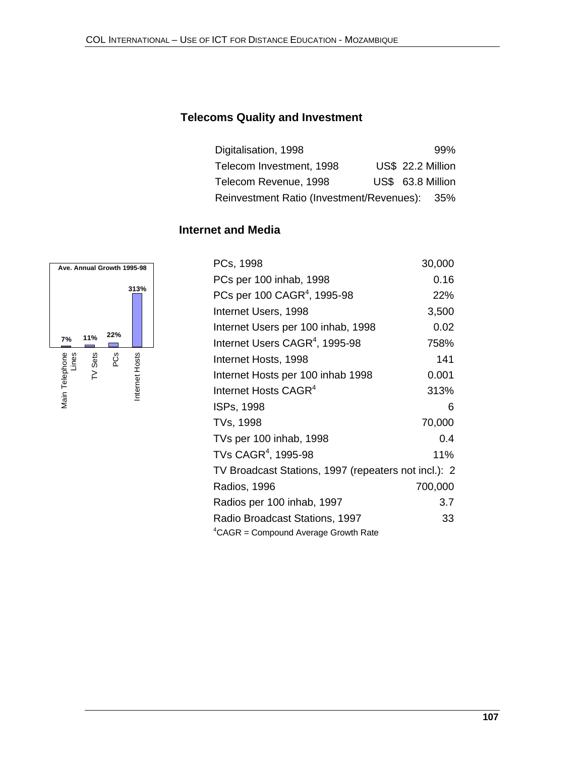## **Telecoms Quality and Investment**

| Digitalisation, 1998                          |  | 99%               |
|-----------------------------------------------|--|-------------------|
| Telecom Investment, 1998                      |  | US\$ 22.2 Million |
| Telecom Revenue, 1998                         |  | US\$ 63.8 Million |
| Reinvestment Ratio (Investment/Revenues): 35% |  |                   |

## **Internet and Media**



| PCs, 1998                                            | 30,000  |
|------------------------------------------------------|---------|
| PCs per 100 inhab, 1998                              | 0.16    |
| $PC$ s per 100 $CAGR^{4}$ , 1995-98                  | 22%     |
| Internet Users, 1998                                 | 3,500   |
| Internet Users per 100 inhab, 1998                   | 0.02    |
| Internet Users CAGR <sup>4</sup> , 1995-98           | 758%    |
| Internet Hosts, 1998                                 | 141     |
| Internet Hosts per 100 inhab 1998                    | 0.001   |
| Internet Hosts CAGR <sup>4</sup>                     | 313%    |
| ISPs, 1998                                           | 6       |
| TVs, 1998                                            | 70,000  |
| TVs per 100 inhab, 1998                              | 0.4     |
| TVs $\mathsf{CAGR}^4$ , 1995-98                      | 11%     |
| TV Broadcast Stations, 1997 (repeaters not incl.): 2 |         |
| Radios, 1996                                         | 700,000 |
| Radios per 100 inhab, 1997                           | 3.7     |
| Radio Broadcast Stations, 1997                       | 33      |
| <sup>4</sup> CAGR = Compound Average Growth Rate     |         |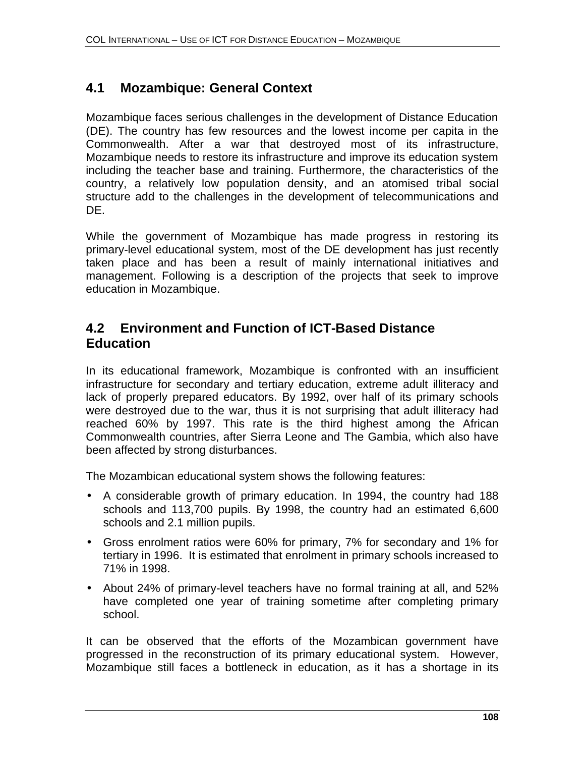# **4.1 Mozambique: General Context**

Mozambique faces serious challenges in the development of Distance Education (DE). The country has few resources and the lowest income per capita in the Commonwealth. After a war that destroyed most of its infrastructure, Mozambique needs to restore its infrastructure and improve its education system including the teacher base and training. Furthermore, the characteristics of the country, a relatively low population density, and an atomised tribal social structure add to the challenges in the development of telecommunications and DE.

While the government of Mozambique has made progress in restoring its primary-level educational system, most of the DE development has just recently taken place and has been a result of mainly international initiatives and management. Following is a description of the projects that seek to improve education in Mozambique.

# **4.2 Environment and Function of ICT-Based Distance Education**

In its educational framework, Mozambique is confronted with an insufficient infrastructure for secondary and tertiary education, extreme adult illiteracy and lack of properly prepared educators. By 1992, over half of its primary schools were destroyed due to the war, thus it is not surprising that adult illiteracy had reached 60% by 1997. This rate is the third highest among the African Commonwealth countries, after Sierra Leone and The Gambia, which also have been affected by strong disturbances.

The Mozambican educational system shows the following features:

- A considerable growth of primary education. In 1994, the country had 188 schools and 113,700 pupils. By 1998, the country had an estimated 6,600 schools and 2.1 million pupils.
- Gross enrolment ratios were 60% for primary, 7% for secondary and 1% for tertiary in 1996. It is estimated that enrolment in primary schools increased to 71% in 1998.
- About 24% of primary-level teachers have no formal training at all, and 52% have completed one year of training sometime after completing primary school.

It can be observed that the efforts of the Mozambican government have progressed in the reconstruction of its primary educational system. However, Mozambique still faces a bottleneck in education, as it has a shortage in its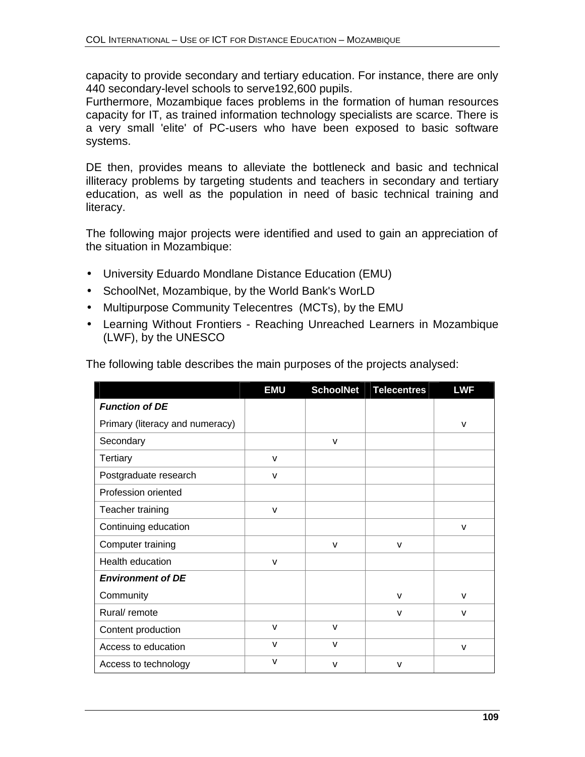capacity to provide secondary and tertiary education. For instance, there are only 440 secondary-level schools to serve192,600 pupils.

Furthermore, Mozambique faces problems in the formation of human resources capacity for IT, as trained information technology specialists are scarce. There is a very small 'elite' of PC-users who have been exposed to basic software systems.

DE then, provides means to alleviate the bottleneck and basic and technical illiteracy problems by targeting students and teachers in secondary and tertiary education, as well as the population in need of basic technical training and literacy.

The following major projects were identified and used to gain an appreciation of the situation in Mozambique:

- University Eduardo Mondlane Distance Education (EMU)
- SchoolNet, Mozambique, by the World Bank's WorLD
- Multipurpose Community Telecentres (MCTs), by the EMU
- Learning Without Frontiers Reaching Unreached Learners in Mozambique (LWF), by the UNESCO

|                                 | <b>EMU</b>   | <b>SchoolNet</b> | <b>Telecentres</b> | <b>LWF</b>   |
|---------------------------------|--------------|------------------|--------------------|--------------|
| <b>Function of DE</b>           |              |                  |                    |              |
| Primary (literacy and numeracy) |              |                  |                    | $\mathsf{V}$ |
| Secondary                       |              | $\mathsf{V}$     |                    |              |
| <b>Tertiary</b>                 | $\mathsf{V}$ |                  |                    |              |
| Postgraduate research           | v            |                  |                    |              |
| Profession oriented             |              |                  |                    |              |
| Teacher training                | $\mathsf{V}$ |                  |                    |              |
| Continuing education            |              |                  |                    | $\mathsf{v}$ |
| Computer training               |              | $\mathsf{v}$     | $\mathsf{V}$       |              |
| Health education                | v            |                  |                    |              |
| <b>Environment of DE</b>        |              |                  |                    |              |
| Community                       |              |                  | $\mathsf{v}$       | $\mathsf{v}$ |
| Rural/ remote                   |              |                  | v                  | $\mathsf{v}$ |
| Content production              | $\mathsf{V}$ | $\mathsf{V}$     |                    |              |
| Access to education             | $\mathsf{V}$ | $\mathsf{V}$     |                    | $\mathsf{V}$ |
| Access to technology            | v            | $\mathsf{v}$     | $\mathsf{V}$       |              |

The following table describes the main purposes of the projects analysed: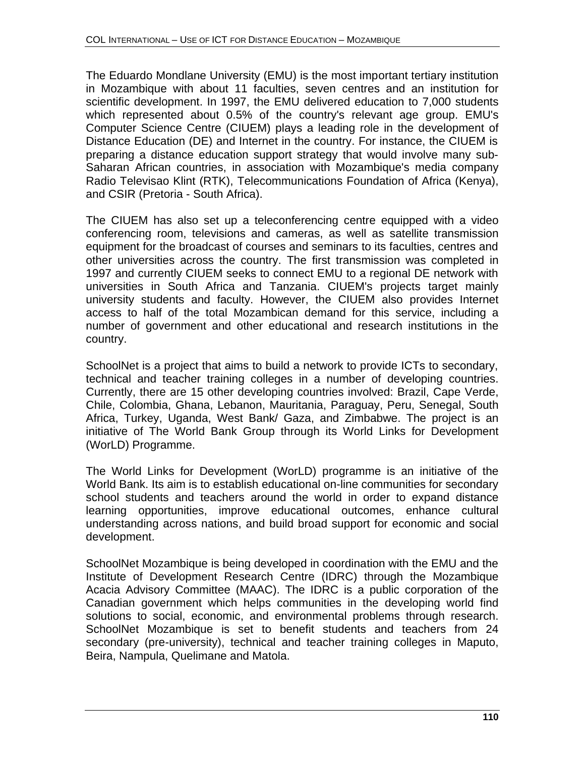The Eduardo Mondlane University (EMU) is the most important tertiary institution in Mozambique with about 11 faculties, seven centres and an institution for scientific development. In 1997, the EMU delivered education to 7,000 students which represented about 0.5% of the country's relevant age group. EMU's Computer Science Centre (CIUEM) plays a leading role in the development of Distance Education (DE) and Internet in the country. For instance, the CIUEM is preparing a distance education support strategy that would involve many sub-Saharan African countries, in association with Mozambique's media company Radio Televisao Klint (RTK), Telecommunications Foundation of Africa (Kenya), and CSIR (Pretoria - South Africa).

The CIUEM has also set up a teleconferencing centre equipped with a video conferencing room, televisions and cameras, as well as satellite transmission equipment for the broadcast of courses and seminars to its faculties, centres and other universities across the country. The first transmission was completed in 1997 and currently CIUEM seeks to connect EMU to a regional DE network with universities in South Africa and Tanzania. CIUEM's projects target mainly university students and faculty. However, the CIUEM also provides Internet access to half of the total Mozambican demand for this service, including a number of government and other educational and research institutions in the country.

SchoolNet is a project that aims to build a network to provide ICTs to secondary, technical and teacher training colleges in a number of developing countries. Currently, there are 15 other developing countries involved: Brazil, Cape Verde, Chile, Colombia, Ghana, Lebanon, Mauritania, Paraguay, Peru, Senegal, South Africa, Turkey, Uganda, West Bank/ Gaza, and Zimbabwe. The project is an initiative of The World Bank Group through its World Links for Development (WorLD) Programme.

The World Links for Development (WorLD) programme is an initiative of the World Bank. Its aim is to establish educational on-line communities for secondary school students and teachers around the world in order to expand distance learning opportunities, improve educational outcomes, enhance cultural understanding across nations, and build broad support for economic and social development.

SchoolNet Mozambique is being developed in coordination with the EMU and the Institute of Development Research Centre (IDRC) through the Mozambique Acacia Advisory Committee (MAAC). The IDRC is a public corporation of the Canadian government which helps communities in the developing world find solutions to social, economic, and environmental problems through research. SchoolNet Mozambique is set to benefit students and teachers from 24 secondary (pre-university), technical and teacher training colleges in Maputo, Beira, Nampula, Quelimane and Matola.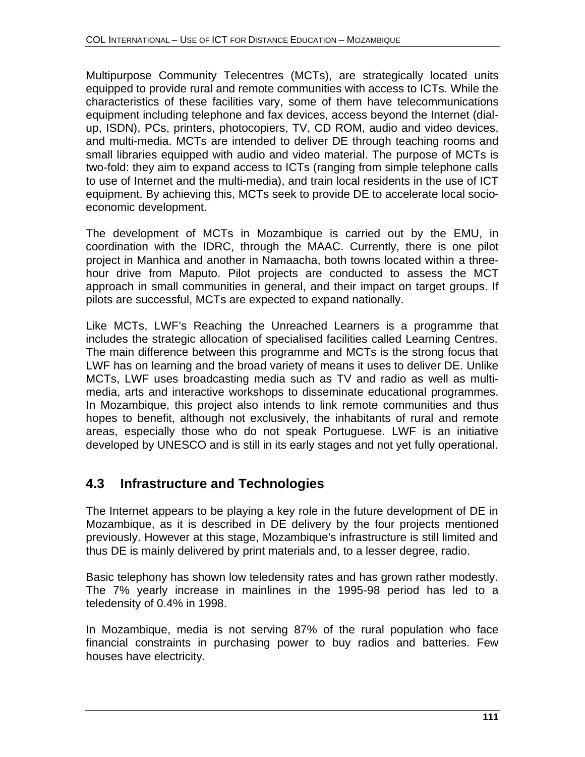Multipurpose Community Telecentres (MCTs), are strategically located units equipped to provide rural and remote communities with access to ICTs. While the characteristics of these facilities vary, some of them have telecommunications equipment including telephone and fax devices, access beyond the Internet (dialup, ISDN), PCs, printers, photocopiers, TV, CD ROM, audio and video devices, and multi-media. MCTs are intended to deliver DE through teaching rooms and small libraries equipped with audio and video material. The purpose of MCTs is two-fold: they aim to expand access to ICTs (ranging from simple telephone calls to use of Internet and the multi-media), and train local residents in the use of ICT equipment. By achieving this, MCTs seek to provide DE to accelerate local socioeconomic development.

The development of MCTs in Mozambique is carried out by the EMU, in coordination with the IDRC, through the MAAC. Currently, there is one pilot project in Manhica and another in Namaacha, both towns located within a threehour drive from Maputo. Pilot projects are conducted to assess the MCT approach in small communities in general, and their impact on target groups. If pilots are successful, MCTs are expected to expand nationally.

Like MCTs, LWF's Reaching the Unreached Learners is a programme that includes the strategic allocation of specialised facilities called Learning Centres. The main difference between this programme and MCTs is the strong focus that LWF has on learning and the broad variety of means it uses to deliver DE. Unlike MCTs, LWF uses broadcasting media such as TV and radio as well as multimedia, arts and interactive workshops to disseminate educational programmes. In Mozambique, this project also intends to link remote communities and thus hopes to benefit, although not exclusively, the inhabitants of rural and remote areas, especially those who do not speak Portuguese. LWF is an initiative developed by UNESCO and is still in its early stages and not yet fully operational.

# **4.3 Infrastructure and Technologies**

The Internet appears to be playing a key role in the future development of DE in Mozambique, as it is described in DE delivery by the four projects mentioned previously. However at this stage, Mozambique's infrastructure is still limited and thus DE is mainly delivered by print materials and, to a lesser degree, radio.

Basic telephony has shown low teledensity rates and has grown rather modestly. The 7% yearly increase in mainlines in the 1995-98 period has led to a teledensity of 0.4% in 1998.

In Mozambique, media is not serving 87% of the rural population who face financial constraints in purchasing power to buy radios and batteries. Few houses have electricity.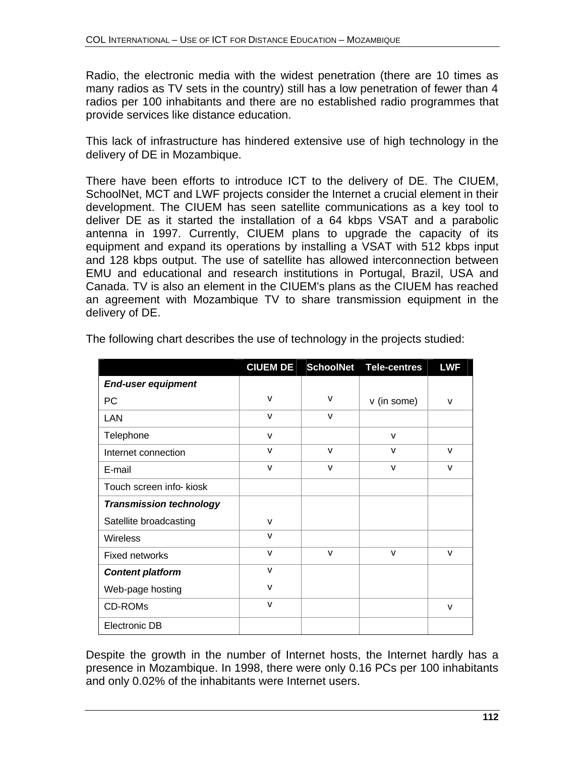Radio, the electronic media with the widest penetration (there are 10 times as many radios as TV sets in the country) still has a low penetration of fewer than 4 radios per 100 inhabitants and there are no established radio programmes that provide services like distance education.

This lack of infrastructure has hindered extensive use of high technology in the delivery of DE in Mozambique.

There have been efforts to introduce ICT to the delivery of DE. The CIUEM, SchoolNet, MCT and LWF projects consider the Internet a crucial element in their development. The CIUEM has seen satellite communications as a key tool to deliver DE as it started the installation of a 64 kbps VSAT and a parabolic antenna in 1997. Currently, CIUEM plans to upgrade the capacity of its equipment and expand its operations by installing a VSAT with 512 kbps input and 128 kbps output. The use of satellite has allowed interconnection between EMU and educational and research institutions in Portugal, Brazil, USA and Canada. TV is also an element in the CIUEM's plans as the CIUEM has reached an agreement with Mozambique TV to share transmission equipment in the delivery of DE.

|                                | <b>CIUEM DE</b> | <b>SchoolNet</b> | <b>Tele-centres</b> | <b>LWF</b>   |
|--------------------------------|-----------------|------------------|---------------------|--------------|
| <b>End-user equipment</b>      |                 |                  |                     |              |
| PC                             | v               | $\mathsf{v}$     | v (in some)         | v            |
| LAN                            | $\mathsf{V}$    | v                |                     |              |
| Telephone                      | $\mathsf{V}$    |                  | $\mathsf{V}$        |              |
| Internet connection            | $\mathsf{v}$    | $\mathsf{v}$     | v                   | $\mathsf{V}$ |
| E-mail                         | $\mathsf{V}$    | $\mathsf{v}$     | $\vee$              | $\mathsf{v}$ |
| Touch screen info- kiosk       |                 |                  |                     |              |
| <b>Transmission technology</b> |                 |                  |                     |              |
| Satellite broadcasting         | v               |                  |                     |              |
| <b>Wireless</b>                | V               |                  |                     |              |
| Fixed networks                 | $\mathsf{V}$    | $\mathsf{v}$     | $\mathsf{v}$        | v            |
| <b>Content platform</b>        | $\mathsf{v}$    |                  |                     |              |
| Web-page hosting               | V               |                  |                     |              |
| <b>CD-ROMs</b>                 | $\mathsf{V}$    |                  |                     | $\mathsf{V}$ |
| Electronic DB                  |                 |                  |                     |              |

The following chart describes the use of technology in the projects studied:

Despite the growth in the number of Internet hosts, the Internet hardly has a presence in Mozambique. In 1998, there were only 0.16 PCs per 100 inhabitants and only 0.02% of the inhabitants were Internet users.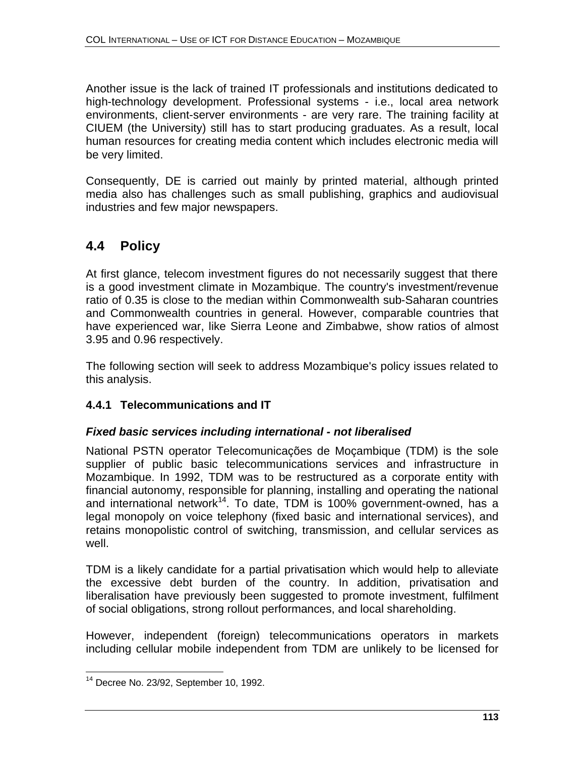Another issue is the lack of trained IT professionals and institutions dedicated to high-technology development. Professional systems - i.e., local area network environments, client-server environments - are very rare. The training facility at CIUEM (the University) still has to start producing graduates. As a result, local human resources for creating media content which includes electronic media will be very limited.

Consequently, DE is carried out mainly by printed material, although printed media also has challenges such as small publishing, graphics and audiovisual industries and few major newspapers.

# **4.4 Policy**

At first glance, telecom investment figures do not necessarily suggest that there is a good investment climate in Mozambique. The country's investment/revenue ratio of 0.35 is close to the median within Commonwealth sub-Saharan countries and Commonwealth countries in general. However, comparable countries that have experienced war, like Sierra Leone and Zimbabwe, show ratios of almost 3.95 and 0.96 respectively.

The following section will seek to address Mozambique's policy issues related to this analysis.

# **4.4.1 Telecommunications and IT**

## *Fixed basic services including international - not liberalised*

National PSTN operator Telecomunicações de Moçambique (TDM) is the sole supplier of public basic telecommunications services and infrastructure in Mozambique. In 1992, TDM was to be restructured as a corporate entity with financial autonomy, responsible for planning, installing and operating the national and international network<sup>14</sup>. To date, TDM is 100% government-owned, has a legal monopoly on voice telephony (fixed basic and international services), and retains monopolistic control of switching, transmission, and cellular services as well.

TDM is a likely candidate for a partial privatisation which would help to alleviate the excessive debt burden of the country. In addition, privatisation and liberalisation have previously been suggested to promote investment, fulfilment of social obligations, strong rollout performances, and local shareholding.

However, independent (foreign) telecommunications operators in markets including cellular mobile independent from TDM are unlikely to be licensed for

 $\overline{1}$  $14$  Decree No. 23/92, September 10, 1992.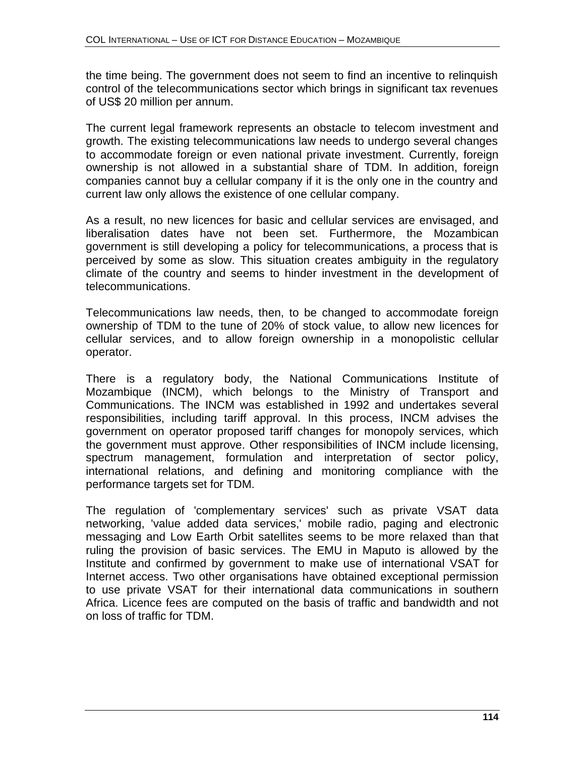the time being. The government does not seem to find an incentive to relinquish control of the telecommunications sector which brings in significant tax revenues of US\$ 20 million per annum.

The current legal framework represents an obstacle to telecom investment and growth. The existing telecommunications law needs to undergo several changes to accommodate foreign or even national private investment. Currently, foreign ownership is not allowed in a substantial share of TDM. In addition, foreign companies cannot buy a cellular company if it is the only one in the country and current law only allows the existence of one cellular company.

As a result, no new licences for basic and cellular services are envisaged, and liberalisation dates have not been set. Furthermore, the Mozambican government is still developing a policy for telecommunications, a process that is perceived by some as slow. This situation creates ambiguity in the regulatory climate of the country and seems to hinder investment in the development of telecommunications.

Telecommunications law needs, then, to be changed to accommodate foreign ownership of TDM to the tune of 20% of stock value, to allow new licences for cellular services, and to allow foreign ownership in a monopolistic cellular operator.

There is a regulatory body, the National Communications Institute of Mozambique (INCM), which belongs to the Ministry of Transport and Communications. The INCM was established in 1992 and undertakes several responsibilities, including tariff approval. In this process, INCM advises the government on operator proposed tariff changes for monopoly services, which the government must approve. Other responsibilities of INCM include licensing, spectrum management, formulation and interpretation of sector policy, international relations, and defining and monitoring compliance with the performance targets set for TDM.

The regulation of 'complementary services' such as private VSAT data networking, 'value added data services,' mobile radio, paging and electronic messaging and Low Earth Orbit satellites seems to be more relaxed than that ruling the provision of basic services. The EMU in Maputo is allowed by the Institute and confirmed by government to make use of international VSAT for Internet access. Two other organisations have obtained exceptional permission to use private VSAT for their international data communications in southern Africa. Licence fees are computed on the basis of traffic and bandwidth and not on loss of traffic for TDM.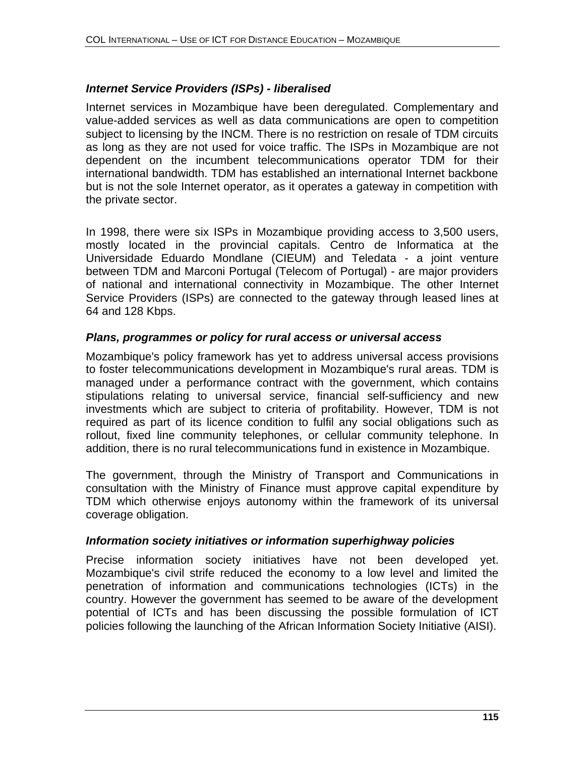#### *Internet Service Providers (ISPs) - liberalised*

Internet services in Mozambique have been deregulated. Complementary and value-added services as well as data communications are open to competition subject to licensing by the INCM. There is no restriction on resale of TDM circuits as long as they are not used for voice traffic. The ISPs in Mozambique are not dependent on the incumbent telecommunications operator TDM for their international bandwidth. TDM has established an international Internet backbone but is not the sole Internet operator, as it operates a gateway in competition with the private sector.

In 1998, there were six ISPs in Mozambique providing access to 3,500 users, mostly located in the provincial capitals. Centro de Informatica at the Universidade Eduardo Mondlane (CIEUM) and Teledata - a joint venture between TDM and Marconi Portugal (Telecom of Portugal) - are major providers of national and international connectivity in Mozambique. The other Internet Service Providers (ISPs) are connected to the gateway through leased lines at 64 and 128 Kbps.

#### *Plans, programmes or policy for rural access or universal access*

Mozambique's policy framework has yet to address universal access provisions to foster telecommunications development in Mozambique's rural areas. TDM is managed under a performance contract with the government, which contains stipulations relating to universal service, financial self-sufficiency and new investments which are subject to criteria of profitability. However, TDM is not required as part of its licence condition to fulfil any social obligations such as rollout, fixed line community telephones, or cellular community telephone. In addition, there is no rural telecommunications fund in existence in Mozambique.

The government, through the Ministry of Transport and Communications in consultation with the Ministry of Finance must approve capital expenditure by TDM which otherwise enjoys autonomy within the framework of its universal coverage obligation.

#### *Information society initiatives or information superhighway policies*

Precise information society initiatives have not been developed yet. Mozambique's civil strife reduced the economy to a low level and limited the penetration of information and communications technologies (ICTs) in the country. However the government has seemed to be aware of the development potential of ICTs and has been discussing the possible formulation of ICT policies following the launching of the African Information Society Initiative (AISI).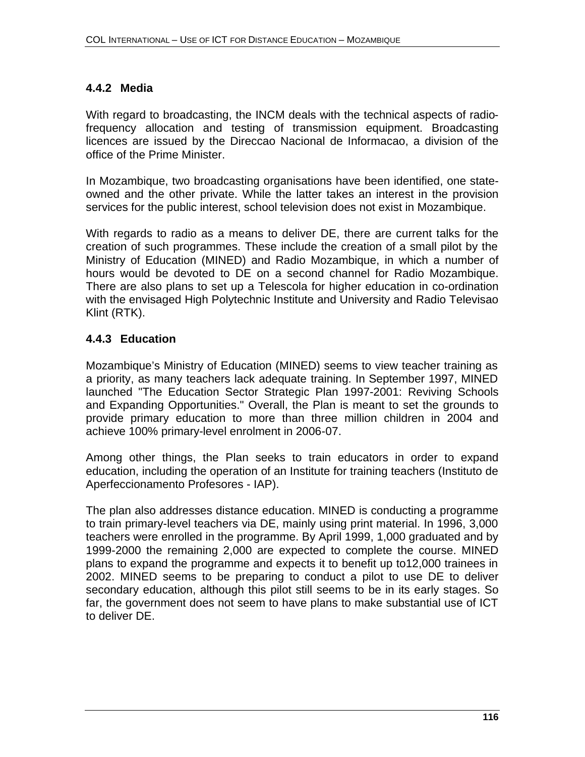## **4.4.2 Media**

With regard to broadcasting, the INCM deals with the technical aspects of radiofrequency allocation and testing of transmission equipment. Broadcasting licences are issued by the Direccao Nacional de Informacao, a division of the office of the Prime Minister.

In Mozambique, two broadcasting organisations have been identified, one stateowned and the other private. While the latter takes an interest in the provision services for the public interest, school television does not exist in Mozambique.

With regards to radio as a means to deliver DE, there are current talks for the creation of such programmes. These include the creation of a small pilot by the Ministry of Education (MINED) and Radio Mozambique, in which a number of hours would be devoted to DE on a second channel for Radio Mozambique. There are also plans to set up a Telescola for higher education in co-ordination with the envisaged High Polytechnic Institute and University and Radio Televisao Klint (RTK).

## **4.4.3 Education**

Mozambique's Ministry of Education (MINED) seems to view teacher training as a priority, as many teachers lack adequate training. In September 1997, MINED launched "The Education Sector Strategic Plan 1997-2001: Reviving Schools and Expanding Opportunities." Overall, the Plan is meant to set the grounds to provide primary education to more than three million children in 2004 and achieve 100% primary-level enrolment in 2006-07.

Among other things, the Plan seeks to train educators in order to expand education, including the operation of an Institute for training teachers (Instituto de Aperfeccionamento Profesores - IAP).

The plan also addresses distance education. MINED is conducting a programme to train primary-level teachers via DE, mainly using print material. In 1996, 3,000 teachers were enrolled in the programme. By April 1999, 1,000 graduated and by 1999-2000 the remaining 2,000 are expected to complete the course. MINED plans to expand the programme and expects it to benefit up to12,000 trainees in 2002. MINED seems to be preparing to conduct a pilot to use DE to deliver secondary education, although this pilot still seems to be in its early stages. So far, the government does not seem to have plans to make substantial use of ICT to deliver DE.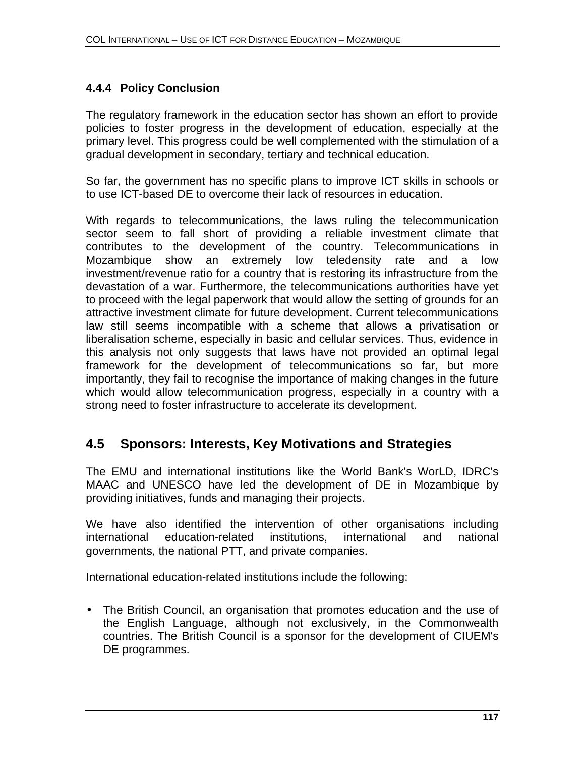# **4.4.4 Policy Conclusion**

The regulatory framework in the education sector has shown an effort to provide policies to foster progress in the development of education, especially at the primary level. This progress could be well complemented with the stimulation of a gradual development in secondary, tertiary and technical education.

So far, the government has no specific plans to improve ICT skills in schools or to use ICT-based DE to overcome their lack of resources in education.

With regards to telecommunications, the laws ruling the telecommunication sector seem to fall short of providing a reliable investment climate that contributes to the development of the country. Telecommunications in Mozambique show an extremely low teledensity rate and a low investment/revenue ratio for a country that is restoring its infrastructure from the devastation of a war. Furthermore, the telecommunications authorities have yet to proceed with the legal paperwork that would allow the setting of grounds for an attractive investment climate for future development. Current telecommunications law still seems incompatible with a scheme that allows a privatisation or liberalisation scheme, especially in basic and cellular services. Thus, evidence in this analysis not only suggests that laws have not provided an optimal legal framework for the development of telecommunications so far, but more importantly, they fail to recognise the importance of making changes in the future which would allow telecommunication progress, especially in a country with a strong need to foster infrastructure to accelerate its development.

# **4.5 Sponsors: Interests, Key Motivations and Strategies**

The EMU and international institutions like the World Bank's WorLD, IDRC's MAAC and UNESCO have led the development of DE in Mozambique by providing initiatives, funds and managing their projects.

We have also identified the intervention of other organisations including international education-related institutions, international and national governments, the national PTT, and private companies.

International education-related institutions include the following:

• The British Council, an organisation that promotes education and the use of the English Language, although not exclusively, in the Commonwealth countries. The British Council is a sponsor for the development of CIUEM's DE programmes.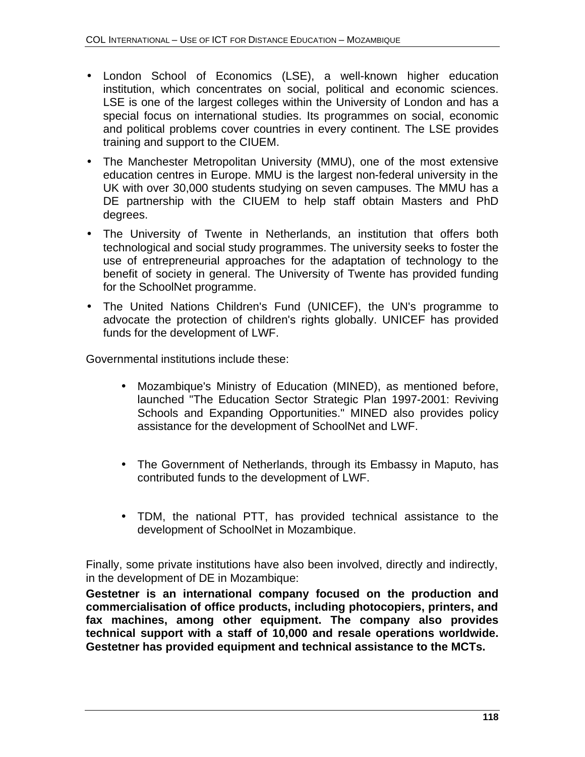- London School of Economics (LSE), a well-known higher education institution, which concentrates on social, political and economic sciences. LSE is one of the largest colleges within the University of London and has a special focus on international studies. Its programmes on social, economic and political problems cover countries in every continent. The LSE provides training and support to the CIUEM.
- The Manchester Metropolitan University (MMU), one of the most extensive education centres in Europe. MMU is the largest non-federal university in the UK with over 30,000 students studying on seven campuses. The MMU has a DE partnership with the CIUEM to help staff obtain Masters and PhD degrees.
- The University of Twente in Netherlands, an institution that offers both technological and social study programmes. The university seeks to foster the use of entrepreneurial approaches for the adaptation of technology to the benefit of society in general. The University of Twente has provided funding for the SchoolNet programme.
- The United Nations Children's Fund (UNICEF), the UN's programme to advocate the protection of children's rights globally. UNICEF has provided funds for the development of LWF.

Governmental institutions include these:

- Mozambique's Ministry of Education (MINED), as mentioned before, launched "The Education Sector Strategic Plan 1997-2001: Reviving Schools and Expanding Opportunities." MINED also provides policy assistance for the development of SchoolNet and LWF.
- The Government of Netherlands, through its Embassy in Maputo, has contributed funds to the development of LWF.
- TDM, the national PTT, has provided technical assistance to the development of SchoolNet in Mozambique.

Finally, some private institutions have also been involved, directly and indirectly, in the development of DE in Mozambique:

**Gestetner is an international company focused on the production and commercialisation of office products, including photocopiers, printers, and fax machines, among other equipment. The company also provides technical support with a staff of 10,000 and resale operations worldwide. Gestetner has provided equipment and technical assistance to the MCTs.**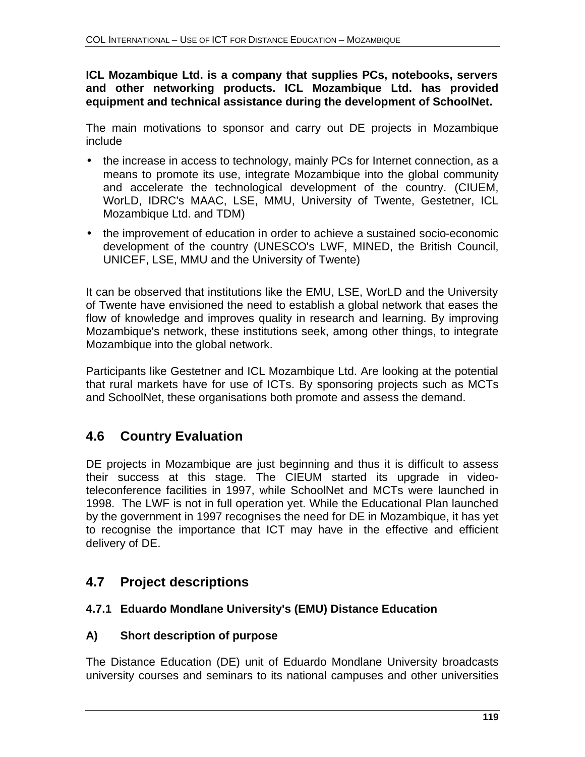#### **ICL Mozambique Ltd. is a company that supplies PCs, notebooks, servers and other networking products. ICL Mozambique Ltd. has provided equipment and technical assistance during the development of SchoolNet.**

The main motivations to sponsor and carry out DE projects in Mozambique include

- the increase in access to technology, mainly PCs for Internet connection, as a means to promote its use, integrate Mozambique into the global community and accelerate the technological development of the country. (CIUEM, WorLD, IDRC's MAAC, LSE, MMU, University of Twente, Gestetner, ICL Mozambique Ltd. and TDM)
- the improvement of education in order to achieve a sustained socio-economic development of the country (UNESCO's LWF, MINED, the British Council, UNICEF, LSE, MMU and the University of Twente)

It can be observed that institutions like the EMU, LSE, WorLD and the University of Twente have envisioned the need to establish a global network that eases the flow of knowledge and improves quality in research and learning. By improving Mozambique's network, these institutions seek, among other things, to integrate Mozambique into the global network.

Participants like Gestetner and ICL Mozambique Ltd. Are looking at the potential that rural markets have for use of ICTs. By sponsoring projects such as MCTs and SchoolNet, these organisations both promote and assess the demand.

# **4.6 Country Evaluation**

DE projects in Mozambique are just beginning and thus it is difficult to assess their success at this stage. The CIEUM started its upgrade in videoteleconference facilities in 1997, while SchoolNet and MCTs were launched in 1998. The LWF is not in full operation yet. While the Educational Plan launched by the government in 1997 recognises the need for DE in Mozambique, it has yet to recognise the importance that ICT may have in the effective and efficient delivery of DE.

# **4.7 Project descriptions**

# **4.7.1 Eduardo Mondlane University's (EMU) Distance Education**

## **A) Short description of purpose**

The Distance Education (DE) unit of Eduardo Mondlane University broadcasts university courses and seminars to its national campuses and other universities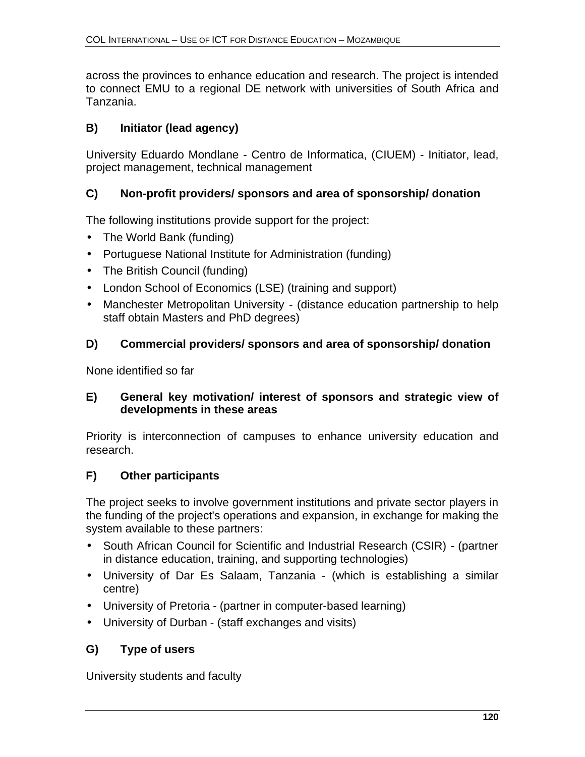across the provinces to enhance education and research. The project is intended to connect EMU to a regional DE network with universities of South Africa and Tanzania.

# **B) Initiator (lead agency)**

University Eduardo Mondlane - Centro de Informatica, (CIUEM) - Initiator, lead, project management, technical management

# **C) Non-profit providers/ sponsors and area of sponsorship/ donation**

The following institutions provide support for the project:

- The World Bank (funding)
- Portuguese National Institute for Administration (funding)
- The British Council (funding)
- London School of Economics (LSE) (training and support)
- Manchester Metropolitan University (distance education partnership to help staff obtain Masters and PhD degrees)

# **D) Commercial providers/ sponsors and area of sponsorship/ donation**

None identified so far

## **E) General key motivation/ interest of sponsors and strategic view of developments in these areas**

Priority is interconnection of campuses to enhance university education and research.

# **F) Other participants**

The project seeks to involve government institutions and private sector players in the funding of the project's operations and expansion, in exchange for making the system available to these partners:

- South African Council for Scientific and Industrial Research (CSIR) (partner in distance education, training, and supporting technologies)
- University of Dar Es Salaam, Tanzania (which is establishing a similar centre)
- University of Pretoria (partner in computer-based learning)
- University of Durban (staff exchanges and visits)

# **G) Type of users**

University students and faculty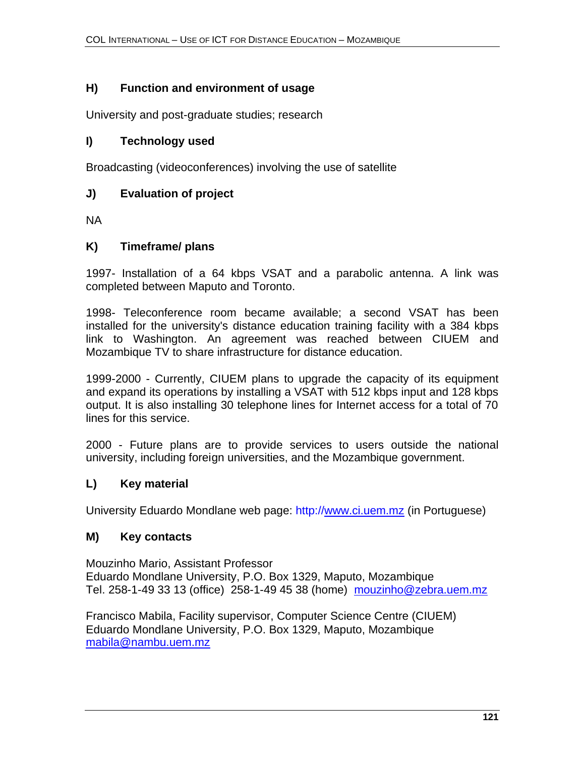## **H) Function and environment of usage**

University and post-graduate studies; research

### **I) Technology used**

Broadcasting (videoconferences) involving the use of satellite

### **J) Evaluation of project**

NA

#### **K) Timeframe/ plans**

1997- Installation of a 64 kbps VSAT and a parabolic antenna. A link was completed between Maputo and Toronto.

1998- Teleconference room became available; a second VSAT has been installed for the university's distance education training facility with a 384 kbps link to Washington. An agreement was reached between CIUEM and Mozambique TV to share infrastructure for distance education.

1999-2000 - Currently, CIUEM plans to upgrade the capacity of its equipment and expand its operations by installing a VSAT with 512 kbps input and 128 kbps output. It is also installing 30 telephone lines for Internet access for a total of 70 lines for this service.

2000 - Future plans are to provide services to users outside the national university, including foreign universities, and the Mozambique government.

## **L) Key material**

University Eduardo Mondlane web page: http://www.ci.uem.mz (in Portuguese)

#### **M) Key contacts**

Mouzinho Mario, Assistant Professor Eduardo Mondlane University, P.O. Box 1329, Maputo, Mozambique Tel. 258-1-49 33 13 (office) 258-1-49 45 38 (home) mouzinho@zebra.uem.mz

Francisco Mabila, Facility supervisor, Computer Science Centre (CIUEM) Eduardo Mondlane University, P.O. Box 1329, Maputo, Mozambique mabila@nambu.uem.mz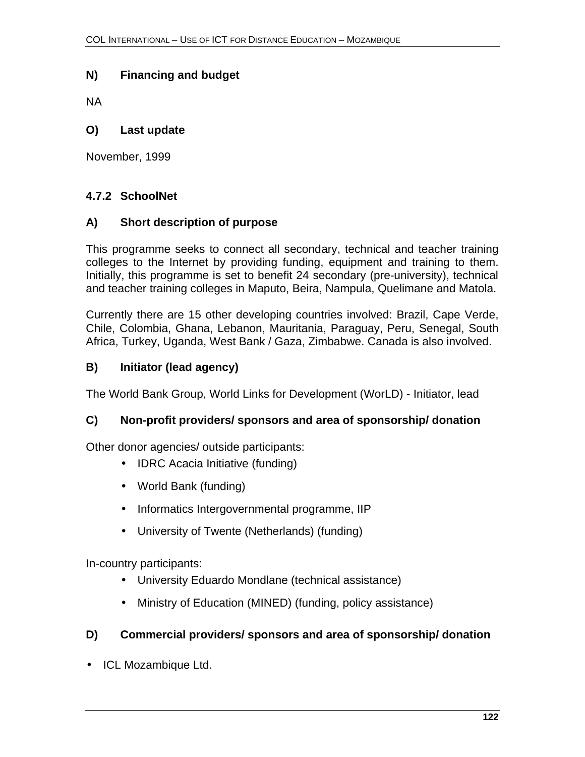## **N) Financing and budget**

NA

### **O) Last update**

November, 1999

## **4.7.2 SchoolNet**

#### **A) Short description of purpose**

This programme seeks to connect all secondary, technical and teacher training colleges to the Internet by providing funding, equipment and training to them. Initially, this programme is set to benefit 24 secondary (pre-university), technical and teacher training colleges in Maputo, Beira, Nampula, Quelimane and Matola.

Currently there are 15 other developing countries involved: Brazil, Cape Verde, Chile, Colombia, Ghana, Lebanon, Mauritania, Paraguay, Peru, Senegal, South Africa, Turkey, Uganda, West Bank / Gaza, Zimbabwe. Canada is also involved.

## **B) Initiator (lead agency)**

The World Bank Group, World Links for Development (WorLD) - Initiator, lead

## **C) Non-profit providers/ sponsors and area of sponsorship/ donation**

Other donor agencies/ outside participants:

- IDRC Acacia Initiative (funding)
- World Bank (funding)
- Informatics Intergovernmental programme, IIP
- University of Twente (Netherlands) (funding)

In-country participants:

- University Eduardo Mondlane (technical assistance)
- Ministry of Education (MINED) (funding, policy assistance)

## **D) Commercial providers/ sponsors and area of sponsorship/ donation**

• ICL Mozambique Ltd.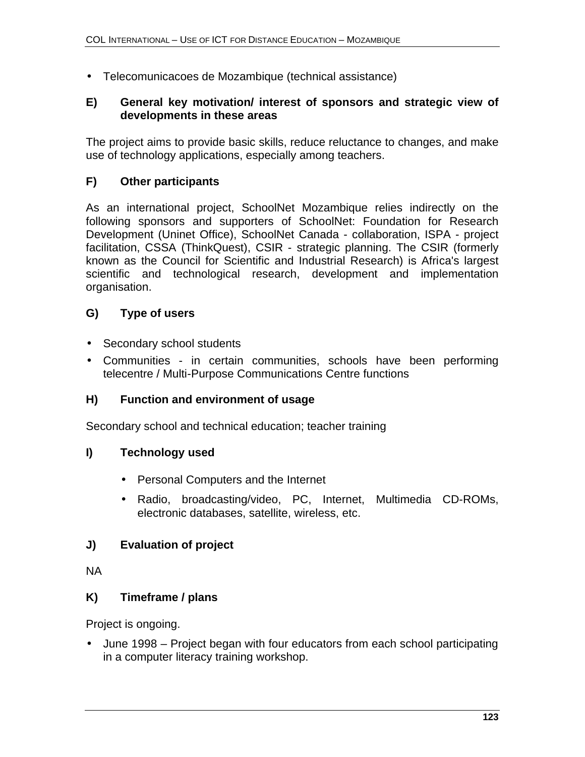• Telecomunicacoes de Mozambique (technical assistance)

#### **E) General key motivation/ interest of sponsors and strategic view of developments in these areas**

The project aims to provide basic skills, reduce reluctance to changes, and make use of technology applications, especially among teachers.

## **F) Other participants**

As an international project, SchoolNet Mozambique relies indirectly on the following sponsors and supporters of SchoolNet: Foundation for Research Development (Uninet Office), SchoolNet Canada - collaboration, ISPA - project facilitation, CSSA (ThinkQuest), CSIR - strategic planning. The CSIR (formerly known as the Council for Scientific and Industrial Research) is Africa's largest scientific and technological research, development and implementation organisation.

## **G) Type of users**

- Secondary school students
- Communities in certain communities, schools have been performing telecentre / Multi-Purpose Communications Centre functions

## **H) Function and environment of usage**

Secondary school and technical education; teacher training

## **I) Technology used**

- Personal Computers and the Internet
- Radio, broadcasting/video, PC, Internet, Multimedia CD-ROMs, electronic databases, satellite, wireless, etc.

## **J) Evaluation of project**

NA

## **K) Timeframe / plans**

Project is ongoing.

• June 1998 – Project began with four educators from each school participating in a computer literacy training workshop.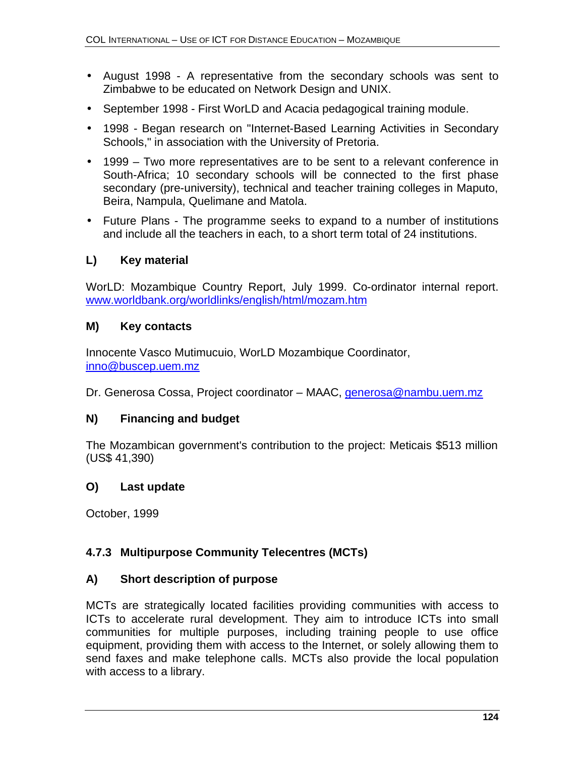- August 1998 A representative from the secondary schools was sent to Zimbabwe to be educated on Network Design and UNIX.
- September 1998 First WorLD and Acacia pedagogical training module.
- 1998 Began research on "Internet-Based Learning Activities in Secondary Schools," in association with the University of Pretoria.
- 1999 Two more representatives are to be sent to a relevant conference in South-Africa; 10 secondary schools will be connected to the first phase secondary (pre-university), technical and teacher training colleges in Maputo, Beira, Nampula, Quelimane and Matola.
- Future Plans The programme seeks to expand to a number of institutions and include all the teachers in each, to a short term total of 24 institutions.

## **L) Key material**

WorLD: Mozambique Country Report, July 1999. Co-ordinator internal report. www.worldbank.org/worldlinks/english/html/mozam.htm

## **M) Key contacts**

Innocente Vasco Mutimucuio, WorLD Mozambique Coordinator, inno@buscep.uem.mz

Dr. Generosa Cossa, Project coordinator – MAAC, *generosa@nambu.uem.mz* 

## **N) Financing and budget**

The Mozambican government's contribution to the project: Meticais \$513 million (US\$ 41,390)

## **O) Last update**

October, 1999

# **4.7.3 Multipurpose Community Telecentres (MCTs)**

## **A) Short description of purpose**

MCTs are strategically located facilities providing communities with access to ICTs to accelerate rural development. They aim to introduce ICTs into small communities for multiple purposes, including training people to use office equipment, providing them with access to the Internet, or solely allowing them to send faxes and make telephone calls. MCTs also provide the local population with access to a library.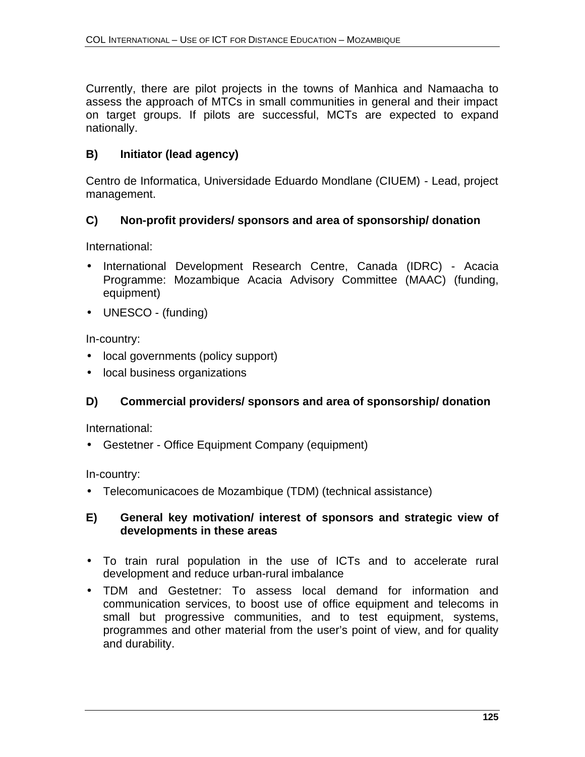Currently, there are pilot projects in the towns of Manhica and Namaacha to assess the approach of MTCs in small communities in general and their impact on target groups. If pilots are successful, MCTs are expected to expand nationally.

# **B) Initiator (lead agency)**

Centro de Informatica, Universidade Eduardo Mondlane (CIUEM) - Lead, project management.

## **C) Non-profit providers/ sponsors and area of sponsorship/ donation**

International:

- International Development Research Centre, Canada (IDRC) Acacia Programme: Mozambique Acacia Advisory Committee (MAAC) (funding, equipment)
- UNESCO (funding)

In-country:

- local governments (policy support)
- local business organizations

# **D) Commercial providers/ sponsors and area of sponsorship/ donation**

International:

• Gestetner - Office Equipment Company (equipment)

In-country:

• Telecomunicacoes de Mozambique (TDM) (technical assistance)

#### **E) General key motivation/ interest of sponsors and strategic view of developments in these areas**

- To train rural population in the use of ICTs and to accelerate rural development and reduce urban-rural imbalance
- TDM and Gestetner: To assess local demand for information and communication services, to boost use of office equipment and telecoms in small but progressive communities, and to test equipment, systems, programmes and other material from the user's point of view, and for quality and durability.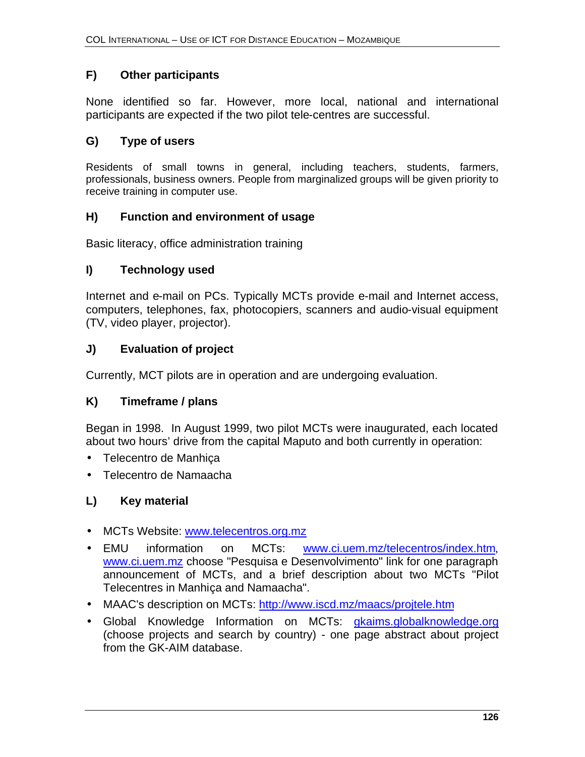## **F) Other participants**

None identified so far. However, more local, national and international participants are expected if the two pilot tele-centres are successful.

### **G) Type of users**

Residents of small towns in general, including teachers, students, farmers, professionals, business owners. People from marginalized groups will be given priority to receive training in computer use.

#### **H) Function and environment of usage**

Basic literacy, office administration training

#### **I) Technology used**

Internet and e-mail on PCs. Typically MCTs provide e-mail and Internet access, computers, telephones, fax, photocopiers, scanners and audio-visual equipment (TV, video player, projector).

#### **J) Evaluation of project**

Currently, MCT pilots are in operation and are undergoing evaluation.

#### **K) Timeframe / plans**

Began in 1998. In August 1999, two pilot MCTs were inaugurated, each located about two hours' drive from the capital Maputo and both currently in operation:

- Telecentro de Manhiça
- Telecentro de Namaacha

## **L) Key material**

- MCTs Website: www.telecentros.org.mz
- EMU information on MCTs: www.ci.uem.mz/telecentros/index.htm, www.ci.uem.mz choose "Pesquisa e Desenvolvimento" link for one paragraph announcement of MCTs, and a brief description about two MCTs "Pilot Telecentres in Manhiça and Namaacha".
- MAAC's description on MCTs: http://www.iscd.mz/maacs/projtele.htm
- Global Knowledge Information on MCTs: gkaims.globalknowledge.org (choose projects and search by country) - one page abstract about project from the GK-AIM database.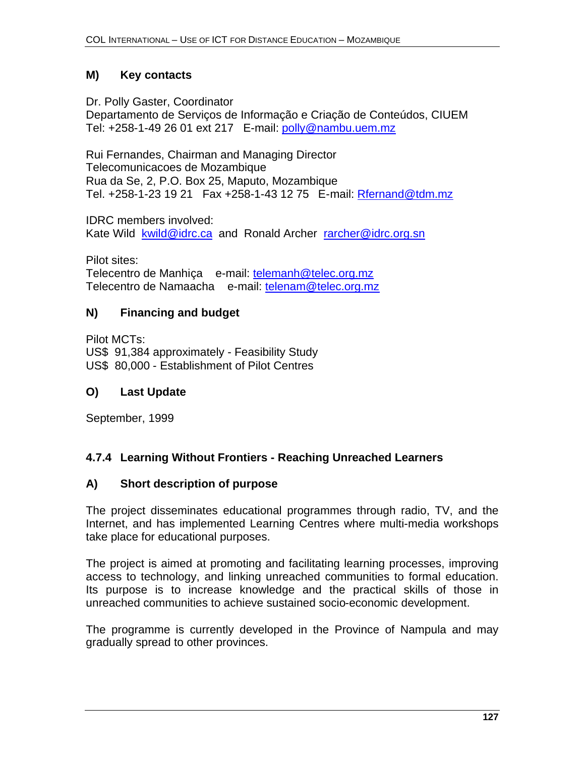## **M) Key contacts**

Dr. Polly Gaster, Coordinator

Departamento de Serviços de Informação e Criação de Conteúdos, CIUEM Tel: +258-1-49 26 01 ext 217 E-mail: polly@nambu.uem.mz

Rui Fernandes, Chairman and Managing Director Telecomunicacoes de Mozambique Rua da Se, 2, P.O. Box 25, Maputo, Mozambique Tel. +258-1-23 19 21 Fax +258-1-43 12 75 E-mail: Rfernand@tdm.mz

IDRC members involved: Kate Wild kwild@idrc.ca and Ronald Archer rarcher@idrc.org.sn

Pilot sites: Telecentro de Manhiça e-mail: telemanh@telec.org.mz Telecentro de Namaacha e-mail: telenam@telec.org.mz

## **N) Financing and budget**

Pilot MCTs: US\$ 91,384 approximately - Feasibility Study US\$ 80,000 - Establishment of Pilot Centres

## **O) Last Update**

September, 1999

# **4.7.4 Learning Without Frontiers - Reaching Unreached Learners**

## **A) Short description of purpose**

The project disseminates educational programmes through radio, TV, and the Internet, and has implemented Learning Centres where multi-media workshops take place for educational purposes.

The project is aimed at promoting and facilitating learning processes, improving access to technology, and linking unreached communities to formal education. Its purpose is to increase knowledge and the practical skills of those in unreached communities to achieve sustained socio-economic development.

The programme is currently developed in the Province of Nampula and may gradually spread to other provinces.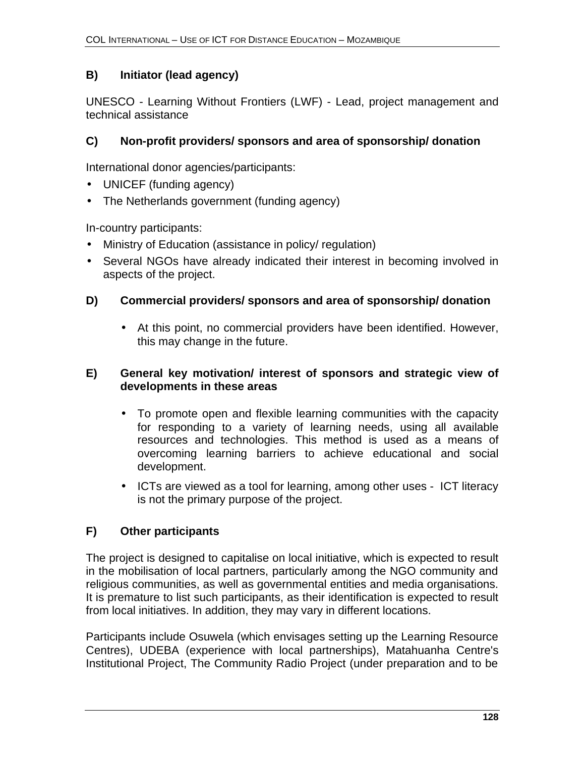## **B) Initiator (lead agency)**

UNESCO - Learning Without Frontiers (LWF) - Lead, project management and technical assistance

## **C) Non-profit providers/ sponsors and area of sponsorship/ donation**

International donor agencies/participants:

- UNICEF (funding agency)
- The Netherlands government (funding agency)

In-country participants:

- Ministry of Education (assistance in policy/ regulation)
- Several NGOs have already indicated their interest in becoming involved in aspects of the project.

#### **D) Commercial providers/ sponsors and area of sponsorship/ donation**

• At this point, no commercial providers have been identified. However, this may change in the future.

#### **E) General key motivation/ interest of sponsors and strategic view of developments in these areas**

- To promote open and flexible learning communities with the capacity for responding to a variety of learning needs, using all available resources and technologies. This method is used as a means of overcoming learning barriers to achieve educational and social development.
- ICTs are viewed as a tool for learning, among other uses ICT literacy is not the primary purpose of the project.

# **F) Other participants**

The project is designed to capitalise on local initiative, which is expected to result in the mobilisation of local partners, particularly among the NGO community and religious communities, as well as governmental entities and media organisations. It is premature to list such participants, as their identification is expected to result from local initiatives. In addition, they may vary in different locations.

Participants include Osuwela (which envisages setting up the Learning Resource Centres), UDEBA (experience with local partnerships), Matahuanha Centre's Institutional Project, The Community Radio Project (under preparation and to be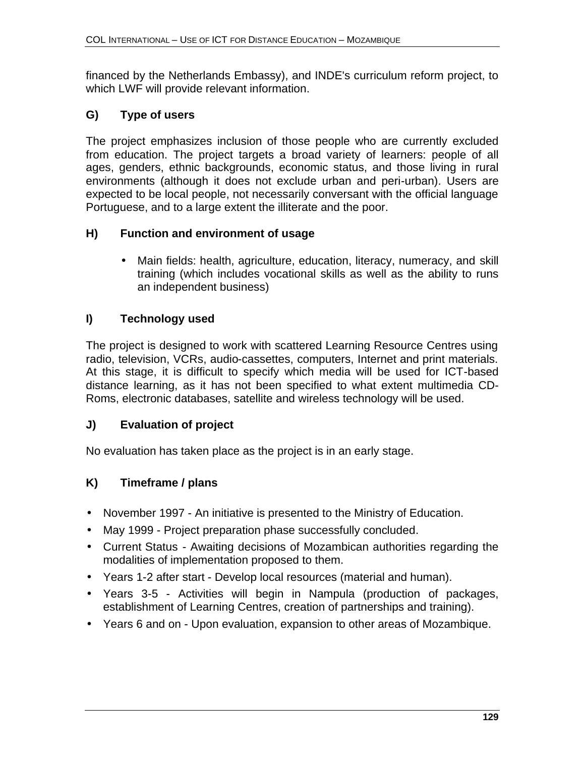financed by the Netherlands Embassy), and INDE's curriculum reform project, to which LWF will provide relevant information.

# **G) Type of users**

The project emphasizes inclusion of those people who are currently excluded from education. The project targets a broad variety of learners: people of all ages, genders, ethnic backgrounds, economic status, and those living in rural environments (although it does not exclude urban and peri-urban). Users are expected to be local people, not necessarily conversant with the official language Portuguese, and to a large extent the illiterate and the poor.

## **H) Function and environment of usage**

• Main fields: health, agriculture, education, literacy, numeracy, and skill training (which includes vocational skills as well as the ability to runs an independent business)

# **I) Technology used**

The project is designed to work with scattered Learning Resource Centres using radio, television, VCRs, audio-cassettes, computers, Internet and print materials. At this stage, it is difficult to specify which media will be used for ICT-based distance learning, as it has not been specified to what extent multimedia CD-Roms, electronic databases, satellite and wireless technology will be used.

# **J) Evaluation of project**

No evaluation has taken place as the project is in an early stage.

# **K) Timeframe / plans**

- November 1997 An initiative is presented to the Ministry of Education.
- May 1999 Project preparation phase successfully concluded.
- Current Status Awaiting decisions of Mozambican authorities regarding the modalities of implementation proposed to them.
- Years 1-2 after start Develop local resources (material and human).
- Years 3-5 Activities will begin in Nampula (production of packages, establishment of Learning Centres, creation of partnerships and training).
- Years 6 and on Upon evaluation, expansion to other areas of Mozambique.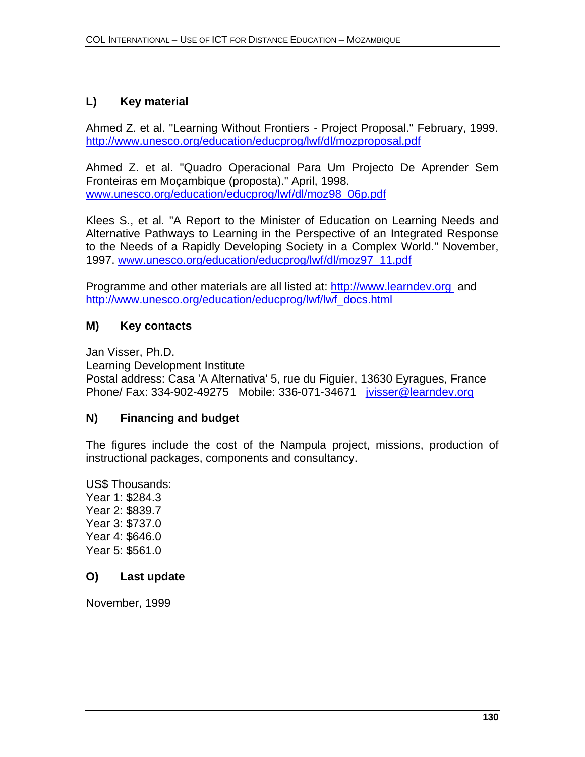## **L) Key material**

Ahmed Z. et al. "Learning Without Frontiers - Project Proposal." February, 1999. http://www.unesco.org/education/educprog/lwf/dl/mozproposal.pdf

Ahmed Z. et al. "Quadro Operacional Para Um Projecto De Aprender Sem Fronteiras em Moçambique (proposta)." April, 1998. www.unesco.org/education/educprog/lwf/dl/moz98\_06p.pdf

Klees S., et al. "A Report to the Minister of Education on Learning Needs and Alternative Pathways to Learning in the Perspective of an Integrated Response to the Needs of a Rapidly Developing Society in a Complex World." November, 1997. www.unesco.org/education/educprog/lwf/dl/moz97\_11.pdf

Programme and other materials are all listed at: http://www.learndev.org and http://www.unesco.org/education/educprog/lwf/lwf\_docs.html

## **M) Key contacts**

Jan Visser, Ph.D.

Learning Development Institute Postal address: Casa 'A Alternativa' 5, rue du Figuier, 13630 Eyragues, France Phone/ Fax: 334-902-49275 Mobile: 336-071-34671 jvisser@learndev.org

## **N) Financing and budget**

The figures include the cost of the Nampula project, missions, production of instructional packages, components and consultancy.

US\$ Thousands: Year 1: \$284.3 Year 2: \$839.7 Year 3: \$737.0 Year 4: \$646.0 Year 5: \$561.0

#### **O) Last update**

November, 1999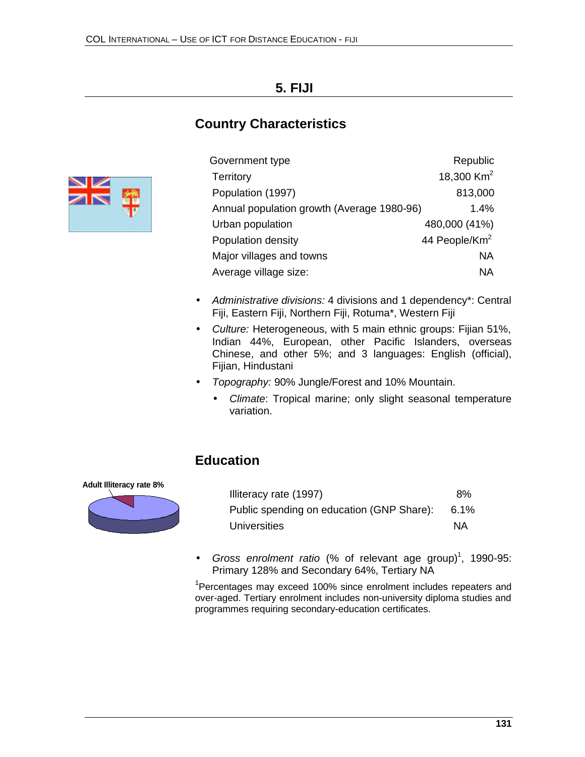# **5. FIJI**

# **Country Characteristics**



| Government type                            | Republic                  |
|--------------------------------------------|---------------------------|
| <b>Territory</b>                           | 18,300 $km^2$             |
| Population (1997)                          | 813,000                   |
| Annual population growth (Average 1980-96) | 1.4%                      |
| Urban population                           | 480,000 (41%)             |
| Population density                         | 44 People/Km <sup>2</sup> |
| Major villages and towns                   | NA                        |
| Average village size:                      | ΝA                        |
|                                            |                           |

- *Administrative divisions:* 4 divisions and 1 dependency\*: Central Fiji, Eastern Fiji, Northern Fiji, Rotuma\*, Western Fiji
- *Culture:* Heterogeneous, with 5 main ethnic groups: Fijian 51%, Indian 44%, European, other Pacific Islanders, overseas Chinese, and other 5%; and 3 languages: English (official), Fijian, Hindustani
- *Topography:* 90% Jungle/Forest and 10% Mountain.
	- *Climate*: Tropical marine; only slight seasonal temperature variation.

# **Education**



| Illiteracy rate (1997)                    | 8%      |
|-------------------------------------------|---------|
| Public spending on education (GNP Share): | $6.1\%$ |
| Universities                              | ΝA      |

• Gross enrolment ratio (% of relevant age group)<sup>1</sup>, 1990-95: Primary 128% and Secondary 64%, Tertiary NA

<sup>1</sup>Percentages may exceed 100% since enrolment includes repeaters and over-aged. Tertiary enrolment includes non-university diploma studies and programmes requiring secondary-education certificates.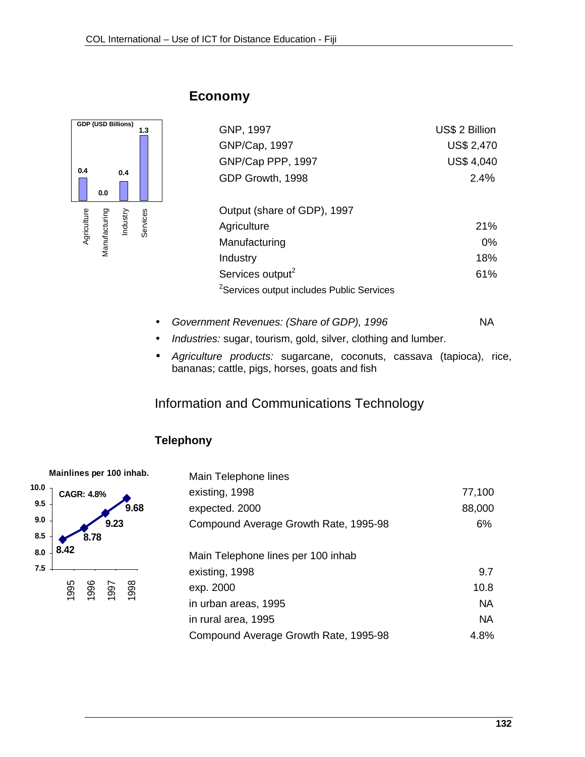

# **Economy**

| GNP, 1997                                             | US\$ 2 Billion    |
|-------------------------------------------------------|-------------------|
| GNP/Cap, 1997                                         | <b>US\$ 2,470</b> |
| GNP/Cap PPP, 1997                                     | <b>US\$ 4,040</b> |
| GDP Growth, 1998                                      | $2.4\%$           |
| Output (share of GDP), 1997                           |                   |
| Agriculture                                           | 21%               |
| Manufacturing                                         | $0\%$             |
| Industry                                              | 18%               |
| Services output <sup>2</sup>                          | 61%               |
| <sup>2</sup> Services output includes Public Services |                   |

- Government Revenues: (Share of GDP), 1996 **NA**
- *Industries:* sugar, tourism, gold, silver, clothing and lumber.
- *Agriculture products:* sugarcane, coconuts, cassava (tapioca), rice, bananas; cattle, pigs, horses, goats and fish

# Information and Communications Technology

# **Telephony**



| Main Telephone lines                  |           |
|---------------------------------------|-----------|
| existing, 1998                        | 77,100    |
| expected. 2000                        | 88,000    |
| Compound Average Growth Rate, 1995-98 | 6%        |
|                                       |           |
| Main Telephone lines per 100 inhab    |           |
| existing, 1998                        | 9.7       |
| exp. 2000                             | 10.8      |
| in urban areas, 1995                  | <b>NA</b> |
| in rural area, 1995                   | <b>NA</b> |
| Compound Average Growth Rate, 1995-98 | 4.8%      |
|                                       |           |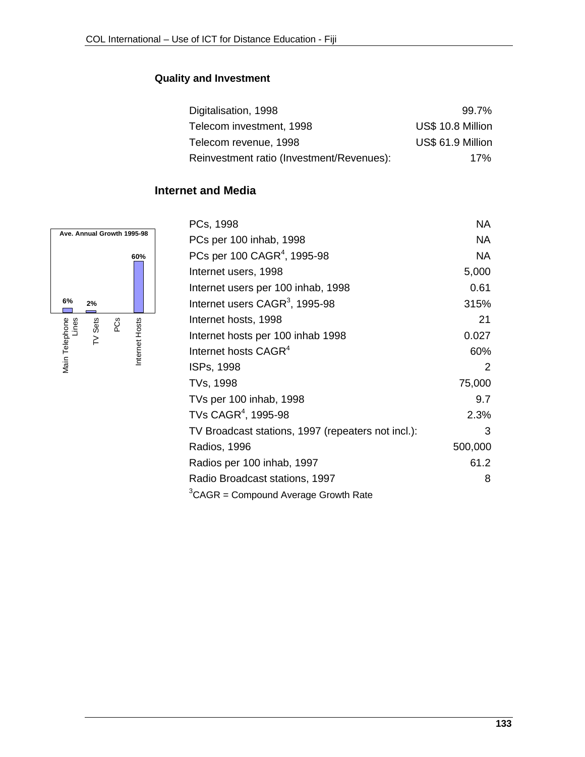## **Quality and Investment**

| Digitalisation, 1998                      | $99.7\%$          |
|-------------------------------------------|-------------------|
| Telecom investment, 1998                  | US\$ 10.8 Million |
| Telecom revenue, 1998                     | US\$ 61.9 Million |
| Reinvestment ratio (Investment/Revenues): | 17%               |

# **Internet and Media**



| PCs, 1998                                          | <b>NA</b> |
|----------------------------------------------------|-----------|
| PCs per 100 inhab, 1998                            | NA        |
| PCs per 100 CAGR <sup>4</sup> , 1995-98            | NA        |
| Internet users, 1998                               | 5,000     |
| Internet users per 100 inhab, 1998                 | 0.61      |
| Internet users CAGR <sup>3</sup> , 1995-98         | 315%      |
| Internet hosts, 1998                               | 21        |
| Internet hosts per 100 inhab 1998                  | 0.027     |
| Internet hosts CAGR <sup>4</sup>                   | 60%       |
| ISPs, 1998                                         | 2         |
| TVs, 1998                                          | 75,000    |
| TVs per 100 inhab, 1998                            | 9.7       |
| TVs CAGR <sup>4</sup> , 1995-98                    | 2.3%      |
| TV Broadcast stations, 1997 (repeaters not incl.): | 3         |
| <b>Radios, 1996</b>                                | 500,000   |
| Radios per 100 inhab, 1997                         | 61.2      |
| Radio Broadcast stations, 1997                     | 8         |
| <sup>3</sup> CAGR = Compound Average Growth Rate   |           |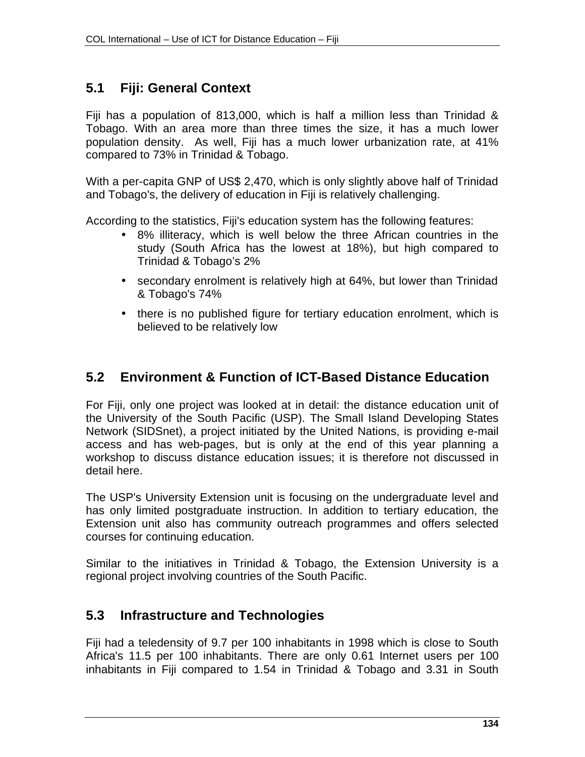# **5.1 Fiji: General Context**

Fiji has a population of 813,000, which is half a million less than Trinidad & Tobago. With an area more than three times the size, it has a much lower population density. As well, Fiji has a much lower urbanization rate, at 41% compared to 73% in Trinidad & Tobago.

With a per-capita GNP of US\$ 2,470, which is only slightly above half of Trinidad and Tobago's, the delivery of education in Fiji is relatively challenging.

According to the statistics, Fiji's education system has the following features:

- 8% illiteracy, which is well below the three African countries in the study (South Africa has the lowest at 18%), but high compared to Trinidad & Tobago's 2%
- secondary enrolment is relatively high at 64%, but lower than Trinidad & Tobago's 74%
- there is no published figure for tertiary education enrolment, which is believed to be relatively low

# **5.2 Environment & Function of ICT-Based Distance Education**

For Fiji, only one project was looked at in detail: the distance education unit of the University of the South Pacific (USP). The Small Island Developing States Network (SIDSnet), a project initiated by the United Nations, is providing e-mail access and has web-pages, but is only at the end of this year planning a workshop to discuss distance education issues; it is therefore not discussed in detail here.

The USP's University Extension unit is focusing on the undergraduate level and has only limited postgraduate instruction. In addition to tertiary education, the Extension unit also has community outreach programmes and offers selected courses for continuing education.

Similar to the initiatives in Trinidad & Tobago, the Extension University is a regional project involving countries of the South Pacific.

# **5.3 Infrastructure and Technologies**

Fiji had a teledensity of 9.7 per 100 inhabitants in 1998 which is close to South Africa's 11.5 per 100 inhabitants. There are only 0.61 Internet users per 100 inhabitants in Fiji compared to 1.54 in Trinidad & Tobago and 3.31 in South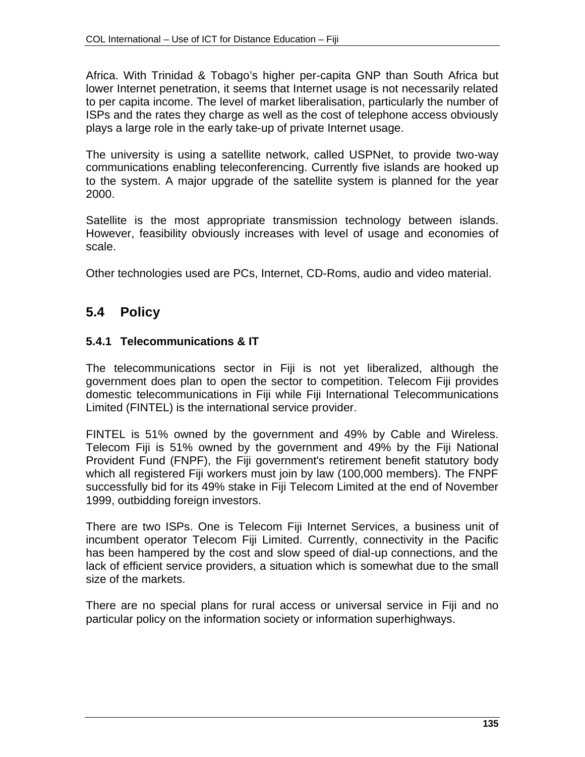Africa. With Trinidad & Tobago's higher per-capita GNP than South Africa but lower Internet penetration, it seems that Internet usage is not necessarily related to per capita income. The level of market liberalisation, particularly the number of ISPs and the rates they charge as well as the cost of telephone access obviously plays a large role in the early take-up of private Internet usage.

The university is using a satellite network, called USPNet, to provide two-way communications enabling teleconferencing. Currently five islands are hooked up to the system. A major upgrade of the satellite system is planned for the year 2000.

Satellite is the most appropriate transmission technology between islands. However, feasibility obviously increases with level of usage and economies of scale.

Other technologies used are PCs, Internet, CD-Roms, audio and video material.

# **5.4 Policy**

## **5.4.1 Telecommunications & IT**

The telecommunications sector in Fiji is not yet liberalized, although the government does plan to open the sector to competition. Telecom Fiji provides domestic telecommunications in Fiji while Fiji International Telecommunications Limited (FINTEL) is the international service provider.

FINTEL is 51% owned by the government and 49% by Cable and Wireless. Telecom Fiji is 51% owned by the government and 49% by the Fiji National Provident Fund (FNPF), the Fiji government's retirement benefit statutory body which all registered Fiji workers must join by law (100,000 members). The FNPF successfully bid for its 49% stake in Fiji Telecom Limited at the end of November 1999, outbidding foreign investors.

There are two ISPs. One is Telecom Fiji Internet Services, a business unit of incumbent operator Telecom Fiji Limited. Currently, connectivity in the Pacific has been hampered by the cost and slow speed of dial-up connections, and the lack of efficient service providers, a situation which is somewhat due to the small size of the markets.

There are no special plans for rural access or universal service in Fiji and no particular policy on the information society or information superhighways.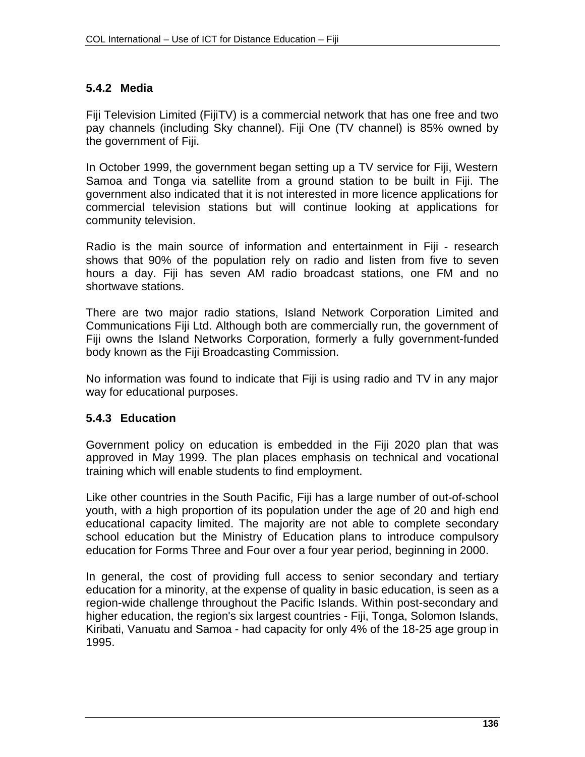## **5.4.2 Media**

Fiji Television Limited (FijiTV) is a commercial network that has one free and two pay channels (including Sky channel). Fiji One (TV channel) is 85% owned by the government of Fiji.

In October 1999, the government began setting up a TV service for Fiji, Western Samoa and Tonga via satellite from a ground station to be built in Fiji. The government also indicated that it is not interested in more licence applications for commercial television stations but will continue looking at applications for community television.

Radio is the main source of information and entertainment in Fiji - research shows that 90% of the population rely on radio and listen from five to seven hours a day. Fiji has seven AM radio broadcast stations, one FM and no shortwave stations.

There are two major radio stations, Island Network Corporation Limited and Communications Fiji Ltd. Although both are commercially run, the government of Fiji owns the Island Networks Corporation, formerly a fully government-funded body known as the Fiji Broadcasting Commission.

No information was found to indicate that Fiji is using radio and TV in any major way for educational purposes.

## **5.4.3 Education**

Government policy on education is embedded in the Fiji 2020 plan that was approved in May 1999. The plan places emphasis on technical and vocational training which will enable students to find employment.

Like other countries in the South Pacific, Fiji has a large number of out-of-school youth, with a high proportion of its population under the age of 20 and high end educational capacity limited. The majority are not able to complete secondary school education but the Ministry of Education plans to introduce compulsory education for Forms Three and Four over a four year period, beginning in 2000.

In general, the cost of providing full access to senior secondary and tertiary education for a minority, at the expense of quality in basic education, is seen as a region-wide challenge throughout the Pacific Islands. Within post-secondary and higher education, the region's six largest countries - Fiji, Tonga, Solomon Islands, Kiribati, Vanuatu and Samoa - had capacity for only 4% of the 18-25 age group in 1995.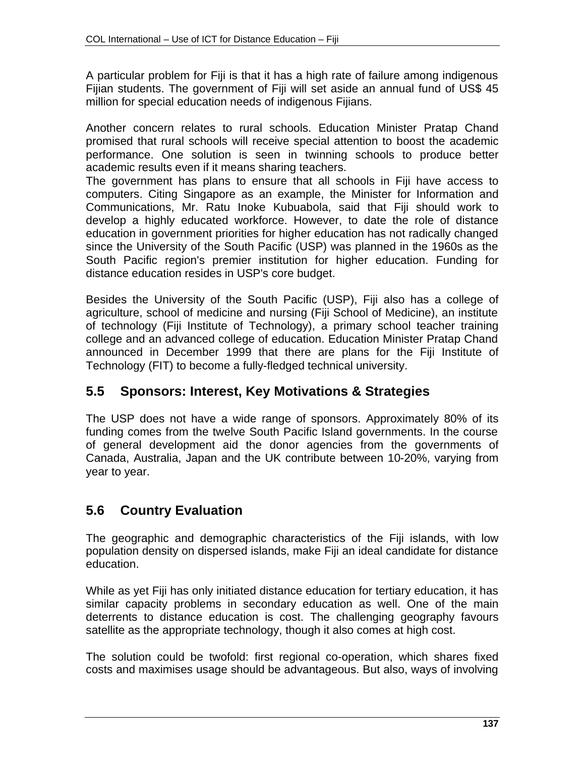A particular problem for Fiji is that it has a high rate of failure among indigenous Fijian students. The government of Fiji will set aside an annual fund of US\$ 45 million for special education needs of indigenous Fijians.

Another concern relates to rural schools. Education Minister Pratap Chand promised that rural schools will receive special attention to boost the academic performance. One solution is seen in twinning schools to produce better academic results even if it means sharing teachers.

The government has plans to ensure that all schools in Fiji have access to computers. Citing Singapore as an example, the Minister for Information and Communications, Mr. Ratu Inoke Kubuabola, said that Fiji should work to develop a highly educated workforce. However, to date the role of distance education in government priorities for higher education has not radically changed since the University of the South Pacific (USP) was planned in the 1960s as the South Pacific region's premier institution for higher education. Funding for distance education resides in USP's core budget.

Besides the University of the South Pacific (USP), Fiji also has a college of agriculture, school of medicine and nursing (Fiji School of Medicine), an institute of technology (Fiji Institute of Technology), a primary school teacher training college and an advanced college of education. Education Minister Pratap Chand announced in December 1999 that there are plans for the Fiji Institute of Technology (FIT) to become a fully-fledged technical university.

# **5.5 Sponsors: Interest, Key Motivations & Strategies**

The USP does not have a wide range of sponsors. Approximately 80% of its funding comes from the twelve South Pacific Island governments. In the course of general development aid the donor agencies from the governments of Canada, Australia, Japan and the UK contribute between 10-20%, varying from year to year.

# **5.6 Country Evaluation**

The geographic and demographic characteristics of the Fiji islands, with low population density on dispersed islands, make Fiji an ideal candidate for distance education.

While as yet Fiji has only initiated distance education for tertiary education, it has similar capacity problems in secondary education as well. One of the main deterrents to distance education is cost. The challenging geography favours satellite as the appropriate technology, though it also comes at high cost.

The solution could be twofold: first regional co-operation, which shares fixed costs and maximises usage should be advantageous. But also, ways of involving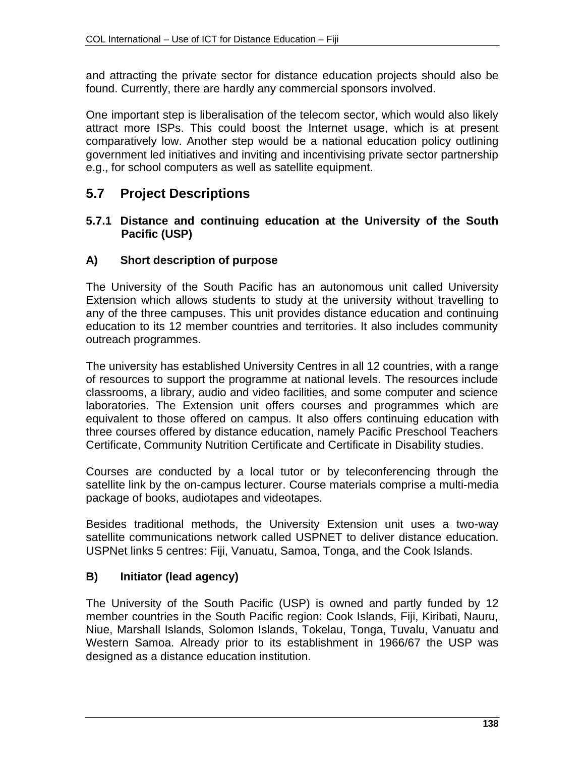and attracting the private sector for distance education projects should also be found. Currently, there are hardly any commercial sponsors involved.

One important step is liberalisation of the telecom sector, which would also likely attract more ISPs. This could boost the Internet usage, which is at present comparatively low. Another step would be a national education policy outlining government led initiatives and inviting and incentivising private sector partnership e.g., for school computers as well as satellite equipment.

# **5.7 Project Descriptions**

#### **5.7.1 Distance and continuing education at the University of the South Pacific (USP)**

## **A) Short description of purpose**

The University of the South Pacific has an autonomous unit called University Extension which allows students to study at the university without travelling to any of the three campuses. This unit provides distance education and continuing education to its 12 member countries and territories. It also includes community outreach programmes.

The university has established University Centres in all 12 countries, with a range of resources to support the programme at national levels. The resources include classrooms, a library, audio and video facilities, and some computer and science laboratories. The Extension unit offers courses and programmes which are equivalent to those offered on campus. It also offers continuing education with three courses offered by distance education, namely Pacific Preschool Teachers Certificate, Community Nutrition Certificate and Certificate in Disability studies.

Courses are conducted by a local tutor or by teleconferencing through the satellite link by the on-campus lecturer. Course materials comprise a multi-media package of books, audiotapes and videotapes.

Besides traditional methods, the University Extension unit uses a two-way satellite communications network called USPNET to deliver distance education. USPNet links 5 centres: Fiji, Vanuatu, Samoa, Tonga, and the Cook Islands.

## **B) Initiator (lead agency)**

The University of the South Pacific (USP) is owned and partly funded by 12 member countries in the South Pacific region: Cook Islands, Fiji, Kiribati, Nauru, Niue, Marshall Islands, Solomon Islands, Tokelau, Tonga, Tuvalu, Vanuatu and Western Samoa. Already prior to its establishment in 1966/67 the USP was designed as a distance education institution.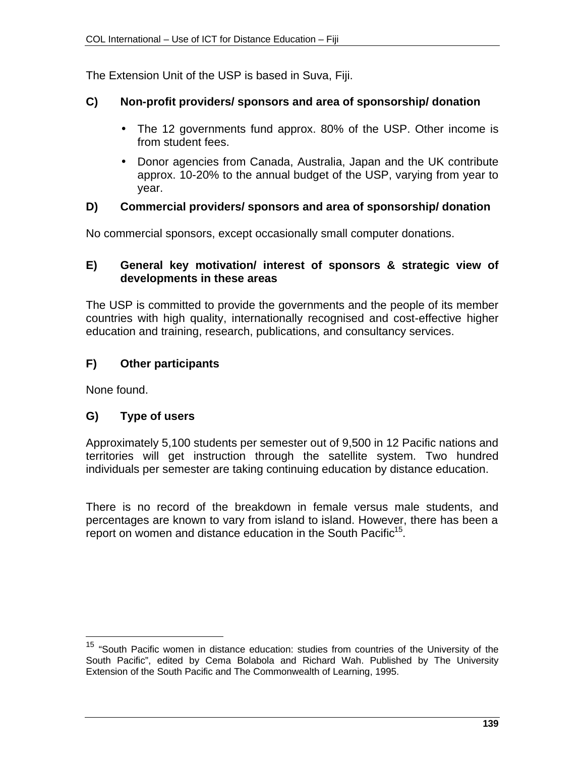The Extension Unit of the USP is based in Suva, Fiji.

# **C) Non-profit providers/ sponsors and area of sponsorship/ donation**

- The 12 governments fund approx. 80% of the USP. Other income is from student fees.
- Donor agencies from Canada, Australia, Japan and the UK contribute approx. 10-20% to the annual budget of the USP, varying from year to year.

## **D) Commercial providers/ sponsors and area of sponsorship/ donation**

No commercial sponsors, except occasionally small computer donations.

## **E) General key motivation/ interest of sponsors & strategic view of developments in these areas**

The USP is committed to provide the governments and the people of its member countries with high quality, internationally recognised and cost-effective higher education and training, research, publications, and consultancy services.

# **F) Other participants**

None found.

 $\overline{a}$ 

# **G) Type of users**

Approximately 5,100 students per semester out of 9,500 in 12 Pacific nations and territories will get instruction through the satellite system. Two hundred individuals per semester are taking continuing education by distance education.

There is no record of the breakdown in female versus male students, and percentages are known to vary from island to island. However, there has been a report on women and distance education in the South Pacific<sup>15</sup>.

<sup>&</sup>lt;sup>15</sup> "South Pacific women in distance education: studies from countries of the University of the South Pacific", edited by Cema Bolabola and Richard Wah. Published by The University Extension of the South Pacific and The Commonwealth of Learning, 1995.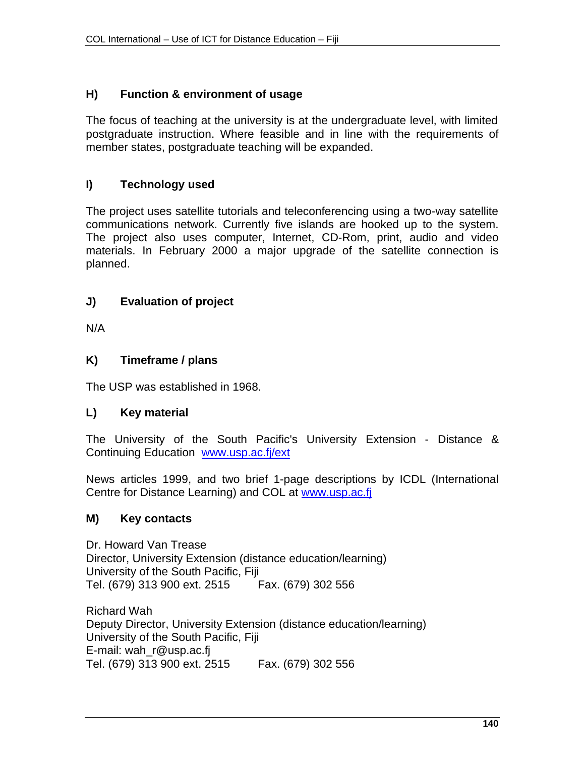### **H) Function & environment of usage**

The focus of teaching at the university is at the undergraduate level, with limited postgraduate instruction. Where feasible and in line with the requirements of member states, postgraduate teaching will be expanded.

## **I) Technology used**

The project uses satellite tutorials and teleconferencing using a two-way satellite communications network. Currently five islands are hooked up to the system. The project also uses computer, Internet, CD-Rom, print, audio and video materials. In February 2000 a major upgrade of the satellite connection is planned.

## **J) Evaluation of project**

N/A

#### **K) Timeframe / plans**

The USP was established in 1968.

#### **L) Key material**

The University of the South Pacific's University Extension - Distance & Continuing Education www.usp.ac.fj/ext

News articles 1999, and two brief 1-page descriptions by ICDL (International Centre for Distance Learning) and COL at www.usp.ac.fi

#### **M) Key contacts**

Dr. Howard Van Trease Director, University Extension (distance education/learning) University of the South Pacific, Fiji Tel. (679) 313 900 ext. 2515 Fax. (679) 302 556

Richard Wah Deputy Director, University Extension (distance education/learning) University of the South Pacific, Fiji E-mail: wah\_r@usp.ac.fj Tel. (679) 313 900 ext. 2515 Fax. (679) 302 556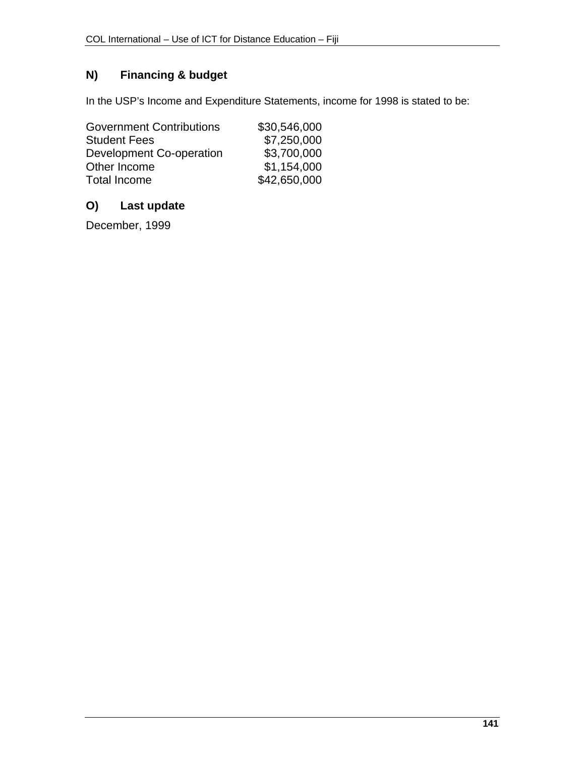# **N) Financing & budget**

In the USP's Income and Expenditure Statements, income for 1998 is stated to be:

| <b>Government Contributions</b> | \$30,546,000 |
|---------------------------------|--------------|
| <b>Student Fees</b>             | \$7,250,000  |
| <b>Development Co-operation</b> | \$3,700,000  |
| Other Income                    | \$1,154,000  |
| <b>Total Income</b>             | \$42,650,000 |

### **O) Last update**

December, 1999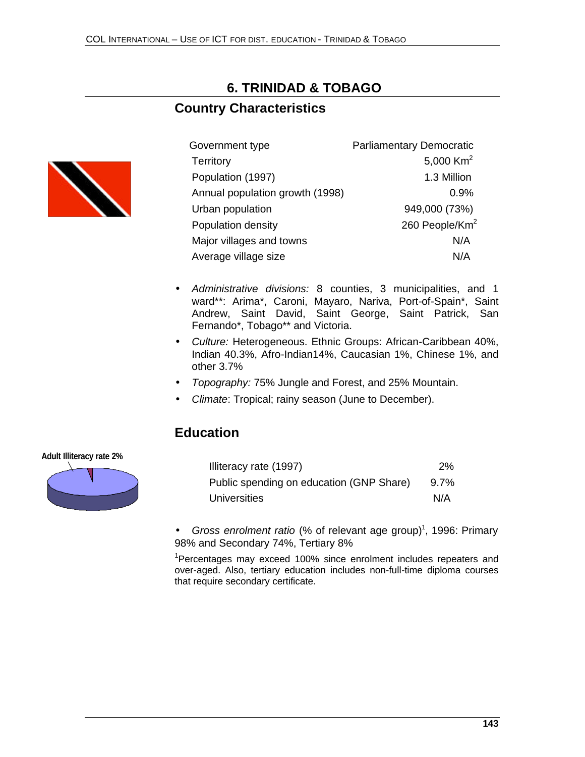# **6. TRINIDAD & TOBAGO**

### **Country Characteristics**



| Government type                 | <b>Parliamentary Democratic</b> |
|---------------------------------|---------------------------------|
| <b>Territory</b>                | 5,000 Km <sup>2</sup>           |
| Population (1997)               | 1.3 Million                     |
| Annual population growth (1998) | 0.9%                            |
| Urban population                | 949,000 (73%)                   |
| Population density              | 260 People/Km <sup>2</sup>      |
| Major villages and towns        | N/A                             |
| Average village size            | N/A                             |

- *Administrative divisions:* 8 counties, 3 municipalities, and 1 ward\*\*: Arima\*, Caroni, Mayaro, Nariva, Port-of-Spain\*, Saint Andrew, Saint David, Saint George, Saint Patrick, San Fernando\*, Tobago\*\* and Victoria.
- *Culture:* Heterogeneous. Ethnic Groups: African-Caribbean 40%, Indian 40.3%, Afro-Indian14%, Caucasian 1%, Chinese 1%, and other 3.7%
- *Topography:* 75% Jungle and Forest, and 25% Mountain.
- *Climate*: Tropical; rainy season (June to December).

### **Education**



| Illiteracy rate (1997)                   | 2%      |
|------------------------------------------|---------|
| Public spending on education (GNP Share) | $9.7\%$ |
| <b>Universities</b>                      | N/A     |

• Gross enrolment ratio (% of relevant age group)<sup>1</sup>, 1996: Primary 98% and Secondary 74%, Tertiary 8%

<sup>1</sup>Percentages may exceed 100% since enrolment includes repeaters and over-aged. Also, tertiary education includes non-full-time diploma courses that require secondary certificate.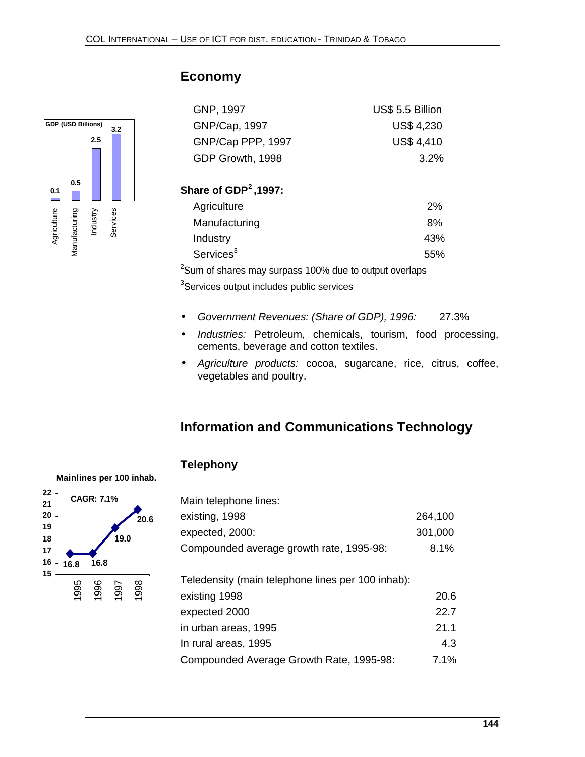

# **Economy**

| GNP, 1997         | US\$ 5.5 Billion  |
|-------------------|-------------------|
| GNP/Cap, 1997     | <b>US\$ 4,230</b> |
| GNP/Cap PPP, 1997 | <b>US\$ 4,410</b> |
| GDP Growth, 1998  | $3.2\%$           |

### **Share of GDP<sup>2</sup>,1997:**

| Agriculture           | 2%  |
|-----------------------|-----|
| Manufacturing         | 8%  |
| Industry              | 43% |
| Services <sup>3</sup> | 55% |

<sup>2</sup>Sum of shares may surpass 100% due to output overlaps <sup>3</sup>Services output includes public services

- *Government Revenues: (Share of GDP), 1996:* 27.3%
- *Industries:* Petroleum, chemicals, tourism, food processing, cements, beverage and cotton textiles.
- *Agriculture products:* cocoa, sugarcane, rice, citrus, coffee, vegetables and poultry.

# **Information and Communications Technology**

#### **Telephony**

**16.8 16.8 19.0 20.6 15 16 17 18 19 20 21 22 CAGR: 7.1%** 1995<br>1996<br>1997 1998

| Main telephone lines:                             |         |
|---------------------------------------------------|---------|
| existing, 1998                                    | 264,100 |
| expected, 2000:                                   | 301,000 |
| Compounded average growth rate, 1995-98:          | 8.1%    |
| Teledensity (main telephone lines per 100 inhab): |         |
| existing 1998                                     | 20.6    |
| expected 2000                                     | 22.7    |
| in urban areas, 1995                              | 21.1    |
| In rural areas, 1995                              | 4.3     |
| Compounded Average Growth Rate, 1995-98:          | 7.1%    |

#### **Mainlines per 100 inhab.**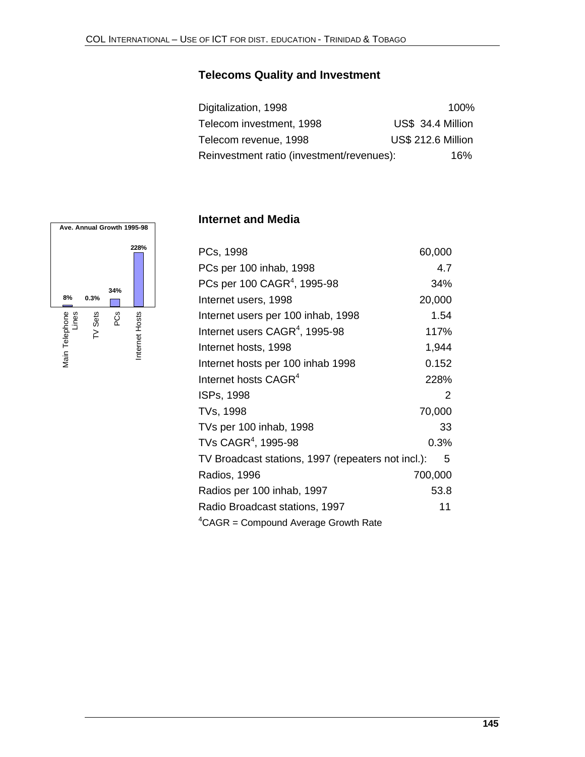# **Telecoms Quality and Investment**

| Digitalization, 1998                      | 100%                      |
|-------------------------------------------|---------------------------|
| Telecom investment, 1998                  | US\$ 34.4 Million         |
| Telecom revenue, 1998                     | <b>US\$ 212.6 Million</b> |
| Reinvestment ratio (investment/revenues): | 16%                       |

#### **Ave. Annual Growth 1995-98228% 34% 8% 0.3%**  $\mathcal{L}_{\mathcal{A}}$ Main Telephone |<br>Lines TV Sets PCs Internet Hosts Main Telephone Internet Hosts

### **Internet and Media**

| PCs, 1998                                          | 60,000        |
|----------------------------------------------------|---------------|
| PCs per 100 inhab, 1998                            | 4.7           |
| PCs per 100 CAGR <sup>4</sup> , 1995-98            | 34%           |
| Internet users, 1998                               | 20,000        |
| Internet users per 100 inhab, 1998                 | 1.54          |
| Internet users CAGR <sup>4</sup> , 1995-98         | 117%          |
| Internet hosts, 1998                               | 1,944         |
| Internet hosts per 100 inhab 1998                  | 0.152         |
| Internet hosts CAGR <sup>4</sup>                   | 228%          |
| ISPs, 1998                                         | $\mathcal{P}$ |
| TVs, 1998                                          | 70,000        |
| TVs per 100 inhab, 1998                            | 33            |
| TVs $\mathsf{CAGR}^4$ , 1995-98                    | 0.3%          |
| TV Broadcast stations, 1997 (repeaters not incl.): | 5             |
| Radios, 1996                                       | 700,000       |
| Radios per 100 inhab, 1997                         | 53.8          |
| Radio Broadcast stations, 1997                     | 11            |
| ${}^{4}$ CAGR = Compound Average Growth Rate       |               |
|                                                    |               |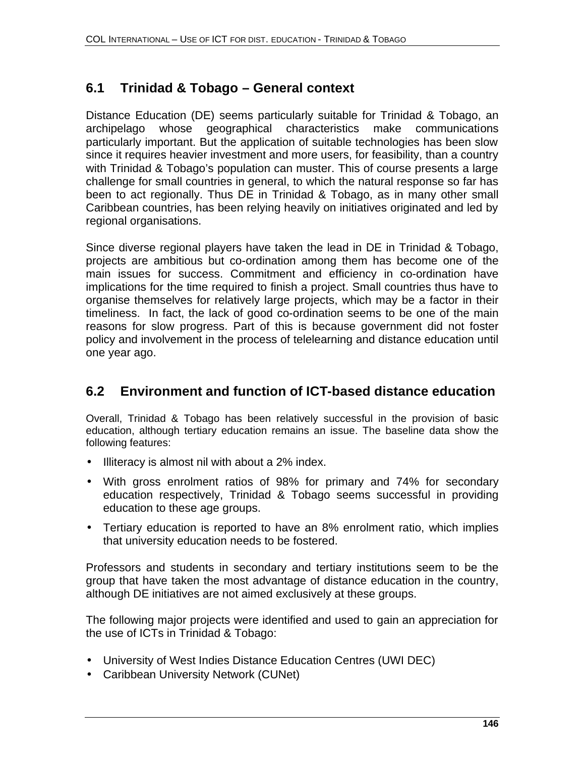# **6.1 Trinidad & Tobago – General context**

Distance Education (DE) seems particularly suitable for Trinidad & Tobago, an archipelago whose geographical characteristics make communications particularly important. But the application of suitable technologies has been slow since it requires heavier investment and more users, for feasibility, than a country with Trinidad & Tobago's population can muster. This of course presents a large challenge for small countries in general, to which the natural response so far has been to act regionally. Thus DE in Trinidad & Tobago, as in many other small Caribbean countries, has been relying heavily on initiatives originated and led by regional organisations.

Since diverse regional players have taken the lead in DE in Trinidad & Tobago, projects are ambitious but co-ordination among them has become one of the main issues for success. Commitment and efficiency in co-ordination have implications for the time required to finish a project. Small countries thus have to organise themselves for relatively large projects, which may be a factor in their timeliness. In fact, the lack of good co-ordination seems to be one of the main reasons for slow progress. Part of this is because government did not foster policy and involvement in the process of telelearning and distance education until one year ago.

## **6.2 Environment and function of ICT-based distance education**

Overall, Trinidad & Tobago has been relatively successful in the provision of basic education, although tertiary education remains an issue. The baseline data show the following features:

- Illiteracy is almost nil with about a 2% index.
- With gross enrolment ratios of 98% for primary and 74% for secondary education respectively, Trinidad & Tobago seems successful in providing education to these age groups.
- Tertiary education is reported to have an 8% enrolment ratio, which implies that university education needs to be fostered.

Professors and students in secondary and tertiary institutions seem to be the group that have taken the most advantage of distance education in the country, although DE initiatives are not aimed exclusively at these groups.

The following major projects were identified and used to gain an appreciation for the use of ICTs in Trinidad & Tobago:

- University of West Indies Distance Education Centres (UWI DEC)
- Caribbean University Network (CUNet)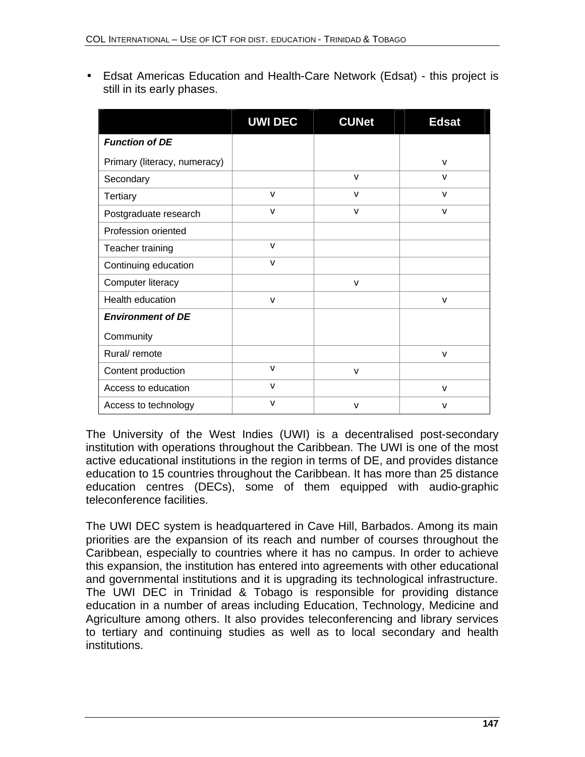• Edsat Americas Education and Health-Care Network (Edsat) - this project is still in its early phases.

|                              | <b>UWI DEC</b> | <b>CUNet</b> | <b>Edsat</b> |
|------------------------------|----------------|--------------|--------------|
| <b>Function of DE</b>        |                |              |              |
| Primary (literacy, numeracy) |                |              | $\mathsf{V}$ |
| Secondary                    |                | $\mathsf{V}$ | $\mathsf{v}$ |
| Tertiary                     | $\mathsf{v}$   | $\mathsf{V}$ | $\mathsf{V}$ |
| Postgraduate research        | $\mathsf{V}$   | $\mathsf{V}$ | $\mathsf{V}$ |
| Profession oriented          |                |              |              |
| Teacher training             | v              |              |              |
| Continuing education         | v              |              |              |
| Computer literacy            |                | $\mathsf{V}$ |              |
| Health education             | $\mathsf{V}$   |              | $\mathsf{V}$ |
| <b>Environment of DE</b>     |                |              |              |
| Community                    |                |              |              |
| Rural/ remote                |                |              | $\mathsf{V}$ |
| Content production           | $\mathsf{v}$   | $\mathsf{v}$ |              |
| Access to education          | v              |              | $\mathsf{V}$ |
| Access to technology         | v              | v            | $\mathsf{V}$ |

The University of the West Indies (UWI) is a decentralised post-secondary institution with operations throughout the Caribbean. The UWI is one of the most active educational institutions in the region in terms of DE, and provides distance education to 15 countries throughout the Caribbean. It has more than 25 distance education centres (DECs), some of them equipped with audio-graphic teleconference facilities.

The UWI DEC system is headquartered in Cave Hill, Barbados. Among its main priorities are the expansion of its reach and number of courses throughout the Caribbean, especially to countries where it has no campus. In order to achieve this expansion, the institution has entered into agreements with other educational and governmental institutions and it is upgrading its technological infrastructure. The UWI DEC in Trinidad & Tobago is responsible for providing distance education in a number of areas including Education, Technology, Medicine and Agriculture among others. It also provides teleconferencing and library services to tertiary and continuing studies as well as to local secondary and health institutions.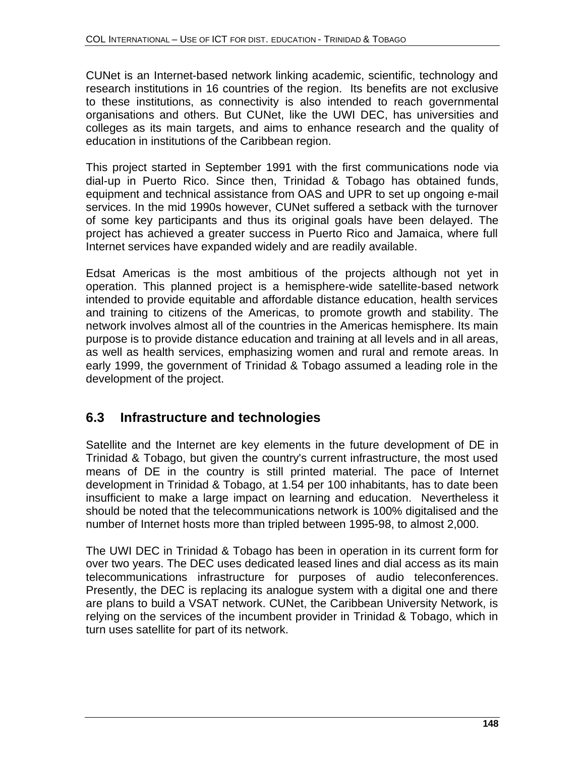CUNet is an Internet-based network linking academic, scientific, technology and research institutions in 16 countries of the region. Its benefits are not exclusive to these institutions, as connectivity is also intended to reach governmental organisations and others. But CUNet, like the UWI DEC, has universities and colleges as its main targets, and aims to enhance research and the quality of education in institutions of the Caribbean region.

This project started in September 1991 with the first communications node via dial-up in Puerto Rico. Since then, Trinidad & Tobago has obtained funds, equipment and technical assistance from OAS and UPR to set up ongoing e-mail services. In the mid 1990s however, CUNet suffered a setback with the turnover of some key participants and thus its original goals have been delayed. The project has achieved a greater success in Puerto Rico and Jamaica, where full Internet services have expanded widely and are readily available.

Edsat Americas is the most ambitious of the projects although not yet in operation. This planned project is a hemisphere-wide satellite-based network intended to provide equitable and affordable distance education, health services and training to citizens of the Americas, to promote growth and stability. The network involves almost all of the countries in the Americas hemisphere. Its main purpose is to provide distance education and training at all levels and in all areas, as well as health services, emphasizing women and rural and remote areas. In early 1999, the government of Trinidad & Tobago assumed a leading role in the development of the project.

# **6.3 Infrastructure and technologies**

Satellite and the Internet are key elements in the future development of DE in Trinidad & Tobago, but given the country's current infrastructure, the most used means of DE in the country is still printed material. The pace of Internet development in Trinidad & Tobago, at 1.54 per 100 inhabitants, has to date been insufficient to make a large impact on learning and education. Nevertheless it should be noted that the telecommunications network is 100% digitalised and the number of Internet hosts more than tripled between 1995-98, to almost 2,000.

The UWI DEC in Trinidad & Tobago has been in operation in its current form for over two years. The DEC uses dedicated leased lines and dial access as its main telecommunications infrastructure for purposes of audio teleconferences. Presently, the DEC is replacing its analogue system with a digital one and there are plans to build a VSAT network. CUNet, the Caribbean University Network, is relying on the services of the incumbent provider in Trinidad & Tobago, which in turn uses satellite for part of its network.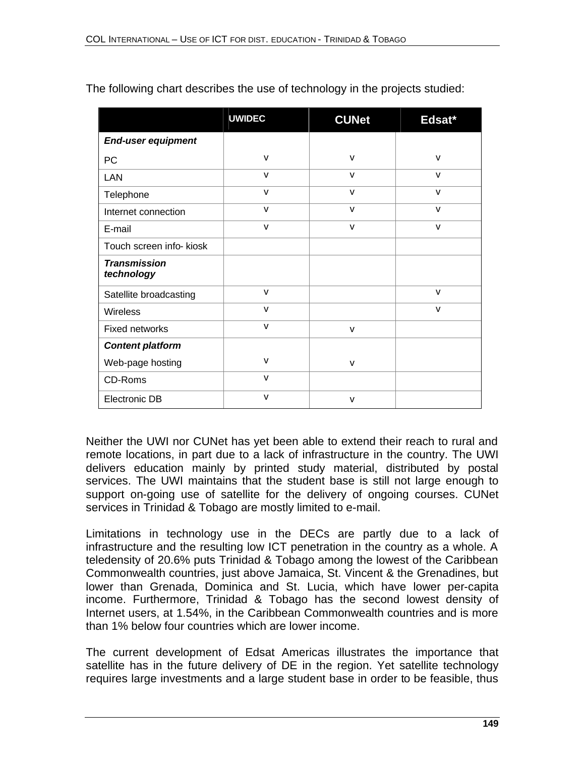|                                   | <b>UWIDEC</b> | <b>CUNet</b> | Edsat*       |
|-----------------------------------|---------------|--------------|--------------|
| <b>End-user equipment</b>         |               |              |              |
| PC                                | $\mathsf{v}$  | $\mathsf{V}$ | $\mathsf{V}$ |
| <b>LAN</b>                        | $\mathsf{V}$  | $\mathsf{V}$ | v            |
| Telephone                         | $\mathsf{V}$  | v            | $\mathsf{V}$ |
| Internet connection               | $\mathsf{V}$  | v            | $\mathsf{V}$ |
| E-mail                            | $\mathsf{V}$  | $\mathsf{V}$ | v            |
| Touch screen info- kiosk          |               |              |              |
| <b>Transmission</b><br>technology |               |              |              |
| Satellite broadcasting            | $\mathsf{V}$  |              | v            |
| <b>Wireless</b>                   | $\mathsf{V}$  |              | $\mathsf{V}$ |
| <b>Fixed networks</b>             | v             | $\mathsf{v}$ |              |
| <b>Content platform</b>           |               |              |              |
| Web-page hosting                  | $\mathsf{v}$  | v            |              |
| CD-Roms                           | $\mathsf{V}$  |              |              |
| <b>Electronic DB</b>              | $\mathsf{v}$  | v            |              |

The following chart describes the use of technology in the projects studied:

Neither the UWI nor CUNet has yet been able to extend their reach to rural and remote locations, in part due to a lack of infrastructure in the country. The UWI delivers education mainly by printed study material, distributed by postal services. The UWI maintains that the student base is still not large enough to support on-going use of satellite for the delivery of ongoing courses. CUNet services in Trinidad & Tobago are mostly limited to e-mail.

Limitations in technology use in the DECs are partly due to a lack of infrastructure and the resulting low ICT penetration in the country as a whole. A teledensity of 20.6% puts Trinidad & Tobago among the lowest of the Caribbean Commonwealth countries, just above Jamaica, St. Vincent & the Grenadines, but lower than Grenada, Dominica and St. Lucia, which have lower per-capita income. Furthermore, Trinidad & Tobago has the second lowest density of Internet users, at 1.54%, in the Caribbean Commonwealth countries and is more than 1% below four countries which are lower income.

The current development of Edsat Americas illustrates the importance that satellite has in the future delivery of DE in the region. Yet satellite technology requires large investments and a large student base in order to be feasible, thus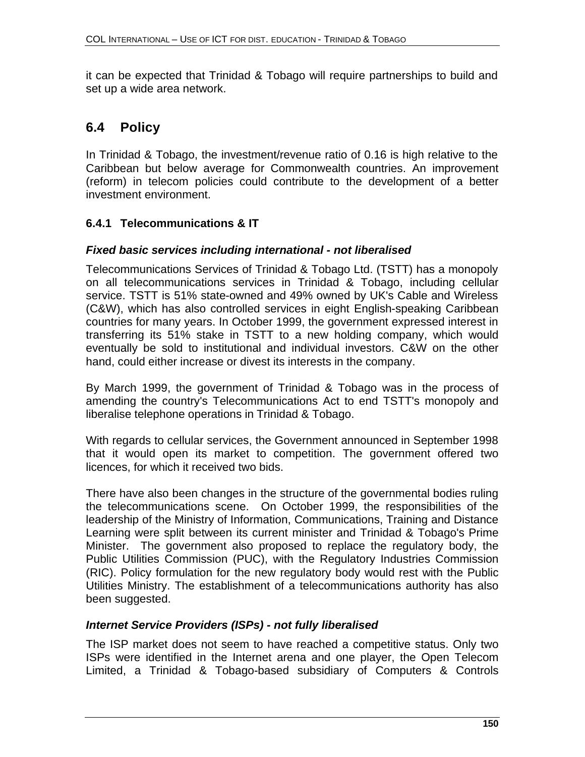it can be expected that Trinidad & Tobago will require partnerships to build and set up a wide area network.

# **6.4 Policy**

In Trinidad & Tobago, the investment/revenue ratio of 0.16 is high relative to the Caribbean but below average for Commonwealth countries. An improvement (reform) in telecom policies could contribute to the development of a better investment environment.

### **6.4.1 Telecommunications & IT**

#### *Fixed basic services including international - not liberalised*

Telecommunications Services of Trinidad & Tobago Ltd. (TSTT) has a monopoly on all telecommunications services in Trinidad & Tobago, including cellular service. TSTT is 51% state-owned and 49% owned by UK's Cable and Wireless (C&W), which has also controlled services in eight English-speaking Caribbean countries for many years. In October 1999, the government expressed interest in transferring its 51% stake in TSTT to a new holding company, which would eventually be sold to institutional and individual investors. C&W on the other hand, could either increase or divest its interests in the company.

By March 1999, the government of Trinidad & Tobago was in the process of amending the country's Telecommunications Act to end TSTT's monopoly and liberalise telephone operations in Trinidad & Tobago.

With regards to cellular services, the Government announced in September 1998 that it would open its market to competition. The government offered two licences, for which it received two bids.

There have also been changes in the structure of the governmental bodies ruling the telecommunications scene. On October 1999, the responsibilities of the leadership of the Ministry of Information, Communications, Training and Distance Learning were split between its current minister and Trinidad & Tobago's Prime Minister. The government also proposed to replace the regulatory body, the Public Utilities Commission (PUC), with the Regulatory Industries Commission (RIC). Policy formulation for the new regulatory body would rest with the Public Utilities Ministry. The establishment of a telecommunications authority has also been suggested.

#### *Internet Service Providers (ISPs) - not fully liberalised*

The ISP market does not seem to have reached a competitive status. Only two ISPs were identified in the Internet arena and one player, the Open Telecom Limited, a Trinidad & Tobago-based subsidiary of Computers & Controls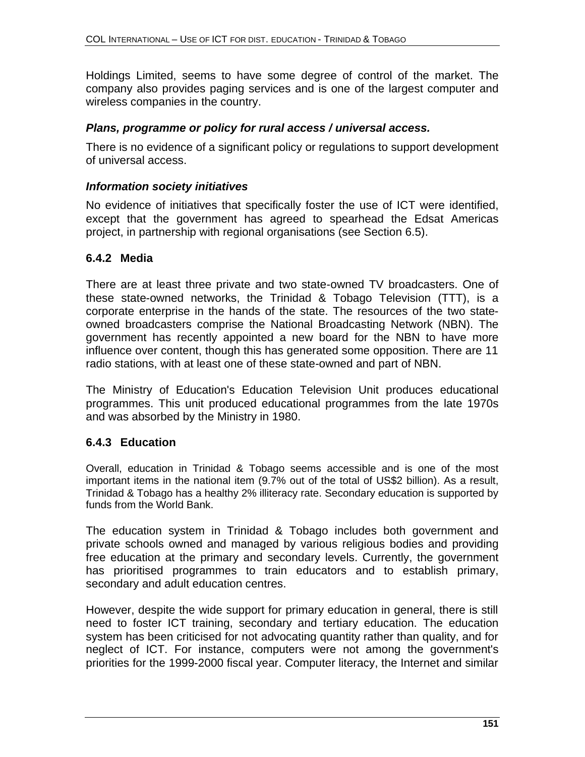Holdings Limited, seems to have some degree of control of the market. The company also provides paging services and is one of the largest computer and wireless companies in the country.

#### *Plans, programme or policy for rural access / universal access.*

There is no evidence of a significant policy or regulations to support development of universal access.

#### *Information society initiatives*

No evidence of initiatives that specifically foster the use of ICT were identified, except that the government has agreed to spearhead the Edsat Americas project, in partnership with regional organisations (see Section 6.5).

#### **6.4.2 Media**

There are at least three private and two state-owned TV broadcasters. One of these state-owned networks, the Trinidad & Tobago Television (TTT), is a corporate enterprise in the hands of the state. The resources of the two stateowned broadcasters comprise the National Broadcasting Network (NBN). The government has recently appointed a new board for the NBN to have more influence over content, though this has generated some opposition. There are 11 radio stations, with at least one of these state-owned and part of NBN.

The Ministry of Education's Education Television Unit produces educational programmes. This unit produced educational programmes from the late 1970s and was absorbed by the Ministry in 1980.

#### **6.4.3 Education**

Overall, education in Trinidad & Tobago seems accessible and is one of the most important items in the national item (9.7% out of the total of US\$2 billion). As a result, Trinidad & Tobago has a healthy 2% illiteracy rate. Secondary education is supported by funds from the World Bank.

The education system in Trinidad & Tobago includes both government and private schools owned and managed by various religious bodies and providing free education at the primary and secondary levels. Currently, the government has prioritised programmes to train educators and to establish primary, secondary and adult education centres.

However, despite the wide support for primary education in general, there is still need to foster ICT training, secondary and tertiary education. The education system has been criticised for not advocating quantity rather than quality, and for neglect of ICT. For instance, computers were not among the government's priorities for the 1999-2000 fiscal year. Computer literacy, the Internet and similar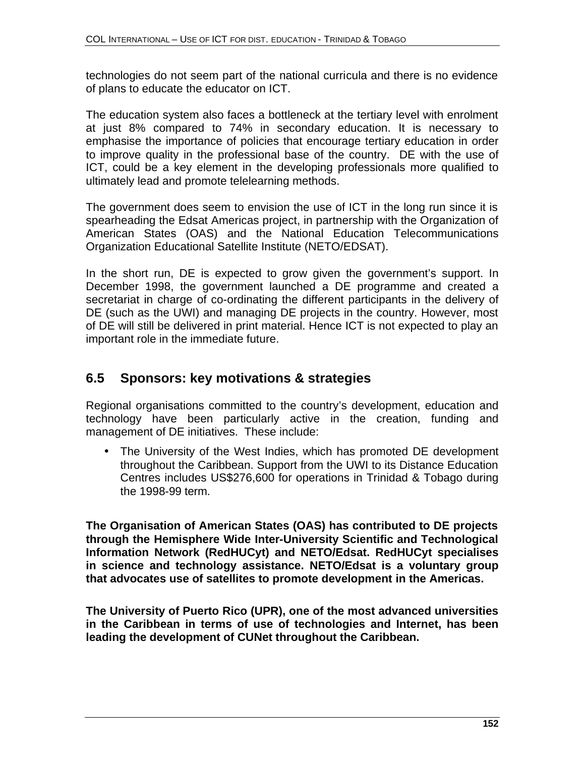technologies do not seem part of the national curricula and there is no evidence of plans to educate the educator on ICT.

The education system also faces a bottleneck at the tertiary level with enrolment at just 8% compared to 74% in secondary education. It is necessary to emphasise the importance of policies that encourage tertiary education in order to improve quality in the professional base of the country. DE with the use of ICT, could be a key element in the developing professionals more qualified to ultimately lead and promote telelearning methods.

The government does seem to envision the use of ICT in the long run since it is spearheading the Edsat Americas project, in partnership with the Organization of American States (OAS) and the National Education Telecommunications Organization Educational Satellite Institute (NETO/EDSAT).

In the short run, DE is expected to grow given the government's support. In December 1998, the government launched a DE programme and created a secretariat in charge of co-ordinating the different participants in the delivery of DE (such as the UWI) and managing DE projects in the country. However, most of DE will still be delivered in print material. Hence ICT is not expected to play an important role in the immediate future.

# **6.5 Sponsors: key motivations & strategies**

Regional organisations committed to the country's development, education and technology have been particularly active in the creation, funding and management of DE initiatives. These include:

• The University of the West Indies, which has promoted DE development throughout the Caribbean. Support from the UWI to its Distance Education Centres includes US\$276,600 for operations in Trinidad & Tobago during the 1998-99 term.

**The Organisation of American States (OAS) has contributed to DE projects through the Hemisphere Wide Inter-University Scientific and Technological Information Network (RedHUCyt) and NETO/Edsat. RedHUCyt specialises in science and technology assistance. NETO/Edsat is a voluntary group that advocates use of satellites to promote development in the Americas.** 

**The University of Puerto Rico (UPR), one of the most advanced universities in the Caribbean in terms of use of technologies and Internet, has been leading the development of CUNet throughout the Caribbean.**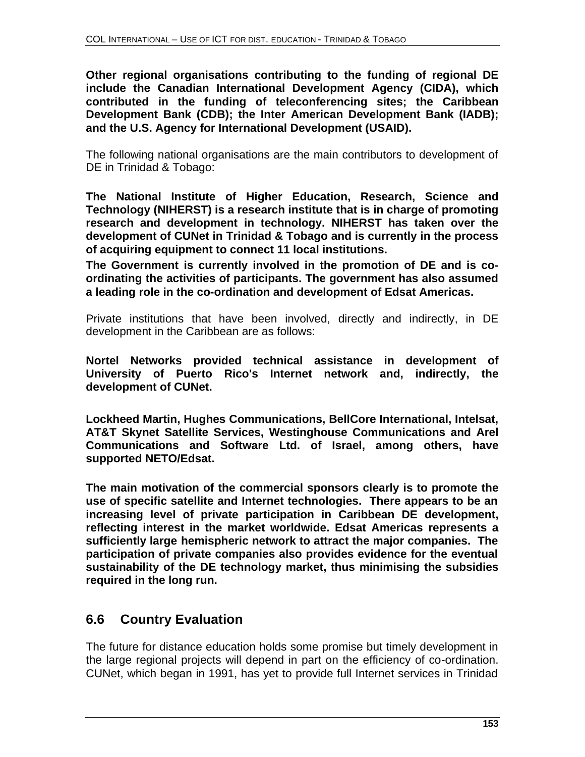**Other regional organisations contributing to the funding of regional DE include the Canadian International Development Agency (CIDA), which contributed in the funding of teleconferencing sites; the Caribbean Development Bank (CDB); the Inter American Development Bank (IADB); and the U.S. Agency for International Development (USAID).**

The following national organisations are the main contributors to development of DE in Trinidad & Tobago:

**The National Institute of Higher Education, Research, Science and Technology (NIHERST) is a research institute that is in charge of promoting research and development in technology. NIHERST has taken over the development of CUNet in Trinidad & Tobago and is currently in the process of acquiring equipment to connect 11 local institutions.**

**The Government is currently involved in the promotion of DE and is coordinating the activities of participants. The government has also assumed a leading role in the co-ordination and development of Edsat Americas.** 

Private institutions that have been involved, directly and indirectly, in DE development in the Caribbean are as follows:

**Nortel Networks provided technical assistance in development of University of Puerto Rico's Internet network and, indirectly, the development of CUNet.**

**Lockheed Martin, Hughes Communications, BellCore International, Intelsat, AT&T Skynet Satellite Services, Westinghouse Communications and Arel Communications and Software Ltd. of Israel, among others, have supported NETO/Edsat.** 

**The main motivation of the commercial sponsors clearly is to promote the use of specific satellite and Internet technologies. There appears to be an increasing level of private participation in Caribbean DE development, reflecting interest in the market worldwide. Edsat Americas represents a sufficiently large hemispheric network to attract the major companies. The participation of private companies also provides evidence for the eventual sustainability of the DE technology market, thus minimising the subsidies required in the long run.**

# **6.6 Country Evaluation**

The future for distance education holds some promise but timely development in the large regional projects will depend in part on the efficiency of co-ordination. CUNet, which began in 1991, has yet to provide full Internet services in Trinidad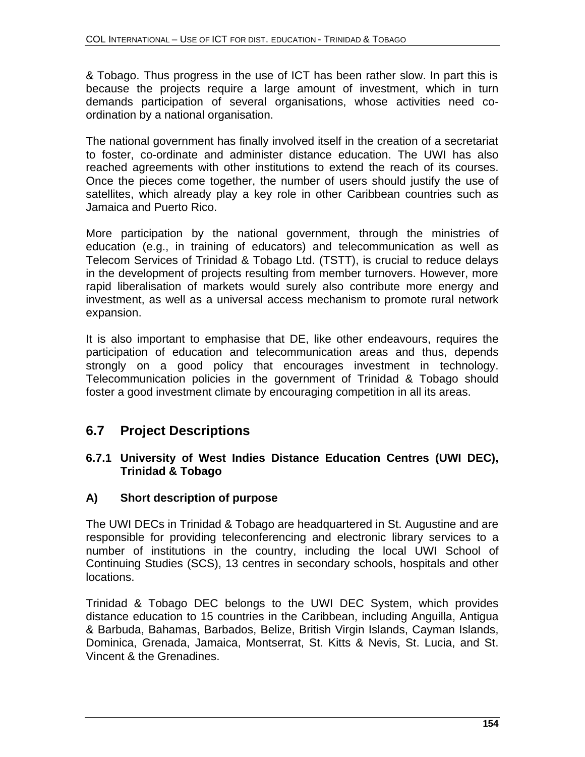& Tobago. Thus progress in the use of ICT has been rather slow. In part this is because the projects require a large amount of investment, which in turn demands participation of several organisations, whose activities need coordination by a national organisation.

The national government has finally involved itself in the creation of a secretariat to foster, co-ordinate and administer distance education. The UWI has also reached agreements with other institutions to extend the reach of its courses. Once the pieces come together, the number of users should justify the use of satellites, which already play a key role in other Caribbean countries such as Jamaica and Puerto Rico.

More participation by the national government, through the ministries of education (e.g., in training of educators) and telecommunication as well as Telecom Services of Trinidad & Tobago Ltd. (TSTT), is crucial to reduce delays in the development of projects resulting from member turnovers. However, more rapid liberalisation of markets would surely also contribute more energy and investment, as well as a universal access mechanism to promote rural network expansion.

It is also important to emphasise that DE, like other endeavours, requires the participation of education and telecommunication areas and thus, depends strongly on a good policy that encourages investment in technology. Telecommunication policies in the government of Trinidad & Tobago should foster a good investment climate by encouraging competition in all its areas.

# **6.7 Project Descriptions**

#### **6.7.1 University of West Indies Distance Education Centres (UWI DEC), Trinidad & Tobago**

#### **A) Short description of purpose**

The UWI DECs in Trinidad & Tobago are headquartered in St. Augustine and are responsible for providing teleconferencing and electronic library services to a number of institutions in the country, including the local UWI School of Continuing Studies (SCS), 13 centres in secondary schools, hospitals and other locations.

Trinidad & Tobago DEC belongs to the UWI DEC System, which provides distance education to 15 countries in the Caribbean, including Anguilla, Antigua & Barbuda, Bahamas, Barbados, Belize, British Virgin Islands, Cayman Islands, Dominica, Grenada, Jamaica, Montserrat, St. Kitts & Nevis, St. Lucia, and St. Vincent & the Grenadines.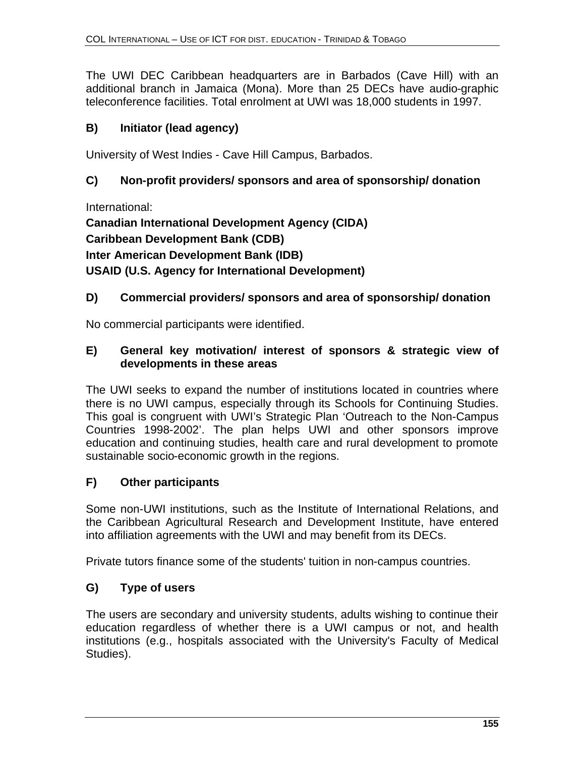The UWI DEC Caribbean headquarters are in Barbados (Cave Hill) with an additional branch in Jamaica (Mona). More than 25 DECs have audio-graphic teleconference facilities. Total enrolment at UWI was 18,000 students in 1997.

### **B) Initiator (lead agency)**

University of West Indies - Cave Hill Campus, Barbados.

### **C) Non-profit providers/ sponsors and area of sponsorship/ donation**

International:

**Canadian International Development Agency (CIDA) Caribbean Development Bank (CDB) Inter American Development Bank (IDB) USAID (U.S. Agency for International Development)**

### **D) Commercial providers/ sponsors and area of sponsorship/ donation**

No commercial participants were identified.

#### **E) General key motivation/ interest of sponsors & strategic view of developments in these areas**

The UWI seeks to expand the number of institutions located in countries where there is no UWI campus, especially through its Schools for Continuing Studies. This goal is congruent with UWI's Strategic Plan 'Outreach to the Non-Campus Countries 1998-2002'. The plan helps UWI and other sponsors improve education and continuing studies, health care and rural development to promote sustainable socio-economic growth in the regions.

#### **F) Other participants**

Some non-UWI institutions, such as the Institute of International Relations, and the Caribbean Agricultural Research and Development Institute, have entered into affiliation agreements with the UWI and may benefit from its DECs.

Private tutors finance some of the students' tuition in non-campus countries.

### **G) Type of users**

The users are secondary and university students, adults wishing to continue their education regardless of whether there is a UWI campus or not, and health institutions (e.g., hospitals associated with the University's Faculty of Medical Studies).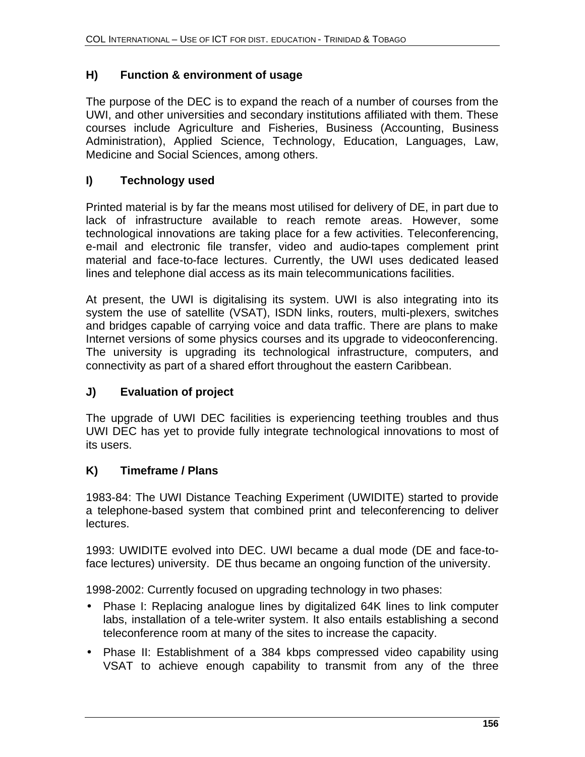#### **H) Function & environment of usage**

The purpose of the DEC is to expand the reach of a number of courses from the UWI, and other universities and secondary institutions affiliated with them. These courses include Agriculture and Fisheries, Business (Accounting, Business Administration), Applied Science, Technology, Education, Languages, Law, Medicine and Social Sciences, among others.

#### **I) Technology used**

Printed material is by far the means most utilised for delivery of DE, in part due to lack of infrastructure available to reach remote areas. However, some technological innovations are taking place for a few activities. Teleconferencing, e-mail and electronic file transfer, video and audio-tapes complement print material and face-to-face lectures. Currently, the UWI uses dedicated leased lines and telephone dial access as its main telecommunications facilities.

At present, the UWI is digitalising its system. UWI is also integrating into its system the use of satellite (VSAT), ISDN links, routers, multi-plexers, switches and bridges capable of carrying voice and data traffic. There are plans to make Internet versions of some physics courses and its upgrade to videoconferencing. The university is upgrading its technological infrastructure, computers, and connectivity as part of a shared effort throughout the eastern Caribbean.

#### **J) Evaluation of project**

The upgrade of UWI DEC facilities is experiencing teething troubles and thus UWI DEC has yet to provide fully integrate technological innovations to most of its users.

#### **K) Timeframe / Plans**

1983-84: The UWI Distance Teaching Experiment (UWIDITE) started to provide a telephone-based system that combined print and teleconferencing to deliver lectures.

1993: UWIDITE evolved into DEC. UWI became a dual mode (DE and face-toface lectures) university. DE thus became an ongoing function of the university.

1998-2002: Currently focused on upgrading technology in two phases:

- Phase I: Replacing analogue lines by digitalized 64K lines to link computer labs, installation of a tele-writer system. It also entails establishing a second teleconference room at many of the sites to increase the capacity.
- Phase II: Establishment of a 384 kbps compressed video capability using VSAT to achieve enough capability to transmit from any of the three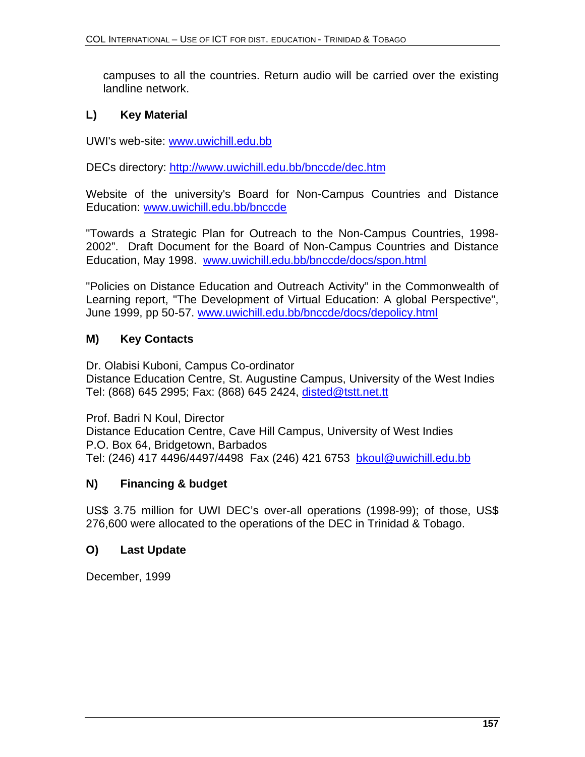campuses to all the countries. Return audio will be carried over the existing landline network.

#### **L) Key Material**

UWI's web-site: www.uwichill.edu.bb

DECs directory: http://www.uwichill.edu.bb/bnccde/dec.htm

Website of the university's Board for Non-Campus Countries and Distance Education: www.uwichill.edu.bb/bnccde

"Towards a Strategic Plan for Outreach to the Non-Campus Countries, 1998- 2002". Draft Document for the Board of Non-Campus Countries and Distance Education, May 1998. www.uwichill.edu.bb/bnccde/docs/spon.html

"Policies on Distance Education and Outreach Activity" in the Commonwealth of Learning report, "The Development of Virtual Education: A global Perspective", June 1999, pp 50-57. www.uwichill.edu.bb/bnccde/docs/depolicy.html

#### **M) Key Contacts**

Dr. Olabisi Kuboni, Campus Co-ordinator Distance Education Centre, St. Augustine Campus, University of the West Indies Tel: (868) 645 2995; Fax: (868) 645 2424, disted@tstt.net.tt

Prof. Badri N Koul, Director Distance Education Centre, Cave Hill Campus, University of West Indies P.O. Box 64, Bridgetown, Barbados Tel: (246) 417 4496/4497/4498 Fax (246) 421 6753 bkoul@uwichill.edu.bb

#### **N) Financing & budget**

US\$ 3.75 million for UWI DEC's over-all operations (1998-99); of those, US\$ 276,600 were allocated to the operations of the DEC in Trinidad & Tobago.

#### **O) Last Update**

December, 1999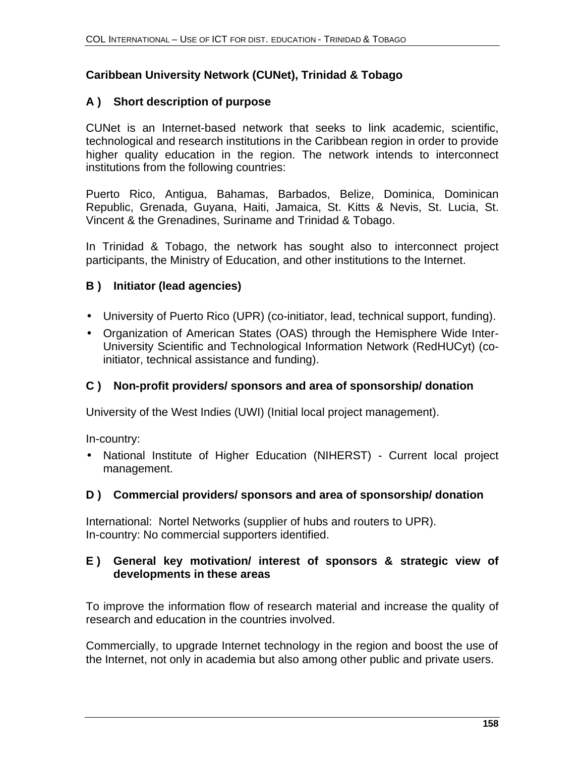#### **Caribbean University Network (CUNet), Trinidad & Tobago**

#### **A ) Short description of purpose**

CUNet is an Internet-based network that seeks to link academic, scientific, technological and research institutions in the Caribbean region in order to provide higher quality education in the region. The network intends to interconnect institutions from the following countries:

Puerto Rico, Antigua, Bahamas, Barbados, Belize, Dominica, Dominican Republic, Grenada, Guyana, Haiti, Jamaica, St. Kitts & Nevis, St. Lucia, St. Vincent & the Grenadines, Suriname and Trinidad & Tobago.

In Trinidad & Tobago, the network has sought also to interconnect project participants, the Ministry of Education, and other institutions to the Internet.

#### **B ) Initiator (lead agencies)**

- University of Puerto Rico (UPR) (co-initiator, lead, technical support, funding).
- Organization of American States (OAS) through the Hemisphere Wide Inter-University Scientific and Technological Information Network (RedHUCyt) (coinitiator, technical assistance and funding).

#### **C ) Non-profit providers/ sponsors and area of sponsorship/ donation**

University of the West Indies (UWI) (Initial local project management).

In-country:

• National Institute of Higher Education (NIHERST) - Current local project management.

#### **D ) Commercial providers/ sponsors and area of sponsorship/ donation**

International: Nortel Networks (supplier of hubs and routers to UPR). In-country: No commercial supporters identified.

#### **E ) General key motivation/ interest of sponsors & strategic view of developments in these areas**

To improve the information flow of research material and increase the quality of research and education in the countries involved.

Commercially, to upgrade Internet technology in the region and boost the use of the Internet, not only in academia but also among other public and private users.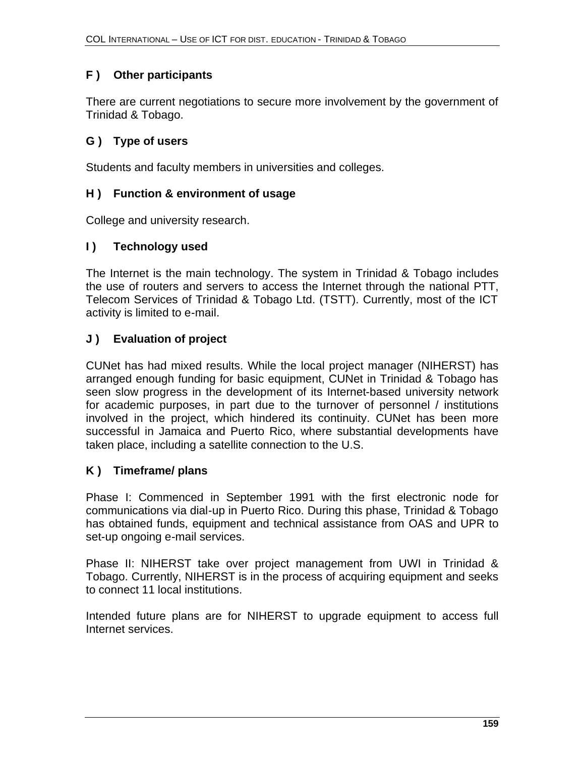### **F ) Other participants**

There are current negotiations to secure more involvement by the government of Trinidad & Tobago.

#### **G ) Type of users**

Students and faculty members in universities and colleges.

#### **H ) Function & environment of usage**

College and university research.

#### **I ) Technology used**

The Internet is the main technology. The system in Trinidad & Tobago includes the use of routers and servers to access the Internet through the national PTT, Telecom Services of Trinidad & Tobago Ltd. (TSTT). Currently, most of the ICT activity is limited to e-mail.

#### **J ) Evaluation of project**

CUNet has had mixed results. While the local project manager (NIHERST) has arranged enough funding for basic equipment, CUNet in Trinidad & Tobago has seen slow progress in the development of its Internet-based university network for academic purposes, in part due to the turnover of personnel / institutions involved in the project, which hindered its continuity. CUNet has been more successful in Jamaica and Puerto Rico, where substantial developments have taken place, including a satellite connection to the U.S.

#### **K ) Timeframe/ plans**

Phase I: Commenced in September 1991 with the first electronic node for communications via dial-up in Puerto Rico. During this phase, Trinidad & Tobago has obtained funds, equipment and technical assistance from OAS and UPR to set-up ongoing e-mail services.

Phase II: NIHERST take over project management from UWI in Trinidad & Tobago. Currently, NIHERST is in the process of acquiring equipment and seeks to connect 11 local institutions.

Intended future plans are for NIHERST to upgrade equipment to access full Internet services.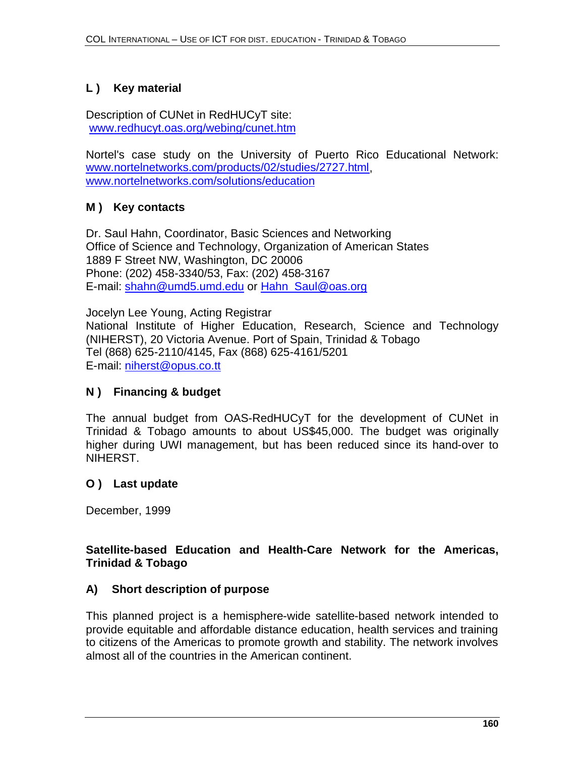### **L ) Key material**

Description of CUNet in RedHUCyT site: www.redhucyt.oas.org/webing/cunet.htm

Nortel's case study on the University of Puerto Rico Educational Network: www.nortelnetworks.com/products/02/studies/2727.html, www.nortelnetworks.com/solutions/education

### **M ) Key contacts**

Dr. Saul Hahn, Coordinator, Basic Sciences and Networking Office of Science and Technology, Organization of American States 1889 F Street NW, Washington, DC 20006 Phone: (202) 458-3340/53, Fax: (202) 458-3167 E-mail: shahn@umd5.umd.edu or Hahn\_Saul@oas.org

Jocelyn Lee Young, Acting Registrar National Institute of Higher Education, Research, Science and Technology (NIHERST), 20 Victoria Avenue. Port of Spain, Trinidad & Tobago Tel (868) 625-2110/4145, Fax (868) 625-4161/5201 E-mail: niherst@opus.co.tt

#### **N ) Financing & budget**

The annual budget from OAS-RedHUCyT for the development of CUNet in Trinidad & Tobago amounts to about US\$45,000. The budget was originally higher during UWI management, but has been reduced since its hand-over to NIHERST.

#### **O ) Last update**

December, 1999

#### **Satellite-based Education and Health-Care Network for the Americas, Trinidad & Tobago**

#### **A) Short description of purpose**

This planned project is a hemisphere-wide satellite-based network intended to provide equitable and affordable distance education, health services and training to citizens of the Americas to promote growth and stability. The network involves almost all of the countries in the American continent.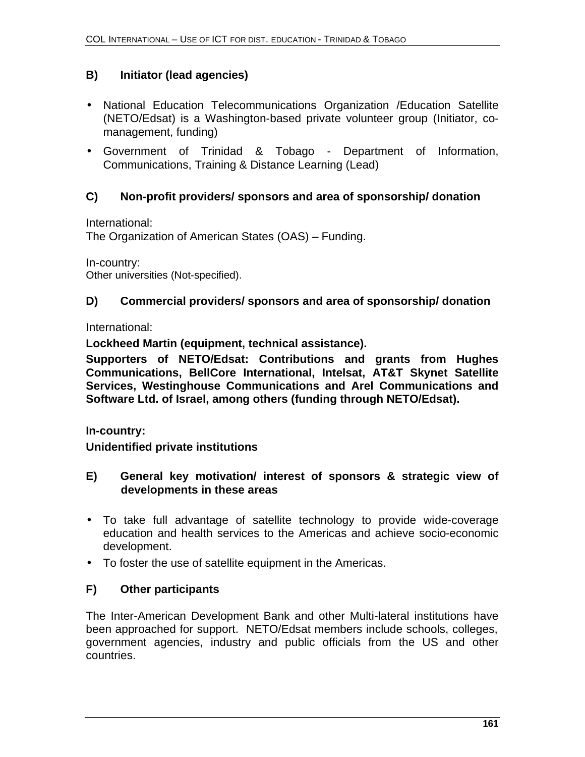### **B) Initiator (lead agencies)**

- National Education Telecommunications Organization /Education Satellite (NETO/Edsat) is a Washington-based private volunteer group (Initiator, comanagement, funding)
- Government of Trinidad & Tobago Department of Information, Communications, Training & Distance Learning (Lead)

### **C) Non-profit providers/ sponsors and area of sponsorship/ donation**

International:

The Organization of American States (OAS) – Funding.

In-country: Other universities (Not-specified).

#### **D) Commercial providers/ sponsors and area of sponsorship/ donation**

International:

**Lockheed Martin (equipment, technical assistance).**

**Supporters of NETO/Edsat: Contributions and grants from Hughes Communications, BellCore International, Intelsat, AT&T Skynet Satellite Services, Westinghouse Communications and Arel Communications and Software Ltd. of Israel, among others (funding through NETO/Edsat).**

**In-country:** 

**Unidentified private institutions**

- **E) General key motivation/ interest of sponsors & strategic view of developments in these areas**
- To take full advantage of satellite technology to provide wide-coverage education and health services to the Americas and achieve socio-economic development.
- To foster the use of satellite equipment in the Americas.

#### **F) Other participants**

The Inter-American Development Bank and other Multi-lateral institutions have been approached for support. NETO/Edsat members include schools, colleges, government agencies, industry and public officials from the US and other countries.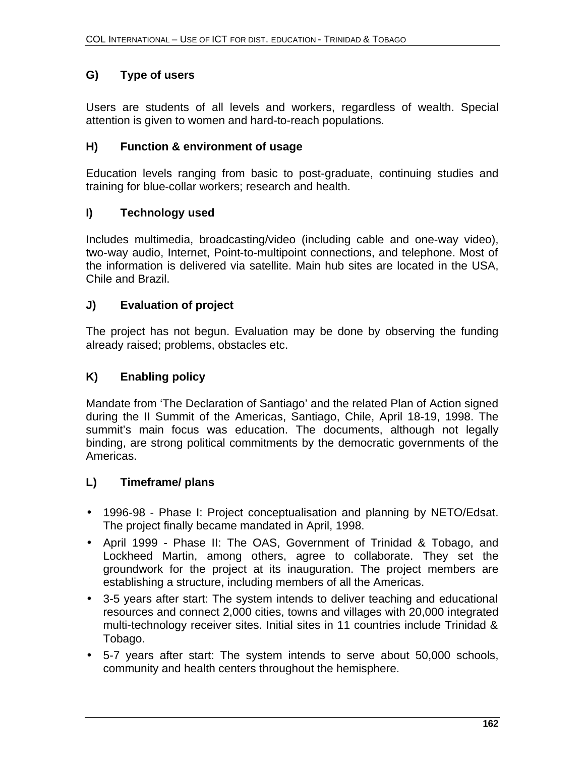## **G) Type of users**

Users are students of all levels and workers, regardless of wealth. Special attention is given to women and hard-to-reach populations.

### **H) Function & environment of usage**

Education levels ranging from basic to post-graduate, continuing studies and training for blue-collar workers; research and health.

### **I) Technology used**

Includes multimedia, broadcasting/video (including cable and one-way video), two-way audio, Internet, Point-to-multipoint connections, and telephone. Most of the information is delivered via satellite. Main hub sites are located in the USA, Chile and Brazil.

### **J) Evaluation of project**

The project has not begun. Evaluation may be done by observing the funding already raised; problems, obstacles etc.

### **K) Enabling policy**

Mandate from 'The Declaration of Santiago' and the related Plan of Action signed during the II Summit of the Americas, Santiago, Chile, April 18-19, 1998. The summit's main focus was education. The documents, although not legally binding, are strong political commitments by the democratic governments of the Americas.

#### **L) Timeframe/ plans**

- 1996-98 Phase I: Project conceptualisation and planning by NETO/Edsat. The project finally became mandated in April, 1998.
- April 1999 Phase II: The OAS, Government of Trinidad & Tobago, and Lockheed Martin, among others, agree to collaborate. They set the groundwork for the project at its inauguration. The project members are establishing a structure, including members of all the Americas.
- 3-5 years after start: The system intends to deliver teaching and educational resources and connect 2,000 cities, towns and villages with 20,000 integrated multi-technology receiver sites. Initial sites in 11 countries include Trinidad & Tobago.
- 5-7 years after start: The system intends to serve about 50,000 schools, community and health centers throughout the hemisphere.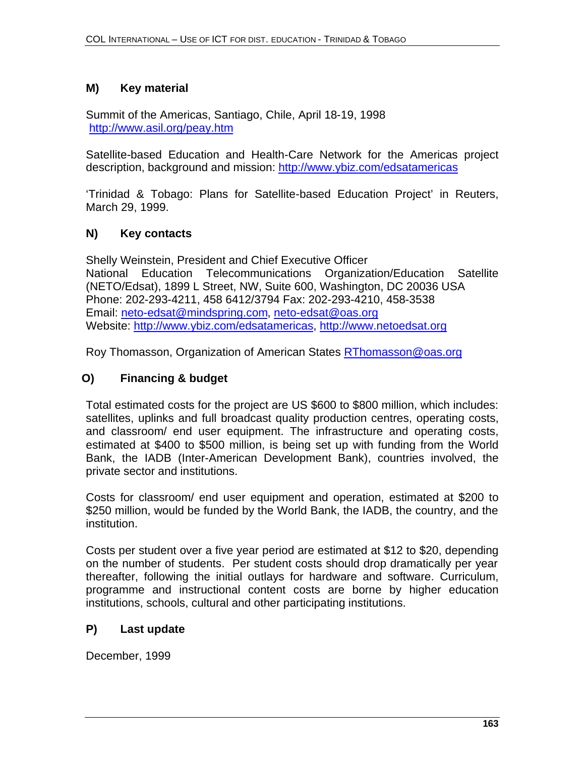#### **M) Key material**

Summit of the Americas, Santiago, Chile, April 18-19, 1998 http://www.asil.org/peay.htm

Satellite-based Education and Health-Care Network for the Americas project description, background and mission: http://www.ybiz.com/edsatamericas

'Trinidad & Tobago: Plans for Satellite-based Education Project' in Reuters, March 29, 1999.

#### **N) Key contacts**

Shelly Weinstein, President and Chief Executive Officer National Education Telecommunications Organization/Education Satellite (NETO/Edsat), 1899 L Street, NW, Suite 600, Washington, DC 20036 USA Phone: 202-293-4211, 458 6412/3794 Fax: 202-293-4210, 458-3538 Email: neto-edsat@mindspring.com, neto-edsat@oas.org Website: http://www.ybiz.com/edsatamericas, http://www.netoedsat.org

Roy Thomasson, Organization of American States RThomasson@oas.org

### **O) Financing & budget**

Total estimated costs for the project are US \$600 to \$800 million, which includes: satellites, uplinks and full broadcast quality production centres, operating costs, and classroom/ end user equipment. The infrastructure and operating costs, estimated at \$400 to \$500 million, is being set up with funding from the World Bank, the IADB (Inter-American Development Bank), countries involved, the private sector and institutions.

Costs for classroom/ end user equipment and operation, estimated at \$200 to \$250 million, would be funded by the World Bank, the IADB, the country, and the institution.

Costs per student over a five year period are estimated at \$12 to \$20, depending on the number of students. Per student costs should drop dramatically per year thereafter, following the initial outlays for hardware and software. Curriculum, programme and instructional content costs are borne by higher education institutions, schools, cultural and other participating institutions.

#### **P) Last update**

December, 1999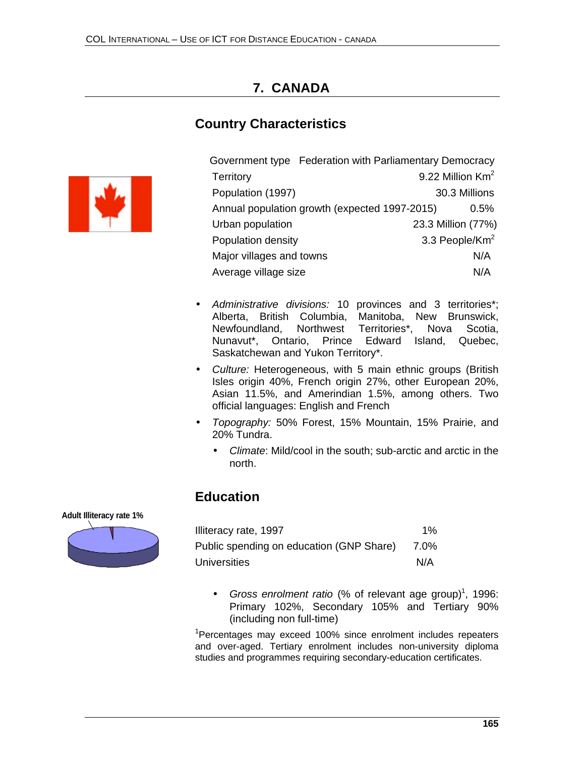# **7. CANADA**

# **Country Characteristics**



|                          | Government type Federation with Parliamentary Democracy |                              |         |
|--------------------------|---------------------------------------------------------|------------------------------|---------|
| Territory                |                                                         | 9.22 Million Km <sup>2</sup> |         |
| Population (1997)        |                                                         | 30.3 Millions                |         |
|                          | Annual population growth (expected 1997-2015)           |                              | $0.5\%$ |
| Urban population         |                                                         | 23.3 Million (77%)           |         |
| Population density       |                                                         | 3.3 People/Km <sup>2</sup>   |         |
| Major villages and towns |                                                         |                              | N/A     |
| Average village size     |                                                         |                              | N/A     |

- *Administrative divisions:* 10 provinces and 3 territories\*; Alberta, British Columbia, Manitoba, New Brunswick, Newfoundland, Northwest Territories\*, Nova Scotia, Nunavut\*, Ontario, Prince Edward Island, Quebec, Saskatchewan and Yukon Territory\*.
- *Culture:* Heterogeneous, with 5 main ethnic groups (British Isles origin 40%, French origin 27%, other European 20%, Asian 11.5%, and Amerindian 1.5%, among others. Two official languages: English and French
- *Topography:* 50% Forest, 15% Mountain, 15% Prairie, and 20% Tundra.
	- *Climate*: Mild/cool in the south; sub-arctic and arctic in the north.

## **Education**

#### **Adult Illiteracy rate 1%**



| Illiteracy rate, 1997                    | $1\%$ |
|------------------------------------------|-------|
| Public spending on education (GNP Share) | 7.0%  |
| <b>Universities</b>                      | N/A   |

• Gross enrolment ratio (% of relevant age group)<sup>1</sup>, 1996: Primary 102%, Secondary 105% and Tertiary 90% (including non full-time)

<sup>1</sup>Percentages may exceed 100% since enrolment includes repeaters and over-aged. Tertiary enrolment includes non-university diploma studies and programmes requiring secondary-education certificates.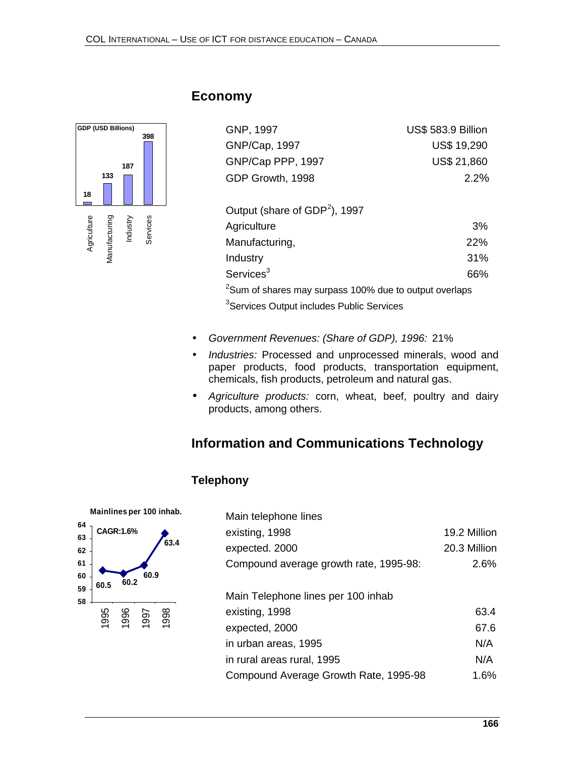

### **Economy**

| GNP, 1997         | <b>US\$ 583.9 Billion</b> |
|-------------------|---------------------------|
| GNP/Cap, 1997     | <b>US\$ 19,290</b>        |
| GNP/Cap PPP, 1997 | <b>US\$ 21,860</b>        |
| GDP Growth, 1998  | $2.2\%$                   |
|                   |                           |

| Output (share of $GDP2$ ), 1997                                    |            |
|--------------------------------------------------------------------|------------|
| Agriculture                                                        | 3%         |
| Manufacturing,                                                     | <b>22%</b> |
| Industry                                                           | 31%        |
| Services $3$                                                       | 66%        |
| <sup>2</sup> Sum of shares may surpass 100% due to output overlaps |            |
| <sup>3</sup> Services Output includes Public Services              |            |

- *Government Revenues: (Share of GDP), 1996:* 21%
- *Industries:* Processed and unprocessed minerals, wood and paper products, food products, transportation equipment, chemicals, fish products, petroleum and natural gas.
- *Agriculture products:* corn, wheat, beef, poultry and dairy products, among others.

## **Information and Communications Technology**

#### **Telephony**



| Main telephone lines                   |              |
|----------------------------------------|--------------|
| existing, 1998                         | 19.2 Million |
| expected. 2000                         | 20.3 Million |
| Compound average growth rate, 1995-98: | 2.6%         |
|                                        |              |
| Main Telephone lines per 100 inhab     |              |
| existing, 1998                         | 63.4         |
| expected, 2000                         | 67.6         |
| in urban areas, 1995                   | N/A          |
| in rural areas rural, 1995             | N/A          |
| Compound Average Growth Rate, 1995-98  | 1.6%         |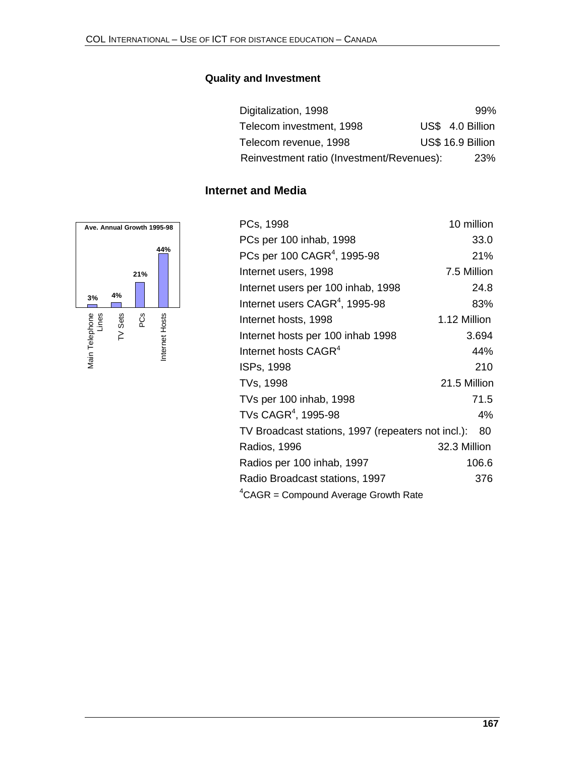#### **Quality and Investment**

| Digitalization, 1998                      | 99%               |
|-------------------------------------------|-------------------|
| Telecom investment, 1998                  | US\$ 4.0 Billion  |
| Telecom revenue, 1998                     | US\$ 16.9 Billion |
| Reinvestment ratio (Investment/Revenues): | 23%               |

#### **Internet and Media**



| PCs, 1998                                          | 10 million   |
|----------------------------------------------------|--------------|
| PCs per 100 inhab, 1998                            | 33.0         |
| PCs per 100 CAGR <sup>4</sup> , 1995-98            | 21%          |
| Internet users, 1998                               | 7.5 Million  |
| Internet users per 100 inhab, 1998                 | 24.8         |
| Internet users CAGR <sup>4</sup> , 1995-98         | 83%          |
| Internet hosts, 1998                               | 1.12 Million |
| Internet hosts per 100 inhab 1998                  | 3.694        |
| Internet hosts CAGR <sup>4</sup>                   | 44%          |
| ISPs, 1998                                         | 210          |
| TVs, 1998                                          | 21.5 Million |
| TVs per 100 inhab, 1998                            | 71.5         |
| TVs CAGR <sup>4</sup> , 1995-98                    | 4%           |
| TV Broadcast stations, 1997 (repeaters not incl.): | 80           |
| Radios, 1996                                       | 32.3 Million |
| Radios per 100 inhab, 1997                         | 106.6        |
| Radio Broadcast stations, 1997                     | 376          |
| ${}^{4}$ CAGR = Compound Average Growth Rate       |              |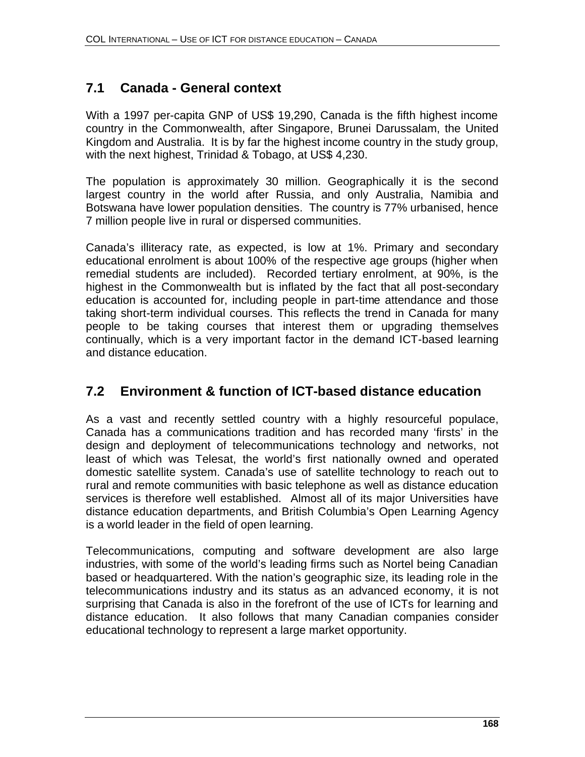# **7.1 Canada - General context**

With a 1997 per-capita GNP of US\$ 19,290, Canada is the fifth highest income country in the Commonwealth, after Singapore, Brunei Darussalam, the United Kingdom and Australia. It is by far the highest income country in the study group, with the next highest, Trinidad & Tobago, at US\$ 4,230.

The population is approximately 30 million. Geographically it is the second largest country in the world after Russia, and only Australia, Namibia and Botswana have lower population densities. The country is 77% urbanised, hence 7 million people live in rural or dispersed communities.

Canada's illiteracy rate, as expected, is low at 1%. Primary and secondary educational enrolment is about 100% of the respective age groups (higher when remedial students are included). Recorded tertiary enrolment, at 90%, is the highest in the Commonwealth but is inflated by the fact that all post-secondary education is accounted for, including people in part-time attendance and those taking short-term individual courses. This reflects the trend in Canada for many people to be taking courses that interest them or upgrading themselves continually, which is a very important factor in the demand ICT-based learning and distance education.

# **7.2 Environment & function of ICT-based distance education**

As a vast and recently settled country with a highly resourceful populace, Canada has a communications tradition and has recorded many 'firsts' in the design and deployment of telecommunications technology and networks, not least of which was Telesat, the world's first nationally owned and operated domestic satellite system. Canada's use of satellite technology to reach out to rural and remote communities with basic telephone as well as distance education services is therefore well established. Almost all of its major Universities have distance education departments, and British Columbia's Open Learning Agency is a world leader in the field of open learning.

Telecommunications, computing and software development are also large industries, with some of the world's leading firms such as Nortel being Canadian based or headquartered. With the nation's geographic size, its leading role in the telecommunications industry and its status as an advanced economy, it is not surprising that Canada is also in the forefront of the use of ICTs for learning and distance education. It also follows that many Canadian companies consider educational technology to represent a large market opportunity.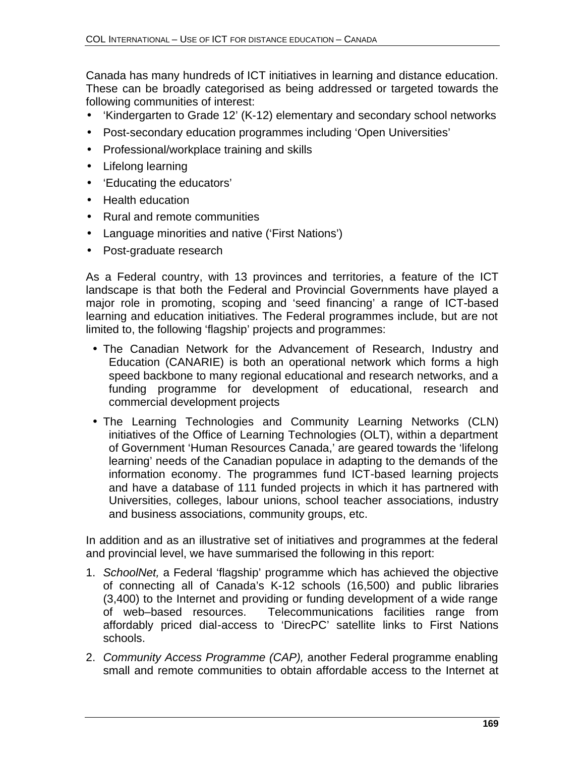Canada has many hundreds of ICT initiatives in learning and distance education. These can be broadly categorised as being addressed or targeted towards the following communities of interest:

- 'Kindergarten to Grade 12' (K-12) elementary and secondary school networks
- Post-secondary education programmes including 'Open Universities'
- Professional/workplace training and skills
- Lifelong learning
- 'Educating the educators'
- Health education
- Rural and remote communities
- Language minorities and native ('First Nations')
- Post-graduate research

As a Federal country, with 13 provinces and territories, a feature of the ICT landscape is that both the Federal and Provincial Governments have played a major role in promoting, scoping and 'seed financing' a range of ICT-based learning and education initiatives. The Federal programmes include, but are not limited to, the following 'flagship' projects and programmes:

- The Canadian Network for the Advancement of Research, Industry and Education (CANARIE) is both an operational network which forms a high speed backbone to many regional educational and research networks, and a funding programme for development of educational, research and commercial development projects
- The Learning Technologies and Community Learning Networks (CLN) initiatives of the Office of Learning Technologies (OLT), within a department of Government 'Human Resources Canada,' are geared towards the 'lifelong learning' needs of the Canadian populace in adapting to the demands of the information economy. The programmes fund ICT-based learning projects and have a database of 111 funded projects in which it has partnered with Universities, colleges, labour unions, school teacher associations, industry and business associations, community groups, etc.

In addition and as an illustrative set of initiatives and programmes at the federal and provincial level, we have summarised the following in this report:

- 1. *SchoolNet,* a Federal 'flagship' programme which has achieved the objective of connecting all of Canada's K-12 schools (16,500) and public libraries (3,400) to the Internet and providing or funding development of a wide range of web–based resources. Telecommunications facilities range from affordably priced dial-access to 'DirecPC' satellite links to First Nations schools.
- 2. *Community Access Programme (CAP),* another Federal programme enabling small and remote communities to obtain affordable access to the Internet at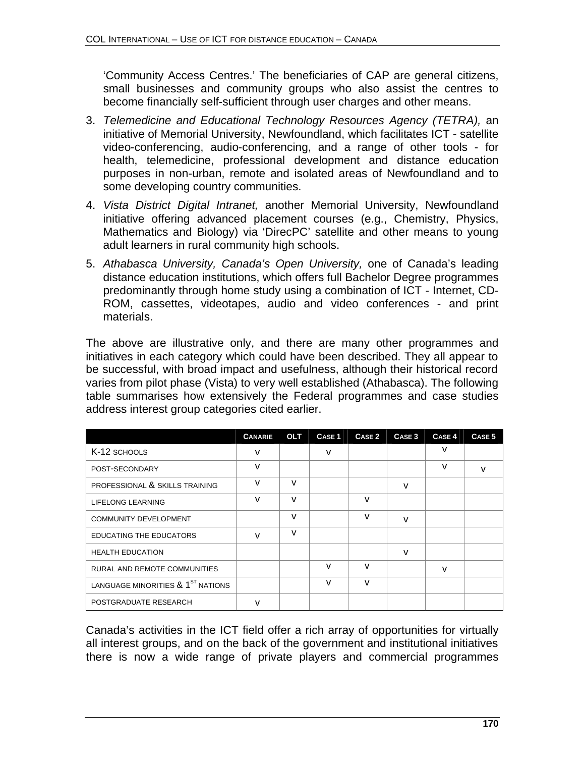'Community Access Centres.' The beneficiaries of CAP are general citizens, small businesses and community groups who also assist the centres to become financially self-sufficient through user charges and other means.

- 3. *Telemedicine and Educational Technology Resources Agency (TETRA),* an initiative of Memorial University, Newfoundland, which facilitates ICT - satellite video-conferencing, audio-conferencing, and a range of other tools - for health, telemedicine, professional development and distance education purposes in non-urban, remote and isolated areas of Newfoundland and to some developing country communities.
- 4. *Vista District Digital Intranet,* another Memorial University, Newfoundland initiative offering advanced placement courses (e.g., Chemistry, Physics, Mathematics and Biology) via 'DirecPC' satellite and other means to young adult learners in rural community high schools.
- 5. *Athabasca University, Canada's Open University,* one of Canada's leading distance education institutions, which offers full Bachelor Degree programmes predominantly through home study using a combination of ICT - Internet, CD-ROM, cassettes, videotapes, audio and video conferences - and print materials.

The above are illustrative only, and there are many other programmes and initiatives in each category which could have been described. They all appear to be successful, with broad impact and usefulness, although their historical record varies from pilot phase (Vista) to very well established (Athabasca). The following table summarises how extensively the Federal programmes and case studies address interest group categories cited earlier.

|                                               | <b>CANARIE</b> | <b>OLT</b>   | <b>CASE 1</b> | CASE 2 | CASE <sub>3</sub> | CASE <sub>4</sub> | CASE <sub>5</sub> |
|-----------------------------------------------|----------------|--------------|---------------|--------|-------------------|-------------------|-------------------|
| K-12 SCHOOLS                                  | v              |              | v             |        |                   | v                 |                   |
| POST-SECONDARY                                | v              |              |               |        |                   | v                 | v                 |
| PROFESSIONAL & SKILLS TRAINING                | v              | $\mathsf{v}$ |               |        | v                 |                   |                   |
| LIFELONG LEARNING                             | v              | v            |               | v      |                   |                   |                   |
| <b>COMMUNITY DEVELOPMENT</b>                  |                | v            |               | v      | v                 |                   |                   |
| <b>EDUCATING THE EDUCATORS</b>                | v              | $\mathsf{v}$ |               |        |                   |                   |                   |
| <b>HEALTH EDUCATION</b>                       |                |              |               |        | v                 |                   |                   |
| <b>RURAL AND REMOTE COMMUNITIES</b>           |                |              | v             | v      |                   | v                 |                   |
| LANGUAGE MINORITIES & 1 <sup>ST</sup> NATIONS |                |              | v             | v      |                   |                   |                   |
| POSTGRADUATE RESEARCH                         | v              |              |               |        |                   |                   |                   |

Canada's activities in the ICT field offer a rich array of opportunities for virtually all interest groups, and on the back of the government and institutional initiatives there is now a wide range of private players and commercial programmes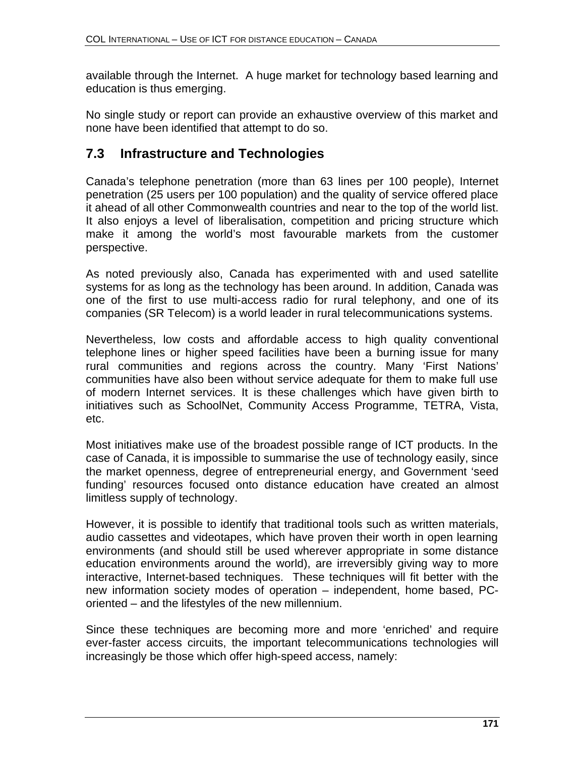available through the Internet. A huge market for technology based learning and education is thus emerging.

No single study or report can provide an exhaustive overview of this market and none have been identified that attempt to do so.

# **7.3 Infrastructure and Technologies**

Canada's telephone penetration (more than 63 lines per 100 people), Internet penetration (25 users per 100 population) and the quality of service offered place it ahead of all other Commonwealth countries and near to the top of the world list. It also enjoys a level of liberalisation, competition and pricing structure which make it among the world's most favourable markets from the customer perspective.

As noted previously also, Canada has experimented with and used satellite systems for as long as the technology has been around. In addition, Canada was one of the first to use multi-access radio for rural telephony, and one of its companies (SR Telecom) is a world leader in rural telecommunications systems.

Nevertheless, low costs and affordable access to high quality conventional telephone lines or higher speed facilities have been a burning issue for many rural communities and regions across the country. Many 'First Nations' communities have also been without service adequate for them to make full use of modern Internet services. It is these challenges which have given birth to initiatives such as SchoolNet, Community Access Programme, TETRA, Vista, etc.

Most initiatives make use of the broadest possible range of ICT products. In the case of Canada, it is impossible to summarise the use of technology easily, since the market openness, degree of entrepreneurial energy, and Government 'seed funding' resources focused onto distance education have created an almost limitless supply of technology.

However, it is possible to identify that traditional tools such as written materials, audio cassettes and videotapes, which have proven their worth in open learning environments (and should still be used wherever appropriate in some distance education environments around the world), are irreversibly giving way to more interactive, Internet-based techniques. These techniques will fit better with the new information society modes of operation – independent, home based, PCoriented – and the lifestyles of the new millennium.

Since these techniques are becoming more and more 'enriched' and require ever-faster access circuits, the important telecommunications technologies will increasingly be those which offer high-speed access, namely: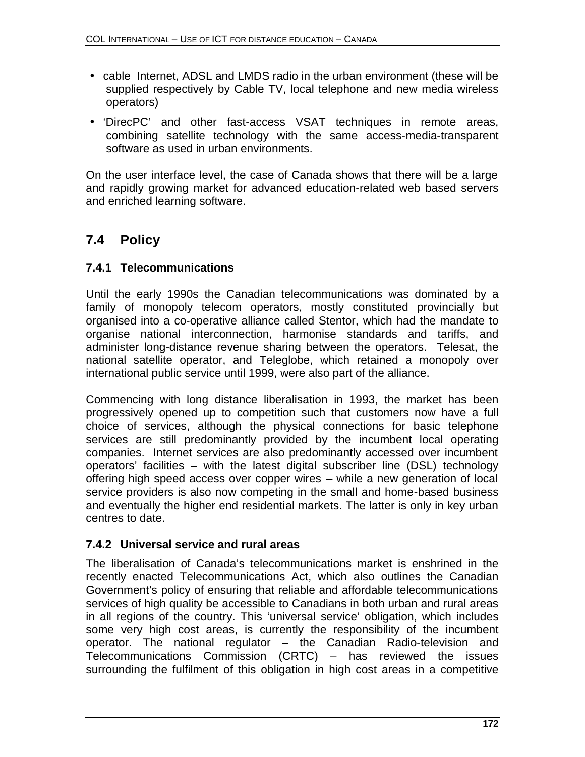- cable Internet, ADSL and LMDS radio in the urban environment (these will be supplied respectively by Cable TV, local telephone and new media wireless operators)
- 'DirecPC' and other fast-access VSAT techniques in remote areas, combining satellite technology with the same access-media-transparent software as used in urban environments.

On the user interface level, the case of Canada shows that there will be a large and rapidly growing market for advanced education-related web based servers and enriched learning software.

# **7.4 Policy**

### **7.4.1 Telecommunications**

Until the early 1990s the Canadian telecommunications was dominated by a family of monopoly telecom operators, mostly constituted provincially but organised into a co-operative alliance called Stentor, which had the mandate to organise national interconnection, harmonise standards and tariffs, and administer long-distance revenue sharing between the operators. Telesat, the national satellite operator, and Teleglobe, which retained a monopoly over international public service until 1999, were also part of the alliance.

Commencing with long distance liberalisation in 1993, the market has been progressively opened up to competition such that customers now have a full choice of services, although the physical connections for basic telephone services are still predominantly provided by the incumbent local operating companies. Internet services are also predominantly accessed over incumbent operators' facilities – with the latest digital subscriber line (DSL) technology offering high speed access over copper wires – while a new generation of local service providers is also now competing in the small and home-based business and eventually the higher end residential markets. The latter is only in key urban centres to date.

#### **7.4.2 Universal service and rural areas**

The liberalisation of Canada's telecommunications market is enshrined in the recently enacted Telecommunications Act, which also outlines the Canadian Government's policy of ensuring that reliable and affordable telecommunications services of high quality be accessible to Canadians in both urban and rural areas in all regions of the country. This 'universal service' obligation, which includes some very high cost areas, is currently the responsibility of the incumbent operator. The national regulator – the Canadian Radio-television and Telecommunications Commission (CRTC) – has reviewed the issues surrounding the fulfilment of this obligation in high cost areas in a competitive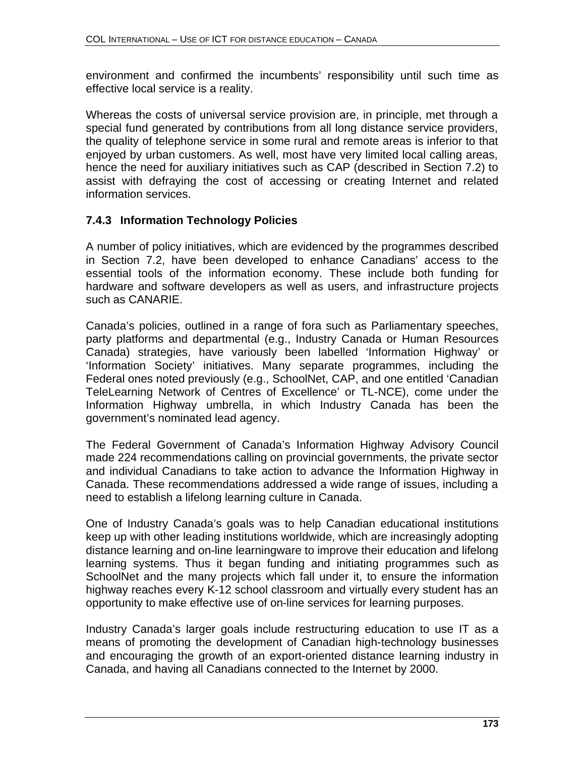environment and confirmed the incumbents' responsibility until such time as effective local service is a reality.

Whereas the costs of universal service provision are, in principle, met through a special fund generated by contributions from all long distance service providers, the quality of telephone service in some rural and remote areas is inferior to that enjoyed by urban customers. As well, most have very limited local calling areas, hence the need for auxiliary initiatives such as CAP (described in Section 7.2) to assist with defraying the cost of accessing or creating Internet and related information services.

### **7.4.3 Information Technology Policies**

A number of policy initiatives, which are evidenced by the programmes described in Section 7.2, have been developed to enhance Canadians' access to the essential tools of the information economy. These include both funding for hardware and software developers as well as users, and infrastructure projects such as CANARIE.

Canada's policies, outlined in a range of fora such as Parliamentary speeches, party platforms and departmental (e.g., Industry Canada or Human Resources Canada) strategies, have variously been labelled 'Information Highway' or 'Information Society' initiatives. Many separate programmes, including the Federal ones noted previously (e.g., SchoolNet, CAP, and one entitled 'Canadian TeleLearning Network of Centres of Excellence' or TL-NCE), come under the Information Highway umbrella, in which Industry Canada has been the government's nominated lead agency.

The Federal Government of Canada's Information Highway Advisory Council made 224 recommendations calling on provincial governments, the private sector and individual Canadians to take action to advance the Information Highway in Canada. These recommendations addressed a wide range of issues, including a need to establish a lifelong learning culture in Canada.

One of Industry Canada's goals was to help Canadian educational institutions keep up with other leading institutions worldwide, which are increasingly adopting distance learning and on-line learningware to improve their education and lifelong learning systems. Thus it began funding and initiating programmes such as SchoolNet and the many projects which fall under it, to ensure the information highway reaches every K-12 school classroom and virtually every student has an opportunity to make effective use of on-line services for learning purposes.

Industry Canada's larger goals include restructuring education to use IT as a means of promoting the development of Canadian high-technology businesses and encouraging the growth of an export-oriented distance learning industry in Canada, and having all Canadians connected to the Internet by 2000.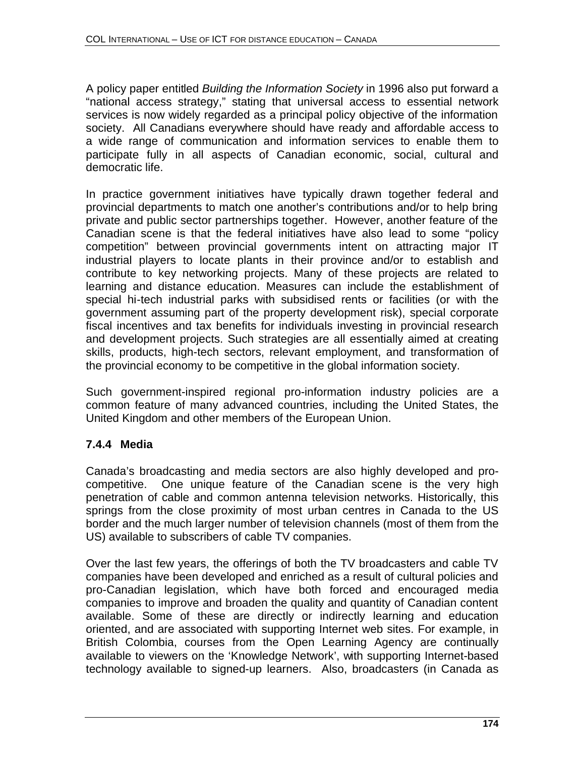A policy paper entitled *Building the Information Society* in 1996 also put forward a "national access strategy," stating that universal access to essential network services is now widely regarded as a principal policy objective of the information society. All Canadians everywhere should have ready and affordable access to a wide range of communication and information services to enable them to participate fully in all aspects of Canadian economic, social, cultural and democratic life.

In practice government initiatives have typically drawn together federal and provincial departments to match one another's contributions and/or to help bring private and public sector partnerships together. However, another feature of the Canadian scene is that the federal initiatives have also lead to some "policy competition" between provincial governments intent on attracting major IT industrial players to locate plants in their province and/or to establish and contribute to key networking projects. Many of these projects are related to learning and distance education. Measures can include the establishment of special hi-tech industrial parks with subsidised rents or facilities (or with the government assuming part of the property development risk), special corporate fiscal incentives and tax benefits for individuals investing in provincial research and development projects. Such strategies are all essentially aimed at creating skills, products, high-tech sectors, relevant employment, and transformation of the provincial economy to be competitive in the global information society.

Such government-inspired regional pro-information industry policies are a common feature of many advanced countries, including the United States, the United Kingdom and other members of the European Union.

### **7.4.4 Media**

Canada's broadcasting and media sectors are also highly developed and procompetitive. One unique feature of the Canadian scene is the very high penetration of cable and common antenna television networks. Historically, this springs from the close proximity of most urban centres in Canada to the US border and the much larger number of television channels (most of them from the US) available to subscribers of cable TV companies.

Over the last few years, the offerings of both the TV broadcasters and cable TV companies have been developed and enriched as a result of cultural policies and pro-Canadian legislation, which have both forced and encouraged media companies to improve and broaden the quality and quantity of Canadian content available. Some of these are directly or indirectly learning and education oriented, and are associated with supporting Internet web sites. For example, in British Colombia, courses from the Open Learning Agency are continually available to viewers on the 'Knowledge Network', with supporting Internet-based technology available to signed-up learners. Also, broadcasters (in Canada as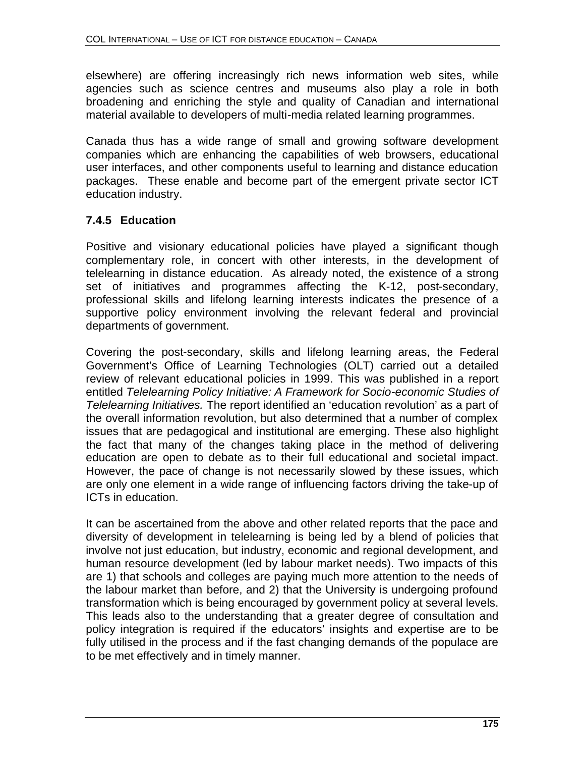elsewhere) are offering increasingly rich news information web sites, while agencies such as science centres and museums also play a role in both broadening and enriching the style and quality of Canadian and international material available to developers of multi-media related learning programmes.

Canada thus has a wide range of small and growing software development companies which are enhancing the capabilities of web browsers, educational user interfaces, and other components useful to learning and distance education packages. These enable and become part of the emergent private sector ICT education industry.

### **7.4.5 Education**

Positive and visionary educational policies have played a significant though complementary role, in concert with other interests, in the development of telelearning in distance education. As already noted, the existence of a strong set of initiatives and programmes affecting the K-12, post-secondary, professional skills and lifelong learning interests indicates the presence of a supportive policy environment involving the relevant federal and provincial departments of government.

Covering the post-secondary, skills and lifelong learning areas, the Federal Government's Office of Learning Technologies (OLT) carried out a detailed review of relevant educational policies in 1999. This was published in a report entitled *Telelearning Policy Initiative: A Framework for Socio-economic Studies of Telelearning Initiatives.* The report identified an 'education revolution' as a part of the overall information revolution, but also determined that a number of complex issues that are pedagogical and institutional are emerging. These also highlight the fact that many of the changes taking place in the method of delivering education are open to debate as to their full educational and societal impact. However, the pace of change is not necessarily slowed by these issues, which are only one element in a wide range of influencing factors driving the take-up of ICTs in education.

It can be ascertained from the above and other related reports that the pace and diversity of development in telelearning is being led by a blend of policies that involve not just education, but industry, economic and regional development, and human resource development (led by labour market needs). Two impacts of this are 1) that schools and colleges are paying much more attention to the needs of the labour market than before, and 2) that the University is undergoing profound transformation which is being encouraged by government policy at several levels. This leads also to the understanding that a greater degree of consultation and policy integration is required if the educators' insights and expertise are to be fully utilised in the process and if the fast changing demands of the populace are to be met effectively and in timely manner.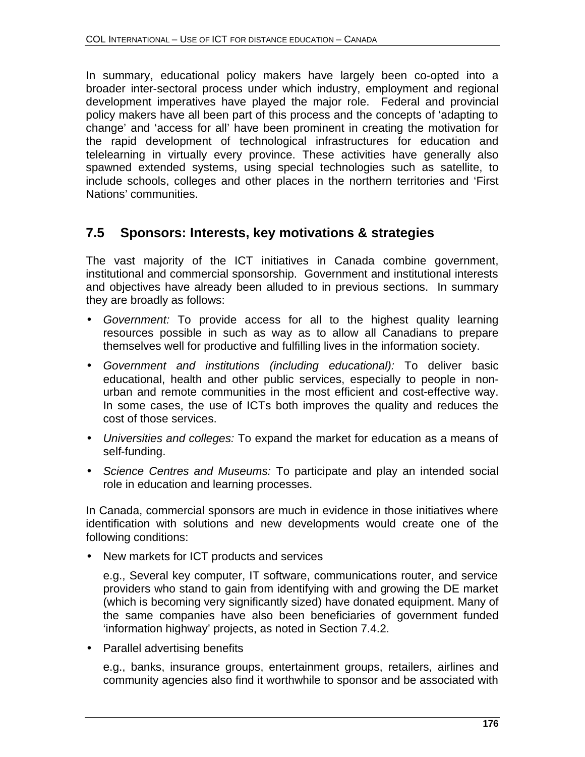In summary, educational policy makers have largely been co-opted into a broader inter-sectoral process under which industry, employment and regional development imperatives have played the major role. Federal and provincial policy makers have all been part of this process and the concepts of 'adapting to change' and 'access for all' have been prominent in creating the motivation for the rapid development of technological infrastructures for education and telelearning in virtually every province. These activities have generally also spawned extended systems, using special technologies such as satellite, to include schools, colleges and other places in the northern territories and 'First Nations' communities.

# **7.5 Sponsors: Interests, key motivations & strategies**

The vast majority of the ICT initiatives in Canada combine government, institutional and commercial sponsorship. Government and institutional interests and objectives have already been alluded to in previous sections. In summary they are broadly as follows:

- *Government:* To provide access for all to the highest quality learning resources possible in such as way as to allow all Canadians to prepare themselves well for productive and fulfilling lives in the information society.
- *Government and institutions (including educational):* To deliver basic educational, health and other public services, especially to people in nonurban and remote communities in the most efficient and cost-effective way. In some cases, the use of ICTs both improves the quality and reduces the cost of those services.
- *Universities and colleges:* To expand the market for education as a means of self-funding.
- *Science Centres and Museums:* To participate and play an intended social role in education and learning processes.

In Canada, commercial sponsors are much in evidence in those initiatives where identification with solutions and new developments would create one of the following conditions:

• New markets for ICT products and services

e.g., Several key computer, IT software, communications router, and service providers who stand to gain from identifying with and growing the DE market (which is becoming very significantly sized) have donated equipment. Many of the same companies have also been beneficiaries of government funded 'information highway' projects, as noted in Section 7.4.2.

• Parallel advertising benefits

e.g., banks, insurance groups, entertainment groups, retailers, airlines and community agencies also find it worthwhile to sponsor and be associated with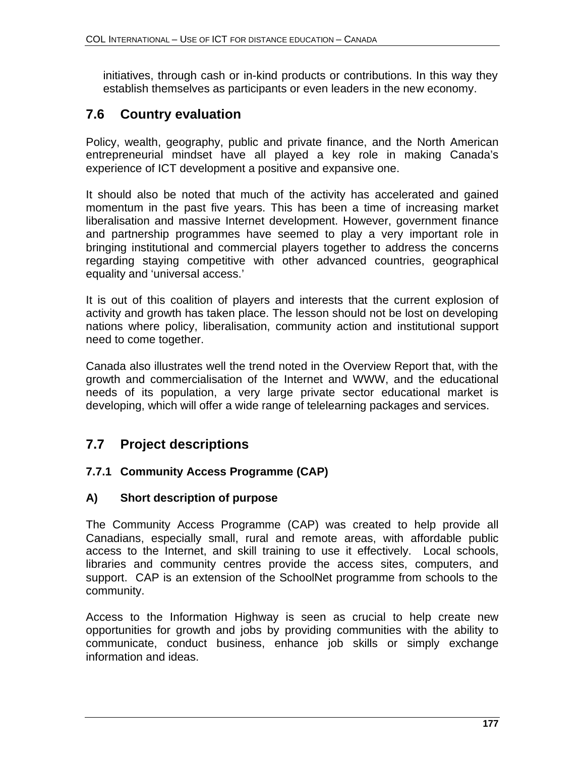initiatives, through cash or in-kind products or contributions. In this way they establish themselves as participants or even leaders in the new economy.

# **7.6 Country evaluation**

Policy, wealth, geography, public and private finance, and the North American entrepreneurial mindset have all played a key role in making Canada's experience of ICT development a positive and expansive one.

It should also be noted that much of the activity has accelerated and gained momentum in the past five years. This has been a time of increasing market liberalisation and massive Internet development. However, government finance and partnership programmes have seemed to play a very important role in bringing institutional and commercial players together to address the concerns regarding staying competitive with other advanced countries, geographical equality and 'universal access.'

It is out of this coalition of players and interests that the current explosion of activity and growth has taken place. The lesson should not be lost on developing nations where policy, liberalisation, community action and institutional support need to come together.

Canada also illustrates well the trend noted in the Overview Report that, with the growth and commercialisation of the Internet and WWW, and the educational needs of its population, a very large private sector educational market is developing, which will offer a wide range of telelearning packages and services.

# **7.7 Project descriptions**

#### **7.7.1 Community Access Programme (CAP)**

#### **A) Short description of purpose**

The Community Access Programme (CAP) was created to help provide all Canadians, especially small, rural and remote areas, with affordable public access to the Internet, and skill training to use it effectively. Local schools, libraries and community centres provide the access sites, computers, and support. CAP is an extension of the SchoolNet programme from schools to the community.

Access to the Information Highway is seen as crucial to help create new opportunities for growth and jobs by providing communities with the ability to communicate, conduct business, enhance job skills or simply exchange information and ideas.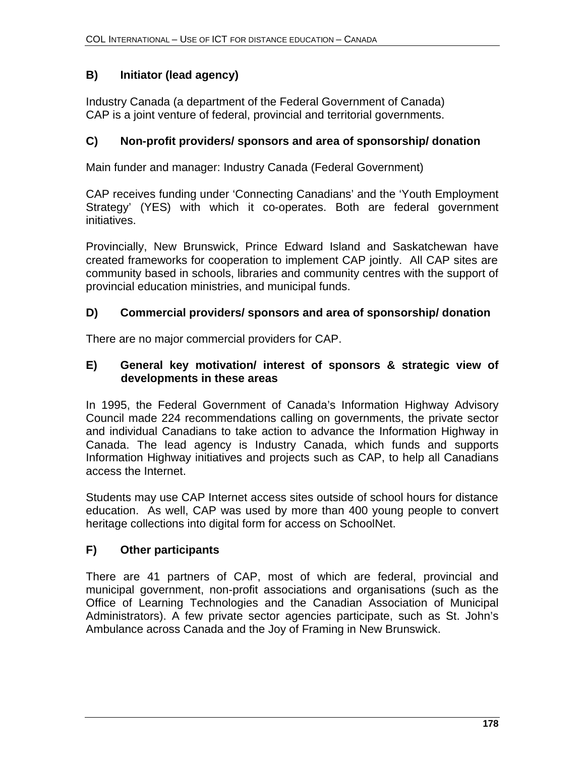# **B) Initiator (lead agency)**

Industry Canada (a department of the Federal Government of Canada) CAP is a joint venture of federal, provincial and territorial governments.

#### **C) Non-profit providers/ sponsors and area of sponsorship/ donation**

Main funder and manager: Industry Canada (Federal Government)

CAP receives funding under 'Connecting Canadians' and the 'Youth Employment Strategy' (YES) with which it co-operates. Both are federal government initiatives.

Provincially, New Brunswick, Prince Edward Island and Saskatchewan have created frameworks for cooperation to implement CAP jointly. All CAP sites are community based in schools, libraries and community centres with the support of provincial education ministries, and municipal funds.

#### **D) Commercial providers/ sponsors and area of sponsorship/ donation**

There are no major commercial providers for CAP.

#### **E) General key motivation/ interest of sponsors & strategic view of developments in these areas**

In 1995, the Federal Government of Canada's Information Highway Advisory Council made 224 recommendations calling on governments, the private sector and individual Canadians to take action to advance the Information Highway in Canada. The lead agency is Industry Canada, which funds and supports Information Highway initiatives and projects such as CAP, to help all Canadians access the Internet.

Students may use CAP Internet access sites outside of school hours for distance education. As well, CAP was used by more than 400 young people to convert heritage collections into digital form for access on SchoolNet.

#### **F) Other participants**

There are 41 partners of CAP, most of which are federal, provincial and municipal government, non-profit associations and organisations (such as the Office of Learning Technologies and the Canadian Association of Municipal Administrators). A few private sector agencies participate, such as St. John's Ambulance across Canada and the Joy of Framing in New Brunswick.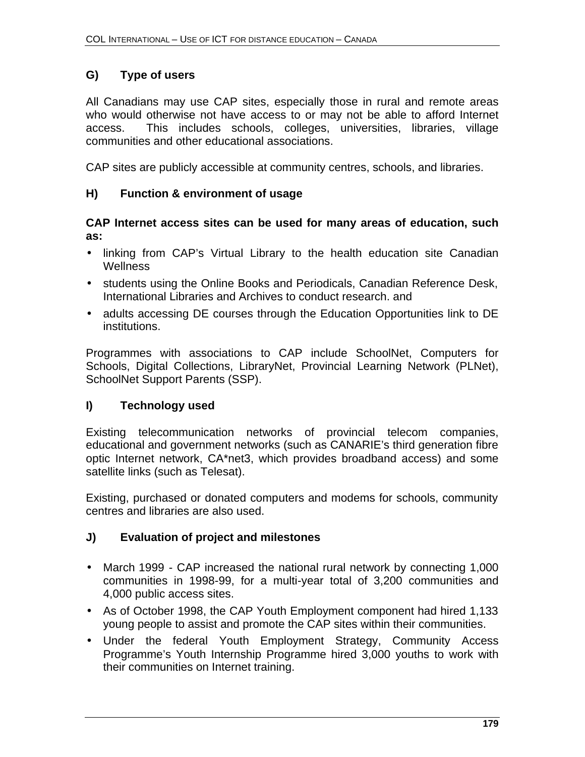# **G) Type of users**

All Canadians may use CAP sites, especially those in rural and remote areas who would otherwise not have access to or may not be able to afford Internet access. This includes schools, colleges, universities, libraries, village communities and other educational associations.

CAP sites are publicly accessible at community centres, schools, and libraries.

## **H) Function & environment of usage**

#### **CAP Internet access sites can be used for many areas of education, such as:**

- linking from CAP's Virtual Library to the health education site Canadian **Wellness**
- students using the Online Books and Periodicals, Canadian Reference Desk, International Libraries and Archives to conduct research. and
- adults accessing DE courses through the Education Opportunities link to DE institutions.

Programmes with associations to CAP include SchoolNet, Computers for Schools, Digital Collections, LibraryNet, Provincial Learning Network (PLNet), SchoolNet Support Parents (SSP).

#### **I) Technology used**

Existing telecommunication networks of provincial telecom companies, educational and government networks (such as CANARIE's third generation fibre optic Internet network, CA\*net3, which provides broadband access) and some satellite links (such as Telesat).

Existing, purchased or donated computers and modems for schools, community centres and libraries are also used.

#### **J) Evaluation of project and milestones**

- March 1999 CAP increased the national rural network by connecting 1,000 communities in 1998-99, for a multi-year total of 3,200 communities and 4,000 public access sites.
- As of October 1998, the CAP Youth Employment component had hired 1,133 young people to assist and promote the CAP sites within their communities.
- Under the federal Youth Employment Strategy, Community Access Programme's Youth Internship Programme hired 3,000 youths to work with their communities on Internet training.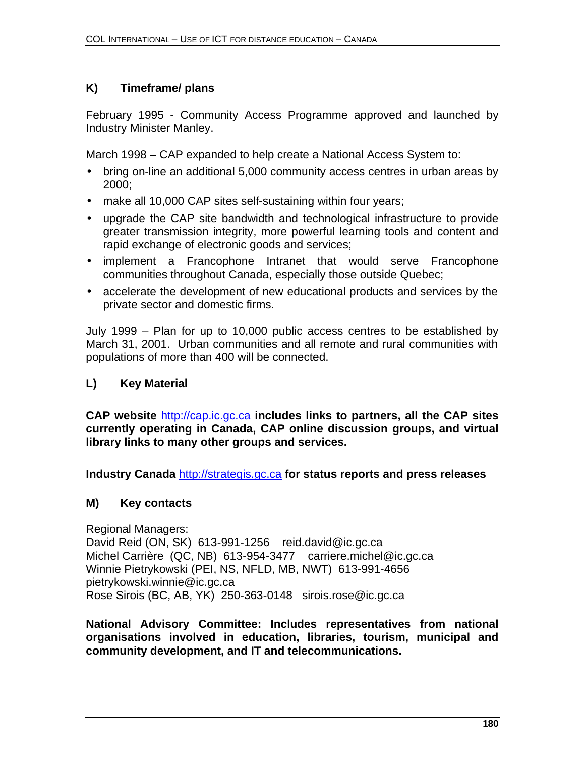# **K) Timeframe/ plans**

February 1995 - Community Access Programme approved and launched by Industry Minister Manley.

March 1998 – CAP expanded to help create a National Access System to:

- bring on-line an additional 5,000 community access centres in urban areas by 2000;
- make all 10,000 CAP sites self-sustaining within four years;
- upgrade the CAP site bandwidth and technological infrastructure to provide greater transmission integrity, more powerful learning tools and content and rapid exchange of electronic goods and services;
- implement a Francophone Intranet that would serve Francophone communities throughout Canada, especially those outside Quebec;
- accelerate the development of new educational products and services by the private sector and domestic firms.

July 1999 – Plan for up to 10,000 public access centres to be established by March 31, 2001. Urban communities and all remote and rural communities with populations of more than 400 will be connected.

# **L) Key Material**

**CAP website** http://cap.ic.gc.ca **includes links to partners, all the CAP sites currently operating in Canada, CAP online discussion groups, and virtual library links to many other groups and services.**

**Industry Canada** http://strategis.gc.ca **for status reports and press releases**

# **M) Key contacts**

Regional Managers: David Reid (ON, SK) 613-991-1256 reid.david@ic.gc.ca Michel Carrière (QC, NB) 613-954-3477 carriere.michel@ic.gc.ca Winnie Pietrykowski (PEI, NS, NFLD, MB, NWT) 613-991-4656 pietrykowski.winnie@ic.gc.ca Rose Sirois (BC, AB, YK) 250-363-0148 sirois.rose@ic.gc.ca

**National Advisory Committee: Includes representatives from national organisations involved in education, libraries, tourism, municipal and community development, and IT and telecommunications.**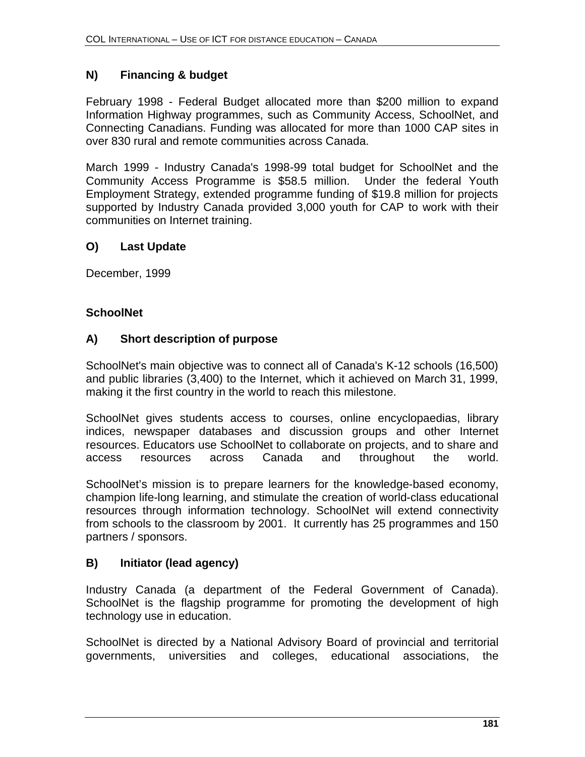## **N) Financing & budget**

February 1998 - Federal Budget allocated more than \$200 million to expand Information Highway programmes, such as Community Access, SchoolNet, and Connecting Canadians. Funding was allocated for more than 1000 CAP sites in over 830 rural and remote communities across Canada.

March 1999 - Industry Canada's 1998-99 total budget for SchoolNet and the Community Access Programme is \$58.5 million. Under the federal Youth Employment Strategy, extended programme funding of \$19.8 million for projects supported by Industry Canada provided 3,000 youth for CAP to work with their communities on Internet training.

#### **O) Last Update**

December, 1999

#### **SchoolNet**

#### **A) Short description of purpose**

SchoolNet's main objective was to connect all of Canada's K-12 schools (16,500) and public libraries (3,400) to the Internet, which it achieved on March 31, 1999, making it the first country in the world to reach this milestone.

SchoolNet gives students access to courses, online encyclopaedias, library indices, newspaper databases and discussion groups and other Internet resources. Educators use SchoolNet to collaborate on projects, and to share and access resources across Canada and throughout the world.

SchoolNet's mission is to prepare learners for the knowledge-based economy, champion life-long learning, and stimulate the creation of world-class educational resources through information technology. SchoolNet will extend connectivity from schools to the classroom by 2001. It currently has 25 programmes and 150 partners / sponsors.

#### **B) Initiator (lead agency)**

Industry Canada (a department of the Federal Government of Canada). SchoolNet is the flagship programme for promoting the development of high technology use in education.

SchoolNet is directed by a National Advisory Board of provincial and territorial governments, universities and colleges, educational associations, the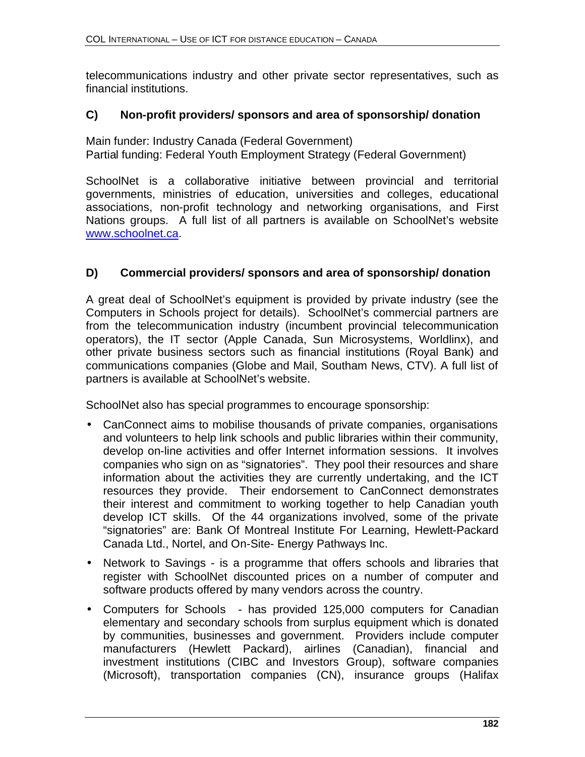telecommunications industry and other private sector representatives, such as financial institutions.

#### **C) Non-profit providers/ sponsors and area of sponsorship/ donation**

Main funder: Industry Canada (Federal Government) Partial funding: Federal Youth Employment Strategy (Federal Government)

SchoolNet is a collaborative initiative between provincial and territorial governments, ministries of education, universities and colleges, educational associations, non-profit technology and networking organisations, and First Nations groups. A full list of all partners is available on SchoolNet's website www.schoolnet.ca.

#### **D) Commercial providers/ sponsors and area of sponsorship/ donation**

A great deal of SchoolNet's equipment is provided by private industry (see the Computers in Schools project for details). SchoolNet's commercial partners are from the telecommunication industry (incumbent provincial telecommunication operators), the IT sector (Apple Canada, Sun Microsystems, Worldlinx), and other private business sectors such as financial institutions (Royal Bank) and communications companies (Globe and Mail, Southam News, CTV). A full list of partners is available at SchoolNet's website.

SchoolNet also has special programmes to encourage sponsorship:

- CanConnect aims to mobilise thousands of private companies, organisations and volunteers to help link schools and public libraries within their community, develop on-line activities and offer Internet information sessions. It involves companies who sign on as "signatories". They pool their resources and share information about the activities they are currently undertaking, and the ICT resources they provide. Their endorsement to CanConnect demonstrates their interest and commitment to working together to help Canadian youth develop ICT skills. Of the 44 organizations involved, some of the private "signatories" are: Bank Of Montreal Institute For Learning, Hewlett-Packard Canada Ltd., Nortel, and On-Site- Energy Pathways Inc.
- Network to Savings is a programme that offers schools and libraries that register with SchoolNet discounted prices on a number of computer and software products offered by many vendors across the country.
- Computers for Schools has provided 125,000 computers for Canadian elementary and secondary schools from surplus equipment which is donated by communities, businesses and government. Providers include computer manufacturers (Hewlett Packard), airlines (Canadian), financial and investment institutions (CIBC and Investors Group), software companies (Microsoft), transportation companies (CN), insurance groups (Halifax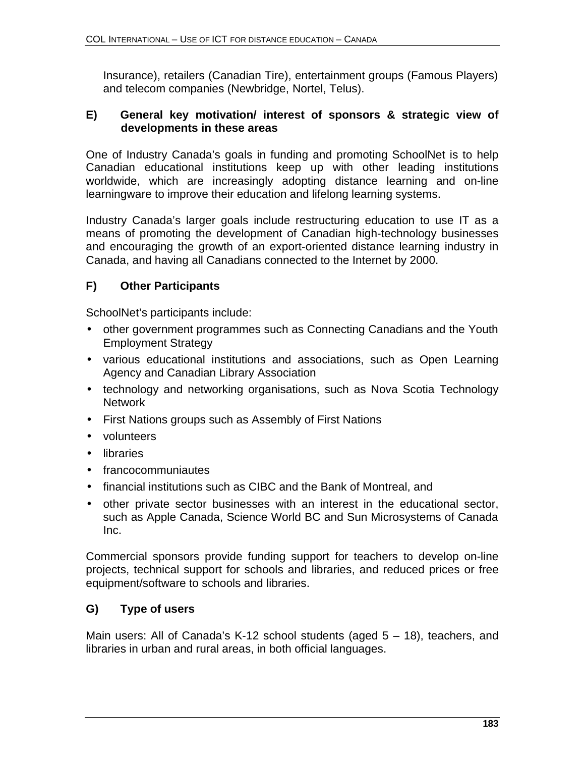Insurance), retailers (Canadian Tire), entertainment groups (Famous Players) and telecom companies (Newbridge, Nortel, Telus).

#### **E) General key motivation/ interest of sponsors & strategic view of developments in these areas**

One of Industry Canada's goals in funding and promoting SchoolNet is to help Canadian educational institutions keep up with other leading institutions worldwide, which are increasingly adopting distance learning and on-line learningware to improve their education and lifelong learning systems.

Industry Canada's larger goals include restructuring education to use IT as a means of promoting the development of Canadian high-technology businesses and encouraging the growth of an export-oriented distance learning industry in Canada, and having all Canadians connected to the Internet by 2000.

## **F) Other Participants**

SchoolNet's participants include:

- other government programmes such as Connecting Canadians and the Youth Employment Strategy
- various educational institutions and associations, such as Open Learning Agency and Canadian Library Association
- technology and networking organisations, such as Nova Scotia Technology **Network**
- First Nations groups such as Assembly of First Nations
- volunteers
- libraries
- francocommuniautes
- financial institutions such as CIBC and the Bank of Montreal, and
- other private sector businesses with an interest in the educational sector, such as Apple Canada, Science World BC and Sun Microsystems of Canada Inc.

Commercial sponsors provide funding support for teachers to develop on-line projects, technical support for schools and libraries, and reduced prices or free equipment/software to schools and libraries.

#### **G) Type of users**

Main users: All of Canada's K-12 school students (aged 5 – 18), teachers, and libraries in urban and rural areas, in both official languages.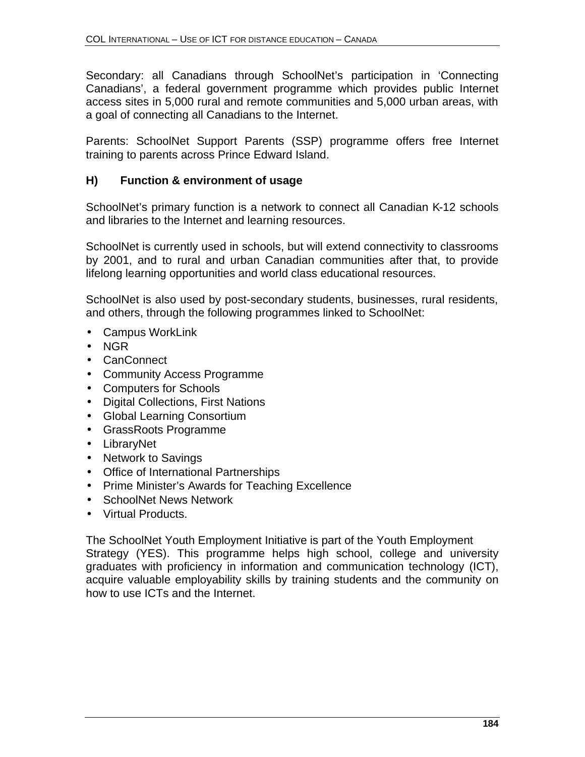Secondary: all Canadians through SchoolNet's participation in 'Connecting Canadians', a federal government programme which provides public Internet access sites in 5,000 rural and remote communities and 5,000 urban areas, with a goal of connecting all Canadians to the Internet.

Parents: SchoolNet Support Parents (SSP) programme offers free Internet training to parents across Prince Edward Island.

## **H) Function & environment of usage**

SchoolNet's primary function is a network to connect all Canadian K-12 schools and libraries to the Internet and learning resources.

SchoolNet is currently used in schools, but will extend connectivity to classrooms by 2001, and to rural and urban Canadian communities after that, to provide lifelong learning opportunities and world class educational resources.

SchoolNet is also used by post-secondary students, businesses, rural residents, and others, through the following programmes linked to SchoolNet:

- Campus WorkLink
- NGR
- CanConnect
- Community Access Programme
- Computers for Schools
- Digital Collections, First Nations
- Global Learning Consortium
- GrassRoots Programme
- LibraryNet
- Network to Savings
- Office of International Partnerships
- Prime Minister's Awards for Teaching Excellence
- SchoolNet News Network
- Virtual Products.

The SchoolNet Youth Employment Initiative is part of the Youth Employment Strategy (YES). This programme helps high school, college and university graduates with proficiency in information and communication technology (ICT), acquire valuable employability skills by training students and the community on how to use ICTs and the Internet.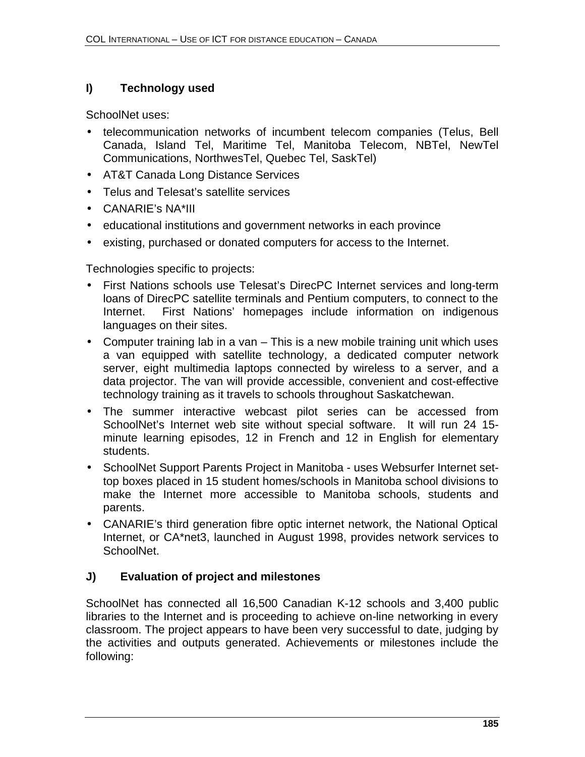# **I) Technology used**

SchoolNet uses:

- telecommunication networks of incumbent telecom companies (Telus, Bell Canada, Island Tel, Maritime Tel, Manitoba Telecom, NBTel, NewTel Communications, NorthwesTel, Quebec Tel, SaskTel)
- AT&T Canada Long Distance Services
- Telus and Telesat's satellite services
- CANARIE's NA\*III
- educational institutions and government networks in each province
- existing, purchased or donated computers for access to the Internet.

Technologies specific to projects:

- First Nations schools use Telesat's DirecPC Internet services and long-term loans of DirecPC satellite terminals and Pentium computers, to connect to the Internet. First Nations' homepages include information on indigenous languages on their sites.
- Computer training lab in a van This is a new mobile training unit which uses a van equipped with satellite technology, a dedicated computer network server, eight multimedia laptops connected by wireless to a server, and a data projector. The van will provide accessible, convenient and cost-effective technology training as it travels to schools throughout Saskatchewan.
- The summer interactive webcast pilot series can be accessed from SchoolNet's Internet web site without special software. It will run 24 15 minute learning episodes, 12 in French and 12 in English for elementary students.
- SchoolNet Support Parents Project in Manitoba uses Websurfer Internet settop boxes placed in 15 student homes/schools in Manitoba school divisions to make the Internet more accessible to Manitoba schools, students and parents.
- CANARIE's third generation fibre optic internet network, the National Optical Internet, or CA\*net3, launched in August 1998, provides network services to SchoolNet.

# **J) Evaluation of project and milestones**

SchoolNet has connected all 16,500 Canadian K-12 schools and 3,400 public libraries to the Internet and is proceeding to achieve on-line networking in every classroom. The project appears to have been very successful to date, judging by the activities and outputs generated. Achievements or milestones include the following: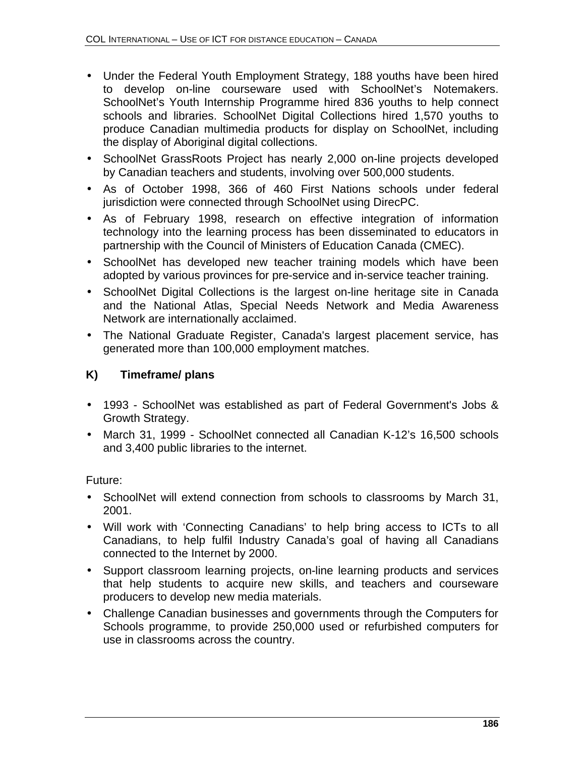- Under the Federal Youth Employment Strategy, 188 youths have been hired to develop on-line courseware used with SchoolNet's Notemakers. SchoolNet's Youth Internship Programme hired 836 youths to help connect schools and libraries. SchoolNet Digital Collections hired 1,570 youths to produce Canadian multimedia products for display on SchoolNet, including the display of Aboriginal digital collections.
- SchoolNet GrassRoots Project has nearly 2,000 on-line projects developed by Canadian teachers and students, involving over 500,000 students.
- As of October 1998, 366 of 460 First Nations schools under federal jurisdiction were connected through SchoolNet using DirecPC.
- As of February 1998, research on effective integration of information technology into the learning process has been disseminated to educators in partnership with the Council of Ministers of Education Canada (CMEC).
- SchoolNet has developed new teacher training models which have been adopted by various provinces for pre-service and in-service teacher training.
- SchoolNet Digital Collections is the largest on-line heritage site in Canada and the National Atlas, Special Needs Network and Media Awareness Network are internationally acclaimed.
- The National Graduate Register, Canada's largest placement service, has generated more than 100,000 employment matches.

# **K) Timeframe/ plans**

- 1993 SchoolNet was established as part of Federal Government's Jobs & Growth Strategy.
- March 31, 1999 SchoolNet connected all Canadian K-12's 16,500 schools and 3,400 public libraries to the internet.

Future:

- SchoolNet will extend connection from schools to classrooms by March 31, 2001.
- Will work with 'Connecting Canadians' to help bring access to ICTs to all Canadians, to help fulfil Industry Canada's goal of having all Canadians connected to the Internet by 2000.
- Support classroom learning projects, on-line learning products and services that help students to acquire new skills, and teachers and courseware producers to develop new media materials.
- Challenge Canadian businesses and governments through the Computers for Schools programme, to provide 250,000 used or refurbished computers for use in classrooms across the country.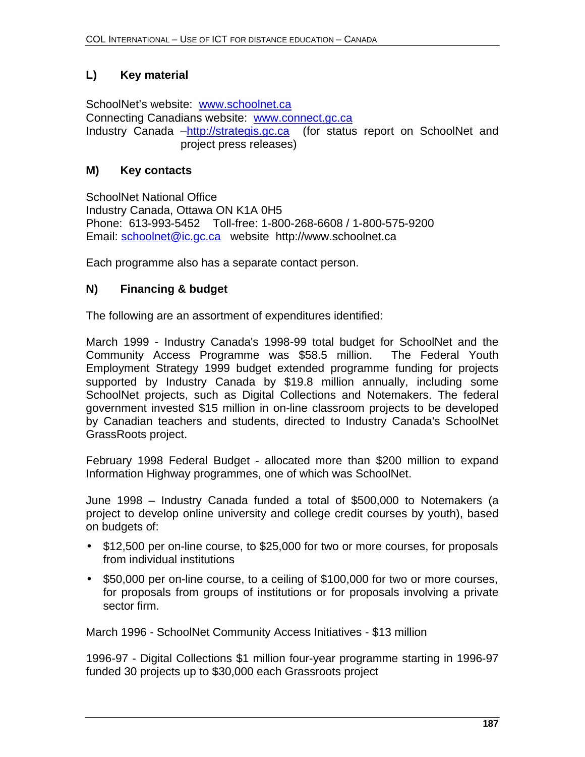# **L) Key material**

SchoolNet's website: www.schoolnet.ca Connecting Canadians website: www.connect.gc.ca Industry Canada -http://strategis.gc.ca (for status report on SchoolNet and project press releases)

#### **M) Key contacts**

SchoolNet National Office Industry Canada, Ottawa ON K1A 0H5 Phone: 613-993-5452 Toll-free: 1-800-268-6608 / 1-800-575-9200 Email: schoolnet@ic.gc.ca website http://www.schoolnet.ca

Each programme also has a separate contact person.

#### **N) Financing & budget**

The following are an assortment of expenditures identified:

March 1999 - Industry Canada's 1998-99 total budget for SchoolNet and the Community Access Programme was \$58.5 million. The Federal Youth Employment Strategy 1999 budget extended programme funding for projects supported by Industry Canada by \$19.8 million annually, including some SchoolNet projects, such as Digital Collections and Notemakers. The federal government invested \$15 million in on-line classroom projects to be developed by Canadian teachers and students, directed to Industry Canada's SchoolNet GrassRoots project.

February 1998 Federal Budget - allocated more than \$200 million to expand Information Highway programmes, one of which was SchoolNet.

June 1998 – Industry Canada funded a total of \$500,000 to Notemakers (a project to develop online university and college credit courses by youth), based on budgets of:

- \$12,500 per on-line course, to \$25,000 for two or more courses, for proposals from individual institutions
- \$50,000 per on-line course, to a ceiling of \$100,000 for two or more courses, for proposals from groups of institutions or for proposals involving a private sector firm.

March 1996 - SchoolNet Community Access Initiatives - \$13 million

1996-97 - Digital Collections \$1 million four-year programme starting in 1996-97 funded 30 projects up to \$30,000 each Grassroots project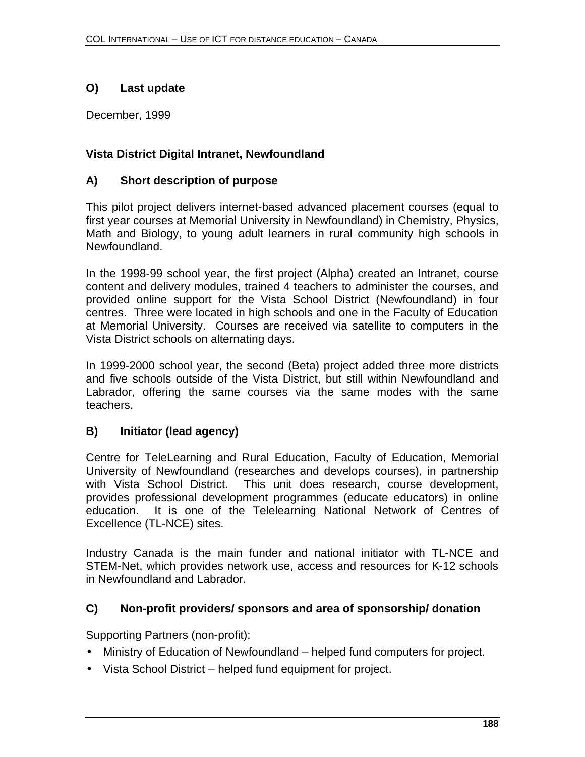# **O) Last update**

December, 1999

# **Vista District Digital Intranet, Newfoundland**

# **A) Short description of purpose**

This pilot project delivers internet-based advanced placement courses (equal to first year courses at Memorial University in Newfoundland) in Chemistry, Physics, Math and Biology, to young adult learners in rural community high schools in Newfoundland.

In the 1998-99 school year, the first project (Alpha) created an Intranet, course content and delivery modules, trained 4 teachers to administer the courses, and provided online support for the Vista School District (Newfoundland) in four centres. Three were located in high schools and one in the Faculty of Education at Memorial University. Courses are received via satellite to computers in the Vista District schools on alternating days.

In 1999-2000 school year, the second (Beta) project added three more districts and five schools outside of the Vista District, but still within Newfoundland and Labrador, offering the same courses via the same modes with the same teachers.

# **B) Initiator (lead agency)**

Centre for TeleLearning and Rural Education, Faculty of Education, Memorial University of Newfoundland (researches and develops courses), in partnership with Vista School District. This unit does research, course development, provides professional development programmes (educate educators) in online education. It is one of the Telelearning National Network of Centres of Excellence (TL-NCE) sites.

Industry Canada is the main funder and national initiator with TL-NCE and STEM-Net, which provides network use, access and resources for K-12 schools in Newfoundland and Labrador.

#### **C) Non-profit providers/ sponsors and area of sponsorship/ donation**

Supporting Partners (non-profit):

- Ministry of Education of Newfoundland helped fund computers for project.
- Vista School District helped fund equipment for project.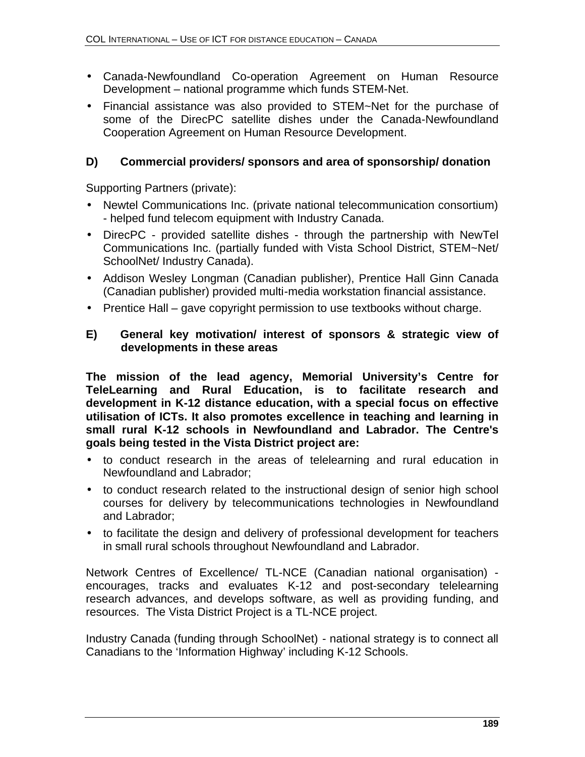- Canada-Newfoundland Co-operation Agreement on Human Resource Development – national programme which funds STEM-Net.
- Financial assistance was also provided to STEM~Net for the purchase of some of the DirecPC satellite dishes under the Canada-Newfoundland Cooperation Agreement on Human Resource Development.

#### **D) Commercial providers/ sponsors and area of sponsorship/ donation**

Supporting Partners (private):

- Newtel Communications Inc. (private national telecommunication consortium) - helped fund telecom equipment with Industry Canada.
- DirecPC provided satellite dishes through the partnership with NewTel Communications Inc. (partially funded with Vista School District, STEM~Net/ SchoolNet/ Industry Canada).
- Addison Wesley Longman (Canadian publisher), Prentice Hall Ginn Canada (Canadian publisher) provided multi-media workstation financial assistance.
- Prentice Hall gave copyright permission to use textbooks without charge.

#### **E) General key motivation/ interest of sponsors & strategic view of developments in these areas**

**The mission of the lead agency, Memorial University's Centre for TeleLearning and Rural Education, is to facilitate research and development in K-12 distance education, with a special focus on effective utilisation of ICTs. It also promotes excellence in teaching and learning in small rural K-12 schools in Newfoundland and Labrador. The Centre's goals being tested in the Vista District project are:** 

- to conduct research in the areas of telelearning and rural education in Newfoundland and Labrador;
- to conduct research related to the instructional design of senior high school courses for delivery by telecommunications technologies in Newfoundland and Labrador;
- to facilitate the design and delivery of professional development for teachers in small rural schools throughout Newfoundland and Labrador.

Network Centres of Excellence/ TL-NCE (Canadian national organisation) encourages, tracks and evaluates K-12 and post-secondary telelearning research advances, and develops software, as well as providing funding, and resources. The Vista District Project is a TL-NCE project.

Industry Canada (funding through SchoolNet) - national strategy is to connect all Canadians to the 'Information Highway' including K-12 Schools.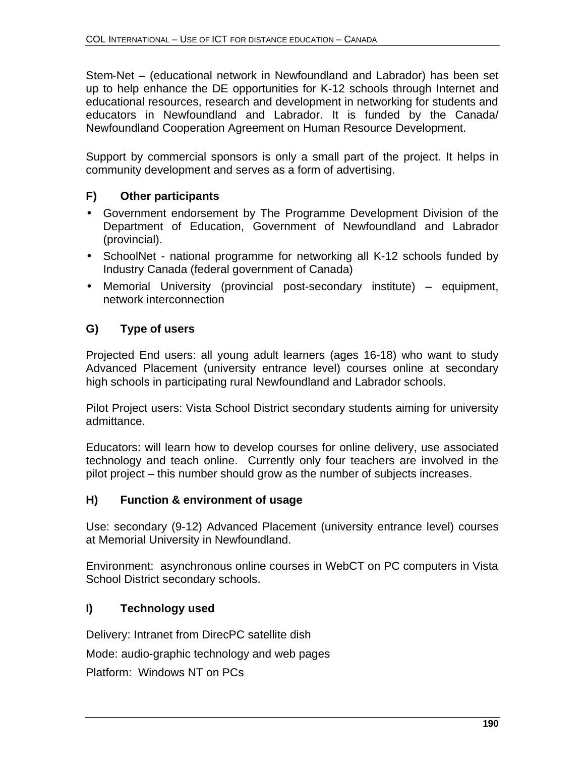Stem-Net – (educational network in Newfoundland and Labrador) has been set up to help enhance the DE opportunities for K-12 schools through Internet and educational resources, research and development in networking for students and educators in Newfoundland and Labrador. It is funded by the Canada/ Newfoundland Cooperation Agreement on Human Resource Development.

Support by commercial sponsors is only a small part of the project. It helps in community development and serves as a form of advertising.

## **F) Other participants**

- Government endorsement by The Programme Development Division of the Department of Education, Government of Newfoundland and Labrador (provincial).
- SchoolNet national programme for networking all K-12 schools funded by Industry Canada (federal government of Canada)
- Memorial University (provincial post-secondary institute) equipment, network interconnection

# **G) Type of users**

Projected End users: all young adult learners (ages 16-18) who want to study Advanced Placement (university entrance level) courses online at secondary high schools in participating rural Newfoundland and Labrador schools.

Pilot Project users: Vista School District secondary students aiming for university admittance.

Educators: will learn how to develop courses for online delivery, use associated technology and teach online. Currently only four teachers are involved in the pilot project – this number should grow as the number of subjects increases.

#### **H) Function & environment of usage**

Use: secondary (9-12) Advanced Placement (university entrance level) courses at Memorial University in Newfoundland.

Environment: asynchronous online courses in WebCT on PC computers in Vista School District secondary schools.

# **I) Technology used**

Delivery: Intranet from DirecPC satellite dish

Mode: audio-graphic technology and web pages

Platform: Windows NT on PCs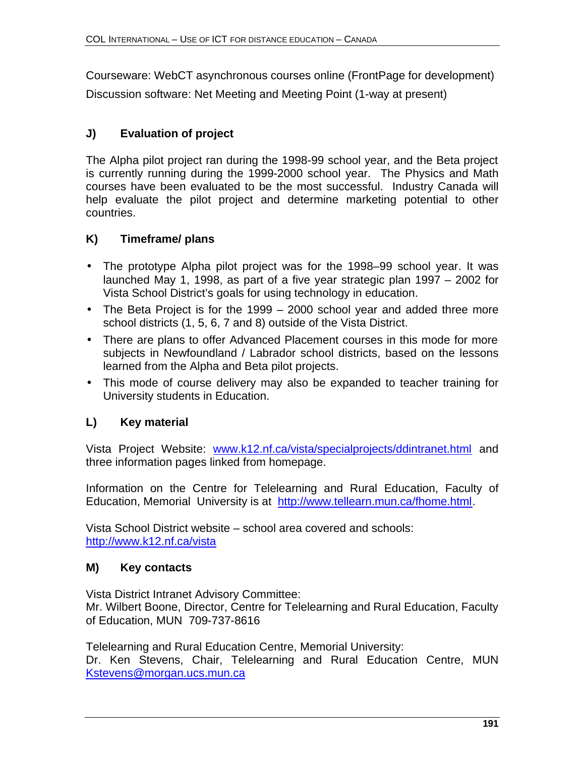Courseware: WebCT asynchronous courses online (FrontPage for development)

Discussion software: Net Meeting and Meeting Point (1-way at present)

# **J) Evaluation of project**

The Alpha pilot project ran during the 1998-99 school year, and the Beta project is currently running during the 1999-2000 school year. The Physics and Math courses have been evaluated to be the most successful. Industry Canada will help evaluate the pilot project and determine marketing potential to other countries.

# **K) Timeframe/ plans**

- The prototype Alpha pilot project was for the 1998–99 school year. It was launched May 1, 1998, as part of a five year strategic plan 1997 – 2002 for Vista School District's goals for using technology in education.
- The Beta Project is for the 1999 2000 school year and added three more school districts (1, 5, 6, 7 and 8) outside of the Vista District.
- There are plans to offer Advanced Placement courses in this mode for more subjects in Newfoundland / Labrador school districts, based on the lessons learned from the Alpha and Beta pilot projects.
- This mode of course delivery may also be expanded to teacher training for University students in Education.

# **L) Key material**

Vista Project Website: www.k12.nf.ca/vista/specialprojects/ddintranet.html and three information pages linked from homepage.

Information on the Centre for Telelearning and Rural Education, Faculty of Education, Memorial University is at http://www.tellearn.mun.ca/fhome.html.

Vista School District website – school area covered and schools: http://www.k12.nf.ca/vista

# **M) Key contacts**

Vista District Intranet Advisory Committee: Mr. Wilbert Boone, Director, Centre for Telelearning and Rural Education, Faculty of Education, MUN 709-737-8616

Telelearning and Rural Education Centre, Memorial University: Dr. Ken Stevens, Chair, Telelearning and Rural Education Centre, MUN Kstevens@morgan.ucs.mun.ca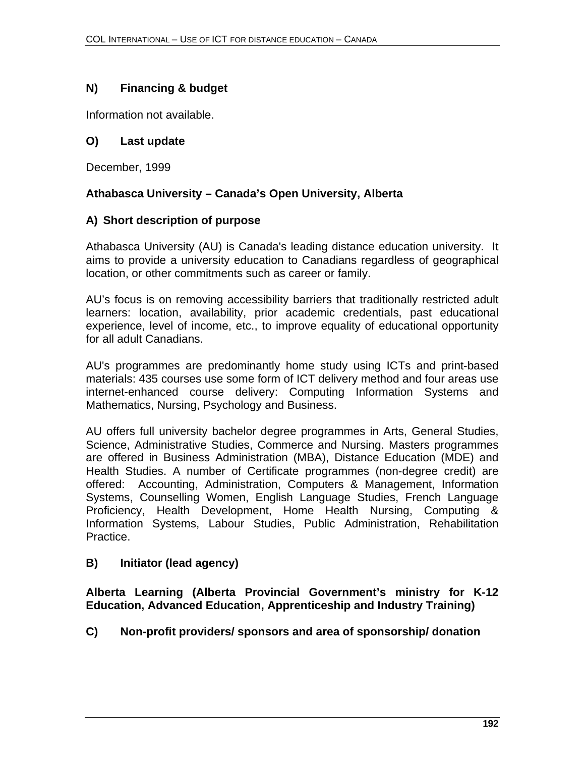# **N) Financing & budget**

Information not available.

#### **O) Last update**

December, 1999

## **Athabasca University – Canada's Open University, Alberta**

#### **A) Short description of purpose**

Athabasca University (AU) is Canada's leading distance education university. It aims to provide a university education to Canadians regardless of geographical location, or other commitments such as career or family.

AU's focus is on removing accessibility barriers that traditionally restricted adult learners: location, availability, prior academic credentials, past educational experience, level of income, etc., to improve equality of educational opportunity for all adult Canadians.

AU's programmes are predominantly home study using ICTs and print-based materials: 435 courses use some form of ICT delivery method and four areas use internet-enhanced course delivery: Computing Information Systems and Mathematics, Nursing, Psychology and Business.

AU offers full university bachelor degree programmes in Arts, General Studies, Science, Administrative Studies, Commerce and Nursing. Masters programmes are offered in Business Administration (MBA), Distance Education (MDE) and Health Studies. A number of Certificate programmes (non-degree credit) are offered: Accounting, Administration, Computers & Management, Information Systems, Counselling Women, English Language Studies, French Language Proficiency, Health Development, Home Health Nursing, Computing & Information Systems, Labour Studies, Public Administration, Rehabilitation Practice.

#### **B) Initiator (lead agency)**

**Alberta Learning (Alberta Provincial Government's ministry for K-12 Education, Advanced Education, Apprenticeship and Industry Training)**

#### **C) Non-profit providers/ sponsors and area of sponsorship/ donation**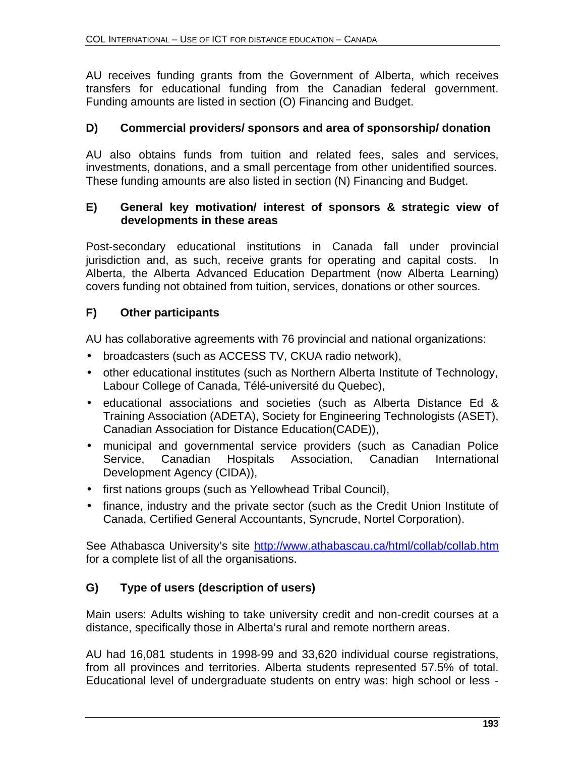AU receives funding grants from the Government of Alberta, which receives transfers for educational funding from the Canadian federal government. Funding amounts are listed in section (O) Financing and Budget.

#### **D) Commercial providers/ sponsors and area of sponsorship/ donation**

AU also obtains funds from tuition and related fees, sales and services, investments, donations, and a small percentage from other unidentified sources. These funding amounts are also listed in section (N) Financing and Budget.

#### **E) General key motivation/ interest of sponsors & strategic view of developments in these areas**

Post-secondary educational institutions in Canada fall under provincial jurisdiction and, as such, receive grants for operating and capital costs. In Alberta, the Alberta Advanced Education Department (now Alberta Learning) covers funding not obtained from tuition, services, donations or other sources.

## **F) Other participants**

AU has collaborative agreements with 76 provincial and national organizations:

- broadcasters (such as ACCESS TV, CKUA radio network),
- other educational institutes (such as Northern Alberta Institute of Technology, Labour College of Canada, Télé-université du Quebec),
- educational associations and societies (such as Alberta Distance Ed & Training Association (ADETA), Society for Engineering Technologists (ASET), Canadian Association for Distance Education(CADE)),
- municipal and governmental service providers (such as Canadian Police Service, Canadian Hospitals Association, Canadian International Development Agency (CIDA)),
- first nations groups (such as Yellowhead Tribal Council),
- finance, industry and the private sector (such as the Credit Union Institute of Canada, Certified General Accountants, Syncrude, Nortel Corporation).

See Athabasca University's site http://www.athabascau.ca/html/collab/collab.htm for a complete list of all the organisations.

# **G) Type of users (description of users)**

Main users: Adults wishing to take university credit and non-credit courses at a distance, specifically those in Alberta's rural and remote northern areas.

AU had 16,081 students in 1998-99 and 33,620 individual course registrations, from all provinces and territories. Alberta students represented 57.5% of total. Educational level of undergraduate students on entry was: high school or less -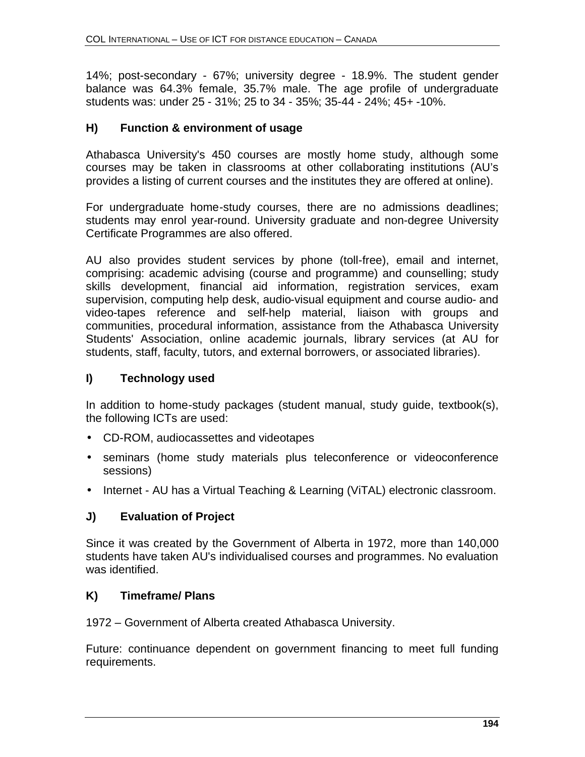14%; post-secondary - 67%; university degree - 18.9%. The student gender balance was 64.3% female, 35.7% male. The age profile of undergraduate students was: under 25 - 31%; 25 to 34 - 35%; 35-44 - 24%; 45+ -10%.

#### **H) Function & environment of usage**

Athabasca University's 450 courses are mostly home study, although some courses may be taken in classrooms at other collaborating institutions (AU's provides a listing of current courses and the institutes they are offered at online).

For undergraduate home-study courses, there are no admissions deadlines; students may enrol year-round. University graduate and non-degree University Certificate Programmes are also offered.

AU also provides student services by phone (toll-free), email and internet, comprising: academic advising (course and programme) and counselling; study skills development, financial aid information, registration services, exam supervision, computing help desk, audio-visual equipment and course audio- and video-tapes reference and self-help material, liaison with groups and communities, procedural information, assistance from the Athabasca University Students' Association, online academic journals, library services (at AU for students, staff, faculty, tutors, and external borrowers, or associated libraries).

#### **I) Technology used**

In addition to home-study packages (student manual, study guide, textbook(s), the following ICTs are used:

- CD-ROM, audiocassettes and videotapes
- seminars (home study materials plus teleconference or videoconference sessions)
- Internet AU has a Virtual Teaching & Learning (ViTAL) electronic classroom.

#### **J) Evaluation of Project**

Since it was created by the Government of Alberta in 1972, more than 140,000 students have taken AU's individualised courses and programmes. No evaluation was identified.

#### **K) Timeframe/ Plans**

1972 – Government of Alberta created Athabasca University.

Future: continuance dependent on government financing to meet full funding requirements.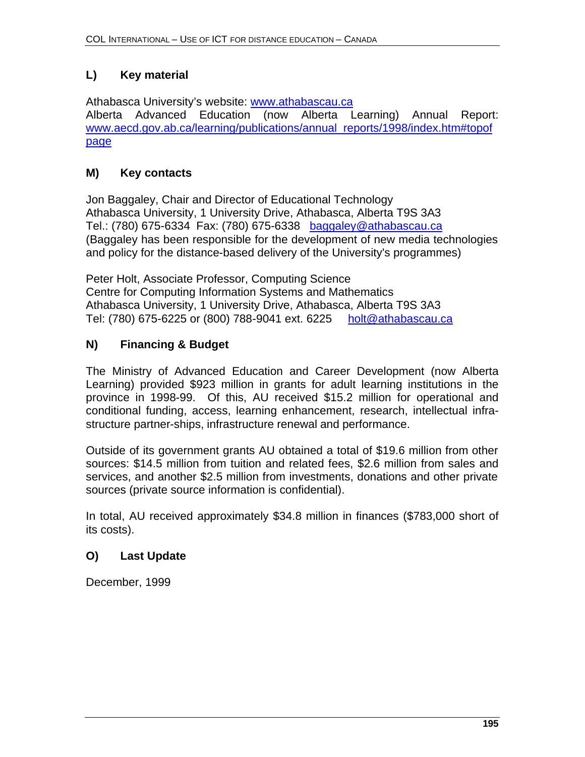# **L) Key material**

Athabasca University's website: www.athabascau.ca Alberta Advanced Education (now Alberta Learning) Annual Report: www.aecd.gov.ab.ca/learning/publications/annual\_reports/1998/index.htm#topof page

# **M) Key contacts**

Jon Baggaley, Chair and Director of Educational Technology Athabasca University, 1 University Drive, Athabasca, Alberta T9S 3A3 Tel.: (780) 675-6334 Fax: (780) 675-6338 baggaley@athabascau.ca (Baggaley has been responsible for the development of new media technologies and policy for the distance-based delivery of the University's programmes)

Peter Holt, Associate Professor, Computing Science Centre for Computing Information Systems and Mathematics Athabasca University, 1 University Drive, Athabasca, Alberta T9S 3A3 Tel: (780) 675-6225 or (800) 788-9041 ext. 6225 holt@athabascau.ca

# **N) Financing & Budget**

The Ministry of Advanced Education and Career Development (now Alberta Learning) provided \$923 million in grants for adult learning institutions in the province in 1998-99. Of this, AU received \$15.2 million for operational and conditional funding, access, learning enhancement, research, intellectual infrastructure partner-ships, infrastructure renewal and performance.

Outside of its government grants AU obtained a total of \$19.6 million from other sources: \$14.5 million from tuition and related fees, \$2.6 million from sales and services, and another \$2.5 million from investments, donations and other private sources (private source information is confidential).

In total, AU received approximately \$34.8 million in finances (\$783,000 short of its costs).

# **O) Last Update**

December, 1999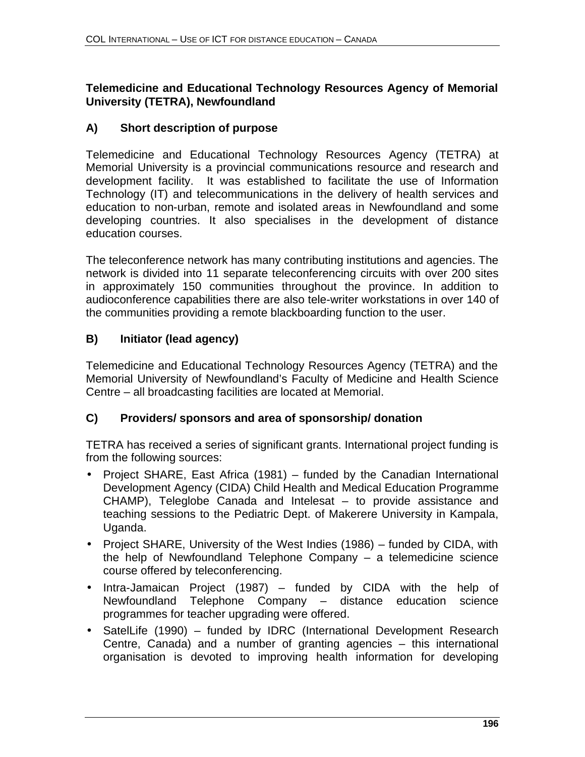#### **Telemedicine and Educational Technology Resources Agency of Memorial University (TETRA), Newfoundland**

## **A) Short description of purpose**

Telemedicine and Educational Technology Resources Agency (TETRA) at Memorial University is a provincial communications resource and research and development facility. It was established to facilitate the use of Information Technology (IT) and telecommunications in the delivery of health services and education to non-urban, remote and isolated areas in Newfoundland and some developing countries. It also specialises in the development of distance education courses.

The teleconference network has many contributing institutions and agencies. The network is divided into 11 separate teleconferencing circuits with over 200 sites in approximately 150 communities throughout the province. In addition to audioconference capabilities there are also tele-writer workstations in over 140 of the communities providing a remote blackboarding function to the user.

## **B) Initiator (lead agency)**

Telemedicine and Educational Technology Resources Agency (TETRA) and the Memorial University of Newfoundland's Faculty of Medicine and Health Science Centre – all broadcasting facilities are located at Memorial.

#### **C) Providers/ sponsors and area of sponsorship/ donation**

TETRA has received a series of significant grants. International project funding is from the following sources:

- Project SHARE, East Africa (1981) funded by the Canadian International Development Agency (CIDA) Child Health and Medical Education Programme CHAMP), Teleglobe Canada and Intelesat – to provide assistance and teaching sessions to the Pediatric Dept. of Makerere University in Kampala, Uganda.
- Project SHARE, University of the West Indies (1986) funded by CIDA, with the help of Newfoundland Telephone Company – a telemedicine science course offered by teleconferencing.
- Intra-Jamaican Project (1987) funded by CIDA with the help of Newfoundland Telephone Company – distance education science programmes for teacher upgrading were offered.
- SatelLife (1990) funded by IDRC (International Development Research Centre, Canada) and a number of granting agencies  $-$  this international organisation is devoted to improving health information for developing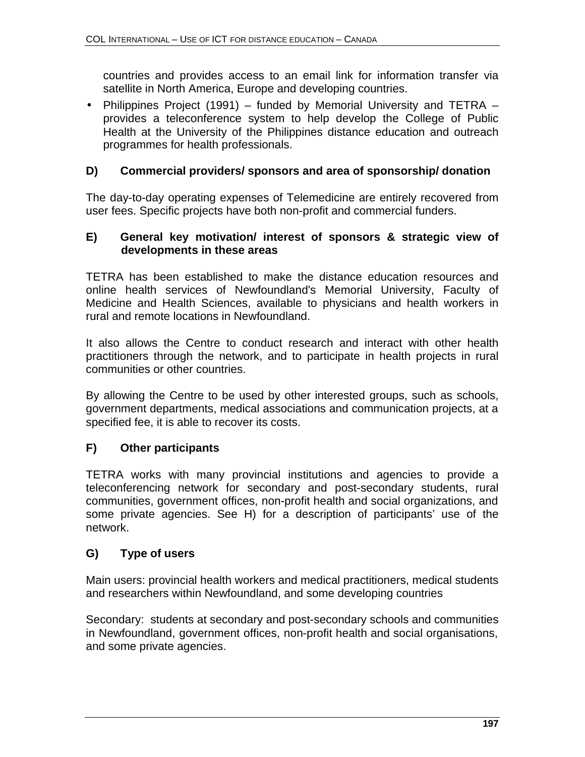countries and provides access to an email link for information transfer via satellite in North America, Europe and developing countries.

• Philippines Project (1991) – funded by Memorial University and TETRA – provides a teleconference system to help develop the College of Public Health at the University of the Philippines distance education and outreach programmes for health professionals.

#### **D) Commercial providers/ sponsors and area of sponsorship/ donation**

The day-to-day operating expenses of Telemedicine are entirely recovered from user fees. Specific projects have both non-profit and commercial funders.

#### **E) General key motivation/ interest of sponsors & strategic view of developments in these areas**

TETRA has been established to make the distance education resources and online health services of Newfoundland's Memorial University, Faculty of Medicine and Health Sciences, available to physicians and health workers in rural and remote locations in Newfoundland.

It also allows the Centre to conduct research and interact with other health practitioners through the network, and to participate in health projects in rural communities or other countries.

By allowing the Centre to be used by other interested groups, such as schools, government departments, medical associations and communication projects, at a specified fee, it is able to recover its costs.

#### **F) Other participants**

TETRA works with many provincial institutions and agencies to provide a teleconferencing network for secondary and post-secondary students, rural communities, government offices, non-profit health and social organizations, and some private agencies. See H) for a description of participants' use of the network.

#### **G) Type of users**

Main users: provincial health workers and medical practitioners, medical students and researchers within Newfoundland, and some developing countries

Secondary: students at secondary and post-secondary schools and communities in Newfoundland, government offices, non-profit health and social organisations, and some private agencies.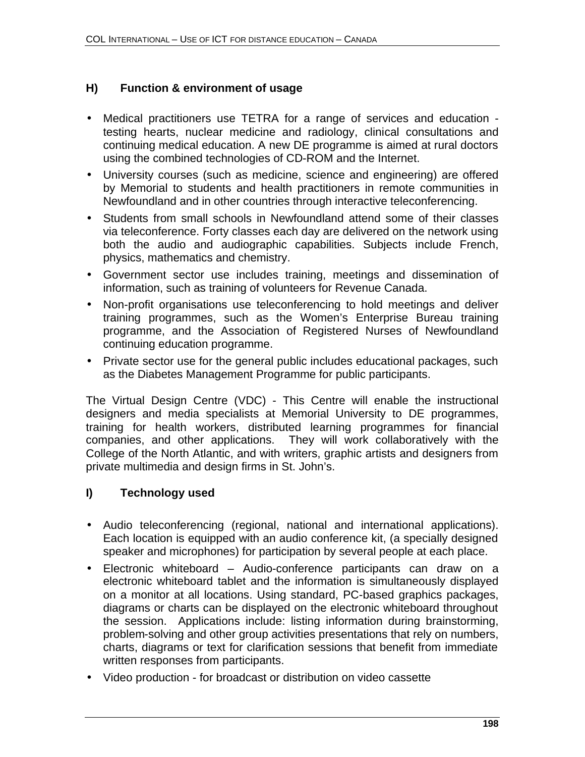## **H) Function & environment of usage**

- Medical practitioners use TETRA for a range of services and education testing hearts, nuclear medicine and radiology, clinical consultations and continuing medical education. A new DE programme is aimed at rural doctors using the combined technologies of CD-ROM and the Internet.
- University courses (such as medicine, science and engineering) are offered by Memorial to students and health practitioners in remote communities in Newfoundland and in other countries through interactive teleconferencing.
- Students from small schools in Newfoundland attend some of their classes via teleconference. Forty classes each day are delivered on the network using both the audio and audiographic capabilities. Subjects include French, physics, mathematics and chemistry.
- Government sector use includes training, meetings and dissemination of information, such as training of volunteers for Revenue Canada.
- Non-profit organisations use teleconferencing to hold meetings and deliver training programmes, such as the Women's Enterprise Bureau training programme, and the Association of Registered Nurses of Newfoundland continuing education programme.
- Private sector use for the general public includes educational packages, such as the Diabetes Management Programme for public participants.

The Virtual Design Centre (VDC) - This Centre will enable the instructional designers and media specialists at Memorial University to DE programmes, training for health workers, distributed learning programmes for financial companies, and other applications. They will work collaboratively with the College of the North Atlantic, and with writers, graphic artists and designers from private multimedia and design firms in St. John's.

# **I) Technology used**

- Audio teleconferencing (regional, national and international applications). Each location is equipped with an audio conference kit, (a specially designed speaker and microphones) for participation by several people at each place.
- Electronic whiteboard Audio-conference participants can draw on a electronic whiteboard tablet and the information is simultaneously displayed on a monitor at all locations. Using standard, PC-based graphics packages, diagrams or charts can be displayed on the electronic whiteboard throughout the session. Applications include: listing information during brainstorming, problem-solving and other group activities presentations that rely on numbers, charts, diagrams or text for clarification sessions that benefit from immediate written responses from participants.
- Video production for broadcast or distribution on video cassette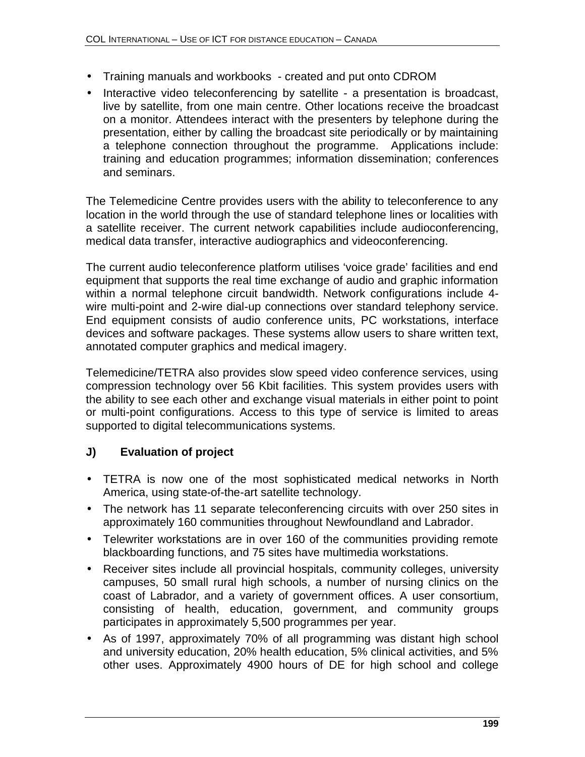- Training manuals and workbooks created and put onto CDROM
- Interactive video teleconferencing by satellite a presentation is broadcast, live by satellite, from one main centre. Other locations receive the broadcast on a monitor. Attendees interact with the presenters by telephone during the presentation, either by calling the broadcast site periodically or by maintaining a telephone connection throughout the programme. Applications include: training and education programmes; information dissemination; conferences and seminars.

The Telemedicine Centre provides users with the ability to teleconference to any location in the world through the use of standard telephone lines or localities with a satellite receiver. The current network capabilities include audioconferencing, medical data transfer, interactive audiographics and videoconferencing.

The current audio teleconference platform utilises 'voice grade' facilities and end equipment that supports the real time exchange of audio and graphic information within a normal telephone circuit bandwidth. Network configurations include 4 wire multi-point and 2-wire dial-up connections over standard telephony service. End equipment consists of audio conference units, PC workstations, interface devices and software packages. These systems allow users to share written text, annotated computer graphics and medical imagery.

Telemedicine/TETRA also provides slow speed video conference services, using compression technology over 56 Kbit facilities. This system provides users with the ability to see each other and exchange visual materials in either point to point or multi-point configurations. Access to this type of service is limited to areas supported to digital telecommunications systems.

# **J) Evaluation of project**

- TETRA is now one of the most sophisticated medical networks in North America, using state-of-the-art satellite technology.
- The network has 11 separate teleconferencing circuits with over 250 sites in approximately 160 communities throughout Newfoundland and Labrador.
- Telewriter workstations are in over 160 of the communities providing remote blackboarding functions, and 75 sites have multimedia workstations.
- Receiver sites include all provincial hospitals, community colleges, university campuses, 50 small rural high schools, a number of nursing clinics on the coast of Labrador, and a variety of government offices. A user consortium, consisting of health, education, government, and community groups participates in approximately 5,500 programmes per year.
- As of 1997, approximately 70% of all programming was distant high school and university education, 20% health education, 5% clinical activities, and 5% other uses. Approximately 4900 hours of DE for high school and college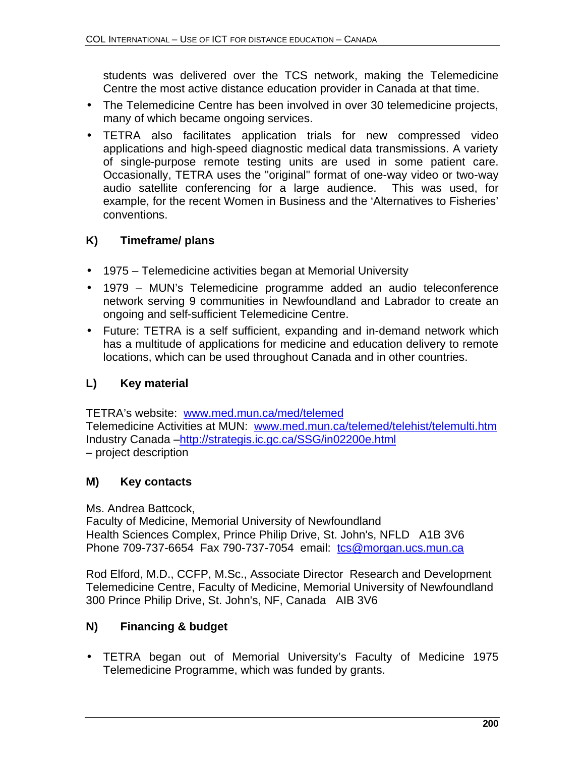students was delivered over the TCS network, making the Telemedicine Centre the most active distance education provider in Canada at that time.

- The Telemedicine Centre has been involved in over 30 telemedicine projects, many of which became ongoing services.
- TETRA also facilitates application trials for new compressed video applications and high-speed diagnostic medical data transmissions. A variety of single-purpose remote testing units are used in some patient care. Occasionally, TETRA uses the "original" format of one-way video or two-way audio satellite conferencing for a large audience. This was used, for example, for the recent Women in Business and the 'Alternatives to Fisheries' conventions.

## **K) Timeframe/ plans**

- 1975 Telemedicine activities began at Memorial University
- 1979 MUN's Telemedicine programme added an audio teleconference network serving 9 communities in Newfoundland and Labrador to create an ongoing and self-sufficient Telemedicine Centre.
- Future: TETRA is a self sufficient, expanding and in-demand network which has a multitude of applications for medicine and education delivery to remote locations, which can be used throughout Canada and in other countries.

# **L) Key material**

TETRA's website: www.med.mun.ca/med/telemed Telemedicine Activities at MUN: www.med.mun.ca/telemed/telehist/telemulti.htm Industry Canada –http://strategis.ic.gc.ca/SSG/in02200e.html – project description

#### **M) Key contacts**

Ms. Andrea Battcock,

Faculty of Medicine, Memorial University of Newfoundland Health Sciences Complex, Prince Philip Drive, St. John's, NFLD A1B 3V6 Phone 709-737-6654 Fax 790-737-7054 email: tcs@morgan.ucs.mun.ca

Rod Elford, M.D., CCFP, M.Sc., Associate Director Research and Development Telemedicine Centre, Faculty of Medicine, Memorial University of Newfoundland 300 Prince Philip Drive, St. John's, NF, Canada AIB 3V6

# **N) Financing & budget**

• TETRA began out of Memorial University's Faculty of Medicine 1975 Telemedicine Programme, which was funded by grants.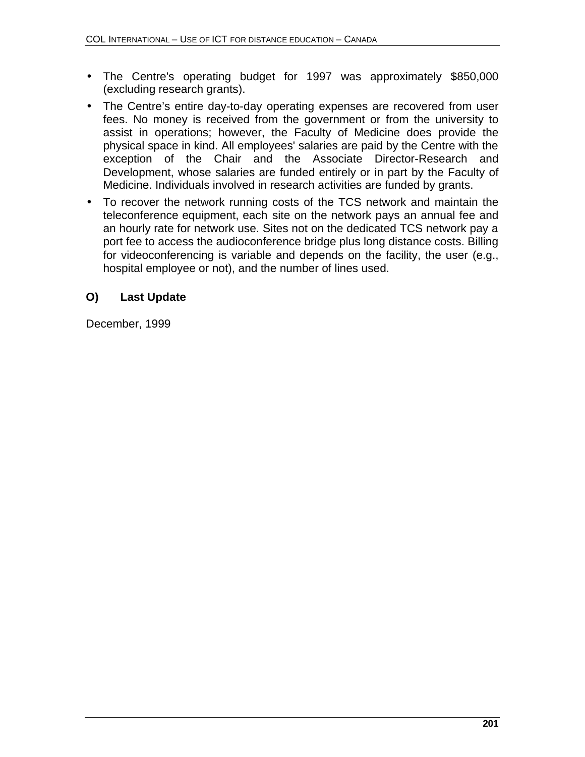- The Centre's operating budget for 1997 was approximately \$850,000 (excluding research grants).
- The Centre's entire day-to-day operating expenses are recovered from user fees. No money is received from the government or from the university to assist in operations; however, the Faculty of Medicine does provide the physical space in kind. All employees' salaries are paid by the Centre with the exception of the Chair and the Associate Director-Research and Development, whose salaries are funded entirely or in part by the Faculty of Medicine. Individuals involved in research activities are funded by grants.
- To recover the network running costs of the TCS network and maintain the teleconference equipment, each site on the network pays an annual fee and an hourly rate for network use. Sites not on the dedicated TCS network pay a port fee to access the audioconference bridge plus long distance costs. Billing for videoconferencing is variable and depends on the facility, the user (e.g., hospital employee or not), and the number of lines used.

## **O) Last Update**

December, 1999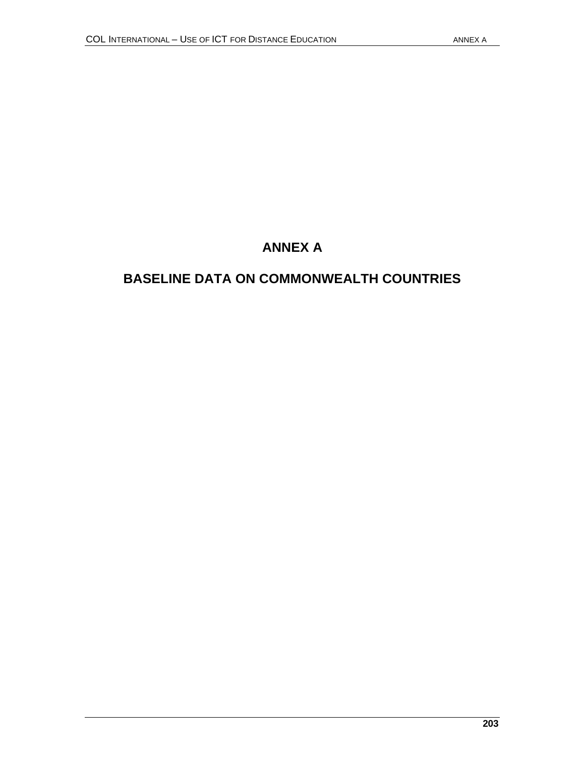# **ANNEX A**

# **BASELINE DATA ON COMMONWEALTH COUNTRIES**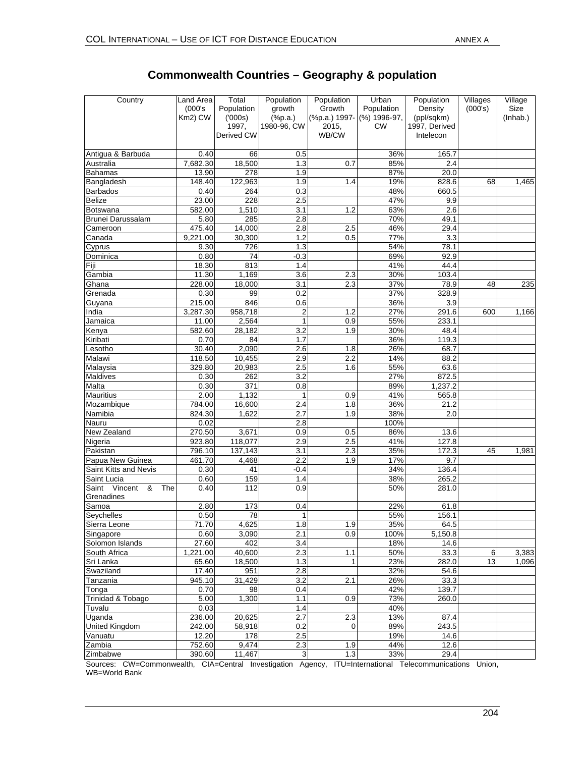| Country                                    | Land Area<br>(000's)<br>Km2) CW | Total<br>Population<br>(000s) | Population<br>growth<br>$(*p.a.)$ | Population<br>Growth<br>(%p.a.) 1997- | Urban<br>Population<br>(%) 1996-97, | Population<br>Density<br>(ppl/sqkm) | Villages<br>(000's) | Village<br>Size<br>(Inhab.) |
|--------------------------------------------|---------------------------------|-------------------------------|-----------------------------------|---------------------------------------|-------------------------------------|-------------------------------------|---------------------|-----------------------------|
|                                            |                                 | 1997,<br>Derived CW           | 1980-96, CW                       | 2015,<br>WB/CW                        | <b>CW</b>                           | 1997, Derived<br>Intelecon          |                     |                             |
| Antigua & Barbuda                          | 0.40                            | 66                            | 0.5                               |                                       | 36%                                 | 165.7                               |                     |                             |
| Australia                                  | 7,682.30                        | 18,500                        | 1.3                               | 0.7                                   | 85%                                 | 2.4                                 |                     |                             |
| Bahamas                                    | 13.90                           | 278                           | 1.9                               |                                       | 87%                                 | 20.0                                |                     |                             |
| Bangladesh                                 | 148.40                          | 122,963                       | 1.9                               | 1.4                                   | 19%                                 | 828.6                               | 68                  | 1,465                       |
| <b>Barbados</b>                            | 0.40                            | 264                           | 0.3                               |                                       | 48%                                 | 660.5                               |                     |                             |
| <b>Belize</b>                              | 23.00                           | 228                           | 2.5                               |                                       | 47%                                 | 9.9                                 |                     |                             |
| Botswana                                   | 582.00                          | 1,510                         | 3.1                               | 1.2                                   | 63%                                 | 2.6                                 |                     |                             |
| Brunei Darussalam                          | 5.80                            | 285                           | 2.8                               |                                       | 70%                                 | 49.1                                |                     |                             |
| Cameroon                                   | 475.40                          | 14,000                        | 2.8                               | 2.5                                   | 46%                                 | 29.4                                |                     |                             |
| Canada                                     | 9,221.00                        | 30,300                        | 1.2                               | 0.5                                   | 77%                                 | 3.3                                 |                     |                             |
| Cyprus                                     | 9.30                            | 726                           | 1.3                               |                                       | 54%                                 | 78.1                                |                     |                             |
| Dominica                                   | 0.80                            | 74                            | $-0.3$                            |                                       | 69%                                 | 92.9                                |                     |                             |
| Fiji                                       | 18.30                           | 813                           | 1.4                               |                                       | 41%                                 | 44.4                                |                     |                             |
| Gambia                                     | 11.30                           | 1,169                         | 3.6                               | 2.3                                   | 30%                                 | 103.4                               |                     |                             |
| Ghana                                      | 228.00                          | 18,000                        | 3.1                               | 2.3                                   | 37%                                 | 78.9                                | 48                  | 235                         |
| Grenada                                    | 0.30                            | 99                            | 0.2                               |                                       | 37%                                 | 328.9                               |                     |                             |
| Guyana                                     | 215.00                          | 846                           | 0.6                               |                                       | 36%                                 | 3.9                                 |                     |                             |
| India                                      | 3,287.30                        | 958,718                       | $\overline{2}$                    | 1.2                                   | 27%                                 | 291.6                               | 600                 | 1,166                       |
| Jamaica                                    | 11.00                           | 2,564                         | $\mathbf{1}$                      | 0.9                                   | 55%                                 | 233.1                               |                     |                             |
| Kenya                                      | 582.60                          | 28,182                        | 3.2                               | 1.9                                   | 30%                                 | 48.4                                |                     |                             |
| Kiribati                                   | 0.70                            | 84                            | 1.7                               |                                       | 36%                                 | 119.3                               |                     |                             |
| Lesotho                                    | 30.40                           | 2,090                         | 2.6                               | 1.8                                   | 26%                                 | 68.7                                |                     |                             |
| Malawi                                     | 118.50                          | 10,455                        | 2.9                               | 2.2                                   | 14%                                 | 88.2                                |                     |                             |
| Malaysia                                   | 329.80                          | 20,983                        | 2.5                               | 1.6                                   | 55%                                 | 63.6                                |                     |                             |
| Maldives                                   | 0.30                            | 262                           | 3.2                               |                                       | 27%                                 | 872.5                               |                     |                             |
| Malta                                      | 0.30                            | 371                           | 0.8                               |                                       | 89%                                 | 1,237.2                             |                     |                             |
| Mauritius                                  | 2.00                            | 1,132                         | 1                                 | 0.9                                   | 41%                                 | 565.8                               |                     |                             |
| Mozambique                                 | 784.00                          | 16,600                        | 2.4                               | 1.8                                   | 36%                                 | 21.2                                |                     |                             |
| Namibia                                    | 824.30                          | 1,622                         | 2.7                               | 1.9                                   | 38%                                 | 2.0                                 |                     |                             |
| Nauru                                      | 0.02                            |                               | 2.8                               |                                       | 100%                                |                                     |                     |                             |
| New Zealand                                | 270.50                          | 3,671                         | 0.9                               | 0.5                                   | 86%                                 | 13.6                                |                     |                             |
| Nigeria                                    | 923.80                          | 118,077                       | 2.9                               | 2.5                                   | 41%                                 | 127.8                               |                     |                             |
| Pakistan                                   | 796.10                          | 137,143                       | 3.1                               | 2.3                                   | 35%                                 | 172.3                               | 45                  | 1,981                       |
| Papua New Guinea                           | 461.70                          | 4,468                         | 2.2                               | 1.9                                   | 17%                                 | 9.7                                 |                     |                             |
| Saint Kitts and Nevis                      | 0.30                            | 41                            | $-0.4$                            |                                       | 34%                                 | 136.4                               |                     |                             |
| Saint Lucia                                | 0.60                            | 159                           | 1.4                               |                                       | 38%                                 | 265.2                               |                     |                             |
| Vincent<br>&<br>The<br>Saint<br>Grenadines | 0.40                            | 112                           | 0.9                               |                                       | 50%                                 | 281.0                               |                     |                             |
| Samoa                                      | 2.80                            | 173                           | 0.4                               |                                       | 22%                                 | 61.8                                |                     |                             |
| Seychelles                                 | 0.50                            | 78                            | 1                                 |                                       | 55%                                 | 156.1                               |                     |                             |
| Sierra Leone                               | 71.70                           | 4,625                         | 1.8                               | 1.9                                   | 35%                                 | 64.5                                |                     |                             |
| Singapore                                  | 0.60                            | 3,090                         | 2.1                               | 0.9                                   | 100%                                | 5,150.8                             |                     |                             |
| Solomon Islands                            | 27.60                           | 402                           | 3.4                               |                                       | 18%                                 | 14.6                                |                     |                             |
| South Africa                               | 1,221.00                        | 40,600                        | 2.3                               | 1.1                                   | 50%                                 | 33.3                                | 6                   | 3,383                       |
| Sri Lanka                                  | 65.60                           | 18,500                        | 1.3                               | $\mathbf{1}$                          | 23%                                 | 282.0                               | 13                  | 1,096                       |
| Swaziland                                  | 17.40                           | 951                           | 2.8                               |                                       | 32%                                 | 54.6                                |                     |                             |
| Tanzania                                   | 945.10                          | 31,429                        | 3.2                               | 2.1                                   | 26%                                 | 33.3                                |                     |                             |
| Tonga                                      | 0.70                            | 98                            | 0.4                               |                                       | 42%                                 | 139.7                               |                     |                             |
| Trinidad & Tobago                          | 5.00                            | 1,300                         | 1.1                               | 0.9                                   | 73%                                 | 260.0                               |                     |                             |
| Tuvalu                                     | 0.03                            |                               | 1.4                               |                                       | 40%                                 |                                     |                     |                             |
| Uganda                                     | 236.00                          | 20,625                        | 2.7                               | 2.3                                   | 13%                                 | 87.4                                |                     |                             |
| United Kingdom                             | 242.00                          | 58,918                        | 0.2                               | 0                                     | 89%                                 | 243.5                               |                     |                             |
| Vanuatu                                    | 12.20                           | 178                           | 2.5                               |                                       | 19%                                 | 14.6                                |                     |                             |
| Zambia                                     | 752.60                          | 9,474                         | 2.3                               | 1.9                                   | 44%                                 | 12.6                                |                     |                             |
| Zimbabwe                                   | 390.60                          | 11,467                        | $\ensuremath{\mathsf{3}}$         | 1.3                                   | 33%                                 | 29.4                                |                     |                             |

## **Commonwealth Countries – Geography & population**

Sources: CW=Commonwealth, CIA=Central Investigation Agency, ITU=International Telecommunications Union, WB=World Bank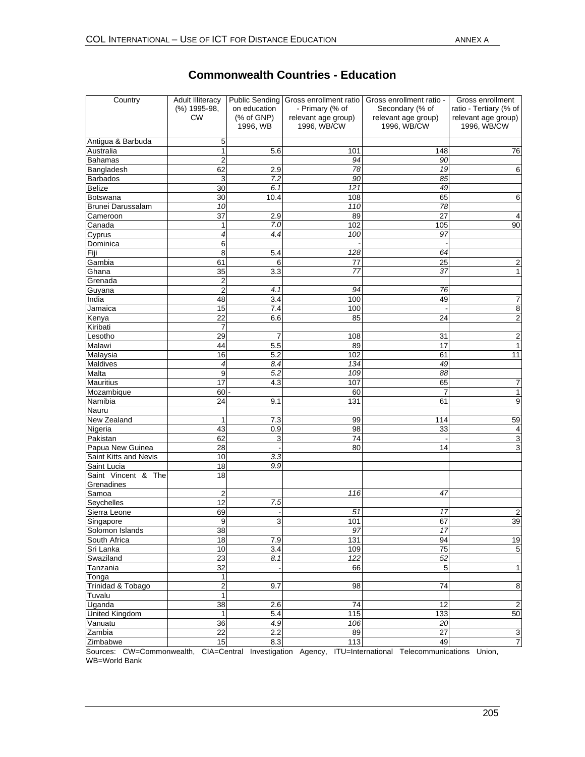| Country               | <b>Adult Illiteracy</b><br>(%) 1995-98,<br>CW | on education<br>(% of GNP)<br>1996, WB | Public Sending Gross enrollment ratio<br>- Primary (% of<br>relevant age group)<br>1996, WB/CW | Gross enrollment ratio -<br>Secondary (% of<br>relevant age group)<br>1996, WB/CW | Gross enrollment<br>ratio - Tertiary (% of<br>relevant age group)<br>1996, WB/CW |  |
|-----------------------|-----------------------------------------------|----------------------------------------|------------------------------------------------------------------------------------------------|-----------------------------------------------------------------------------------|----------------------------------------------------------------------------------|--|
| Antigua & Barbuda     | 5                                             |                                        |                                                                                                |                                                                                   |                                                                                  |  |
| Australia             | 1                                             | 5.6                                    | 101                                                                                            | 148                                                                               | 76                                                                               |  |
| <b>Bahamas</b>        | $\overline{2}$                                |                                        | 94                                                                                             | 90                                                                                |                                                                                  |  |
| Bangladesh            | 62                                            | 2.9                                    | 78                                                                                             | 19                                                                                | 6                                                                                |  |
| <b>Barbados</b>       | 3                                             | 7.2                                    | 90                                                                                             | 85                                                                                |                                                                                  |  |
| <b>Belize</b>         | 30                                            | 6.1                                    | 121                                                                                            | 49                                                                                |                                                                                  |  |
| Botswana              | 30                                            | 10.4                                   | 108                                                                                            | 65                                                                                | 6                                                                                |  |
| Brunei Darussalam     | 10                                            |                                        | 110                                                                                            | 78                                                                                |                                                                                  |  |
| Cameroon              | 37                                            | 2.9                                    | 89                                                                                             | 27                                                                                | 4                                                                                |  |
| Canada                | 1                                             | 7.0                                    | 102                                                                                            | 105                                                                               | 90                                                                               |  |
| Cyprus                | 4                                             | 4.4                                    | 100                                                                                            | 97                                                                                |                                                                                  |  |
| Dominica              | 6                                             |                                        |                                                                                                |                                                                                   |                                                                                  |  |
| Fiji                  | 8                                             | 5.4                                    | 128                                                                                            | 64                                                                                |                                                                                  |  |
| Gambia                | 61                                            | 6                                      | 77                                                                                             | 25                                                                                | $\overline{2}$                                                                   |  |
| Ghana                 | 35                                            | 3.3                                    | 77                                                                                             | 37                                                                                | 1                                                                                |  |
| Grenada               | $\overline{c}$                                |                                        |                                                                                                |                                                                                   |                                                                                  |  |
| Guyana                | $\overline{2}$                                | 4.1                                    | 94                                                                                             | 76                                                                                |                                                                                  |  |
| India                 | 48                                            | 3.4                                    | 100                                                                                            | 49                                                                                | 7                                                                                |  |
| Jamaica               | 15                                            | 7.4                                    | 100                                                                                            |                                                                                   | 8                                                                                |  |
| Kenya                 | 22                                            | 6.6                                    | 85                                                                                             | 24                                                                                | 2                                                                                |  |
| Kiribati              | $\overline{7}$                                |                                        |                                                                                                |                                                                                   |                                                                                  |  |
| Lesotho               | 29<br>44                                      | 7<br>5.5                               | 108<br>89                                                                                      | 31<br>17                                                                          | 2<br>$\mathbf{1}$                                                                |  |
| Malawi<br>Malaysia    | 16                                            | 5.2                                    | 102                                                                                            | 61                                                                                | 11                                                                               |  |
| Maldives              | 4                                             | 8.4                                    | 134                                                                                            | 49                                                                                |                                                                                  |  |
| Malta                 | 9                                             | $\overline{5.2}$                       | 109                                                                                            | 88                                                                                |                                                                                  |  |
| <b>Mauritius</b>      | 17                                            | 4.3                                    | 107                                                                                            | 65                                                                                | 7                                                                                |  |
| Mozambique            | 60                                            |                                        | 60                                                                                             | 7                                                                                 | $\mathbf{1}$                                                                     |  |
| Namibia               | 24                                            | 9.1                                    | 131                                                                                            | 61                                                                                | 9                                                                                |  |
| Nauru                 |                                               |                                        |                                                                                                |                                                                                   |                                                                                  |  |
| New Zealand           | 1                                             | 7.3                                    | 99                                                                                             | 114                                                                               | 59                                                                               |  |
| Nigeria               | 43                                            | 0.9                                    | 98                                                                                             | 33                                                                                | 4                                                                                |  |
| Pakistan              | 62                                            | 3                                      | 74                                                                                             |                                                                                   | 3                                                                                |  |
| Papua New Guinea      | 28                                            |                                        | 80                                                                                             | 14                                                                                | 3                                                                                |  |
| Saint Kitts and Nevis | 10                                            | 3.3                                    |                                                                                                |                                                                                   |                                                                                  |  |
| Saint Lucia           | 18                                            | 9.9                                    |                                                                                                |                                                                                   |                                                                                  |  |
| Saint Vincent & The   | 18                                            |                                        |                                                                                                |                                                                                   |                                                                                  |  |
| Grenadines            |                                               |                                        |                                                                                                |                                                                                   |                                                                                  |  |
| Samoa                 | $\overline{2}$                                |                                        | 116                                                                                            | 47                                                                                |                                                                                  |  |
| Seychelles            | 12                                            | 7.5                                    |                                                                                                |                                                                                   |                                                                                  |  |
| Sierra Leone          | 69                                            |                                        | 51                                                                                             | 17                                                                                | 2                                                                                |  |
| Singapore             | 9                                             | 3                                      | 101                                                                                            | 67                                                                                | 39                                                                               |  |
| Solomon Islands       | 38                                            |                                        | 97                                                                                             | $\overline{17}$                                                                   |                                                                                  |  |
| South Africa          | 18                                            | 7.9                                    | $\overline{131}$                                                                               | 94                                                                                | 19                                                                               |  |
| Sri Lanka             | 10                                            | 3.4                                    | 109                                                                                            | $\overline{75}$                                                                   | $\overline{5}$                                                                   |  |
| Swaziland             | 23                                            | 8.1                                    | $\overline{122}$                                                                               | 52                                                                                |                                                                                  |  |
| Tanzania              | 32                                            |                                        | 66                                                                                             | 5                                                                                 | $\mathbf{1}$                                                                     |  |
| Tonga                 | $\mathbf{1}$                                  |                                        |                                                                                                |                                                                                   |                                                                                  |  |
| Trinidad & Tobago     | $\overline{\mathbf{c}}$<br>$\overline{1}$     | 9.7                                    | 98                                                                                             | 74                                                                                | $\bf8$                                                                           |  |
| Tuvalu<br>Uganda      | $\overline{38}$                               | 2.6                                    | 74                                                                                             | 12                                                                                | $\sqrt{2}$                                                                       |  |
| <b>United Kingdom</b> | 1                                             | 5.4                                    | $\frac{115}{115}$                                                                              | 133                                                                               | 50                                                                               |  |
| Vanuatu               | 36                                            | 4.9                                    | 106                                                                                            | 20                                                                                |                                                                                  |  |
| Zambia                | $\overline{22}$                               | 2.2                                    | 89                                                                                             | 27                                                                                | $\overline{3}$                                                                   |  |
| Zimbabwe              | 15                                            | 8.3                                    | 113                                                                                            | 49                                                                                | $\overline{7}$                                                                   |  |
|                       |                                               |                                        |                                                                                                |                                                                                   |                                                                                  |  |

#### **Commonwealth Countries - Education**

Sources: CW=Commonwealth, CIA=Central Investigation Agency, ITU=International Telecommunications Union, WB=World Bank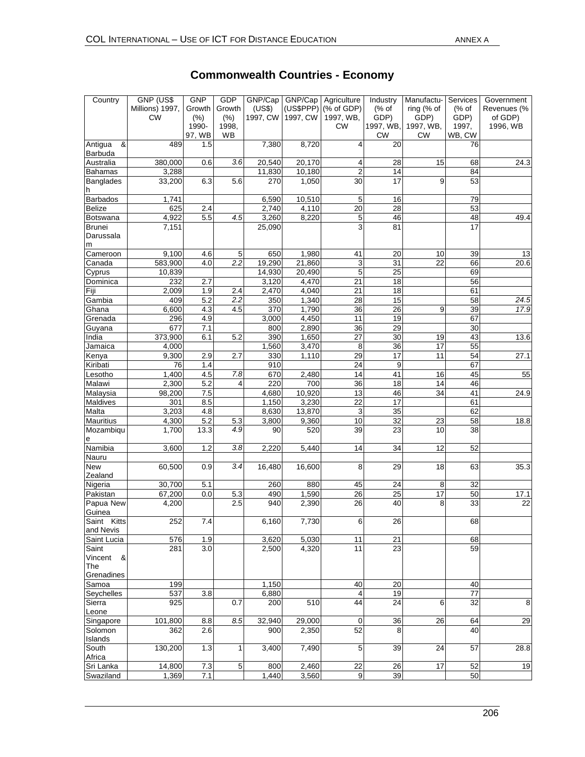GDP

GNP

Country GNP (US\$

**Government** 

**Services** 

#### Millions) 1997, CW Growth (%) 1990- 97, WB Growth (%) 1998, WB (US\$) 1997, CW GNP/Cap Agriculture (US\$PPP) 1997, CW (% of GDP) 1997, WB, CW (% of GDP) 1997, WB, CW ring (% of GDP) 1997, WB, CW (% of GDP) 1997, WB, CW Revenues (% of GDP) 1996, WB Antigua & Barbuda<br>Australia 489 1.5 7,380 8,720 4 20 76 Australia 380,000 0.6 *3.6* 20,540 20,170 4 28 15 68 24.3 Bahamas | 3,288 | | 11,830 10,180 | 2 | 14 | | 84 **Banglades** h 33,200 6.3 5.6 270 1,050 30 17 9 53 Barbados | 1,741 | | 6,590 10,510 | 5 16 | 79 Belize 625 2.4 2,740 4,110 20 28 53 Botswana 4,922 5.5 *4.5* 3,260 8,220 5 46 48 49.4 **Brunei** Darussala m 7,151 | 25,090 | 3 81 | 17 Cameroon | 9,100 4.6 5 650 1,980 41 20 10 39 13 Canada 583,900 4.0 *2.2* 19,290 21,860 3 31 22 66 20.6 Cyprus | 10,839 | | 14,930 20,490 | 5 | 25 | 69 Dominica 232 2.7 3,120 4,470 21 18 56 Fiji 2,009 1.9 2.4 2,470 4,040 21 18 61 Gambia 409 5.2 *2.2* 350 1,340 28 15 58 *24.5* Ghana 6,600 4.3 4.5 370 1,790 36 26 9 39 *17.9* Grenada 296 4.9 3,000 4,450 11 19 67 Guyana 677 7.1 800 2,890 36 29 30 India 373,900 6.1 5.2 390 1,650 27 30 19 43 13.6 Jamaica | 4,000 | | 1,560 3,470 8 36 17 55 Kenya 9,300 2.9 2.7 330 1,110 29 17 11 54 27.1 Kiribati 76 1.4 910 24 9 67 Lesotho 1,400 4.5 *7.8* 670 2,480 14 41 16 45 55 Malawi 2,300 5.2 4 220 700 36 18 14 46 Malaysia | 98,200 | 7.5 | | 4,680 | 10,920 | 13 | 46 | 34 | 41 | 24.9 Maldives 301 8.5 1,150 3,230 22 17 61 Malta | 3,203| 4.8| | 8,630| 13,870| 3| 35| | 62 Mauritius | 4,300 | 5.2 | 5.3 | 3,800 | 9,360 | 10 | 32 | 23 | 58 | 18.8 Mozambiqu e 1,700 13.3 *4.9* 90 520 39 23 10 38 Namibia 3,600 1.2 *3.8* 2,220 5,440 14 34 12 52 Nauru New Zealand 60,500 0.9 *3.4* 16,480 16,600 8 29 18 63 35.3 Nigeria | 30,700 5.1 | 260 880 45 24 8 32 Pakistan | 67,200 | 0.0 | 5.3 | 490 | 1,590 | 26 | 17 | 50 | 17.1 Papua New Guinea 4,200 | 2.5 940 2,390 26 40 8 33 22 Saint Kitts and Nevis 252 7.4 6,160 7,730 6 26 68 Saint Lucia | 576 | 1.9 | 3,620 | 5,030 | 11 | 21 | 68 Saint Vincent & The **Grenadines** 281 3.0 2,500 4,320 11 23 59 Samoa | 199 | 1,150 | 40 20 | 40 Seychelles | 537 | 3.8 | 6,880 | 4 | 19 | 77 Sierra Leone 925 | 0.7| 200| 510| 44| 24| 6| 32| 8 Singapore | 101,800 8.8 8.5 32,940 29,000 0 36 26 64 29 Solomon Islands 362 2.6 | 900 2,350 52 8 | 40 South Africa<br>Sri Lanka 130,200 1.3 1 3,400 7,490 5 39 24 57 28.8 Sri Lanka | 14,800 | 7.3 | 5 | 800 | 2,460 | 22 | 26 | 17 | 52 | 19 Swaziland | 1,369 7.1 | 1,440 3,560 9 39 1 50

#### **Commonwealth Countries - Economy**

Industry

Manufactu-

GNP/Cap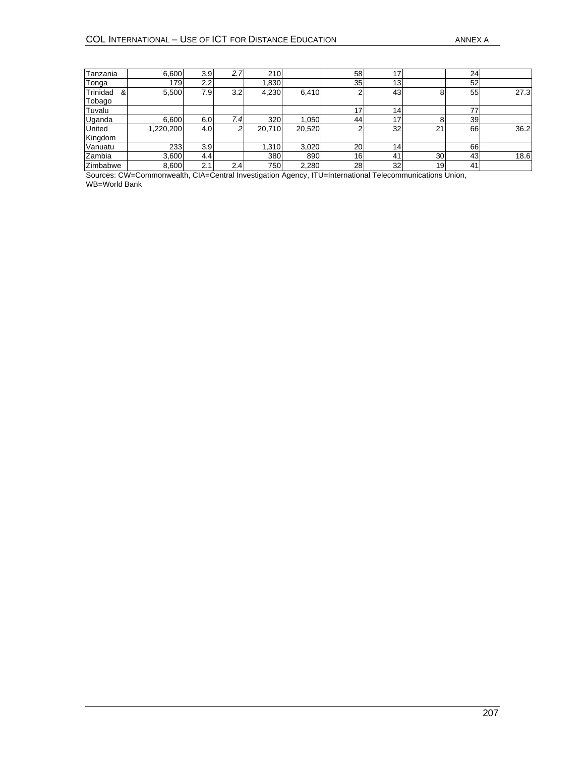| Tanzania      | 6,600     | 3.9              | 2.7 | 210    |        | 58              | 17              |    | 24  |      |
|---------------|-----------|------------------|-----|--------|--------|-----------------|-----------------|----|-----|------|
| Tonga         | 179       | 2.2              |     | 1,830  |        | 35              | 13              |    | 52  |      |
| Trinidad<br>& | 5,500     | 7.9              | 3.2 | 4,230  | 6,410  | 2               | 43              | 8  | 55  | 27.3 |
| Tobago        |           |                  |     |        |        |                 |                 |    |     |      |
| Tuvalu        |           |                  |     |        |        | 17              | 14 <sub>1</sub> |    |     |      |
| Uganda        | 6.600     | 6.0              | 7.4 | 320    | 1,050  | 44              | 17              |    | 39  |      |
| United        | 1,220,200 | 4.0 <sub>l</sub> | ົ   | 20,710 | 20,520 | 2               | 32              | 21 | 66  | 36.2 |
| Kingdom       |           |                  |     |        |        |                 |                 |    |     |      |
| Vanuatu       | 233       | 3.9 <sub>l</sub> |     | 1,310  | 3,020  | 20 <sub>1</sub> | 14 <sub>1</sub> |    | 66  |      |
| Zambia        | 3,600     | 4.4              |     | 380    | 890    | 16              | 41              | 30 | 431 | 18.6 |
| Zimbabwe      | 8,600     | 2.1              | 2.4 | 750    | 2,280  | 28              | 32              | 19 | 41  |      |

Sources: CW=Commonwealth, CIA=Central Investigation Agency, ITU=International Telecommunications Union, WB=World Bank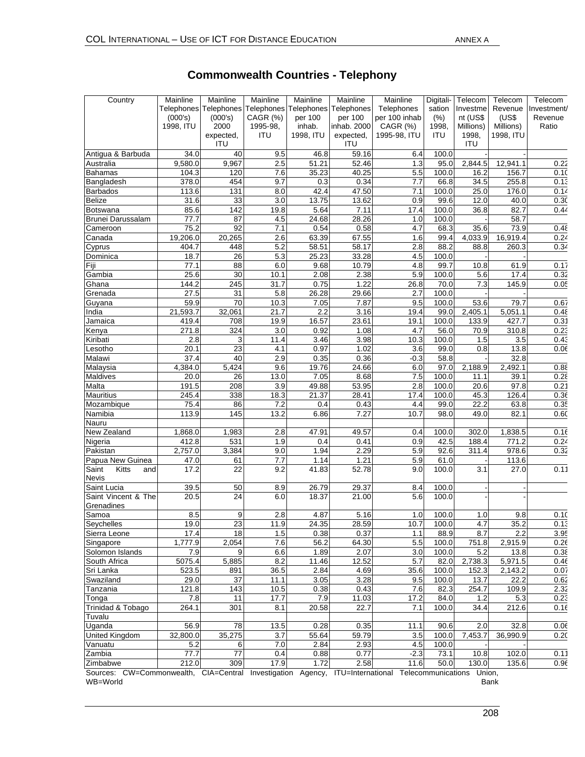| Country                                                     | Mainline<br>(000's)<br>1998. ITU | Mainline<br>Telephones Telephones<br>(000's)<br>2000 | Mainline<br>Telephones<br>CAGR (%)<br>1995-98, | Mainline<br>per 100<br>inhab. | Mainline<br>Telephones Telephones<br>per 100<br>inhab. 2000 | Mainline<br>Telephones<br>per 100 inhab<br>CAGR $(%)$ | Digitali-<br>sation<br>(% )<br>1998, | Telecom<br>Investme<br>nt (US\$<br>Millions) | Telecom<br>Revenue<br>(US\$<br>Millions) | Telecom<br>Investment/<br>Revenue<br>Ratio |
|-------------------------------------------------------------|----------------------------------|------------------------------------------------------|------------------------------------------------|-------------------------------|-------------------------------------------------------------|-------------------------------------------------------|--------------------------------------|----------------------------------------------|------------------------------------------|--------------------------------------------|
|                                                             |                                  | expected,<br><b>ITU</b>                              | <b>ITU</b>                                     | 1998, ITU                     | expected,<br><b>ITU</b>                                     | 1995-98, ITU                                          | <b>ITU</b>                           | 1998,<br>ITU                                 | 1998, ITU                                |                                            |
| Antigua & Barbuda                                           | 34.0                             | 40                                                   | 9.5                                            | 46.8                          | 59.16                                                       | 6.4                                                   | 100.0                                |                                              |                                          |                                            |
| Australia                                                   | 9,580.0                          | 9,967                                                | 2.5                                            | 51.21                         | 52.46                                                       | 1.3                                                   | 95.0                                 | 2,844.5                                      | 12,941.1                                 | 0.22                                       |
| <b>Bahamas</b><br>Bangladesh                                | 104.3<br>378.0                   | 120<br>454                                           | 7.6<br>9.7                                     | 35.23<br>0.3                  | 40.25<br>0.34                                               | 5.5<br>7.7                                            | 100.0<br>66.8                        | 16.2<br>34.5                                 | 156.7<br>255.8                           | 0.10<br>0.13                               |
| <b>Barbados</b>                                             | 113.6                            | 131                                                  | 8.0                                            | 42.4                          | 47.50                                                       | 7.1                                                   | 100.0                                | 25.0                                         | 176.0                                    | 0.14                                       |
| <b>Belize</b>                                               | 31.6                             | 33                                                   | 3.0                                            | 13.75                         | 13.62                                                       | 0.9                                                   | 99.6                                 | 12.0                                         | 40.0                                     | 0.3C                                       |
| Botswana                                                    | 85.6                             | 142                                                  | 19.8                                           | 5.64                          | 7.11                                                        | 17.4                                                  | 100.0                                | 36.8                                         | 82.7                                     | 0.44                                       |
| <b>Brunei Darussalam</b>                                    | 77.7                             | 87                                                   | 4.5                                            | 24.68                         | 28.26                                                       | 1.0                                                   | 100.0                                |                                              | 58.7                                     |                                            |
| Cameroon                                                    | 75.2                             | 92                                                   | 7.1                                            | 0.54                          | 0.58                                                        | 4.7                                                   | 68.3                                 | 35.6                                         | 73.9                                     | 0.48                                       |
| Canada                                                      | 19,206.0                         | 20,265                                               | 2.6                                            | 63.39                         | 67.55                                                       | 1.6                                                   | 99.4                                 | 4,033.9                                      | 16,919.4                                 | 0.24                                       |
| Cyprus                                                      | 404.7                            | 448                                                  | 5.2                                            | 58.51                         | 58.17                                                       | 2.8                                                   | 88.2                                 | 88.8                                         | 260.3                                    | 0.34                                       |
| Dominica                                                    | 18.7                             | 26                                                   | 5.3                                            | 25.23                         | 33.28                                                       | 4.5                                                   | 100.0                                |                                              |                                          |                                            |
| Fiji                                                        | 77.1                             | 88                                                   | 6.0                                            | 9.68                          | 10.79                                                       | 4.8                                                   | 99.7                                 | 10.8                                         | 61.9                                     | 0.17                                       |
| Gambia                                                      | 25.6                             | 30                                                   | 10.1                                           | 2.08                          | 2.38                                                        | 5.9                                                   | 100.0                                | 5.6                                          | 17.4                                     | 0.32                                       |
| Ghana                                                       | 144.2                            | 245                                                  | 31.7                                           | 0.75                          | 1.22                                                        | 26.8                                                  | 70.0                                 | 7.3                                          | 145.9                                    | 0.05                                       |
| Grenada                                                     | 27.5                             | 31                                                   | 5.8                                            | 26.28                         | 29.66                                                       | 2.7                                                   | 100.0                                |                                              |                                          |                                            |
| Guyana                                                      | 59.9                             | 70                                                   | 10.3                                           | 7.05                          | 7.87                                                        | 9.5                                                   | 100.0                                | 53.6                                         | 79.7                                     | 0.67                                       |
| India                                                       | 21,593.7                         | 32,061                                               | 21.7                                           | 2.2                           | 3.16                                                        | 19.4                                                  | 99.0                                 | 2,405.1                                      | 5,051.1                                  | 0.48                                       |
| Jamaica                                                     | 419.4                            | 708                                                  | 19.9                                           | 16.57                         | 23.61                                                       | 19.1                                                  | 100.0                                | 133.9                                        | 427.7                                    | 0.31                                       |
| Kenya                                                       | 271.8                            | 324                                                  | 3.0                                            | 0.92                          | 1.08                                                        | 4.7                                                   | 56.0                                 | 70.9                                         | 310.8                                    | 0.23                                       |
| Kiribati<br>Lesotho                                         | 2.8<br>20.1                      | 3<br>23                                              | 11.4<br>4.1                                    | 3.46<br>0.97                  | 3.98<br>1.02                                                | 10.3<br>3.6                                           | 100.0<br>99.0                        | 1.5<br>0.8                                   | 3.5<br>13.8                              | 0.43<br>0.06                               |
| Malawi                                                      | 37.4                             | 40                                                   | 2.9                                            | 0.35                          | 0.36                                                        | $-0.3$                                                | 58.8                                 |                                              | 32.8                                     |                                            |
| Malaysia                                                    | 4,384.0                          | 5,424                                                | 9.6                                            | 19.76                         | 24.66                                                       | 6.0                                                   | 97.0                                 | 2,188.9                                      | 2,492.1                                  | 0.88                                       |
| Maldives                                                    | 20.0                             | 26                                                   | 13.0                                           | 7.05                          | 8.68                                                        | 7.5                                                   | 100.0                                | 11.1                                         | 39.1                                     | 0.28                                       |
| Malta                                                       | 191.5                            | 208                                                  | 3.9                                            | 49.88                         | 53.95                                                       | 2.8                                                   | 100.0                                | 20.6                                         | 97.8                                     | 0.21                                       |
| <b>Mauritius</b>                                            | 245.4                            | 338                                                  | 18.3                                           | 21.37                         | 28.41                                                       | 17.4                                                  | 100.0                                | 45.3                                         | 126.4                                    | 0.36                                       |
| Mozambique                                                  | 75.4                             | 86                                                   | 7.2                                            | 0.4                           | 0.43                                                        | 4.4                                                   | 99.0                                 | 22.2                                         | 63.8                                     | 0.35                                       |
| Namibia                                                     | 113.9                            | 145                                                  | 13.2                                           | 6.86                          | 7.27                                                        | 10.7                                                  | 98.0                                 | 49.0                                         | 82.1                                     | 0.60                                       |
| Nauru                                                       |                                  |                                                      |                                                |                               |                                                             |                                                       |                                      |                                              |                                          |                                            |
| New Zealand                                                 | 1,868.0                          | 1,983                                                | 2.8                                            | 47.91                         | 49.57                                                       | 0.4                                                   | 100.0                                | 302.0                                        | 1,838.5                                  | 0.16                                       |
| Nigeria                                                     | 412.8                            | 531                                                  | 1.9                                            | 0.4                           | 0.41                                                        | 0.9                                                   | 42.5                                 | 188.4                                        | 771.2                                    | 0.24                                       |
| Pakistan                                                    | 2,757.0                          | 3,384                                                | 9.0                                            | 1.94                          | 2.29                                                        | 5.9                                                   | 92.6                                 | 311.4                                        | 978.6                                    | 0.32                                       |
| Papua New Guinea                                            | 47.0                             | 61                                                   | 7.7                                            | 1.14                          | 1.21                                                        | 5.9                                                   | 61.0                                 |                                              | 113.6                                    |                                            |
| Kitts<br>Saint<br>and<br><b>Nevis</b>                       | 17.2                             | $\overline{22}$                                      | 9.2                                            | 41.83                         | 52.78                                                       | 9.0                                                   | 100.0                                | 3.1                                          | 27.0                                     | 0.11                                       |
| Saint Lucia                                                 | 39.5                             | 50                                                   | 8.9                                            | 26.79                         | 29.37                                                       | 8.4                                                   | 100.0                                |                                              |                                          |                                            |
| Saint Vincent & The                                         | 20.5                             | 24                                                   | 6.0                                            | 18.37                         | 21.00                                                       | 5.6                                                   | 100.0                                |                                              |                                          |                                            |
| Grenadines<br>Samoa                                         | 8.5                              | 9                                                    | 2.8                                            | 4.87                          | 5.16                                                        | 1.0                                                   | 100.0                                | 1.0                                          | 9.8                                      | 0.10                                       |
| Seychelles                                                  | 19.0                             | $\overline{23}$                                      | 11.9                                           | 24.35                         | 28.59                                                       | 10.7                                                  | 100.0                                | 4.7                                          | 35.2                                     | 0.1                                        |
| Sierra Leone                                                | 17.4                             | 18                                                   | 1.5                                            | 0.38                          | 0.37                                                        | 1.1                                                   | 88.9                                 | 8.7                                          | 2.2                                      | 3.95                                       |
| Singapore                                                   | 1,777.9                          | 2,054                                                | 7.6                                            | 56.2                          | 64.30                                                       | 5.5                                                   | 100.0                                | 751.8                                        | 2,915.9                                  | 0.26                                       |
| Solomon Islands                                             | 7.9                              | 9                                                    | 6.6                                            | 1.89                          | 2.07                                                        | 3.0                                                   | 100.0                                | 5.2                                          | 13.8                                     | 0.38                                       |
| South Africa                                                | 5075.4                           | 5,885                                                | 8.2                                            | 11.46                         | 12.52                                                       | 5.7                                                   | 82.0                                 | 2,738.3                                      | 5,971.5                                  | 0.46                                       |
| Sri Lanka                                                   | 523.5                            | 891                                                  | 36.5                                           | 2.84                          | 4.69                                                        | 35.6                                                  | 100.0                                | 152.3                                        | 2,143.2                                  | 0.07                                       |
| Swaziland                                                   | 29.0                             | 37                                                   | 11.1                                           | 3.05                          | 3.28                                                        | 9.5                                                   | 100.0                                | 13.7                                         | 22.2                                     | 0.62                                       |
| Tanzania                                                    | 121.8                            | 143                                                  | 10.5                                           | 0.38                          | 0.43                                                        | 7.6                                                   | 82.3                                 | 254.7                                        | 109.9                                    | 2.32                                       |
| Tonga                                                       | 7.8                              | 11                                                   | 17.7                                           | 7.9                           | 11.03                                                       | 17.2                                                  | 84.0                                 | 1.2                                          | 5.3                                      | 0.23                                       |
| Trinidad & Tobago                                           | 264.1                            | 301                                                  | 8.1                                            | 20.58                         | 22.7                                                        | 7.1                                                   | 100.0                                | 34.4                                         | 212.6                                    | 0.16                                       |
| Tuvalu                                                      |                                  |                                                      |                                                |                               |                                                             |                                                       |                                      |                                              |                                          |                                            |
| Uganda                                                      | 56.9                             | 78                                                   | 13.5                                           | 0.28                          | 0.35                                                        | 11.1                                                  | 90.6                                 | 2.0                                          | 32.8                                     | 0.06                                       |
| <b>United Kingdom</b>                                       | 32,800.0                         | 35,275                                               | 3.7                                            | 55.64                         | 59.79                                                       | 3.5                                                   | 100.0                                | 7,453.7                                      | 36,990.9                                 | 0.20                                       |
| Vanuatu                                                     | 5.2                              | 6                                                    | 7.0                                            | 2.84                          | 2.93                                                        | 4.5                                                   | 100.0                                |                                              |                                          |                                            |
| Zambia                                                      | 77.7                             | $77$                                                 | 0.4                                            | 0.88                          | 0.77                                                        | $-2.3$                                                | 73.1                                 | 10.8                                         | 102.0                                    | 0.11                                       |
| Zimbabwe<br>O <sub>2</sub><br>C <sub>1</sub> C <sub>2</sub> | 212.0<br>o o lib                 | 309<br>$C1A$ $C$ $C1B$                               | 17.9                                           | 1.72                          | 2.58<br><b>ITLE</b><br>Internation                          | 11.6<br>$T_{\rm all}$                                 | 50.0                                 | 130.0                                        | 135.6                                    | 0.96                                       |

# **Commonwealth Countries - Telephony**

Sources: CW=Commonwealth, CIA=Central Investigation Agency, ITU=International Telecommunications Union, WB=World Bank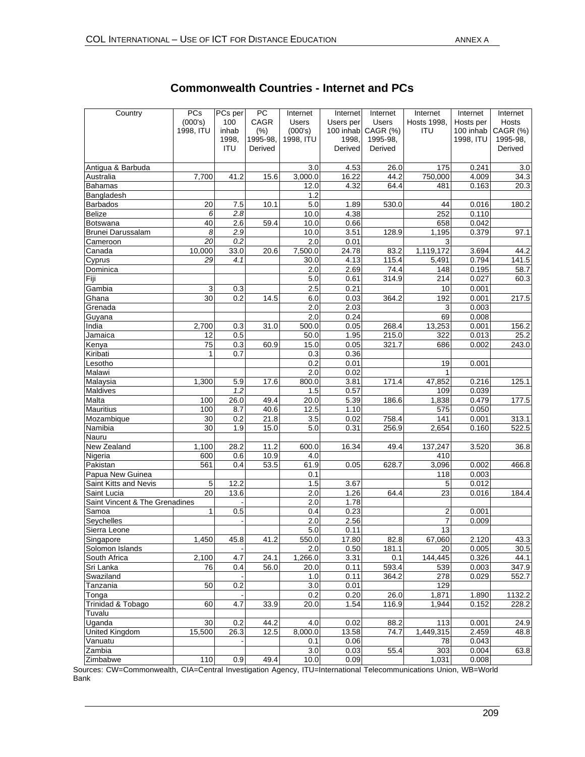| Country                        | PCs       | PCs per | PC       | Internet     | Internet  | Internet     | Internet           | Internet  | Internet          |
|--------------------------------|-----------|---------|----------|--------------|-----------|--------------|--------------------|-----------|-------------------|
|                                | (000's)   | 100     | CAGR     | <b>Users</b> | Users per | <b>Users</b> | <b>Hosts 1998.</b> | Hosts per | Hosts             |
|                                | 1998, ITU | inhab   | (%)      | (000's)      | 100 inhab | CAGR (%)     | ITU                | 100 inhab | CAGR (%)          |
|                                |           | 1998,   | 1995-98. | 1998, ITU    | 1998,     | 1995-98,     |                    | 1998, ITU | 1995-98,          |
|                                |           | ITU     | Derived  |              | Derived   | Derived      |                    |           | Derived           |
| Antigua & Barbuda              |           |         |          | 3.0          | 4.53      | 26.0         | 175                | 0.241     | 3.0               |
| Australia                      | 7,700     | 41.2    | 15.6     | 3,000.0      | 16.22     | 44.2         | 750,000            | 4.009     | 34.3              |
| Bahamas                        |           |         |          | 12.0         | 4.32      | 64.4         | 481                | 0.163     | $\overline{20.3}$ |
| Bangladesh                     |           |         |          | 1.2          |           |              |                    |           |                   |
| <b>Barbados</b>                | 20        | 7.5     | 10.1     | 5.0          | 1.89      | 530.0        | 44                 | 0.016     | 180.2             |
| <b>Belize</b>                  | 6         | 2.8     |          | 10.0         | 4.38      |              | 252                | 0.110     |                   |
| Botswana                       | 40        | 2.6     | 59.4     | 10.0         | 0.66      |              | 658                | 0.042     |                   |
| Brunei Darussalam              | 8         | 2.9     |          | 10.0         | 3.51      | 128.9        | 1,195              | 0.379     | 97.1              |
| Cameroon                       | 20        | 0.2     |          | 2.0          | 0.01      |              | 3                  |           |                   |
| Canada                         | 10,000    | 33.0    | 20.6     | 7,500.0      | 24.78     | 83.2         | 1,119,172          | 3.694     | 44.2              |
| Cyprus                         | 29        | 4.1     |          | 30.0         | 4.13      | 115.4        | 5,491              | 0.794     | 141.5             |
| Dominica                       |           |         |          | 2.0          | 2.69      | 74.4         | 148                | 0.195     | 58.7              |
| Fiji                           |           |         |          | 5.0          | 0.61      | 314.9        | 214                | 0.027     | 60.3              |
| Gambia                         | 3         | 0.3     |          | 2.5          | 0.21      |              | 10                 | 0.001     |                   |
| Ghana                          | 30        | 0.2     | 14.5     | 6.0          | 0.03      | 364.2        | 192                | 0.001     | 217.5             |
| Grenada                        |           |         |          | 2.0          | 2.03      |              | 3                  | 0.003     |                   |
| Guyana                         |           |         |          | 2.0          | 0.24      |              | 69                 | 0.008     |                   |
| India                          | 2,700     | 0.3     | 31.0     | 500.0        | 0.05      | 268.4        | 13,253             | 0.001     | 156.2             |
| Jamaica                        | 12        | 0.5     |          | 50.0         | 1.95      | 215.0        | 322                | 0.013     | 25.2              |
| Kenya                          | 75        | 0.3     | 60.9     | 15.0         | 0.05      | 321.7        | 686                | 0.002     | 243.0             |
| Kiribati                       | 1         | 0.7     |          | 0.3          | 0.36      |              |                    |           |                   |
| Lesotho                        |           |         |          | 0.2          | 0.01      |              | 19                 | 0.001     |                   |
| Malawi                         |           |         |          | 2.0          | 0.02      |              | 1                  |           |                   |
| Malaysia                       | 1,300     | 5.9     | 17.6     | 800.0        | 3.81      | 171.4        | 47,852             | 0.216     | 125.1             |
| Maldives                       |           | 1.2     |          | 1.5          | 0.57      |              | 109                | 0.039     |                   |
| Malta                          | 100       | 26.0    | 49.4     | 20.0         | 5.39      | 186.6        | 1,838              | 0.479     | 177.5             |
| <b>Mauritius</b>               | 100       | 8.7     | 40.6     | 12.5         | 1.10      |              | 575                | 0.050     |                   |
| Mozambique                     | 30        | 0.2     | 21.8     | 3.5          | 0.02      | 758.4        | 141                | 0.001     | 313.1             |
| Namibia                        | 30        | 1.9     | 15.0     | 5.0          | 0.31      | 256.9        | 2,654              | 0.160     | 522.5             |
| Nauru                          |           |         |          |              |           |              |                    |           |                   |
| New Zealand                    | 1,100     | 28.2    | 11.2     | 600.0        | 16.34     | 49.4         | 137,247            | 3.520     | 36.8              |
| Nigeria                        | 600       | 0.6     | 10.9     | 4.0          |           |              | 410                |           |                   |
| Pakistan                       | 561       | 0.4     | 53.5     | 61.9         | 0.05      | 628.7        | 3,096              | 0.002     | 466.8             |
| Papua New Guinea               |           |         |          | 0.1          |           |              | 118                | 0.003     |                   |
| Saint Kitts and Nevis          | 5         | 12.2    |          | 1.5          | 3.67      |              | 5                  | 0.012     |                   |
| Saint Lucia                    | 20        | 13.6    |          | 2.0          | 1.26      | 64.4         | 23                 | 0.016     | 184.4             |
| Saint Vincent & The Grenadines |           |         |          | 2.0          | 1.78      |              |                    |           |                   |
| Samoa                          | 1         | 0.5     |          | 0.4          | 0.23      |              | $\overline{2}$     | 0.001     |                   |
| Seychelles                     |           |         |          | 2.0          | 2.56      |              | $\overline{7}$     | 0.009     |                   |
| Sierra Leone                   |           |         |          | 5.0          | 0.11      |              | 13                 |           |                   |
| Singapore                      | 1,450     | 45.8    | 41.2     | 550.0        | 17.80     | 82.8         | 67,060             | 2.120     | 43.3              |
| Solomon Islands                |           |         |          | 2.0          | 0.50      | 181.1        | 20                 | 0.005     | 30.5              |
| South Africa                   | 2,100     | 4.7     | 24.1     | 1,266.0      | 3.31      | 0.1          | 144,445            | 0.326     | 44.1              |
| Sri Lanka                      | 76        | 0.4     | 56.0     | 20.0         | 0.11      | 593.4        | 539                | 0.003     | 347.9             |
| Swaziland                      |           |         |          | 1.0          | 0.11      | 364.2        | 278                | 0.029     | 552.7             |
| Tanzania                       | 50        | 0.2     |          | 3.0          | 0.01      |              | 129                |           |                   |
| Tonga                          |           |         |          | 0.2          | 0.20      | 26.0         | 1,871              | 1.890     | 1132.2            |
| Trinidad & Tobago              | 60        | 4.7     | 33.9     | 20.0         | 1.54      | 116.9        | 1,944              | 0.152     | 228.2             |
| Tuvalu                         |           |         |          |              |           |              |                    |           |                   |
| Uganda                         | 30        | 0.2     | 44.2     | 4.0          | 0.02      | 88.2         | 113                | 0.001     | 24.9              |
| United Kingdom                 | 15,500    | 26.3    | 12.5     | 8,000.0      | 13.58     | 74.7         | 1,449,315          | 2.459     | 48.8              |
| Vanuatu                        |           |         |          | 0.1          | 0.06      |              | 78                 | 0.043     |                   |
| Zambia                         |           |         |          | 3.0          | 0.03      | 55.4         | 303                | 0.004     | 63.8              |
| Zimbabwe                       | 110       | 0.9     | 49.4     | 10.0         | 0.09      |              | 1,031              | 0.008     |                   |

# **Commonwealth Countries - Internet and PCs**

Sources: CW=Commonwealth, CIA=Central Investigation Agency, ITU=International Telecommunications Union, WB=World Bank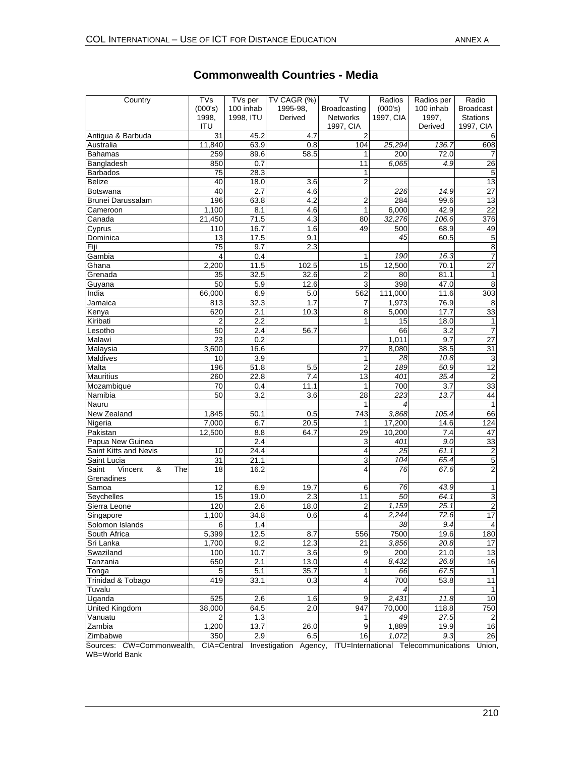| Country                                    | TVs<br>(000's)  | TVs per<br>100 inhab | TV CAGR (%)<br>1995-98. | <b>TV</b><br>Broadcasting | Radios<br>(000's) | Radios per<br>100 inhab | Radio<br><b>Broadcast</b> |
|--------------------------------------------|-----------------|----------------------|-------------------------|---------------------------|-------------------|-------------------------|---------------------------|
|                                            | 1998,           | 1998, ITU            | Derived                 | <b>Networks</b>           | 1997, CIA         | 1997,                   | <b>Stations</b>           |
|                                            | ITU             |                      |                         | 1997, CIA                 |                   | Derived                 | 1997, CIA                 |
| Antigua & Barbuda                          | 31              | 45.2                 | 4.7                     | 2<br>104                  |                   |                         | 6                         |
| Australia<br>Bahamas                       | 11,840<br>259   | 63.9<br>89.6         | 0.8                     |                           | 25,294            | 136.7<br>72.0           | 608                       |
|                                            | 850             | 0.7                  | 58.5                    | 1<br>11                   | 200<br>6.065      | 4.9                     | 26                        |
| Bangladesh<br><b>Barbados</b>              | 75              | 28.3                 |                         | 1                         |                   |                         | $\sqrt{5}$                |
| <b>Belize</b>                              | 40              | 18.0                 | 3.6                     | 2                         |                   |                         | 13                        |
| <b>Botswana</b>                            | 40              | 2.7                  | 4.6                     |                           | 226               | 14.9                    | 27                        |
| <b>Brunei Darussalam</b>                   | 196             | 63.8                 | 4.2                     | $\overline{c}$            | 284               | 99.6                    | 13                        |
| Cameroon                                   | 1,100           | 8.1                  | 4.6                     | 1                         | 6,000             | 42.9                    | 22                        |
| Canada                                     | 21,450          | 71.5                 | 4.3                     | 80                        | 32.276            | 106.6                   | 376                       |
| Cyprus                                     | 110             | 16.7                 | 1.6                     | 49                        | 500               | 68.9                    | 49                        |
| Dominica                                   | 13              | 17.5                 | 9.1                     |                           | 45                | 60.5                    | $\sqrt{5}$                |
| Fiji                                       | 75              | 9.7                  | 2.3                     |                           |                   |                         | $\overline{\mathbf{8}}$   |
| Gambia                                     | 4               | 0.4                  |                         | 1                         | 190               | 16.3                    | $\overline{7}$            |
| Ghana                                      | 2,200           | 11.5                 | 102.5                   | 15                        | 12,500            | 70.1                    | 27                        |
| Grenada                                    | 35              | 32.5                 | 32.6                    | $\overline{\mathbf{c}}$   | 80                | 81.1                    | $\mathbf{1}$              |
| Guyana                                     | 50              | 5.9                  | 12.6                    | 3                         | 398               | 47.0                    | $\,8\,$                   |
| India                                      | 66,000          | 6.9                  | 5.0                     | 562                       | 111,000           | 11.6                    | 303                       |
| Jamaica                                    | 813             | 32.3                 | 1.7                     | 7                         | 1,973             | 76.9                    | 8                         |
| Kenya                                      | 620             | 2.1                  | 10.3                    | 8                         | 5,000             | 17.7                    | 33                        |
| Kiribati                                   | $\overline{2}$  | 2.2                  |                         | 1                         | 15                | 18.0                    | $\mathbf{1}$              |
| Lesotho                                    | 50              | 2.4                  | 56.7                    |                           | 66                | 3.2                     | $\overline{7}$            |
| Malawi                                     | $\overline{23}$ | 0.2                  |                         |                           | 1,011             | 9.7                     | 27                        |
| Malaysia                                   | 3,600           | 16.6                 |                         | 27                        | 8,080             | 38.5                    | $\overline{31}$           |
| <b>Maldives</b>                            | 10              | 3.9                  |                         | 1                         | 28                | 10.8                    | دن                        |
| Malta                                      | 196             | 51.8                 | 5.5                     | $\overline{2}$            | 189               | 50.9                    | 12                        |
| <b>Mauritius</b>                           | 260             | 22.8                 | 7.4                     | 13                        | 401               | 35.4                    | $\overline{2}$            |
| Mozambique                                 | 70              | 0.4                  | 11.1                    | $\mathbf{1}$              | 700               | 3.7                     | 33                        |
| Namibia                                    | 50              | $\overline{3.2}$     | 3.6                     | 28                        | $\overline{223}$  | 13.7                    | 44                        |
| Nauru                                      |                 |                      |                         | 1                         |                   |                         | $\mathbf{1}$              |
| New Zealand                                | 1,845           | 50.1                 | 0.5                     | 743                       | 3,868             | 105.4                   | 66                        |
| Nigeria                                    | 7,000           | 6.7                  | 20.5                    | 1                         | 17,200            | 14.6                    | 124                       |
| Pakistan                                   | 12,500          | 8.8                  | 64.7                    | 29                        | 10,200            | 7.4                     | 47                        |
| Papua New Guinea                           |                 | 2.4                  |                         | 3                         | 401               | 9.0                     | 33                        |
| Saint Kitts and Nevis                      | 10              | 24.4                 |                         | 4                         | 25                | 61.1                    | $\overline{c}$            |
| Saint Lucia                                | 31              | 21.1                 |                         | 3<br>4                    | 104               | 65.4                    | $\overline{5}$            |
| &<br>Vincent<br>The<br>Saint<br>Grenadines | 18              | 16.2                 |                         |                           | 76                | 67.6                    | $\overline{2}$            |
| Samoa                                      | 12              | 6.9                  | 19.7                    | 6                         | 76                | 43.9                    | 1                         |
| Seychelles                                 | 15              | 19.0                 | 2.3                     | 11                        | 50                | 64.1                    | 3                         |
| Sierra Leone                               | 120             | 2.6                  | 18.0                    | 2                         | 1,159             | 25.1                    | $\overline{c}$            |
| Singapore                                  | 1,100           | 34.8                 | 0.6                     | 4                         | 2,244             | 72.6                    | 17                        |
| Solomon Islands                            | 6               | 1.4                  |                         |                           | 38                | 9.4                     | 4                         |
| South Africa                               | 5,399           | 12.5                 | 8.7                     | 556                       | 7500              | 19.6                    | 180                       |
| Sri Lanka                                  | 1,700           | 9.2                  | 12.3                    | 21                        | 3,856             | 20.8                    | 17                        |
| Swaziland                                  | 100<br>650      | 10.7<br>2.1          | 3.6                     | 9                         | 200<br>8.432      | 21.0                    | 13<br>16                  |
| Tanzania<br>Tonga                          |                 | 5.1                  | 13.0<br>35.7            | 4                         | 66                | 26.8<br>67.5            | $\mathbf{1}$              |
| Trinidad & Tobago                          | 5<br>419        | 33.1                 | 0.3                     | 1<br>4                    | 700               | 53.8                    | 11                        |
| Tuvalu                                     |                 |                      |                         |                           |                   |                         | $\mathbf{1}$              |
| Uganda                                     | 525             | 2.6                  | 1.6                     | 9                         | 2,431             | 11.8                    | 10                        |
| <b>United Kingdom</b>                      | 38,000          | 64.5                 | 2.0                     | 947                       | 70,000            | 118.8                   | 750                       |
| Vanuatu                                    | 2               | 1.3                  |                         | 1                         | 49                | 27.5                    | $\mathbf{2}$              |
| Zambia                                     | 1,200           | 13.7                 | 26.0                    | 9                         | 1,889             | 19.9                    | 16                        |
| Zimbabwe                                   | 350             | 2.9                  | 6.5                     | 16                        | 1,072             | 9.3                     | 26                        |
| Sources: CW-Commonwealth                   | $CIA-Contral$   |                      | Investigation<br>Agoncy | ITH-International         |                   | Telecommunications      | <b>Ilnion</b>             |

## **Commonwealth Countries - Media**

Sources: CW=Commonwealth, CIA=Central Investigation Agency, ITU=International Telecommunications Union, WB=World Bank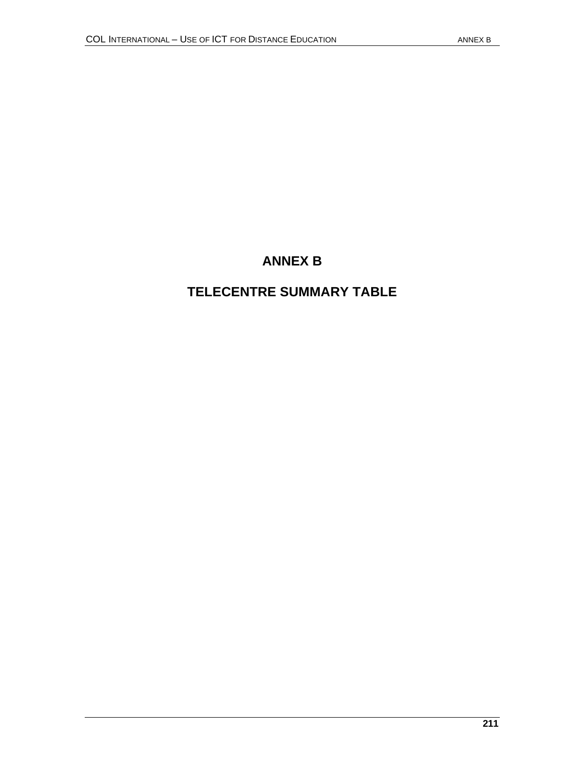# **ANNEX B**

# **TELECENTRE SUMMARY TABLE**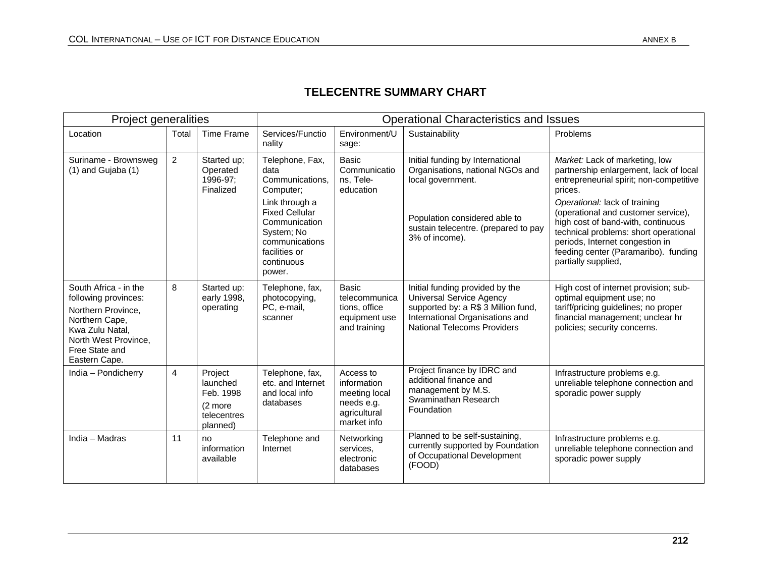# **TELECENTRE SUMMARY CHART**

| Project generalities                                                                                                                                                |                |                                                                        | <b>Operational Characteristics and Issues</b>                                                                                                                                                |                                                                                        |                                                                                                                                                                                      |                                                                                                                                                                                                                                                                                                                                                                                         |  |  |
|---------------------------------------------------------------------------------------------------------------------------------------------------------------------|----------------|------------------------------------------------------------------------|----------------------------------------------------------------------------------------------------------------------------------------------------------------------------------------------|----------------------------------------------------------------------------------------|--------------------------------------------------------------------------------------------------------------------------------------------------------------------------------------|-----------------------------------------------------------------------------------------------------------------------------------------------------------------------------------------------------------------------------------------------------------------------------------------------------------------------------------------------------------------------------------------|--|--|
| Location                                                                                                                                                            | Total          | <b>Time Frame</b>                                                      | Services/Functio<br>nality                                                                                                                                                                   | Environment/U<br>sage:                                                                 | Sustainability                                                                                                                                                                       | Problems                                                                                                                                                                                                                                                                                                                                                                                |  |  |
| Suriname - Brownsweg<br>$(1)$ and Gujaba $(1)$                                                                                                                      | $\overline{2}$ | Started up:<br>Operated<br>1996-97:<br>Finalized                       | Telephone, Fax,<br>data<br>Communications.<br>Computer;<br>Link through a<br><b>Fixed Cellular</b><br>Communication<br>System; No<br>communications<br>facilities or<br>continuous<br>power. | <b>Basic</b><br>Communicatio<br>ns. Tele-<br>education                                 | Initial funding by International<br>Organisations, national NGOs and<br>local government.<br>Population considered able to<br>sustain telecentre. (prepared to pay<br>3% of income). | Market: Lack of marketing, low<br>partnership enlargement, lack of local<br>entrepreneurial spirit; non-competitive<br>prices.<br>Operational: lack of training<br>(operational and customer service),<br>high cost of band-with, continuous<br>technical problems: short operational<br>periods, Internet congestion in<br>feeding center (Paramaribo). funding<br>partially supplied, |  |  |
| South Africa - in the<br>following provinces:<br>Northern Province,<br>Northern Cape,<br>Kwa Zulu Natal,<br>North West Province,<br>Free State and<br>Eastern Cape. | 8              | Started up:<br>early 1998,<br>operating                                | Telephone, fax,<br>photocopying,<br>PC, e-mail,<br>scanner                                                                                                                                   | Basic<br>telecommunica<br>tions, office<br>equipment use<br>and training               | Initial funding provided by the<br><b>Universal Service Agency</b><br>supported by: a R\$ 3 Million fund,<br>International Organisations and<br><b>National Telecoms Providers</b>   | High cost of internet provision; sub-<br>optimal equipment use; no<br>tariff/pricing guidelines; no proper<br>financial management; unclear hr<br>policies; security concerns.                                                                                                                                                                                                          |  |  |
| India - Pondicherry                                                                                                                                                 | $\overline{4}$ | Project<br>launched<br>Feb. 1998<br>(2 more<br>telecentres<br>planned) | Telephone, fax,<br>etc. and Internet<br>and local info<br>databases                                                                                                                          | Access to<br>information<br>meeting local<br>needs e.g.<br>agricultural<br>market info | Project finance by IDRC and<br>additional finance and<br>management by M.S.<br>Swaminathan Research<br>Foundation                                                                    | Infrastructure problems e.g.<br>unreliable telephone connection and<br>sporadic power supply                                                                                                                                                                                                                                                                                            |  |  |
| India - Madras                                                                                                                                                      | 11             | no<br>information<br>available                                         | Telephone and<br>Internet                                                                                                                                                                    | Networking<br>services,<br>electronic<br>databases                                     | Planned to be self-sustaining,<br>currently supported by Foundation<br>of Occupational Development<br>(FOOD)                                                                         | Infrastructure problems e.g.<br>unreliable telephone connection and<br>sporadic power supply                                                                                                                                                                                                                                                                                            |  |  |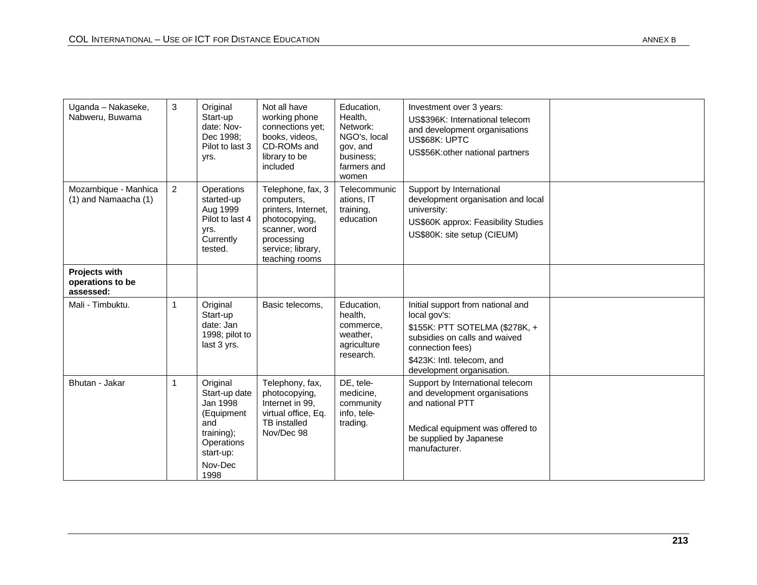| Uganda - Nakaseke,<br>Nabweru, Buwama            | 3              | Original<br>Start-up<br>date: Nov-<br>Dec 1998:<br>Pilot to last 3<br>yrs.                                                    | Not all have<br>working phone<br>connections yet;<br>books, videos,<br>CD-ROMs and<br>library to be<br>included                               | Education,<br>Health,<br>Network:<br>NGO's, local<br>gov, and<br>business:<br>farmers and<br>women | Investment over 3 years:<br>US\$396K: International telecom<br>and development organisations<br>US\$68K: UPTC<br>US\$56K: other national partners                                                   |  |
|--------------------------------------------------|----------------|-------------------------------------------------------------------------------------------------------------------------------|-----------------------------------------------------------------------------------------------------------------------------------------------|----------------------------------------------------------------------------------------------------|-----------------------------------------------------------------------------------------------------------------------------------------------------------------------------------------------------|--|
| Mozambique - Manhica<br>$(1)$ and Namaacha $(1)$ | $\overline{2}$ | Operations<br>started-up<br>Aug 1999<br>Pilot to last 4<br>yrs.<br>Currently<br>tested.                                       | Telephone, fax, 3<br>computers,<br>printers, Internet,<br>photocopying,<br>scanner, word<br>processing<br>service; library,<br>teaching rooms | Telecommunic<br>ations, IT<br>training,<br>education                                               | Support by International<br>development organisation and local<br>university:<br>US\$60K approx: Feasibility Studies<br>US\$80K: site setup (CIEUM)                                                 |  |
| Projects with<br>operations to be<br>assessed:   |                |                                                                                                                               |                                                                                                                                               |                                                                                                    |                                                                                                                                                                                                     |  |
| Mali - Timbuktu.                                 |                | Original<br>Start-up<br>date: Jan<br>1998; pilot to<br>last 3 yrs.                                                            | Basic telecoms,                                                                                                                               | Education,<br>health,<br>commerce,<br>weather,<br>agriculture<br>research.                         | Initial support from national and<br>local gov's:<br>\$155K: PTT SOTELMA (\$278K, +<br>subsidies on calls and waived<br>connection fees)<br>\$423K: Intl. telecom, and<br>development organisation. |  |
| Bhutan - Jakar                                   | $\mathbf 1$    | Original<br>Start-up date<br>Jan 1998<br>(Equipment<br>and<br>training);<br><b>Operations</b><br>start-up:<br>Nov-Dec<br>1998 | Telephony, fax,<br>photocopying,<br>Internet in 99.<br>virtual office, Eq.<br>TB installed<br>Nov/Dec 98                                      | DE, tele-<br>medicine.<br>community<br>info, tele-<br>trading.                                     | Support by International telecom<br>and development organisations<br>and national PTT<br>Medical equipment was offered to<br>be supplied by Japanese<br>manufacturer.                               |  |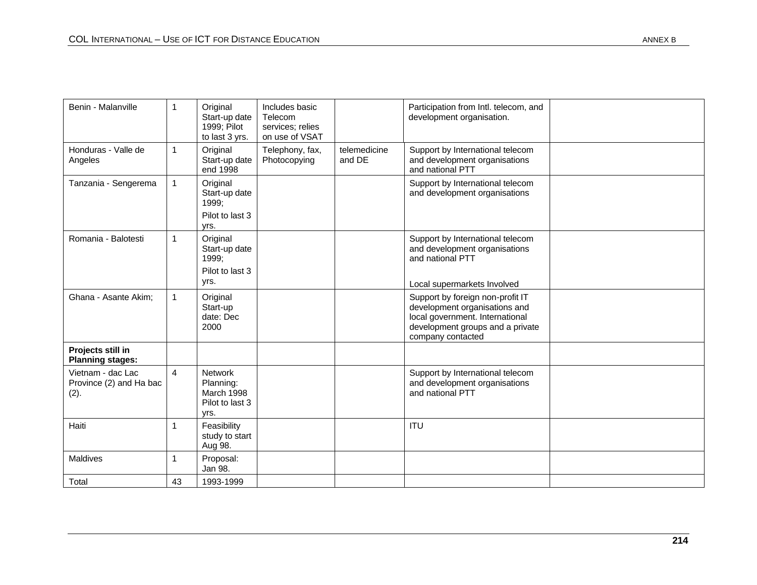| Benin - Malanville                                   | $\overline{1}$ | Original<br>Start-up date<br>1999; Pilot<br>to last 3 yrs.           | Includes basic<br>Telecom<br>services; relies<br>on use of VSAT |                        | Participation from Intl. telecom, and<br>development organisation.                                                                                            |  |
|------------------------------------------------------|----------------|----------------------------------------------------------------------|-----------------------------------------------------------------|------------------------|---------------------------------------------------------------------------------------------------------------------------------------------------------------|--|
| Honduras - Valle de<br>Angeles                       | $\overline{1}$ | Original<br>Start-up date<br>end 1998                                | Telephony, fax,<br>Photocopying                                 | telemedicine<br>and DE | Support by International telecom<br>and development organisations<br>and national PTT                                                                         |  |
| Tanzania - Sengerema                                 |                | Original<br>Start-up date<br>1999;<br>Pilot to last 3<br>yrs.        |                                                                 |                        | Support by International telecom<br>and development organisations                                                                                             |  |
| Romania - Balotesti                                  | $\overline{1}$ | Original<br>Start-up date<br>1999;                                   |                                                                 |                        | Support by International telecom<br>and development organisations<br>and national PTT                                                                         |  |
|                                                      |                | Pilot to last 3<br>yrs.                                              |                                                                 |                        | Local supermarkets Involved                                                                                                                                   |  |
| Ghana - Asante Akim;                                 |                | Original<br>Start-up<br>date: Dec<br>2000                            |                                                                 |                        | Support by foreign non-profit IT<br>development organisations and<br>local government. International<br>development groups and a private<br>company contacted |  |
| Projects still in<br><b>Planning stages:</b>         |                |                                                                      |                                                                 |                        |                                                                                                                                                               |  |
| Vietnam - dac Lac<br>Province (2) and Ha bac<br>(2). | $\overline{4}$ | <b>Network</b><br>Planning:<br>March 1998<br>Pilot to last 3<br>vrs. |                                                                 |                        | Support by International telecom<br>and development organisations<br>and national PTT                                                                         |  |
| Haiti                                                | $\overline{1}$ | Feasibility<br>study to start<br>Aug 98.                             |                                                                 |                        | <b>ITU</b>                                                                                                                                                    |  |
| Maldives                                             | 1              | Proposal:<br>Jan 98.                                                 |                                                                 |                        |                                                                                                                                                               |  |
| Total                                                | 43             | 1993-1999                                                            |                                                                 |                        |                                                                                                                                                               |  |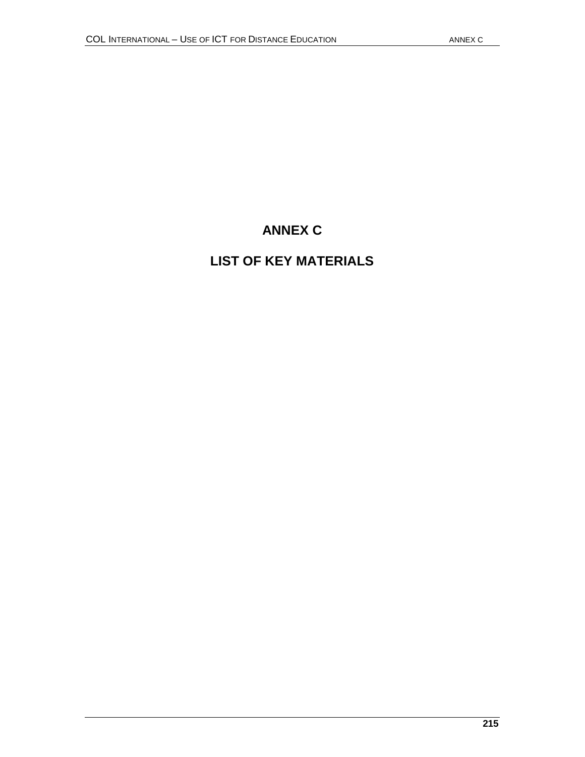# **ANNEX C**

# **LIST OF KEY MATERIALS**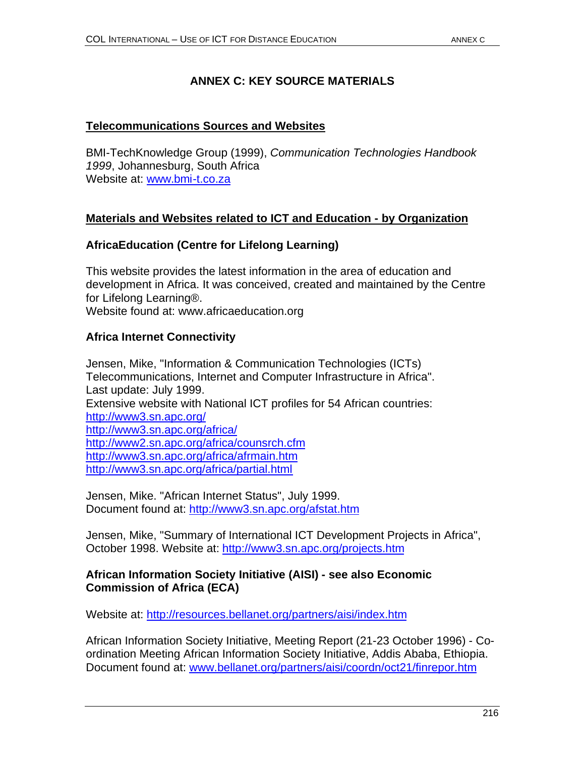# **ANNEX C: KEY SOURCE MATERIALS**

### **Telecommunications Sources and Websites**

BMI-TechKnowledge Group (1999), *Communication Technologies Handbook 1999*, Johannesburg, South Africa Website at: www.bmi-t.co.za

# **Materials and Websites related to ICT and Education - by Organization**

# **AfricaEducation (Centre for Lifelong Learning)**

This website provides the latest information in the area of education and development in Africa. It was conceived, created and maintained by the Centre for Lifelong Learning®.

Website found at: www.africaeducation.org

# **Africa Internet Connectivity**

Jensen, Mike, "Information & Communication Technologies (ICTs) Telecommunications, Internet and Computer Infrastructure in Africa". Last update: July 1999. Extensive website with National ICT profiles for 54 African countries: http://www3.sn.apc.org/ http://www3.sn.apc.org/africa/ http://www2.sn.apc.org/africa/counsrch.cfm http://www3.sn.apc.org/africa/afrmain.htm http://www3.sn.apc.org/africa/partial.html

Jensen, Mike. "African Internet Status", July 1999. Document found at: http://www3.sn.apc.org/afstat.htm

Jensen, Mike, "Summary of International ICT Development Projects in Africa", October 1998. Website at: http://www3.sn.apc.org/projects.htm

### **African Information Society Initiative (AISI) - see also Economic Commission of Africa (ECA)**

Website at: http://resources.bellanet.org/partners/aisi/index.htm

African Information Society Initiative, Meeting Report (21-23 October 1996) - Coordination Meeting African Information Society Initiative, Addis Ababa, Ethiopia. Document found at: www.bellanet.org/partners/aisi/coordn/oct21/finrepor.htm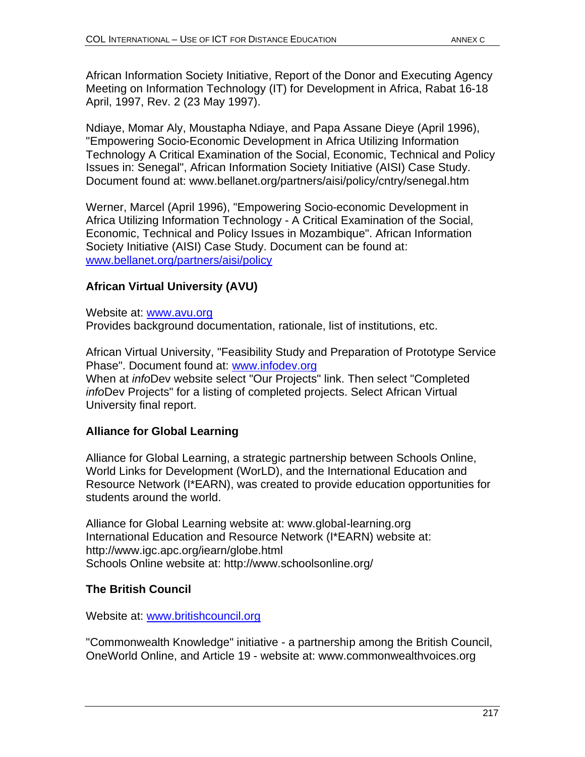African Information Society Initiative, Report of the Donor and Executing Agency Meeting on Information Technology (IT) for Development in Africa, Rabat 16-18 April, 1997, Rev. 2 (23 May 1997).

Ndiaye, Momar Aly, Moustapha Ndiaye, and Papa Assane Dieye (April 1996), "Empowering Socio-Economic Development in Africa Utilizing Information Technology A Critical Examination of the Social, Economic, Technical and Policy Issues in: Senegal", African Information Society Initiative (AISI) Case Study. Document found at: www.bellanet.org/partners/aisi/policy/cntry/senegal.htm

Werner, Marcel (April 1996), "Empowering Socio-economic Development in Africa Utilizing Information Technology - A Critical Examination of the Social, Economic, Technical and Policy Issues in Mozambique". African Information Society Initiative (AISI) Case Study. Document can be found at: www.bellanet.org/partners/aisi/policy

# **African Virtual University (AVU)**

Website at: www.avu.org Provides background documentation, rationale, list of institutions, etc.

African Virtual University, "Feasibility Study and Preparation of Prototype Service Phase". Document found at: www.infodev.org When at *info*Dev website select "Our Projects" link. Then select "Completed *info*Dev Projects" for a listing of completed projects. Select African Virtual University final report.

# **Alliance for Global Learning**

Alliance for Global Learning, a strategic partnership between Schools Online, World Links for Development (WorLD), and the International Education and Resource Network (I\*EARN), was created to provide education opportunities for students around the world.

Alliance for Global Learning website at: www.global-learning.org International Education and Resource Network (I\*EARN) website at: http://www.igc.apc.org/iearn/globe.html Schools Online website at: http://www.schoolsonline.org/

# **The British Council**

Website at: www.britishcouncil.org

"Commonwealth Knowledge" initiative - a partnership among the British Council, OneWorld Online, and Article 19 - website at: www.commonwealthvoices.org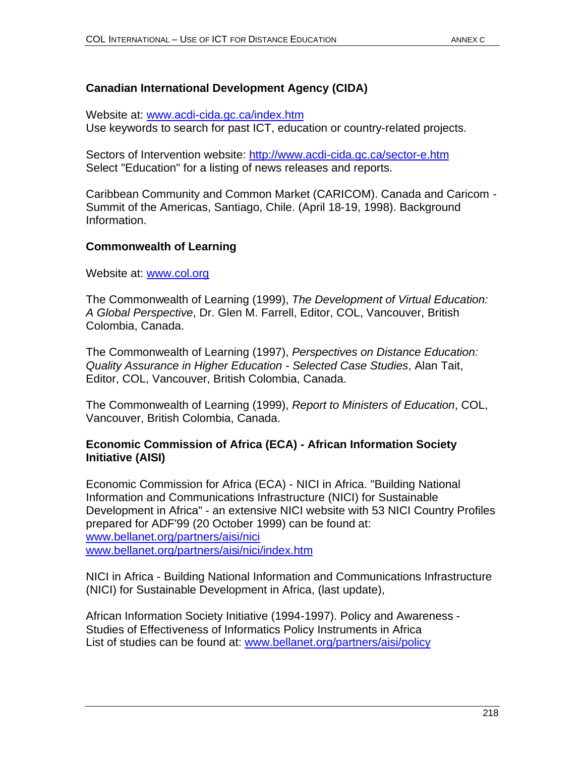# **Canadian International Development Agency (CIDA)**

Website at: www.acdi-cida.gc.ca/index.htm Use keywords to search for past ICT, education or country-related projects.

Sectors of Intervention website: http://www.acdi-cida.gc.ca/sector-e.htm Select "Education" for a listing of news releases and reports.

Caribbean Community and Common Market (CARICOM). Canada and Caricom - Summit of the Americas, Santiago, Chile. (April 18-19, 1998). Background Information.

# **Commonwealth of Learning**

Website at: www.col.org

The Commonwealth of Learning (1999), *The Development of Virtual Education: A Global Perspective*, Dr. Glen M. Farrell, Editor, COL, Vancouver, British Colombia, Canada.

The Commonwealth of Learning (1997), *Perspectives on Distance Education: Quality Assurance in Higher Education - Selected Case Studies*, Alan Tait, Editor, COL, Vancouver, British Colombia, Canada.

The Commonwealth of Learning (1999), *Report to Ministers of Education*, COL, Vancouver, British Colombia, Canada.

#### **Economic Commission of Africa (ECA) - African Information Society Initiative (AISI)**

Economic Commission for Africa (ECA) - NICI in Africa. "Building National Information and Communications Infrastructure (NICI) for Sustainable Development in Africa" - an extensive NICI website with 53 NICI Country Profiles prepared for ADF'99 (20 October 1999) can be found at: www.bellanet.org/partners/aisi/nici www.bellanet.org/partners/aisi/nici/index.htm

NICI in Africa - Building National Information and Communications Infrastructure (NICI) for Sustainable Development in Africa, (last update),

African Information Society Initiative (1994-1997). Policy and Awareness - Studies of Effectiveness of Informatics Policy Instruments in Africa List of studies can be found at: www.bellanet.org/partners/aisi/policy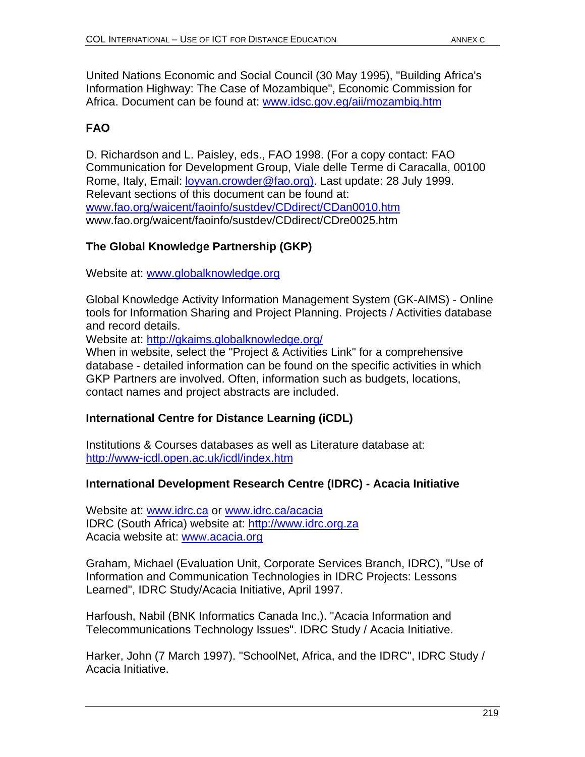United Nations Economic and Social Council (30 May 1995), "Building Africa's Information Highway: The Case of Mozambique", Economic Commission for Africa. Document can be found at: www.idsc.gov.eg/aii/mozambiq.htm

# **FAO**

D. Richardson and L. Paisley, eds., FAO 1998. (For a copy contact: FAO Communication for Development Group, Viale delle Terme di Caracalla, 00100 Rome, Italy, Email: *loyvan.crowder@fao.org*). Last update: 28 July 1999. Relevant sections of this document can be found at: www.fao.org/waicent/faoinfo/sustdev/CDdirect/CDan0010.htm www.fao.org/waicent/faoinfo/sustdev/CDdirect/CDre0025.htm

# **The Global Knowledge Partnership (GKP)**

Website at: www.globalknowledge.org

Global Knowledge Activity Information Management System (GK-AIMS) - Online tools for Information Sharing and Project Planning. Projects / Activities database and record details.

Website at: http://gkaims.globalknowledge.org/

When in website, select the "Project & Activities Link" for a comprehensive database - detailed information can be found on the specific activities in which GKP Partners are involved. Often, information such as budgets, locations, contact names and project abstracts are included.

# **International Centre for Distance Learning (iCDL)**

Institutions & Courses databases as well as Literature database at: http://www-icdl.open.ac.uk/icdl/index.htm

# **International Development Research Centre (IDRC) - Acacia Initiative**

Website at: www.idrc.ca or www.idrc.ca/acacia IDRC (South Africa) website at: http://www.idrc.org.za Acacia website at: www.acacia.org

Graham, Michael (Evaluation Unit, Corporate Services Branch, IDRC), "Use of Information and Communication Technologies in IDRC Projects: Lessons Learned", IDRC Study/Acacia Initiative, April 1997.

Harfoush, Nabil (BNK Informatics Canada Inc.). "Acacia Information and Telecommunications Technology Issues". IDRC Study / Acacia Initiative.

Harker, John (7 March 1997). "SchoolNet, Africa, and the IDRC", IDRC Study / Acacia Initiative.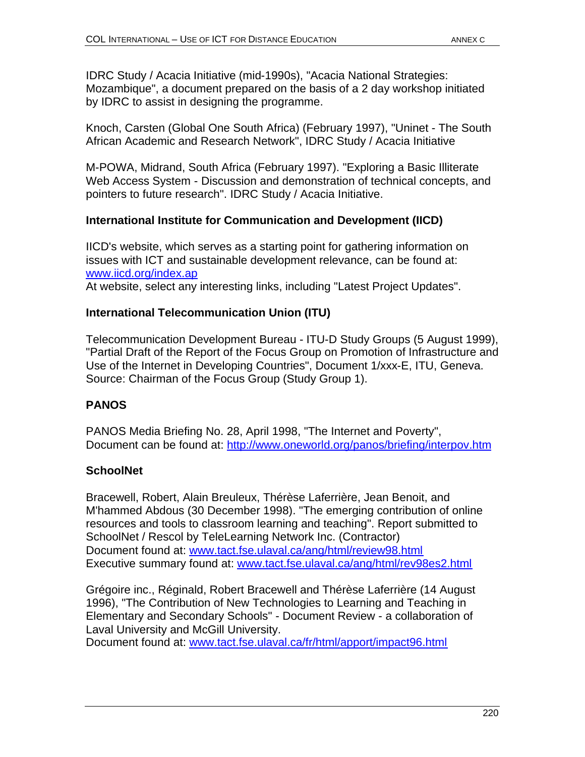IDRC Study / Acacia Initiative (mid-1990s), "Acacia National Strategies: Mozambique", a document prepared on the basis of a 2 day workshop initiated by IDRC to assist in designing the programme.

Knoch, Carsten (Global One South Africa) (February 1997), "Uninet - The South African Academic and Research Network", IDRC Study / Acacia Initiative

M-POWA, Midrand, South Africa (February 1997). "Exploring a Basic Illiterate Web Access System - Discussion and demonstration of technical concepts, and pointers to future research". IDRC Study / Acacia Initiative.

# **International Institute for Communication and Development (IICD)**

IICD's website, which serves as a starting point for gathering information on issues with ICT and sustainable development relevance, can be found at: www.iicd.org/index.ap

At website, select any interesting links, including "Latest Project Updates".

# **International Telecommunication Union (ITU)**

Telecommunication Development Bureau - ITU-D Study Groups (5 August 1999), "Partial Draft of the Report of the Focus Group on Promotion of Infrastructure and Use of the Internet in Developing Countries", Document 1/xxx-E, ITU, Geneva. Source: Chairman of the Focus Group (Study Group 1).

# **PANOS**

PANOS Media Briefing No. 28, April 1998, "The Internet and Poverty", Document can be found at: http://www.oneworld.org/panos/briefing/interpov.htm

# **SchoolNet**

Bracewell, Robert, Alain Breuleux, Thérèse Laferrière, Jean Benoit, and M'hammed Abdous (30 December 1998). "The emerging contribution of online resources and tools to classroom learning and teaching". Report submitted to SchoolNet / Rescol by TeleLearning Network Inc. (Contractor) Document found at: www.tact.fse.ulaval.ca/ang/html/review98.html Executive summary found at: www.tact.fse.ulaval.ca/ang/html/rev98es2.html

Grégoire inc., Réginald, Robert Bracewell and Thérèse Laferrière (14 August 1996), "The Contribution of New Technologies to Learning and Teaching in Elementary and Secondary Schools" - Document Review - a collaboration of Laval University and McGill University.

Document found at: www.tact.fse.ulaval.ca/fr/html/apport/impact96.html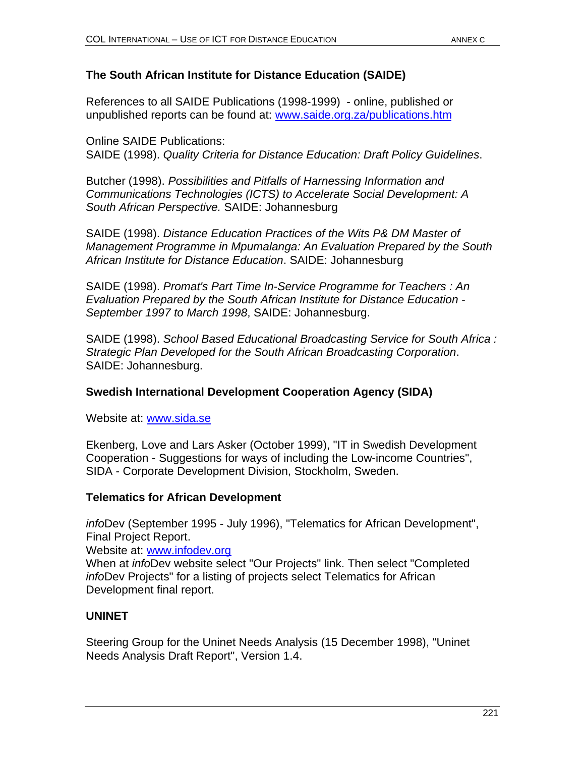# **The South African Institute for Distance Education (SAIDE)**

References to all SAIDE Publications (1998-1999) - online, published or unpublished reports can be found at: www.saide.org.za/publications.htm

Online SAIDE Publications: SAIDE (1998). *Quality Criteria for Distance Education: Draft Policy Guidelines*.

Butcher (1998). *Possibilities and Pitfalls of Harnessing Information and Communications Technologies (ICTS) to Accelerate Social Development: A South African Perspective.* SAIDE: Johannesburg

SAIDE (1998). *Distance Education Practices of the Wits P& DM Master of Management Programme in Mpumalanga: An Evaluation Prepared by the South African Institute for Distance Education*. SAIDE: Johannesburg

SAIDE (1998). *Promat's Part Time In-Service Programme for Teachers : An Evaluation Prepared by the South African Institute for Distance Education - September 1997 to March 1998*, SAIDE: Johannesburg.

SAIDE (1998). *School Based Educational Broadcasting Service for South Africa : Strategic Plan Developed for the South African Broadcasting Corporation*. SAIDE: Johannesburg.

# **Swedish International Development Cooperation Agency (SIDA)**

Website at: www.sida.se

Ekenberg, Love and Lars Asker (October 1999), "IT in Swedish Development Cooperation - Suggestions for ways of including the Low-income Countries", SIDA - Corporate Development Division, Stockholm, Sweden.

# **Telematics for African Development**

*info*Dev (September 1995 - July 1996), "Telematics for African Development", Final Project Report.

Website at: www.infodev.org

When at *info*Dev website select "Our Projects" link. Then select "Completed *info*Dev Projects" for a listing of projects select Telematics for African Development final report.

# **UNINET**

Steering Group for the Uninet Needs Analysis (15 December 1998), "Uninet Needs Analysis Draft Report", Version 1.4.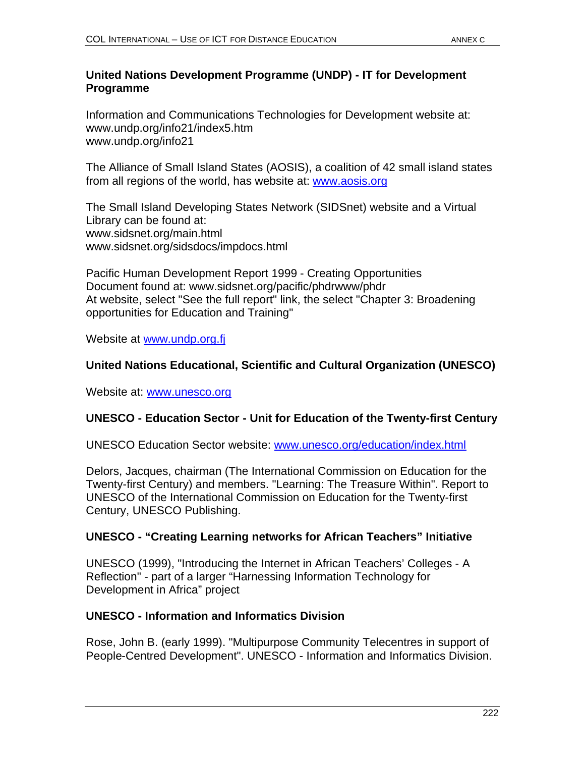# **United Nations Development Programme (UNDP) - IT for Development Programme**

Information and Communications Technologies for Development website at: www.undp.org/info21/index5.htm www.undp.org/info21

The Alliance of Small Island States (AOSIS), a coalition of 42 small island states from all regions of the world, has website at: www.aosis.org

The Small Island Developing States Network (SIDSnet) website and a Virtual Library can be found at: www.sidsnet.org/main.html www.sidsnet.org/sidsdocs/impdocs.html

Pacific Human Development Report 1999 - Creating Opportunities Document found at: www.sidsnet.org/pacific/phdrwww/phdr At website, select "See the full report" link, the select "Chapter 3: Broadening opportunities for Education and Training"

Website at www.undp.org.fj

# **United Nations Educational, Scientific and Cultural Organization (UNESCO)**

Website at: www.unesco.org

# **UNESCO - Education Sector - Unit for Education of the Twenty-first Century**

UNESCO Education Sector website: www.unesco.org/education/index.html

Delors, Jacques, chairman (The International Commission on Education for the Twenty-first Century) and members. "Learning: The Treasure Within". Report to UNESCO of the International Commission on Education for the Twenty-first Century, UNESCO Publishing.

# **UNESCO - "Creating Learning networks for African Teachers" Initiative**

UNESCO (1999), "Introducing the Internet in African Teachers' Colleges - A Reflection" - part of a larger "Harnessing Information Technology for Development in Africa" project

# **UNESCO - Information and Informatics Division**

Rose, John B. (early 1999). "Multipurpose Community Telecentres in support of People-Centred Development". UNESCO - Information and Informatics Division.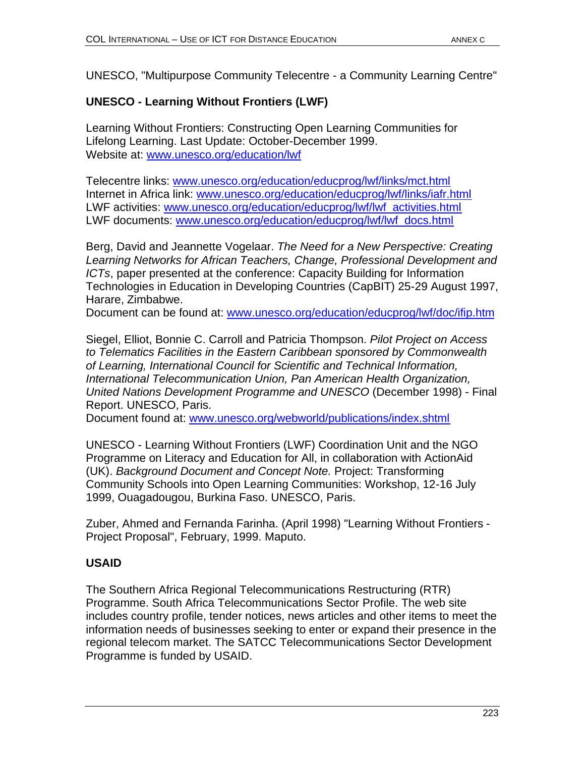UNESCO, "Multipurpose Community Telecentre - a Community Learning Centre"

# **UNESCO - Learning Without Frontiers (LWF)**

Learning Without Frontiers: Constructing Open Learning Communities for Lifelong Learning. Last Update: October-December 1999. Website at: www.unesco.org/education/lwf

Telecentre links: www.unesco.org/education/educprog/lwf/links/mct.html Internet in Africa link: www.unesco.org/education/educprog/lwf/links/iafr.html LWF activities: www.unesco.org/education/educprog/lwf/lwf\_activities.html LWF documents: www.unesco.org/education/educprog/lwf/lwf\_docs.html

Berg, David and Jeannette Vogelaar. *The Need for a New Perspective: Creating Learning Networks for African Teachers, Change, Professional Development and ICTs*, paper presented at the conference: Capacity Building for Information Technologies in Education in Developing Countries (CapBIT) 25-29 August 1997, Harare, Zimbabwe.

Document can be found at: www.unesco.org/education/educprog/lwf/doc/ifip.htm

Siegel, Elliot, Bonnie C. Carroll and Patricia Thompson. *Pilot Project on Access to Telematics Facilities in the Eastern Caribbean sponsored by Commonwealth of Learning, International Council for Scientific and Technical Information, International Telecommunication Union, Pan American Health Organization, United Nations Development Programme and UNESCO* (December 1998) - Final Report. UNESCO, Paris.

Document found at: www.unesco.org/webworld/publications/index.shtml

UNESCO - Learning Without Frontiers (LWF) Coordination Unit and the NGO Programme on Literacy and Education for All, in collaboration with ActionAid (UK). *Background Document and Concept Note.* Project: Transforming Community Schools into Open Learning Communities: Workshop, 12-16 July 1999, Ouagadougou, Burkina Faso. UNESCO, Paris.

Zuber, Ahmed and Fernanda Farinha. (April 1998) "Learning Without Frontiers - Project Proposal", February, 1999. Maputo.

# **USAID**

The Southern Africa Regional Telecommunications Restructuring (RTR) Programme. South Africa Telecommunications Sector Profile. The web site includes country profile, tender notices, news articles and other items to meet the information needs of businesses seeking to enter or expand their presence in the regional telecom market. The SATCC Telecommunications Sector Development Programme is funded by USAID.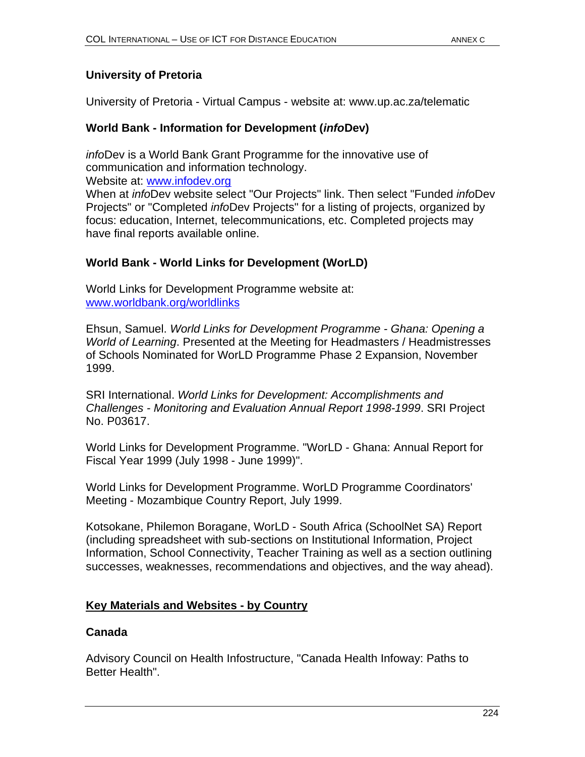# **University of Pretoria**

University of Pretoria - Virtual Campus - website at: www.up.ac.za/telematic

# **World Bank - Information for Development (***info***Dev)**

*info*Dev is a World Bank Grant Programme for the innovative use of communication and information technology.

Website at: www.infodev.org

When at *info*Dev website select "Our Projects" link. Then select "Funded *info*Dev Projects" or "Completed *info*Dev Projects" for a listing of projects, organized by focus: education, Internet, telecommunications, etc. Completed projects may have final reports available online.

# **World Bank - World Links for Development (WorLD)**

World Links for Development Programme website at: www.worldbank.org/worldlinks

Ehsun, Samuel. *World Links for Development Programme - Ghana: Opening a World of Learning*. Presented at the Meeting for Headmasters / Headmistresses of Schools Nominated for WorLD Programme Phase 2 Expansion, November 1999.

SRI International. *World Links for Development: Accomplishments and Challenges - Monitoring and Evaluation Annual Report 1998-1999*. SRI Project No. P03617.

World Links for Development Programme. "WorLD - Ghana: Annual Report for Fiscal Year 1999 (July 1998 - June 1999)".

World Links for Development Programme. WorLD Programme Coordinators' Meeting - Mozambique Country Report, July 1999.

Kotsokane, Philemon Boragane, WorLD - South Africa (SchoolNet SA) Report (including spreadsheet with sub-sections on Institutional Information, Project Information, School Connectivity, Teacher Training as well as a section outlining successes, weaknesses, recommendations and objectives, and the way ahead).

# **Key Materials and Websites - by Country**

# **Canada**

Advisory Council on Health Infostructure, "Canada Health Infoway: Paths to Better Health".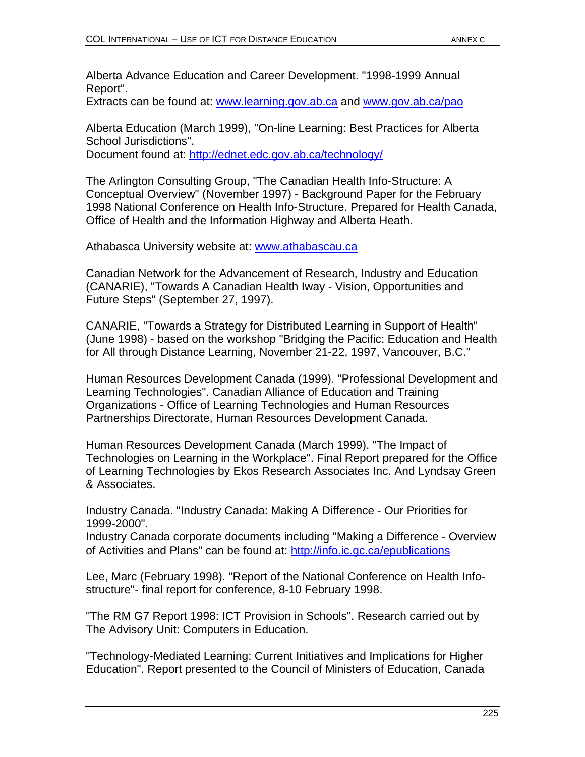Alberta Advance Education and Career Development. "1998-1999 Annual Report".

Extracts can be found at: www.learning.gov.ab.ca and www.gov.ab.ca/pao

Alberta Education (March 1999), "On-line Learning: Best Practices for Alberta School Jurisdictions". Document found at: http://ednet.edc.gov.ab.ca/technology/

The Arlington Consulting Group, "The Canadian Health Info-Structure: A Conceptual Overview" (November 1997) - Background Paper for the February 1998 National Conference on Health Info-Structure. Prepared for Health Canada, Office of Health and the Information Highway and Alberta Heath.

Athabasca University website at: www.athabascau.ca

Canadian Network for the Advancement of Research, Industry and Education (CANARIE), "Towards A Canadian Health Iway - Vision, Opportunities and Future Steps" (September 27, 1997).

CANARIE, "Towards a Strategy for Distributed Learning in Support of Health" (June 1998) - based on the workshop "Bridging the Pacific: Education and Health for All through Distance Learning, November 21-22, 1997, Vancouver, B.C."

Human Resources Development Canada (1999). "Professional Development and Learning Technologies". Canadian Alliance of Education and Training Organizations - Office of Learning Technologies and Human Resources Partnerships Directorate, Human Resources Development Canada.

Human Resources Development Canada (March 1999). "The Impact of Technologies on Learning in the Workplace". Final Report prepared for the Office of Learning Technologies by Ekos Research Associates Inc. And Lyndsay Green & Associates.

Industry Canada. "Industry Canada: Making A Difference - Our Priorities for 1999-2000".

Industry Canada corporate documents including "Making a Difference - Overview of Activities and Plans" can be found at: http://info.ic.gc.ca/epublications

Lee, Marc (February 1998). "Report of the National Conference on Health Infostructure"- final report for conference, 8-10 February 1998.

"The RM G7 Report 1998: ICT Provision in Schools". Research carried out by The Advisory Unit: Computers in Education.

"Technology-Mediated Learning: Current Initiatives and Implications for Higher Education". Report presented to the Council of Ministers of Education, Canada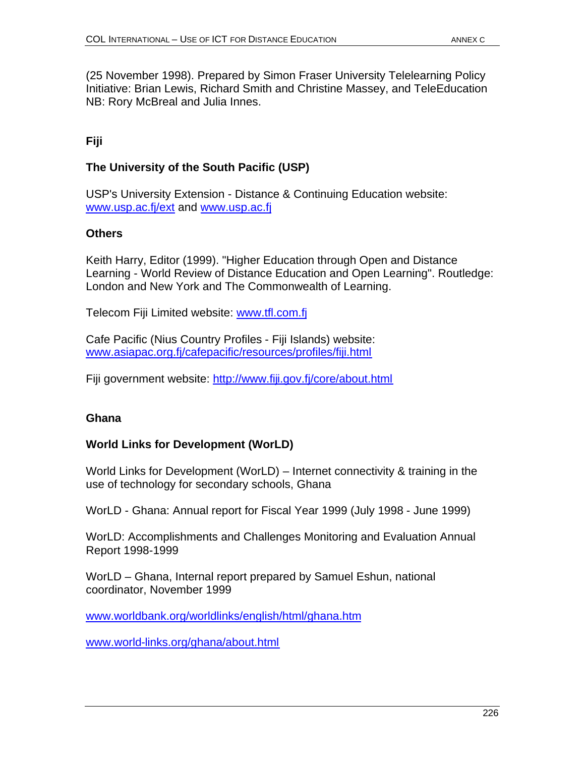(25 November 1998). Prepared by Simon Fraser University Telelearning Policy Initiative: Brian Lewis, Richard Smith and Christine Massey, and TeleEducation NB: Rory McBreal and Julia Innes.

# **Fiji**

# **The University of the South Pacific (USP)**

USP's University Extension - Distance & Continuing Education website: www.usp.ac.fj/ext and www.usp.ac.fj

# **Others**

Keith Harry, Editor (1999). "Higher Education through Open and Distance Learning - World Review of Distance Education and Open Learning". Routledge: London and New York and The Commonwealth of Learning.

Telecom Fiji Limited website: www.tfl.com.fj

Cafe Pacific (Nius Country Profiles - Fiji Islands) website: www.asiapac.org.fj/cafepacific/resources/profiles/fiji.html

Fiji government website: http://www.fiji.gov.fj/core/about.html

# **Ghana**

# **World Links for Development (WorLD)**

World Links for Development (WorLD) – Internet connectivity & training in the use of technology for secondary schools, Ghana

WorLD - Ghana: Annual report for Fiscal Year 1999 (July 1998 - June 1999)

WorLD: Accomplishments and Challenges Monitoring and Evaluation Annual Report 1998-1999

WorLD – Ghana, Internal report prepared by Samuel Eshun, national coordinator, November 1999

www.worldbank.org/worldlinks/english/html/ghana.htm

www.world-links.org/ghana/about.html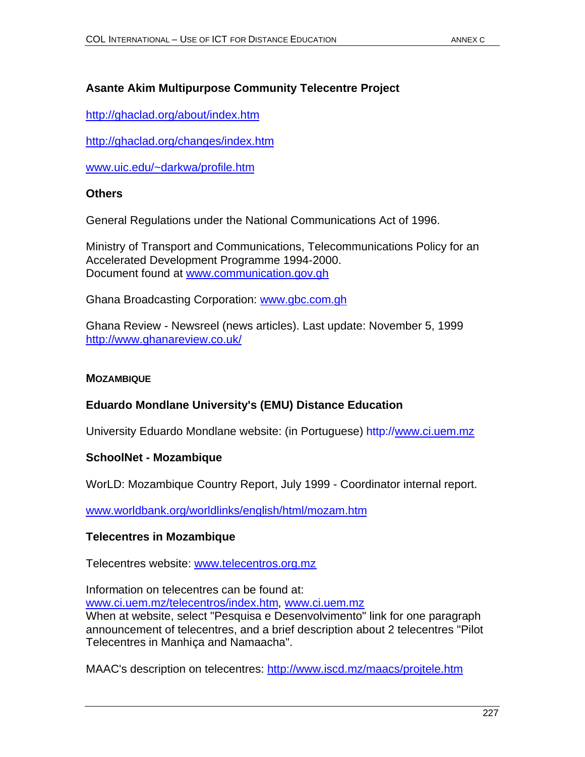# **Asante Akim Multipurpose Community Telecentre Project**

http://ghaclad.org/about/index.htm

http://ghaclad.org/changes/index.htm

www.uic.edu/~darkwa/profile.htm

#### **Others**

General Regulations under the National Communications Act of 1996.

Ministry of Transport and Communications, Telecommunications Policy for an Accelerated Development Programme 1994-2000. Document found at www.communication.gov.gh

Ghana Broadcasting Corporation: www.gbc.com.gh

Ghana Review - Newsreel (news articles). Last update: November 5, 1999 http://www.ghanareview.co.uk/

#### **MOZAMBIQUE**

# **Eduardo Mondlane University's (EMU) Distance Education**

University Eduardo Mondlane website: (in Portuguese) http://www.ci.uem.mz

#### **SchoolNet - Mozambique**

WorLD: Mozambique Country Report, July 1999 - Coordinator internal report.

www.worldbank.org/worldlinks/english/html/mozam.htm

#### **Telecentres in Mozambique**

Telecentres website: www.telecentros.org.mz

Information on telecentres can be found at:

www.ci.uem.mz/telecentros/index.htm, www.ci.uem.mz

When at website, select "Pesquisa e Desenvolvimento" link for one paragraph announcement of telecentres, and a brief description about 2 telecentres "Pilot Telecentres in Manhiça and Namaacha".

MAAC's description on telecentres: http://www.iscd.mz/maacs/projtele.htm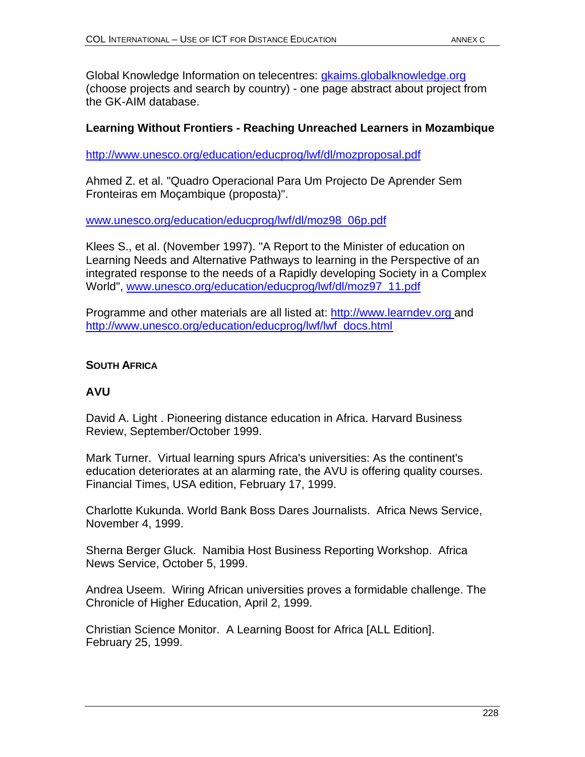Global Knowledge Information on telecentres: gkaims.globalknowledge.org (choose projects and search by country) - one page abstract about project from the GK-AIM database.

# **Learning Without Frontiers - Reaching Unreached Learners in Mozambique**

http://www.unesco.org/education/educprog/lwf/dl/mozproposal.pdf

Ahmed Z. et al. "Quadro Operacional Para Um Projecto De Aprender Sem Fronteiras em Moçambique (proposta)".

www.unesco.org/education/educprog/lwf/dl/moz98\_06p.pdf

Klees S., et al. (November 1997). "A Report to the Minister of education on Learning Needs and Alternative Pathways to learning in the Perspective of an integrated response to the needs of a Rapidly developing Society in a Complex World", www.unesco.org/education/educprog/lwf/dl/moz97\_11.pdf

Programme and other materials are all listed at: http://www.learndev.org and http://www.unesco.org/education/educprog/lwf/lwf\_docs.html

# **SOUTH AFRICA**

# **AVU**

David A. Light . Pioneering distance education in Africa. Harvard Business Review, September/October 1999.

Mark Turner. Virtual learning spurs Africa's universities: As the continent's education deteriorates at an alarming rate, the AVU is offering quality courses. Financial Times, USA edition, February 17, 1999.

Charlotte Kukunda. World Bank Boss Dares Journalists. Africa News Service, November 4, 1999.

Sherna Berger Gluck. Namibia Host Business Reporting Workshop. Africa News Service, October 5, 1999.

Andrea Useem. Wiring African universities proves a formidable challenge. The Chronicle of Higher Education, April 2, 1999.

Christian Science Monitor. A Learning Boost for Africa [ALL Edition]. February 25, 1999.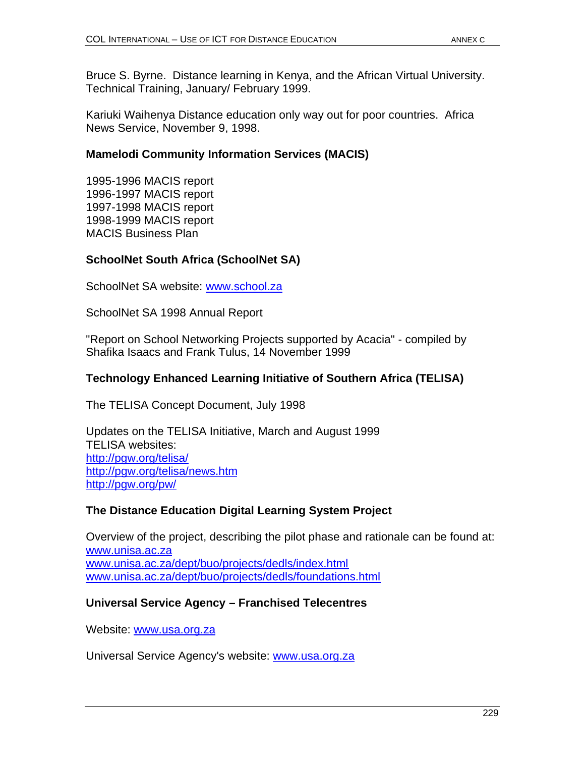Bruce S. Byrne. Distance learning in Kenya, and the African Virtual University. Technical Training, January/ February 1999.

Kariuki Waihenya Distance education only way out for poor countries. Africa News Service, November 9, 1998.

# **Mamelodi Community Information Services (MACIS)**

1995-1996 MACIS report 1996-1997 MACIS report 1997-1998 MACIS report 1998-1999 MACIS report MACIS Business Plan

# **SchoolNet South Africa (SchoolNet SA)**

SchoolNet SA website: www.school.za

SchoolNet SA 1998 Annual Report

"Report on School Networking Projects supported by Acacia" - compiled by Shafika Isaacs and Frank Tulus, 14 November 1999

# **Technology Enhanced Learning Initiative of Southern Africa (TELISA)**

The TELISA Concept Document, July 1998

Updates on the TELISA Initiative, March and August 1999 TELISA websites: http://pgw.org/telisa/ http://pgw.org/telisa/news.htm http://pgw.org/pw/

# **The Distance Education Digital Learning System Project**

Overview of the project, describing the pilot phase and rationale can be found at: www.unisa.ac.za www.unisa.ac.za/dept/buo/projects/dedls/index.html www.unisa.ac.za/dept/buo/projects/dedls/foundations.html

# **Universal Service Agency – Franchised Telecentres**

Website: www.usa.org.za

Universal Service Agency's website: www.usa.org.za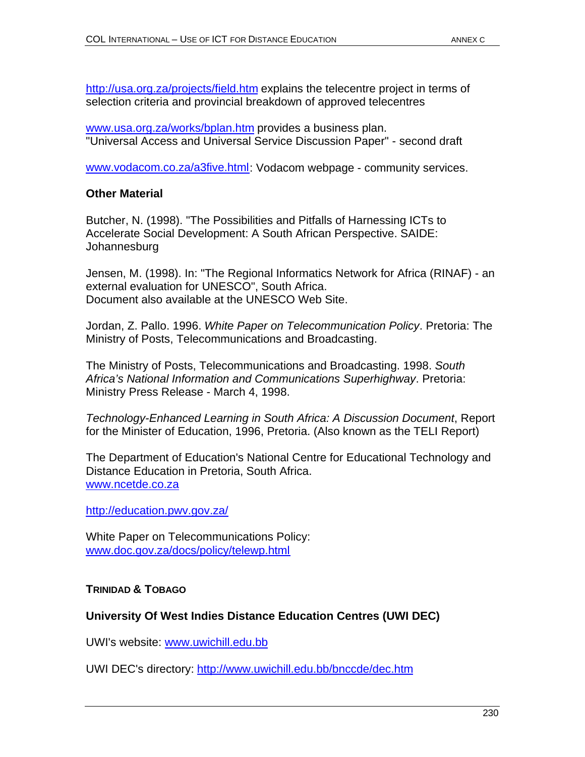http://usa.org.za/projects/field.htm explains the telecentre project in terms of selection criteria and provincial breakdown of approved telecentres

www.usa.org.za/works/bplan.htm provides a business plan. "Universal Access and Universal Service Discussion Paper" - second draft

www.vodacom.co.za/a3five.html: Vodacom webpage - community services.

# **Other Material**

Butcher, N. (1998). "The Possibilities and Pitfalls of Harnessing ICTs to Accelerate Social Development: A South African Perspective. SAIDE: **Johannesburg** 

Jensen, M. (1998). In: "The Regional Informatics Network for Africa (RINAF) - an external evaluation for UNESCO", South Africa. Document also available at the UNESCO Web Site.

Jordan, Z. Pallo. 1996. *White Paper on Telecommunication Policy*. Pretoria: The Ministry of Posts, Telecommunications and Broadcasting.

The Ministry of Posts, Telecommunications and Broadcasting. 1998. *South Africa's National Information and Communications Superhighway*. Pretoria: Ministry Press Release - March 4, 1998.

*Technology-Enhanced Learning in South Africa: A Discussion Document*, Report for the Minister of Education, 1996, Pretoria. (Also known as the TELI Report)

The Department of Education's National Centre for Educational Technology and Distance Education in Pretoria, South Africa. www.ncetde.co.za

http://education.pwv.gov.za/

White Paper on Telecommunications Policy: www.doc.gov.za/docs/policy/telewp.html

# **TRINIDAD & TOBAGO**

# **University Of West Indies Distance Education Centres (UWI DEC)**

UWI's website: www.uwichill.edu.bb

UWI DEC's directory: http://www.uwichill.edu.bb/bnccde/dec.htm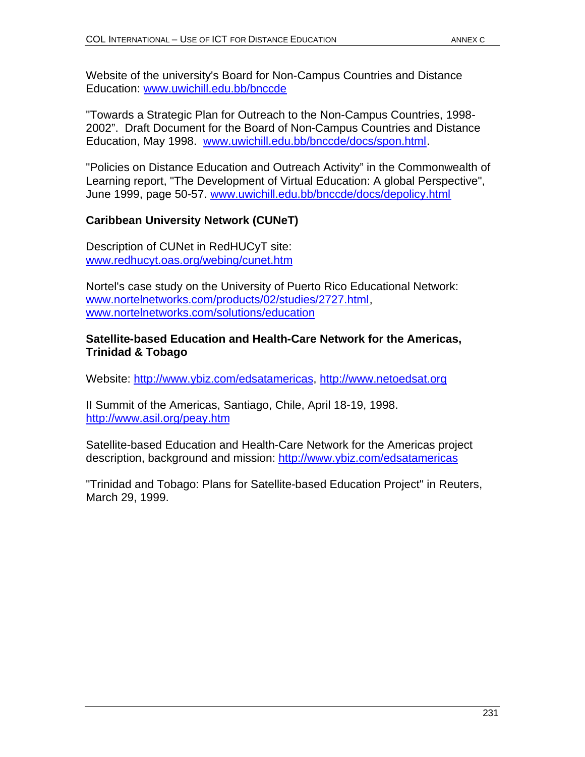Website of the university's Board for Non-Campus Countries and Distance Education: www.uwichill.edu.bb/bnccde

"Towards a Strategic Plan for Outreach to the Non-Campus Countries, 1998- 2002". Draft Document for the Board of Non-Campus Countries and Distance Education, May 1998. www.uwichill.edu.bb/bnccde/docs/spon.html.

"Policies on Distance Education and Outreach Activity" in the Commonwealth of Learning report, "The Development of Virtual Education: A global Perspective", June 1999, page 50-57. www.uwichill.edu.bb/bnccde/docs/depolicy.html

# **Caribbean University Network (CUNeT)**

Description of CUNet in RedHUCyT site: www.redhucyt.oas.org/webing/cunet.htm

Nortel's case study on the University of Puerto Rico Educational Network: www.nortelnetworks.com/products/02/studies/2727.html, www.nortelnetworks.com/solutions/education

### **Satellite-based Education and Health-Care Network for the Americas, Trinidad & Tobago**

Website: http://www.ybiz.com/edsatamericas, http://www.netoedsat.org

II Summit of the Americas, Santiago, Chile, April 18-19, 1998. http://www.asil.org/peay.htm

Satellite-based Education and Health-Care Network for the Americas project description, background and mission: http://www.ybiz.com/edsatamericas

"Trinidad and Tobago: Plans for Satellite-based Education Project" in Reuters, March 29, 1999.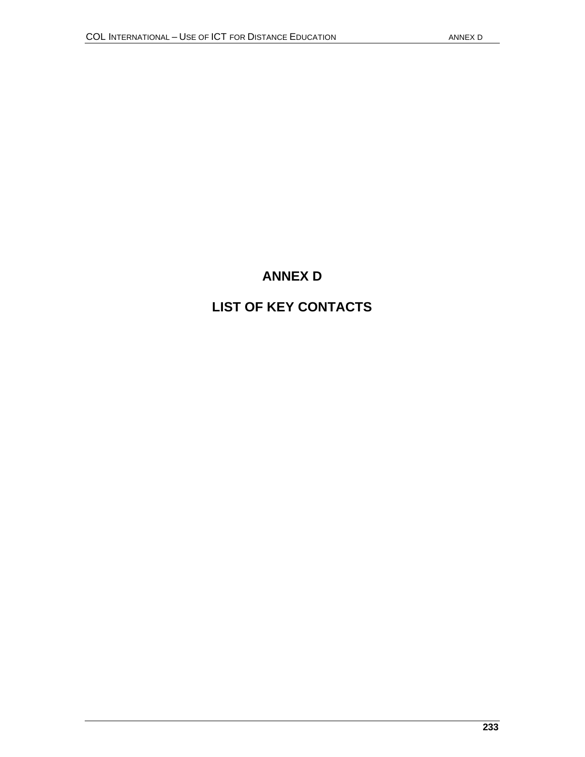# **ANNEX D**

# **LIST OF KEY CONTACTS**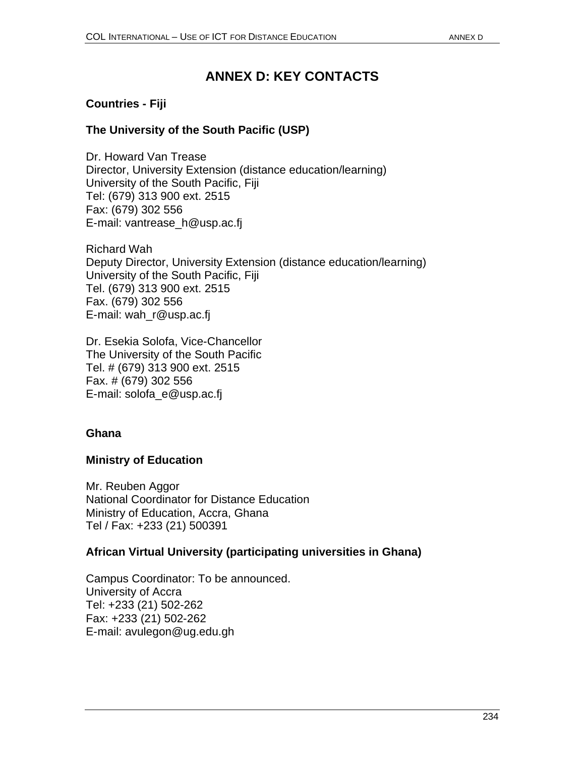# **ANNEX D: KEY CONTACTS**

# **Countries - Fiji**

# **The University of the South Pacific (USP)**

Dr. Howard Van Trease Director, University Extension (distance education/learning) University of the South Pacific, Fiji Tel: (679) 313 900 ext. 2515 Fax: (679) 302 556 E-mail: vantrease\_h@usp.ac.fj

Richard Wah Deputy Director, University Extension (distance education/learning) University of the South Pacific, Fiji Tel. (679) 313 900 ext. 2515 Fax. (679) 302 556 E-mail: wah\_r@usp.ac.fj

Dr. Esekia Solofa, Vice-Chancellor The University of the South Pacific Tel. # (679) 313 900 ext. 2515 Fax. # (679) 302 556 E-mail: solofa\_e@usp.ac.fj

#### **Ghana**

# **Ministry of Education**

Mr. Reuben Aggor National Coordinator for Distance Education Ministry of Education, Accra, Ghana Tel / Fax: +233 (21) 500391

# **African Virtual University (participating universities in Ghana)**

Campus Coordinator: To be announced. University of Accra Tel: +233 (21) 502-262 Fax: +233 (21) 502-262 E-mail: avulegon@ug.edu.gh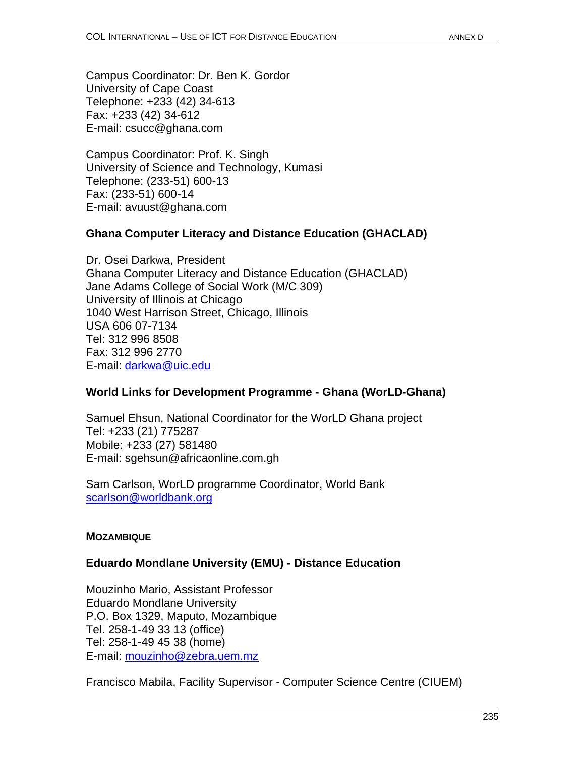Campus Coordinator: Dr. Ben K. Gordor University of Cape Coast Telephone: +233 (42) 34-613 Fax: +233 (42) 34-612 E-mail: csucc@ghana.com

Campus Coordinator: Prof. K. Singh University of Science and Technology, Kumasi Telephone: (233-51) 600-13 Fax: (233-51) 600-14 E-mail: avuust@ghana.com

### **Ghana Computer Literacy and Distance Education (GHACLAD)**

Dr. Osei Darkwa, President Ghana Computer Literacy and Distance Education (GHACLAD) Jane Adams College of Social Work (M/C 309) University of Illinois at Chicago 1040 West Harrison Street, Chicago, Illinois USA 606 07-7134 Tel: 312 996 8508 Fax: 312 996 2770 E-mail: darkwa@uic.edu

# **World Links for Development Programme - Ghana (WorLD-Ghana)**

Samuel Ehsun, National Coordinator for the WorLD Ghana project Tel: +233 (21) 775287 Mobile: +233 (27) 581480 E-mail: sgehsun@africaonline.com.gh

Sam Carlson, WorLD programme Coordinator, World Bank scarlson@worldbank.org

#### **MOZAMBIQUE**

# **Eduardo Mondlane University (EMU) - Distance Education**

Mouzinho Mario, Assistant Professor Eduardo Mondlane University P.O. Box 1329, Maputo, Mozambique Tel. 258-1-49 33 13 (office) Tel: 258-1-49 45 38 (home) E-mail: mouzinho@zebra.uem.mz

Francisco Mabila, Facility Supervisor - Computer Science Centre (CIUEM)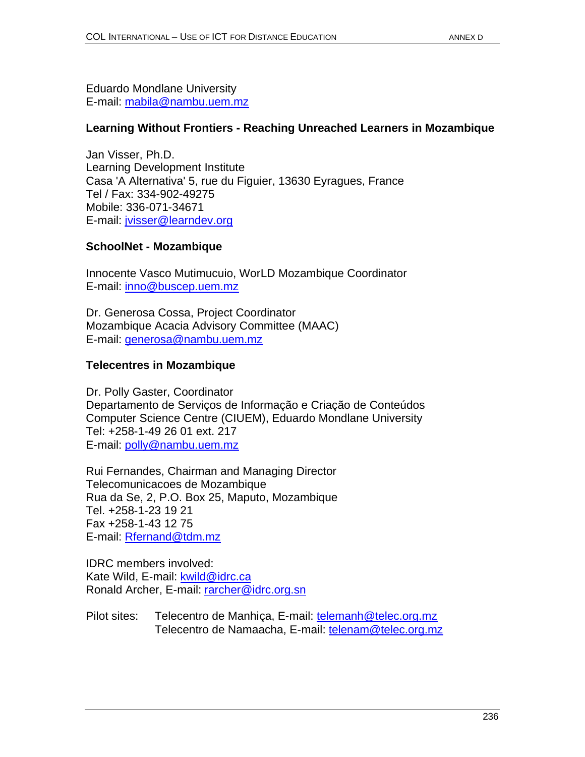Eduardo Mondlane University E-mail: mabila@nambu.uem.mz

### **Learning Without Frontiers - Reaching Unreached Learners in Mozambique**

Jan Visser, Ph.D. Learning Development Institute Casa 'A Alternativa' 5, rue du Figuier, 13630 Eyragues, France Tel / Fax: 334-902-49275 Mobile: 336-071-34671 E-mail: jvisser@learndev.org

### **SchoolNet - Mozambique**

Innocente Vasco Mutimucuio, WorLD Mozambique Coordinator E-mail: inno@buscep.uem.mz

Dr. Generosa Cossa, Project Coordinator Mozambique Acacia Advisory Committee (MAAC) E-mail: generosa@nambu.uem.mz

# **Telecentres in Mozambique**

Dr. Polly Gaster, Coordinator Departamento de Serviços de Informação e Criação de Conteúdos Computer Science Centre (CIUEM), Eduardo Mondlane University Tel: +258-1-49 26 01 ext. 217 E-mail: polly@nambu.uem.mz

Rui Fernandes, Chairman and Managing Director Telecomunicacoes de Mozambique Rua da Se, 2, P.O. Box 25, Maputo, Mozambique Tel. +258-1-23 19 21 Fax +258-1-43 12 75 E-mail: Rfernand@tdm.mz

IDRC members involved: Kate Wild, E-mail: kwild@idrc.ca Ronald Archer, E-mail: rarcher@idrc.org.sn

Pilot sites: Telecentro de Manhiça, E-mail: telemanh@telec.org.mz Telecentro de Namaacha, E-mail: telenam@telec.org.mz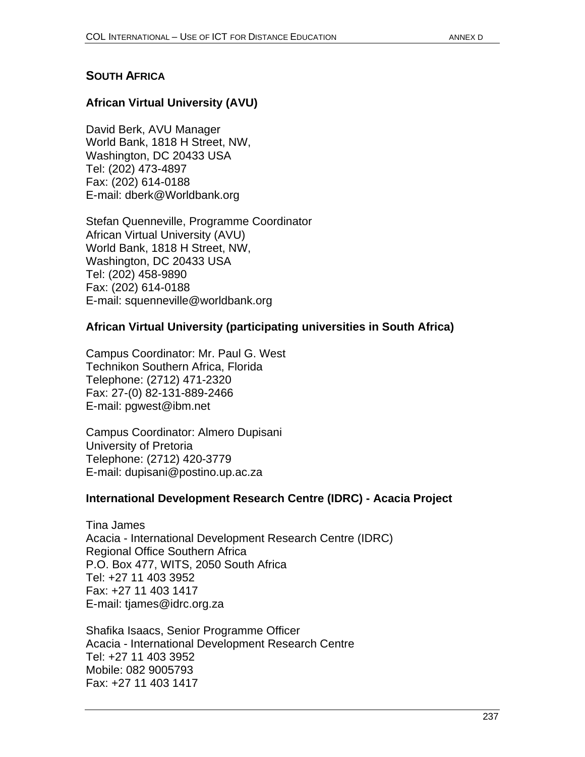### **SOUTH AFRICA**

### **African Virtual University (AVU)**

David Berk, AVU Manager World Bank, 1818 H Street, NW, Washington, DC 20433 USA Tel: (202) 473-4897 Fax: (202) 614-0188 E-mail: dberk@Worldbank.org

Stefan Quenneville, Programme Coordinator African Virtual University (AVU) World Bank, 1818 H Street, NW, Washington, DC 20433 USA Tel: (202) 458-9890 Fax: (202) 614-0188 E-mail: squenneville@worldbank.org

### **African Virtual University (participating universities in South Africa)**

Campus Coordinator: Mr. Paul G. West Technikon Southern Africa, Florida Telephone: (2712) 471-2320 Fax: 27-(0) 82-131-889-2466 E-mail: pgwest@ibm.net

Campus Coordinator: Almero Dupisani University of Pretoria Telephone: (2712) 420-3779 E-mail: dupisani@postino.up.ac.za

#### **International Development Research Centre (IDRC) - Acacia Project**

Tina James Acacia - International Development Research Centre (IDRC) Regional Office Southern Africa P.O. Box 477, WITS, 2050 South Africa Tel: +27 11 403 3952 Fax: +27 11 403 1417 E-mail: tjames@idrc.org.za

Shafika Isaacs, Senior Programme Officer Acacia - International Development Research Centre Tel: +27 11 403 3952 Mobile: 082 9005793 Fax: +27 11 403 1417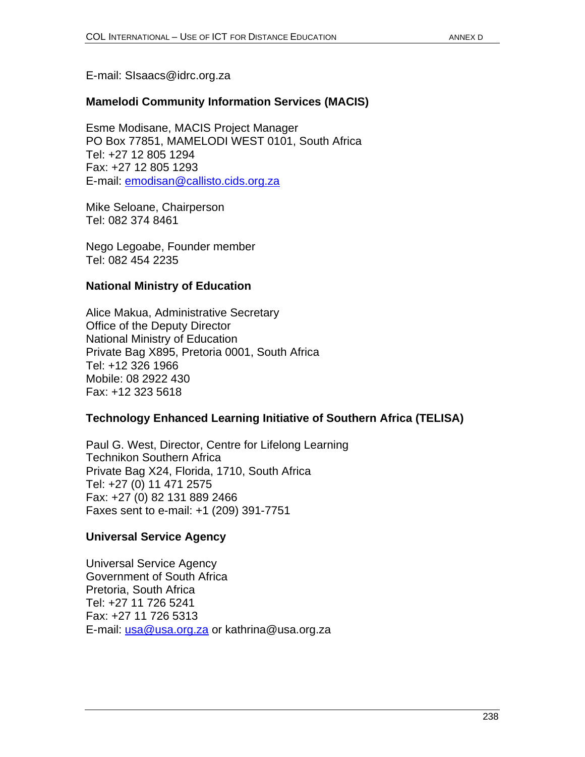#### E-mail: SIsaacs@idrc.org.za

### **Mamelodi Community Information Services (MACIS)**

Esme Modisane, MACIS Project Manager PO Box 77851, MAMELODI WEST 0101, South Africa Tel: +27 12 805 1294 Fax: +27 12 805 1293 E-mail: emodisan@callisto.cids.org.za

Mike Seloane, Chairperson Tel: 082 374 8461

Nego Legoabe, Founder member Tel: 082 454 2235

#### **National Ministry of Education**

Alice Makua, Administrative Secretary Office of the Deputy Director National Ministry of Education Private Bag X895, Pretoria 0001, South Africa Tel: +12 326 1966 Mobile: 08 2922 430 Fax: +12 323 5618

#### **Technology Enhanced Learning Initiative of Southern Africa (TELISA)**

Paul G. West, Director, Centre for Lifelong Learning Technikon Southern Africa Private Bag X24, Florida, 1710, South Africa Tel: +27 (0) 11 471 2575 Fax: +27 (0) 82 131 889 2466 Faxes sent to e-mail: +1 (209) 391-7751

#### **Universal Service Agency**

Universal Service Agency Government of South Africa Pretoria, South Africa Tel: +27 11 726 5241 Fax: +27 11 726 5313 E-mail: usa@usa.org.za or kathrina@usa.org.za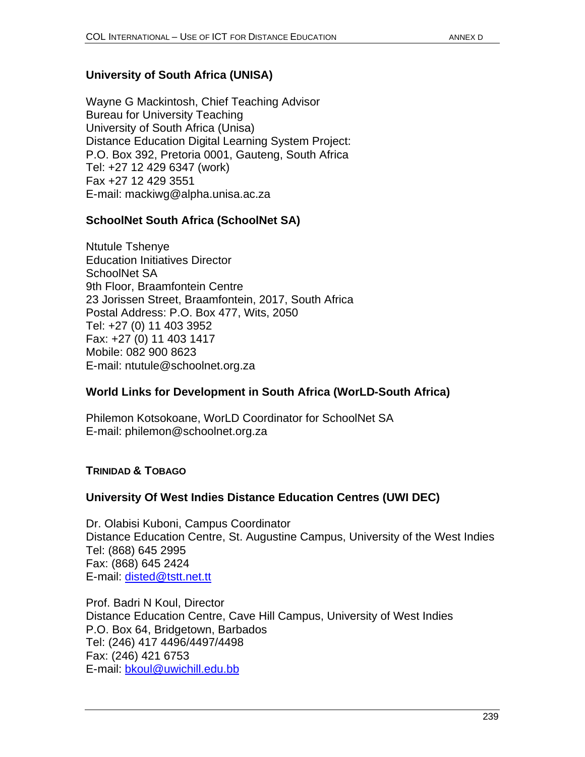# **University of South Africa (UNISA)**

Wayne G Mackintosh, Chief Teaching Advisor Bureau for University Teaching University of South Africa (Unisa) Distance Education Digital Learning System Project: P.O. Box 392, Pretoria 0001, Gauteng, South Africa Tel: +27 12 429 6347 (work) Fax +27 12 429 3551 E-mail: mackiwg@alpha.unisa.ac.za

### **SchoolNet South Africa (SchoolNet SA)**

Ntutule Tshenye Education Initiatives Director SchoolNet SA 9th Floor, Braamfontein Centre 23 Jorissen Street, Braamfontein, 2017, South Africa Postal Address: P.O. Box 477, Wits, 2050 Tel: +27 (0) 11 403 3952 Fax: +27 (0) 11 403 1417 Mobile: 082 900 8623 E-mail: ntutule@schoolnet.org.za

#### **World Links for Development in South Africa (WorLD-South Africa)**

Philemon Kotsokoane, WorLD Coordinator for SchoolNet SA E-mail: philemon@schoolnet.org.za

#### **TRINIDAD & TOBAGO**

#### **University Of West Indies Distance Education Centres (UWI DEC)**

Dr. Olabisi Kuboni, Campus Coordinator Distance Education Centre, St. Augustine Campus, University of the West Indies Tel: (868) 645 2995 Fax: (868) 645 2424 E-mail: disted@tstt.net.tt

Prof. Badri N Koul, Director Distance Education Centre, Cave Hill Campus, University of West Indies P.O. Box 64, Bridgetown, Barbados Tel: (246) 417 4496/4497/4498 Fax: (246) 421 6753 E-mail: bkoul@uwichill.edu.bb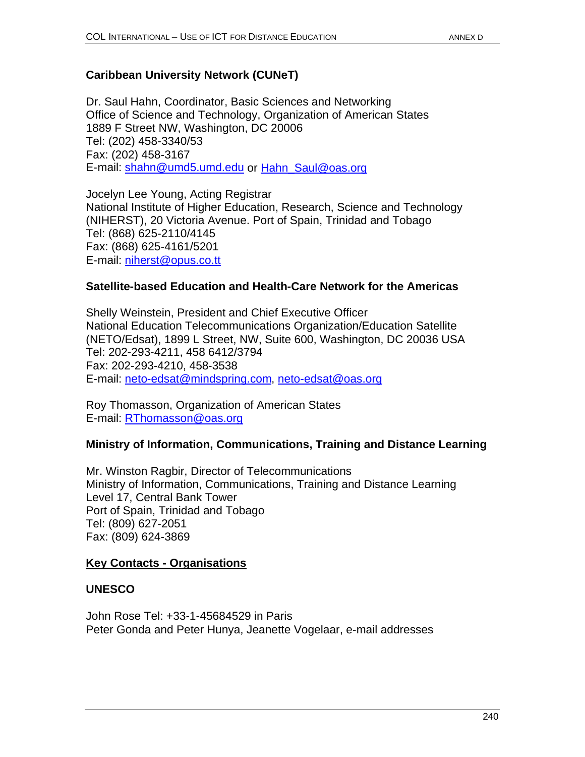# **Caribbean University Network (CUNeT)**

Dr. Saul Hahn, Coordinator, Basic Sciences and Networking Office of Science and Technology, Organization of American States 1889 F Street NW, Washington, DC 20006 Tel: (202) 458-3340/53 Fax: (202) 458-3167 E-mail: shahn@umd5.umd.edu or Hahn\_Saul@oas.org

Jocelyn Lee Young, Acting Registrar National Institute of Higher Education, Research, Science and Technology (NIHERST), 20 Victoria Avenue. Port of Spain, Trinidad and Tobago Tel: (868) 625-2110/4145 Fax: (868) 625-4161/5201 E-mail: niherst@opus.co.tt

#### **Satellite-based Education and Health-Care Network for the Americas**

Shelly Weinstein, President and Chief Executive Officer National Education Telecommunications Organization/Education Satellite (NETO/Edsat), 1899 L Street, NW, Suite 600, Washington, DC 20036 USA Tel: 202-293-4211, 458 6412/3794 Fax: 202-293-4210, 458-3538 E-mail: neto-edsat@mindspring.com, neto-edsat@oas.org

Roy Thomasson, Organization of American States E-mail: RThomasson@oas.org

# **Ministry of Information, Communications, Training and Distance Learning**

Mr. Winston Ragbir, Director of Telecommunications Ministry of Information, Communications, Training and Distance Learning Level 17, Central Bank Tower Port of Spain, Trinidad and Tobago Tel: (809) 627-2051 Fax: (809) 624-3869

#### **Key Contacts - Organisations**

# **UNESCO**

John Rose Tel: +33-1-45684529 in Paris Peter Gonda and Peter Hunya, Jeanette Vogelaar, e-mail addresses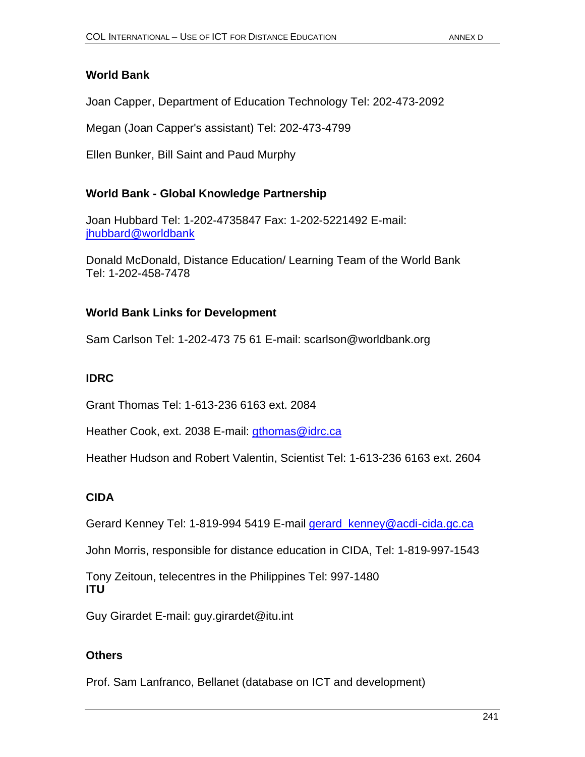# **World Bank**

Joan Capper, Department of Education Technology Tel: 202-473-2092

Megan (Joan Capper's assistant) Tel: 202-473-4799

Ellen Bunker, Bill Saint and Paud Murphy

### **World Bank - Global Knowledge Partnership**

Joan Hubbard Tel: 1-202-4735847 Fax: 1-202-5221492 E-mail: jhubbard@worldbank

Donald McDonald, Distance Education/ Learning Team of the World Bank Tel: 1-202-458-7478

# **World Bank Links for Development**

Sam Carlson Tel: 1-202-473 75 61 E-mail: scarlson@worldbank.org

# **IDRC**

Grant Thomas Tel: 1-613-236 6163 ext. 2084

Heather Cook, ext. 2038 E-mail: gthomas@idrc.ca

Heather Hudson and Robert Valentin, Scientist Tel: 1-613-236 6163 ext. 2604

# **CIDA**

Gerard Kenney Tel: 1-819-994 5419 E-mail gerard\_kenney@acdi-cida.gc.ca

John Morris, responsible for distance education in CIDA, Tel: 1-819-997-1543

Tony Zeitoun, telecentres in the Philippines Tel: 997-1480 **ITU**

Guy Girardet E-mail: guy.girardet@itu.int

# **Others**

Prof. Sam Lanfranco, Bellanet (database on ICT and development)